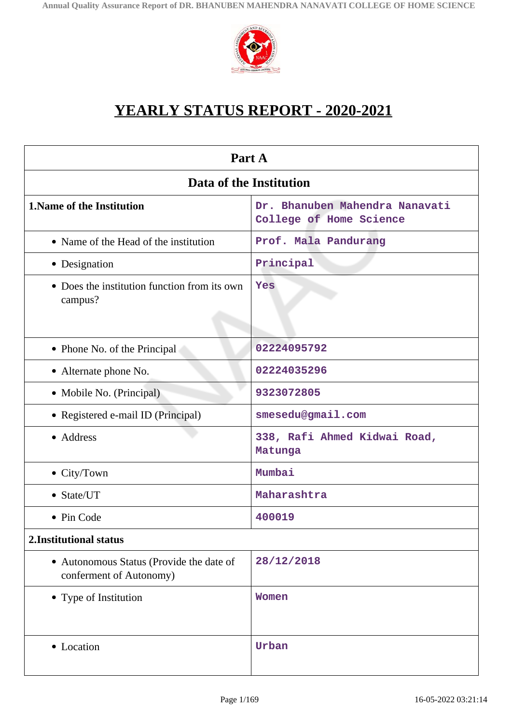

# **YEARLY STATUS REPORT - 2020-2021**

| Part A                                                              |                                                           |  |
|---------------------------------------------------------------------|-----------------------------------------------------------|--|
| Data of the Institution                                             |                                                           |  |
| <b>1. Name of the Institution</b>                                   | Dr. Bhanuben Mahendra Nanavati<br>College of Home Science |  |
| • Name of the Head of the institution                               | Prof. Mala Pandurang                                      |  |
| • Designation                                                       | Principal                                                 |  |
| • Does the institution function from its own<br>campus?             | Yes                                                       |  |
| • Phone No. of the Principal                                        | 02224095792                                               |  |
| • Alternate phone No.                                               | 02224035296                                               |  |
| • Mobile No. (Principal)                                            | 9323072805                                                |  |
| • Registered e-mail ID (Principal)                                  | smesedu@gmail.com                                         |  |
| • Address                                                           | 338, Rafi Ahmed Kidwai Road,<br>Matunga                   |  |
| $\bullet$ City/Town                                                 | Mumbai                                                    |  |
| • State/UT                                                          | Maharashtra                                               |  |
| • Pin Code                                                          | 400019                                                    |  |
| 2. Institutional status                                             |                                                           |  |
| • Autonomous Status (Provide the date of<br>conferment of Autonomy) | 28/12/2018                                                |  |
| • Type of Institution                                               | Women                                                     |  |
| • Location                                                          | Urban                                                     |  |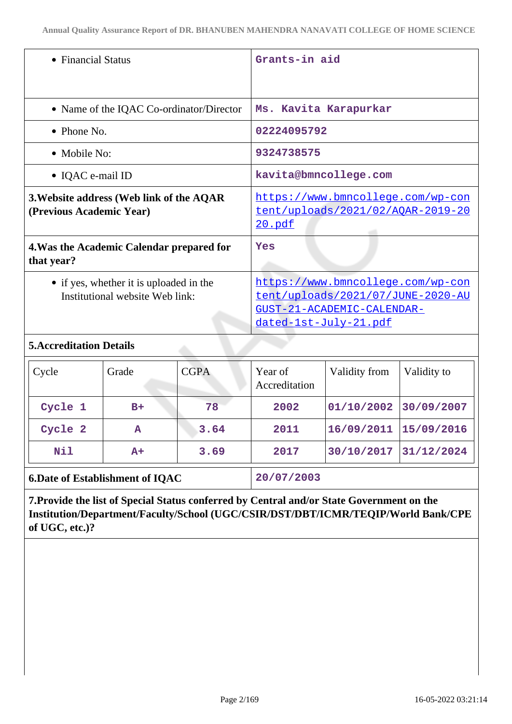| • Financial Status                                                         | Grants-in aid                                                                                                                               |
|----------------------------------------------------------------------------|---------------------------------------------------------------------------------------------------------------------------------------------|
| • Name of the IQAC Co-ordinator/Director                                   | Ms. Kavita Karapurkar                                                                                                                       |
| $\bullet$ Phone No.                                                        | 02224095792                                                                                                                                 |
| $\bullet$ Mobile No:                                                       | 9324738575                                                                                                                                  |
| $\bullet$ IQAC e-mail ID                                                   | kavita@bmncollege.com                                                                                                                       |
| 3. Website address (Web link of the AQAR<br>(Previous Academic Year)       | https://www.bmncollege.com/wp-con<br><u>tent/uploads/2021/02/AQAR-2019-20</u><br>20.pdf                                                     |
| 4. Was the Academic Calendar prepared for<br>that year?                    | Yes                                                                                                                                         |
| • if yes, whether it is uploaded in the<br>Institutional website Web link: | https://www.bmncollege.com/wp-con<br>tent/uploads/2021/07/JUNE-2020-AU<br><u>GUST-21-ACADEMIC-CALENDAR-</u><br><u>dated-1st-July-21.pdf</u> |

## **5.Accreditation Details**

| Cycle   | Grade | <b>CGPA</b> | Year of<br>Accreditation | Validity from | Validity to |
|---------|-------|-------------|--------------------------|---------------|-------------|
| Cycle 1 | $B+$  | 78          | 2002                     | 01/10/2002    | 30/09/2007  |
| Cycle 2 | A     | 3.64        | 2011                     | 16/09/2011    | 15/09/2016  |
| Nil     | $A+$  | 3.69        | 2017                     | 30/10/2017    | 31/12/2024  |
|         |       |             |                          |               |             |

**6.Date of Establishment of IQAC 20/07/2003**

**7.Provide the list of Special Status conferred by Central and/or State Government on the Institution/Department/Faculty/School (UGC/CSIR/DST/DBT/ICMR/TEQIP/World Bank/CPE of UGC, etc.)?**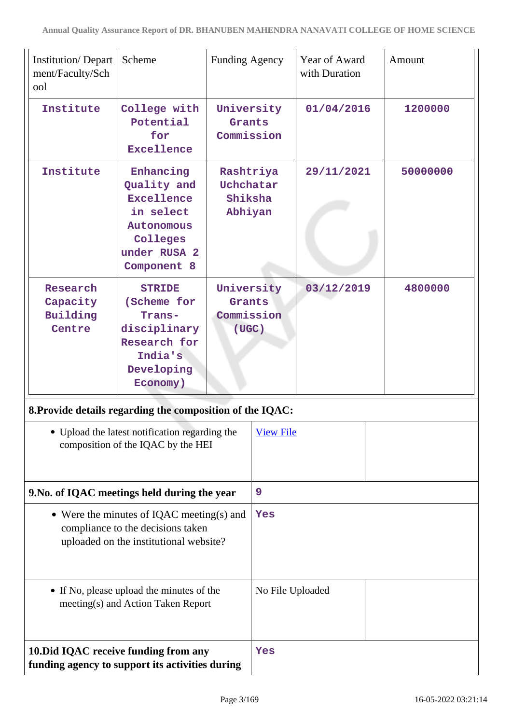| <b>Institution/Depart</b><br>ment/Faculty/Sch<br>ool      | Scheme                                                                                                                     | Funding Agency                                    |                  | Year of Award<br>with Duration | Amount   |
|-----------------------------------------------------------|----------------------------------------------------------------------------------------------------------------------------|---------------------------------------------------|------------------|--------------------------------|----------|
| Institute                                                 | College with<br>Potential<br>for<br><b>Excellence</b>                                                                      | University<br>Grants<br>Commission                |                  | 01/04/2016                     | 1200000  |
| Institute                                                 | Enhancing<br>Quality and<br><b>Excellence</b><br>in select<br><b>Autonomous</b><br>Colleges<br>under RUSA 2<br>Component 8 | Rashtriya<br>Uchchatar<br>Shiksha<br>Abhiyan      |                  | 29/11/2021                     | 50000000 |
| Research<br>Capacity<br>Building<br>Centre                | <b>STRIDE</b><br>(Scheme for<br>Trans-<br>disciplinary<br>Research for<br>India's<br>Developing<br>Economy)                | University<br>Grants<br>Commission<br>$($ UGC $)$ |                  | 03/12/2019                     | 4800000  |
| 8. Provide details regarding the composition of the IQAC: | Upload the latest notification regarding the<br>composition of the IQAC by the HEI                                         |                                                   | <b>View File</b> |                                |          |
| 9. No. of IQAC meetings held during the year              |                                                                                                                            |                                                   | 9                |                                |          |
|                                                           | • Were the minutes of IQAC meeting(s) and<br>compliance to the decisions taken<br>uploaded on the institutional website?   |                                                   | Yes              |                                |          |
|                                                           | • If No, please upload the minutes of the<br>meeting(s) and Action Taken Report                                            |                                                   | No File Uploaded |                                |          |
| funding agency to support its activities during           | 10. Did IQAC receive funding from any                                                                                      |                                                   | Yes              |                                |          |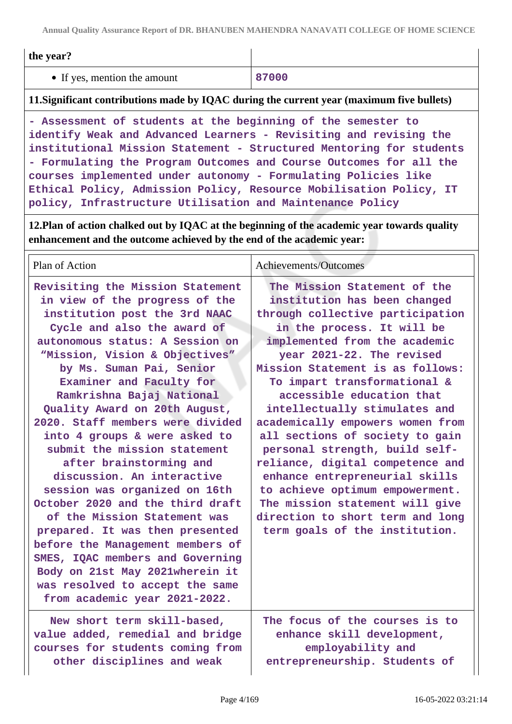**Annual Quality Assurance Report of DR. BHANUBEN MAHENDRA NANAVATI COLLEGE OF HOME SCIENCE**

| the year?                                                                                                                                                                                                                                                                                                                                                                                                              |       |  |
|------------------------------------------------------------------------------------------------------------------------------------------------------------------------------------------------------------------------------------------------------------------------------------------------------------------------------------------------------------------------------------------------------------------------|-------|--|
| • If yes, mention the amount                                                                                                                                                                                                                                                                                                                                                                                           | 87000 |  |
| 11. Significant contributions made by IQAC during the current year (maximum five bullets)                                                                                                                                                                                                                                                                                                                              |       |  |
| - Assessment of students at the beginning of the semester to<br>identify Weak and Advanced Learners - Revisiting and revising the<br>institutional Mission Statement - Structured Mentoring for students<br>- Formulating the Program Outcomes and Course Outcomes for all the<br>courses implemented under autonomy - Formulating Policies like<br>Ethical Policy, Admission Policy, Resource Mobilisation Policy, IT |       |  |

**12.Plan of action chalked out by IQAC at the beginning of the academic year towards quality enhancement and the outcome achieved by the end of the academic year:**

| Plan of Action                                                                                                                                                                                                                                                                                                                                                                                                                                                                                                                                                                                                                                                                                                                                                                                                     | Achievements/Outcomes                                                                                                                                                                                                                                                                                                                                                                                                                                                                                                                                                                                                                                     |
|--------------------------------------------------------------------------------------------------------------------------------------------------------------------------------------------------------------------------------------------------------------------------------------------------------------------------------------------------------------------------------------------------------------------------------------------------------------------------------------------------------------------------------------------------------------------------------------------------------------------------------------------------------------------------------------------------------------------------------------------------------------------------------------------------------------------|-----------------------------------------------------------------------------------------------------------------------------------------------------------------------------------------------------------------------------------------------------------------------------------------------------------------------------------------------------------------------------------------------------------------------------------------------------------------------------------------------------------------------------------------------------------------------------------------------------------------------------------------------------------|
| Revisiting the Mission Statement<br>in view of the progress of the<br>institution post the 3rd NAAC<br>Cycle and also the award of<br>autonomous status: A Session on<br>"Mission, Vision & Objectives"<br>by Ms. Suman Pai, Senior<br>Examiner and Faculty for<br>Ramkrishna Bajaj National<br>Quality Award on 20th August,<br>2020. Staff members were divided<br>into 4 groups & were asked to<br>submit the mission statement<br>after brainstorming and<br>discussion. An interactive<br>session was organized on 16th<br>October 2020 and the third draft<br>of the Mission Statement was<br>prepared. It was then presented<br>before the Management members of<br>SMES, IQAC members and Governing<br>Body on 21st May 2021wherein it<br>was resolved to accept the same<br>from academic year 2021-2022. | The Mission Statement of the<br>institution has been changed<br>through collective participation<br>in the process. It will be<br>implemented from the academic<br>year 2021-22. The revised<br>Mission Statement is as follows:<br>To impart transformational &<br>accessible education that<br>intellectually stimulates and<br>academically empowers women from<br>all sections of society to gain<br>personal strength, build self-<br>reliance, digital competence and<br>enhance entrepreneurial skills<br>to achieve optimum empowerment.<br>The mission statement will give<br>direction to short term and long<br>term goals of the institution. |
| New short term skill-based,<br>value added, remedial and bridge<br>courses for students coming from<br>other disciplines and weak                                                                                                                                                                                                                                                                                                                                                                                                                                                                                                                                                                                                                                                                                  | The focus of the courses is to<br>enhance skill development,<br>employability and<br>entrepreneurship. Students of                                                                                                                                                                                                                                                                                                                                                                                                                                                                                                                                        |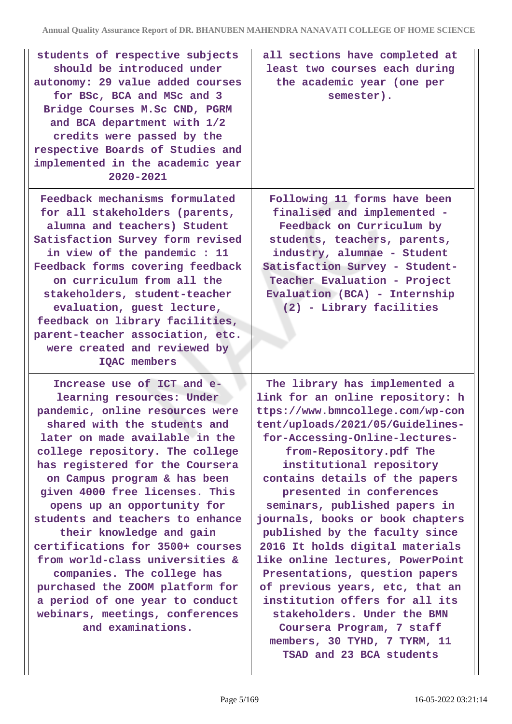| students of respective subjects<br>should be introduced under<br>autonomy: 29 value added courses<br>for BSc, BCA and MSc and 3<br>Bridge Courses M.Sc CND, PGRM<br>and BCA department with 1/2<br>credits were passed by the<br>respective Boards of Studies and<br>implemented in the academic year<br>2020-2021                                                                                                                                                                                                                                                                                                                     | all sections have completed at<br>least two courses each during<br>the academic year (one per<br>semester).                                                                                                                                                                                                                                                                                                                                                                                                                                                                                                                                                                                                   |
|----------------------------------------------------------------------------------------------------------------------------------------------------------------------------------------------------------------------------------------------------------------------------------------------------------------------------------------------------------------------------------------------------------------------------------------------------------------------------------------------------------------------------------------------------------------------------------------------------------------------------------------|---------------------------------------------------------------------------------------------------------------------------------------------------------------------------------------------------------------------------------------------------------------------------------------------------------------------------------------------------------------------------------------------------------------------------------------------------------------------------------------------------------------------------------------------------------------------------------------------------------------------------------------------------------------------------------------------------------------|
| Feedback mechanisms formulated<br>for all stakeholders (parents,<br>alumna and teachers) Student<br>Satisfaction Survey form revised<br>in view of the pandemic : 11<br>Feedback forms covering feedback<br>on curriculum from all the<br>stakeholders, student-teacher<br>evaluation, guest lecture,<br>feedback on library facilities,<br>parent-teacher association, etc.<br>were created and reviewed by<br>IQAC members                                                                                                                                                                                                           | Following 11 forms have been<br>finalised and implemented -<br>Feedback on Curriculum by<br>students, teachers, parents,<br>industry, alumnae - Student<br>Satisfaction Survey - Student-<br>Teacher Evaluation - Project<br>Evaluation (BCA) - Internship<br>(2) - Library facilities                                                                                                                                                                                                                                                                                                                                                                                                                        |
| Increase use of ICT and e-<br>learning resources: Under<br>pandemic, online resources were<br>shared with the students and<br>later on made available in the<br>college repository. The college<br>has registered for the Coursera<br>on Campus program & has been<br>given 4000 free licenses. This<br>opens up an opportunity for<br>students and teachers to enhance<br>their knowledge and gain<br>certifications for 3500+ courses<br>from world-class universities &<br>companies. The college has<br>purchased the ZOOM platform for<br>a period of one year to conduct<br>webinars, meetings, conferences<br>and examinations. | The library has implemented a<br>link for an online repository: h<br>ttps://www.bmncollege.com/wp-con<br>tent/uploads/2021/05/Guidelines-<br>for-Accessing-Online-lectures-<br>from-Repository.pdf The<br>institutional repository<br>contains details of the papers<br>presented in conferences<br>seminars, published papers in<br>journals, books or book chapters<br>published by the faculty since<br>2016 It holds digital materials<br>like online lectures, PowerPoint<br>Presentations, question papers<br>of previous years, etc, that an<br>institution offers for all its<br>stakeholders. Under the BMN<br>Coursera Program, 7 staff<br>members, 30 TYHD, 7 TYRM, 11<br>TSAD and 23 BCA students |

 $\overline{\phantom{a}}$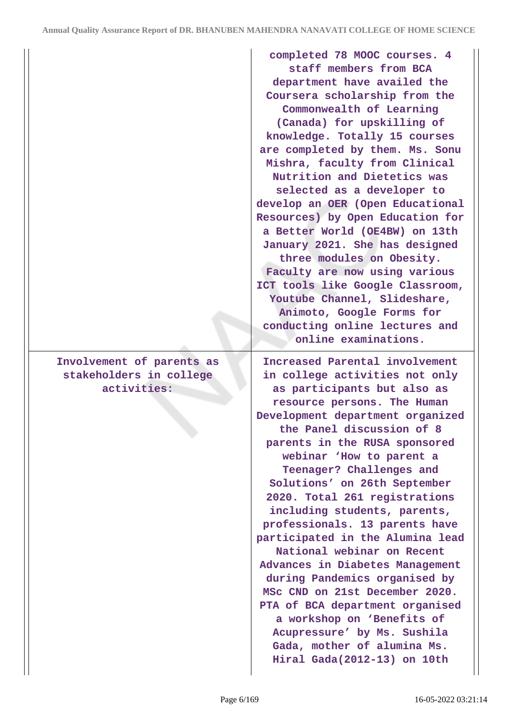**Involvement of parents as stakeholders in college activities:**

**completed 78 MOOC courses. 4 staff members from BCA department have availed the Coursera scholarship from the Commonwealth of Learning (Canada) for upskilling of knowledge. Totally 15 courses are completed by them. Ms. Sonu Mishra, faculty from Clinical Nutrition and Dietetics was selected as a developer to develop an OER (Open Educational Resources) by Open Education for a Better World (OE4BW) on 13th January 2021. She has designed three modules on Obesity. Faculty are now using various ICT tools like Google Classroom, Youtube Channel, Slideshare, Animoto, Google Forms for conducting online lectures and online examinations.**

**Increased Parental involvement in college activities not only as participants but also as resource persons. The Human Development department organized the Panel discussion of 8 parents in the RUSA sponsored webinar 'How to parent a Teenager? Challenges and Solutions' on 26th September 2020. Total 261 registrations including students, parents, professionals. 13 parents have participated in the Alumina lead National webinar on Recent Advances in Diabetes Management during Pandemics organised by MSc CND on 21st December 2020. PTA of BCA department organised a workshop on 'Benefits of Acupressure' by Ms. Sushila Gada, mother of alumina Ms. Hiral Gada(2012-13) on 10th**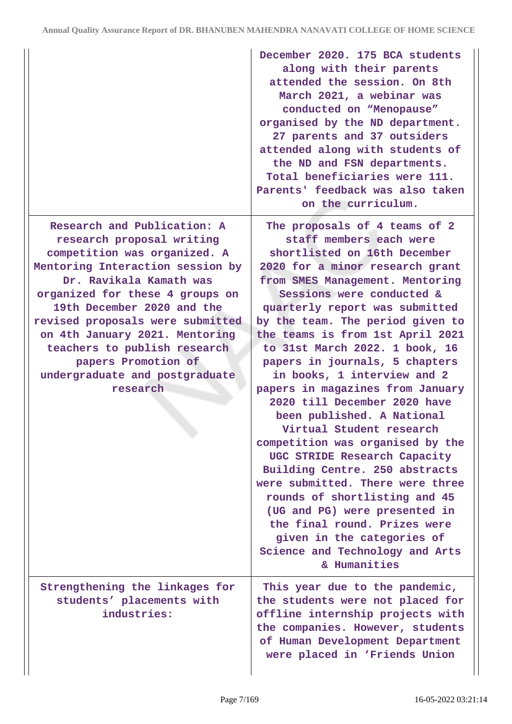|                                                                                                                                                                                                                                                                                                                                                                                                     | December 2020. 175 BCA students<br>along with their parents<br>attended the session. On 8th<br>March 2021, a webinar was<br>conducted on "Menopause"<br>organised by the ND department.<br>27 parents and 37 outsiders<br>attended along with students of<br>the ND and FSN departments.<br>Total beneficiaries were 111.<br>Parents' feedback was also taken<br>on the curriculum.                                                                                                                                                                                                                                                                                                                                                                                                                                                                                 |
|-----------------------------------------------------------------------------------------------------------------------------------------------------------------------------------------------------------------------------------------------------------------------------------------------------------------------------------------------------------------------------------------------------|---------------------------------------------------------------------------------------------------------------------------------------------------------------------------------------------------------------------------------------------------------------------------------------------------------------------------------------------------------------------------------------------------------------------------------------------------------------------------------------------------------------------------------------------------------------------------------------------------------------------------------------------------------------------------------------------------------------------------------------------------------------------------------------------------------------------------------------------------------------------|
| Research and Publication: A<br>research proposal writing<br>competition was organized. A<br>Mentoring Interaction session by<br>Dr. Ravikala Kamath was<br>organized for these 4 groups on<br>19th December 2020 and the<br>revised proposals were submitted<br>on 4th January 2021. Mentoring<br>teachers to publish research<br>papers Promotion of<br>undergraduate and postgraduate<br>research | The proposals of 4 teams of 2<br>staff members each were<br>shortlisted on 16th December<br>2020 for a minor research grant<br>from SMES Management. Mentoring<br>Sessions were conducted &<br>quarterly report was submitted<br>by the team. The period given to<br>the teams is from 1st April 2021<br>to 31st March 2022. 1 book, 16<br>papers in journals, 5 chapters<br>in books, 1 interview and 2<br>papers in magazines from January<br>2020 till December 2020 have<br>been published. A National<br>Virtual Student research<br>competition was organised by the<br>UGC STRIDE Research Capacity<br>Building Centre. 250 abstracts<br>were submitted. There were three<br>rounds of shortlisting and 45<br>(UG and PG) were presented in<br>the final round. Prizes were<br>given in the categories of<br>Science and Technology and Arts<br>& Humanities |
| Strengthening the linkages for<br>students' placements with<br>industries:                                                                                                                                                                                                                                                                                                                          | This year due to the pandemic,<br>the students were not placed for<br>offline internship projects with<br>the companies. However, students<br>of Human Development Department<br>were placed in 'Friends Union                                                                                                                                                                                                                                                                                                                                                                                                                                                                                                                                                                                                                                                      |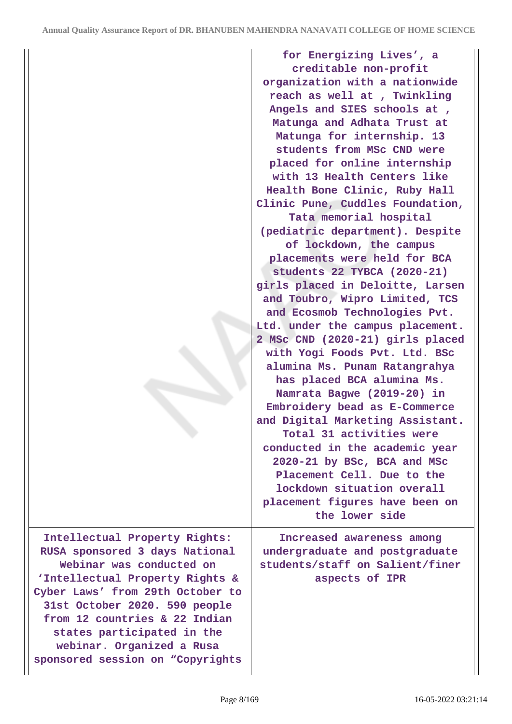**for Energizing Lives', a creditable non-profit organization with a nationwide reach as well at , Twinkling Angels and SIES schools at , Matunga and Adhata Trust at Matunga for internship. 13 students from MSc CND were placed for online internship with 13 Health Centers like Health Bone Clinic, Ruby Hall Clinic Pune, Cuddles Foundation, Tata memorial hospital (pediatric department). Despite of lockdown, the campus placements were held for BCA students 22 TYBCA (2020-21) girls placed in Deloitte, Larsen and Toubro, Wipro Limited, TCS and Ecosmob Technologies Pvt. Ltd. under the campus placement. 2 MSc CND (2020-21) girls placed with Yogi Foods Pvt. Ltd. BSc alumina Ms. Punam Ratangrahya has placed BCA alumina Ms. Namrata Bagwe (2019-20) in Embroidery bead as E-Commerce and Digital Marketing Assistant. Total 31 activities were conducted in the academic year 2020-21 by BSc, BCA and MSc Placement Cell. Due to the lockdown situation overall placement figures have been on the lower side Increased awareness among undergraduate and postgraduate students/staff on Salient/finer aspects of IPR**

**Intellectual Property Rights: RUSA sponsored 3 days National Webinar was conducted on 'Intellectual Property Rights & Cyber Laws' from 29th October to 31st October 2020. 590 people from 12 countries & 22 Indian states participated in the webinar. Organized a Rusa sponsored session on "Copyrights**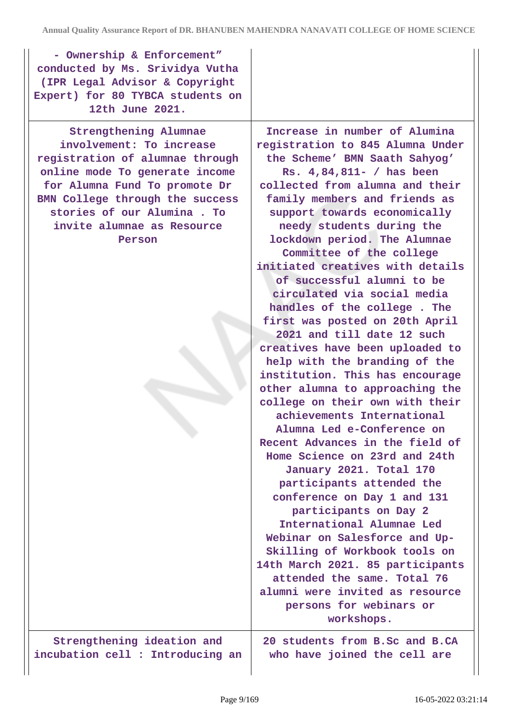| - Ownership & Enforcement"<br>conducted by Ms. Srividya Vutha<br>(IPR Legal Advisor & Copyright<br>Expert) for 80 TYBCA students on<br>12th June 2021.                                                                                                           |                                                                                                                                                                                                                                                                                                                                                                                                                                                                                                                                                                                                                                                                                                                                                                                                                                                                                                                                                                                                                                                                                                                                                                                                        |
|------------------------------------------------------------------------------------------------------------------------------------------------------------------------------------------------------------------------------------------------------------------|--------------------------------------------------------------------------------------------------------------------------------------------------------------------------------------------------------------------------------------------------------------------------------------------------------------------------------------------------------------------------------------------------------------------------------------------------------------------------------------------------------------------------------------------------------------------------------------------------------------------------------------------------------------------------------------------------------------------------------------------------------------------------------------------------------------------------------------------------------------------------------------------------------------------------------------------------------------------------------------------------------------------------------------------------------------------------------------------------------------------------------------------------------------------------------------------------------|
| Strengthening Alumnae<br>involvement: To increase<br>registration of alumnae through<br>online mode To generate income<br>for Alumna Fund To promote Dr<br>BMN College through the success<br>stories of our Alumina. To<br>invite alumnae as Resource<br>Person | Increase in number of Alumina<br>registration to 845 Alumna Under<br>the Scheme' BMN Saath Sahyog'<br>Rs. 4,84,811- / has been<br>collected from alumna and their<br>family members and friends as<br>support towards economically<br>needy students during the<br>lockdown period. The Alumnae<br>Committee of the college<br>initiated creatives with details<br>of successful alumni to be<br>circulated via social media<br>handles of the college. The<br>first was posted on 20th April<br>2021 and till date 12 such<br>creatives have been uploaded to<br>help with the branding of the<br>institution. This has encourage<br>other alumna to approaching the<br>college on their own with their<br>achievements International<br>Alumna Led e-Conference on<br>Recent Advances in the field of<br>Home Science on 23rd and 24th<br>January 2021. Total 170<br>participants attended the<br>conference on Day 1 and 131<br>participants on Day 2<br>International Alumnae Led<br>Webinar on Salesforce and Up-<br>Skilling of Workbook tools on<br>14th March 2021. 85 participants<br>attended the same. Total 76<br>alumni were invited as resource<br>persons for webinars or<br>workshops. |
| Strengthening ideation and<br>incubation cell : Introducing an                                                                                                                                                                                                   | 20 students from B.Sc and B.CA<br>who have joined the cell are                                                                                                                                                                                                                                                                                                                                                                                                                                                                                                                                                                                                                                                                                                                                                                                                                                                                                                                                                                                                                                                                                                                                         |

 $\overline{\phantom{a}}$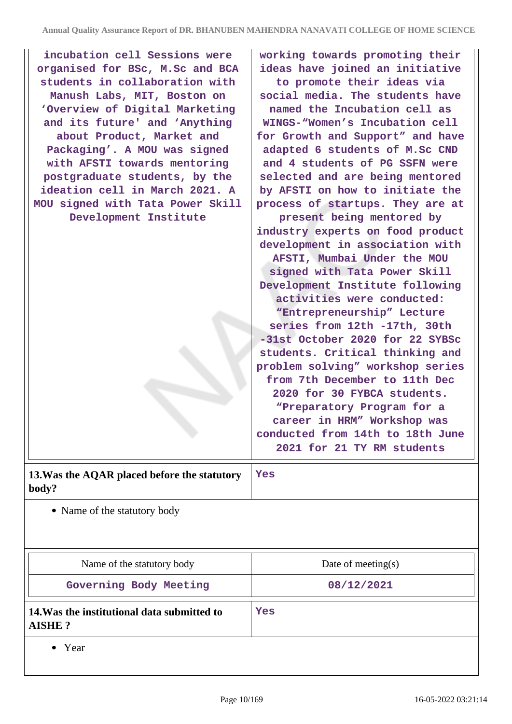| incubation cell Sessions were                                     | working towards promoting their                               |
|-------------------------------------------------------------------|---------------------------------------------------------------|
| organised for BSc, M.Sc and BCA<br>students in collaboration with | ideas have joined an initiative<br>to promote their ideas via |
| Manush Labs, MIT, Boston on                                       | social media. The students have                               |
| 'Overview of Digital Marketing                                    | named the Incubation cell as                                  |
|                                                                   | WINGS-"Women's Incubation cell                                |
| and its future' and 'Anything                                     |                                                               |
| about Product, Market and                                         | for Growth and Support" and have                              |
| Packaging'. A MOU was signed                                      | adapted 6 students of M.Sc CND                                |
| with AFSTI towards mentoring                                      | and 4 students of PG SSFN were                                |
| postgraduate students, by the                                     | selected and are being mentored                               |
| ideation cell in March 2021. A                                    | by AFSTI on how to initiate the                               |
| MOU signed with Tata Power Skill                                  | process of startups. They are at                              |
| Development Institute                                             | present being mentored by                                     |
|                                                                   | industry experts on food product                              |
|                                                                   | development in association with                               |
|                                                                   | AFSTI, Mumbai Under the MOU                                   |
|                                                                   | signed with Tata Power Skill                                  |
|                                                                   | Development Institute following                               |
|                                                                   | activities were conducted:                                    |
|                                                                   | "Entrepreneurship" Lecture                                    |
|                                                                   | series from 12th -17th, 30th                                  |
|                                                                   | -31st October 2020 for 22 SYBSc                               |
|                                                                   | students. Critical thinking and                               |
|                                                                   | problem solving" workshop series                              |
|                                                                   | from 7th December to 11th Dec                                 |
|                                                                   | 2020 for 30 FYBCA students.                                   |
|                                                                   | "Preparatory Program for a                                    |
|                                                                   | career in HRM" Workshop was                                   |
|                                                                   | conducted from 14th to 18th June                              |
|                                                                   | 2021 for 21 TY RM students                                    |
| 13. Was the AQAR placed before the statutory<br>body?             | Yes                                                           |
| • Name of the statutory body                                      |                                                               |
|                                                                   |                                                               |
|                                                                   |                                                               |
|                                                                   |                                                               |
| Name of the statutory body                                        | Date of meeting $(s)$                                         |
| Governing Body Meeting                                            | 08/12/2021                                                    |
| 14. Was the institutional data submitted to                       | Yes                                                           |

**AISHE ?**

• Year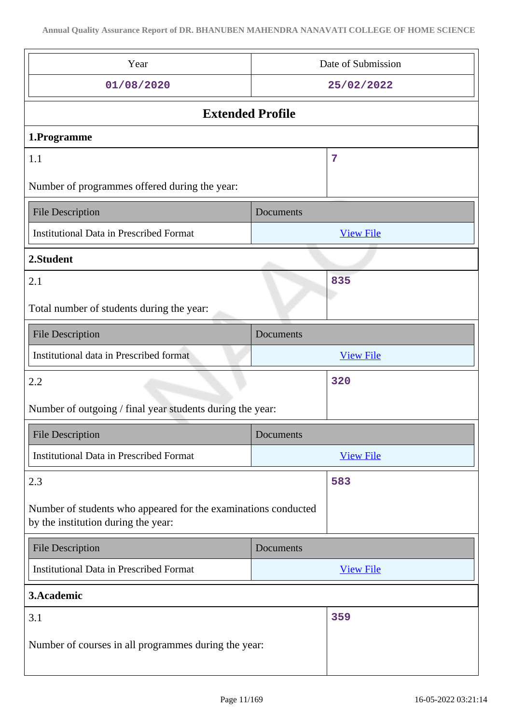| Year                                                                                                  | Date of Submission |  |  |
|-------------------------------------------------------------------------------------------------------|--------------------|--|--|
| 01/08/2020                                                                                            | 25/02/2022         |  |  |
| <b>Extended Profile</b>                                                                               |                    |  |  |
| 1.Programme                                                                                           |                    |  |  |
| 1.1                                                                                                   | 7                  |  |  |
| Number of programmes offered during the year:                                                         |                    |  |  |
| <b>File Description</b>                                                                               | Documents          |  |  |
| <b>Institutional Data in Prescribed Format</b>                                                        | <b>View File</b>   |  |  |
| 2.Student                                                                                             |                    |  |  |
| 2.1                                                                                                   | 835                |  |  |
| Total number of students during the year:                                                             |                    |  |  |
| <b>File Description</b>                                                                               | Documents          |  |  |
| Institutional data in Prescribed format                                                               | <b>View File</b>   |  |  |
| 2.2                                                                                                   | 320                |  |  |
| Number of outgoing / final year students during the year:                                             |                    |  |  |
| <b>File Description</b>                                                                               | Documents          |  |  |
| <b>Institutional Data in Prescribed Format</b>                                                        | <b>View File</b>   |  |  |
| 583<br>2.3                                                                                            |                    |  |  |
| Number of students who appeared for the examinations conducted<br>by the institution during the year: |                    |  |  |
| <b>File Description</b>                                                                               | Documents          |  |  |
| <b>Institutional Data in Prescribed Format</b>                                                        | <b>View File</b>   |  |  |
| 3. Academic                                                                                           |                    |  |  |
| 3.1<br>359                                                                                            |                    |  |  |
| Number of courses in all programmes during the year:                                                  |                    |  |  |
|                                                                                                       |                    |  |  |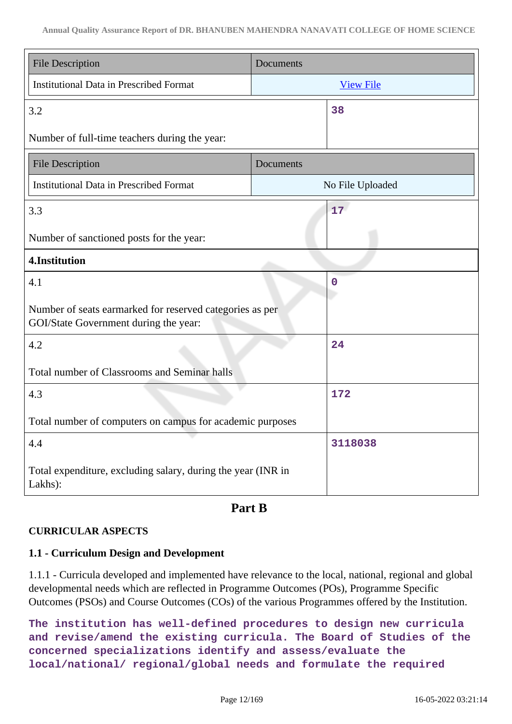| <b>File Description</b>                                                                           | Documents        |  |  |
|---------------------------------------------------------------------------------------------------|------------------|--|--|
| <b>Institutional Data in Prescribed Format</b>                                                    | <b>View File</b> |  |  |
| 3.2                                                                                               | 38               |  |  |
| Number of full-time teachers during the year:                                                     |                  |  |  |
| <b>File Description</b>                                                                           | Documents        |  |  |
| <b>Institutional Data in Prescribed Format</b>                                                    | No File Uploaded |  |  |
| 3.3                                                                                               | 17               |  |  |
| Number of sanctioned posts for the year:                                                          |                  |  |  |
| 4.Institution                                                                                     |                  |  |  |
| 4.1                                                                                               | $\mathbf 0$      |  |  |
| Number of seats earmarked for reserved categories as per<br>GOI/State Government during the year: |                  |  |  |
| 4.2                                                                                               | 24               |  |  |
| Total number of Classrooms and Seminar halls                                                      |                  |  |  |
| 172<br>4.3                                                                                        |                  |  |  |
| Total number of computers on campus for academic purposes                                         |                  |  |  |
| 4.4                                                                                               | 3118038          |  |  |
| Total expenditure, excluding salary, during the year (INR in<br>Lakhs):                           |                  |  |  |

## **Part B**

### **CURRICULAR ASPECTS**

### **1.1 - Curriculum Design and Development**

1.1.1 - Curricula developed and implemented have relevance to the local, national, regional and global developmental needs which are reflected in Programme Outcomes (POs), Programme Specific Outcomes (PSOs) and Course Outcomes (COs) of the various Programmes offered by the Institution.

**The institution has well-defined procedures to design new curricula and revise/amend the existing curricula. The Board of Studies of the concerned specializations identify and assess/evaluate the local/national/ regional/global needs and formulate the required**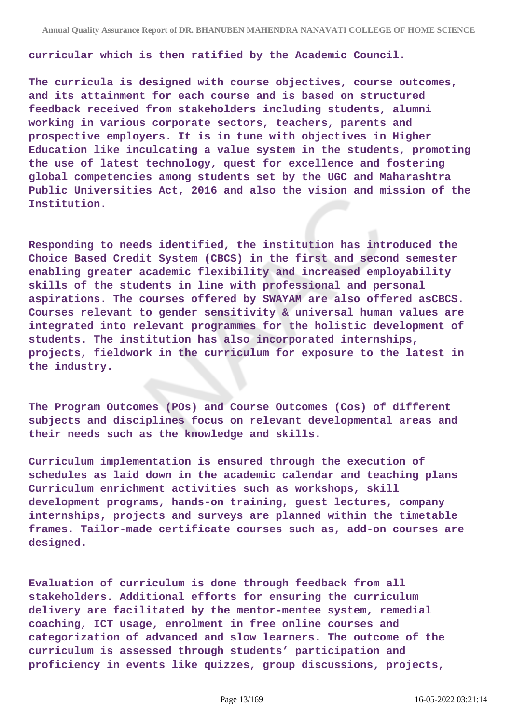**curricular which is then ratified by the Academic Council.**

**The curricula is designed with course objectives, course outcomes, and its attainment for each course and is based on structured feedback received from stakeholders including students, alumni working in various corporate sectors, teachers, parents and prospective employers. It is in tune with objectives in Higher Education like inculcating a value system in the students, promoting the use of latest technology, quest for excellence and fostering global competencies among students set by the UGC and Maharashtra Public Universities Act, 2016 and also the vision and mission of the Institution.**

**Responding to needs identified, the institution has introduced the Choice Based Credit System (CBCS) in the first and second semester enabling greater academic flexibility and increased employability skills of the students in line with professional and personal aspirations. The courses offered by SWAYAM are also offered asCBCS. Courses relevant to gender sensitivity & universal human values are integrated into relevant programmes for the holistic development of students. The institution has also incorporated internships, projects, fieldwork in the curriculum for exposure to the latest in the industry.**

**The Program Outcomes (POs) and Course Outcomes (Cos) of different subjects and disciplines focus on relevant developmental areas and their needs such as the knowledge and skills.**

**Curriculum implementation is ensured through the execution of schedules as laid down in the academic calendar and teaching plans Curriculum enrichment activities such as workshops, skill development programs, hands-on training, guest lectures, company internships, projects and surveys are planned within the timetable frames. Tailor-made certificate courses such as, add-on courses are designed.**

**Evaluation of curriculum is done through feedback from all stakeholders. Additional efforts for ensuring the curriculum delivery are facilitated by the mentor-mentee system, remedial coaching, ICT usage, enrolment in free online courses and categorization of advanced and slow learners. The outcome of the curriculum is assessed through students' participation and proficiency in events like quizzes, group discussions, projects,**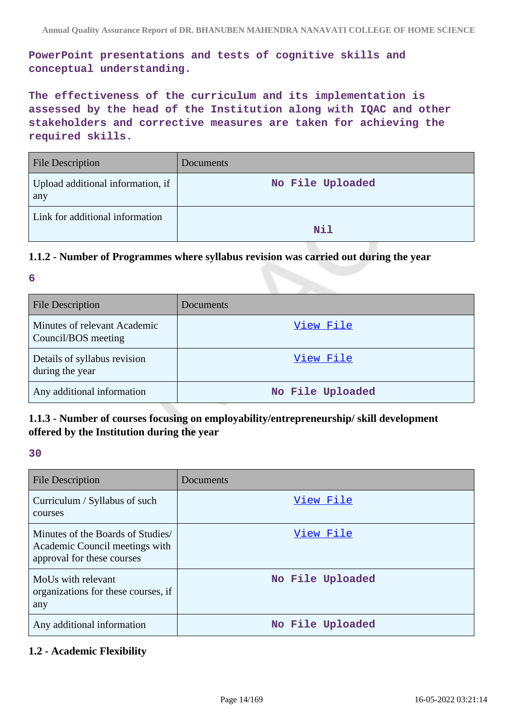**PowerPoint presentations and tests of cognitive skills and conceptual understanding.**

**The effectiveness of the curriculum and its implementation is assessed by the head of the Institution along with IQAC and other stakeholders and corrective measures are taken for achieving the required skills.**

| <b>File Description</b>                  | Documents        |
|------------------------------------------|------------------|
| Upload additional information, if<br>any | No File Uploaded |
| Link for additional information          | Nil              |

### **1.1.2 - Number of Programmes where syllabus revision was carried out during the year**

**6**

| <b>File Description</b>                             | Documents        |
|-----------------------------------------------------|------------------|
| Minutes of relevant Academic<br>Council/BOS meeting | View File        |
| Details of syllabus revision<br>during the year     | View File        |
| Any additional information                          | No File Uploaded |

## **1.1.3 - Number of courses focusing on employability/entrepreneurship/ skill development offered by the Institution during the year**

#### **30**

| <b>File Description</b>                                                                          | Documents        |
|--------------------------------------------------------------------------------------------------|------------------|
| Curriculum / Syllabus of such<br>courses                                                         | View File        |
| Minutes of the Boards of Studies<br>Academic Council meetings with<br>approval for these courses | View File        |
| MoUs with relevant<br>organizations for these courses, if<br>any                                 | No File Uploaded |
| Any additional information                                                                       | No File Uploaded |

### **1.2 - Academic Flexibility**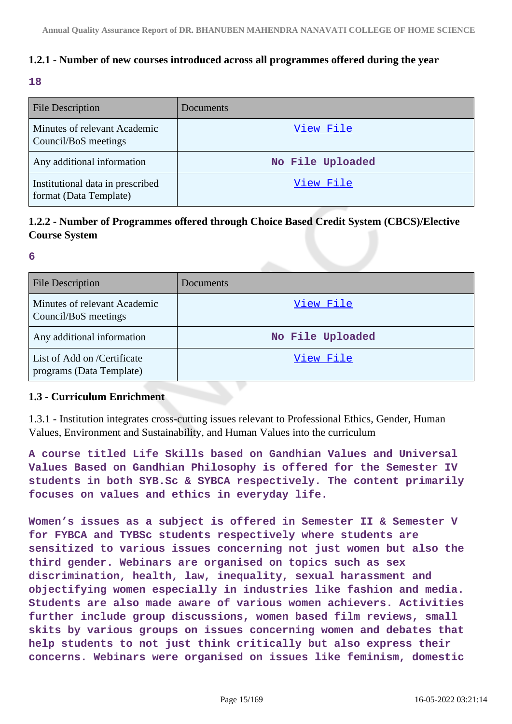## **1.2.1 - Number of new courses introduced across all programmes offered during the year**

#### **18**

| <b>File Description</b>                                    | <b>Documents</b> |
|------------------------------------------------------------|------------------|
| Minutes of relevant Academic<br>Council/BoS meetings       | View File        |
| Any additional information                                 | No File Uploaded |
| Institutional data in prescribed<br>format (Data Template) | View File        |

## **1.2.2 - Number of Programmes offered through Choice Based Credit System (CBCS)/Elective Course System**

**6**

| <b>File Description</b>                                 | Documents        |
|---------------------------------------------------------|------------------|
| Minutes of relevant Academic<br>Council/BoS meetings    | View File        |
| Any additional information                              | No File Uploaded |
| List of Add on /Certificate<br>programs (Data Template) | View File        |

#### **1.3 - Curriculum Enrichment**

1.3.1 - Institution integrates cross-cutting issues relevant to Professional Ethics, Gender, Human Values, Environment and Sustainability, and Human Values into the curriculum

**A course titled Life Skills based on Gandhian Values and Universal Values Based on Gandhian Philosophy is offered for the Semester IV students in both SYB.Sc & SYBCA respectively. The content primarily focuses on values and ethics in everyday life.**

**Women's issues as a subject is offered in Semester II & Semester V for FYBCA and TYBSc students respectively where students are sensitized to various issues concerning not just women but also the third gender. Webinars are organised on topics such as sex discrimination, health, law, inequality, sexual harassment and objectifying women especially in industries like fashion and media. Students are also made aware of various women achievers. Activities further include group discussions, women based film reviews, small skits by various groups on issues concerning women and debates that help students to not just think critically but also express their concerns. Webinars were organised on issues like feminism, domestic**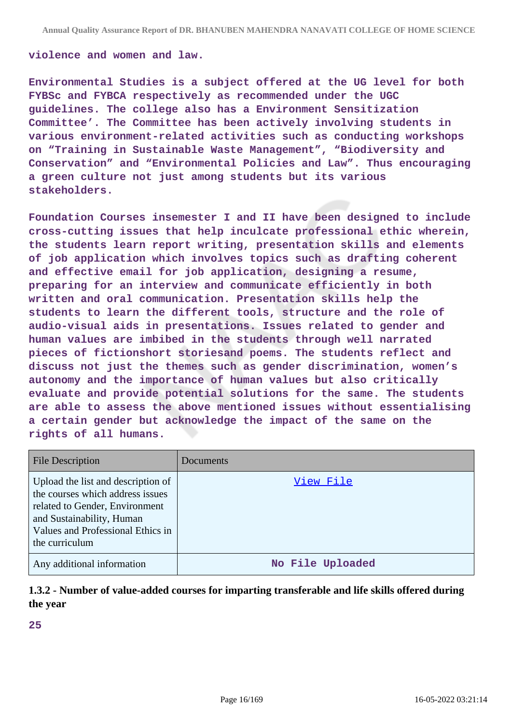#### **violence and women and law.**

**Environmental Studies is a subject offered at the UG level for both FYBSc and FYBCA respectively as recommended under the UGC guidelines. The college also has a Environment Sensitization Committee'. The Committee has been actively involving students in various environment-related activities such as conducting workshops on "Training in Sustainable Waste Management", "Biodiversity and Conservation" and "Environmental Policies and Law". Thus encouraging a green culture not just among students but its various stakeholders.**

**Foundation Courses insemester I and II have been designed to include cross-cutting issues that help inculcate professional ethic wherein, the students learn report writing, presentation skills and elements of job application which involves topics such as drafting coherent and effective email for job application, designing a resume, preparing for an interview and communicate efficiently in both written and oral communication. Presentation skills help the students to learn the different tools, structure and the role of audio-visual aids in presentations. Issues related to gender and human values are imbibed in the students through well narrated pieces of fictionshort storiesand poems. The students reflect and discuss not just the themes such as gender discrimination, women's autonomy and the importance of human values but also critically evaluate and provide potential solutions for the same. The students are able to assess the above mentioned issues without essentialising a certain gender but acknowledge the impact of the same on the rights of all humans.**

| <b>File Description</b>                                                                                                                                                                      | <b>Documents</b> |
|----------------------------------------------------------------------------------------------------------------------------------------------------------------------------------------------|------------------|
| Upload the list and description of<br>the courses which address issues<br>related to Gender, Environment<br>and Sustainability, Human<br>Values and Professional Ethics in<br>the curriculum | View File        |
| Any additional information                                                                                                                                                                   | No File Uploaded |

## **1.3.2 - Number of value-added courses for imparting transferable and life skills offered during the year**

**25**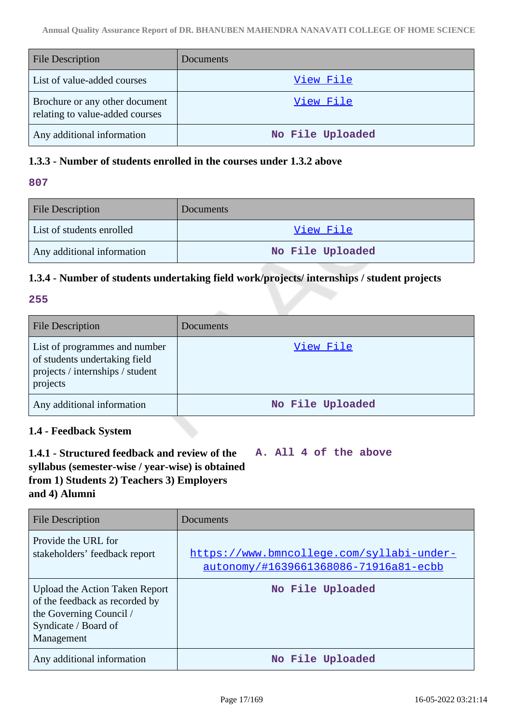| <b>File Description</b>                                           | Documents        |
|-------------------------------------------------------------------|------------------|
| List of value-added courses                                       | <u>View File</u> |
| Brochure or any other document<br>relating to value-added courses | View File        |
| Any additional information                                        | No File Uploaded |

### **1.3.3 - Number of students enrolled in the courses under 1.3.2 above**

#### **807**

| <b>File Description</b>    | Documents        |
|----------------------------|------------------|
| List of students enrolled  | View File        |
| Any additional information | No File Uploaded |

## **1.3.4 - Number of students undertaking field work/projects/ internships / student projects**

### **255**

| <b>File Description</b>                                                                                        | Documents        |
|----------------------------------------------------------------------------------------------------------------|------------------|
| List of programmes and number<br>of students undertaking field<br>projects / internships / student<br>projects | View File        |
| Any additional information                                                                                     | No File Uploaded |

## **1.4 - Feedback System**

**1.4.1 - Structured feedback and review of the syllabus (semester-wise / year-wise) is obtained from 1) Students 2) Teachers 3) Employers and 4) Alumni A. All 4 of the above**

| File Description                                                                                                                  | Documents                                                                          |
|-----------------------------------------------------------------------------------------------------------------------------------|------------------------------------------------------------------------------------|
| Provide the URL for<br>stakeholders' feedback report                                                                              | https://www.bmncollege.com/syllabi-under-<br>autonomy/#1639661368086-71916a81-ecbb |
| Upload the Action Taken Report<br>of the feedback as recorded by<br>the Governing Council /<br>Syndicate / Board of<br>Management | No File Uploaded                                                                   |
| Any additional information                                                                                                        | No File Uploaded                                                                   |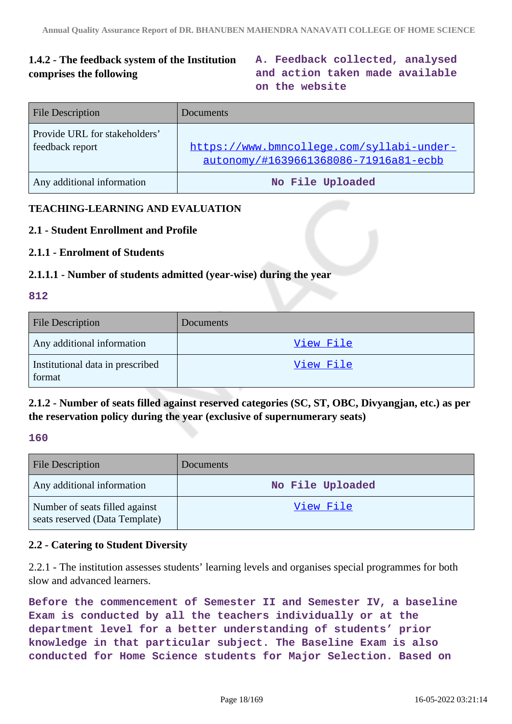## **1.4.2 - The feedback system of the Institution comprises the following**

**A. Feedback collected, analysed and action taken made available on the website**

| <b>File Description</b>                          | <b>Documents</b>                                                                   |
|--------------------------------------------------|------------------------------------------------------------------------------------|
| Provide URL for stakeholders'<br>feedback report | https://www.bmncollege.com/syllabi-under-<br>autonomy/#1639661368086-71916a81-ecbb |
| Any additional information                       | No File Uploaded                                                                   |

### **TEACHING-LEARNING AND EVALUATION**

#### **2.1 - Student Enrollment and Profile**

#### **2.1.1 - Enrolment of Students**

#### **2.1.1.1 - Number of students admitted (year-wise) during the year**

#### **812**

| <b>File Description</b>                    | <b>Documents</b> |
|--------------------------------------------|------------------|
| Any additional information                 | View File        |
| Institutional data in prescribed<br>format | View File        |

**2.1.2 - Number of seats filled against reserved categories (SC, ST, OBC, Divyangjan, etc.) as per the reservation policy during the year (exclusive of supernumerary seats)**

#### **160**

| <b>File Description</b>                                          | <b>Documents</b> |
|------------------------------------------------------------------|------------------|
| Any additional information                                       | No File Uploaded |
| Number of seats filled against<br>seats reserved (Data Template) | View File        |

#### **2.2 - Catering to Student Diversity**

2.2.1 - The institution assesses students' learning levels and organises special programmes for both slow and advanced learners.

**Before the commencement of Semester II and Semester IV, a baseline Exam is conducted by all the teachers individually or at the department level for a better understanding of students' prior knowledge in that particular subject. The Baseline Exam is also conducted for Home Science students for Major Selection. Based on**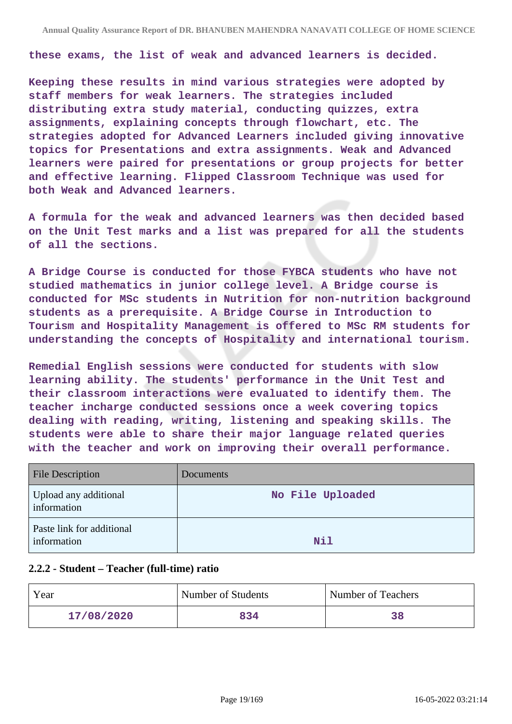**these exams, the list of weak and advanced learners is decided.**

**Keeping these results in mind various strategies were adopted by staff members for weak learners. The strategies included distributing extra study material, conducting quizzes, extra assignments, explaining concepts through flowchart, etc. The strategies adopted for Advanced Learners included giving innovative topics for Presentations and extra assignments. Weak and Advanced learners were paired for presentations or group projects for better and effective learning. Flipped Classroom Technique was used for both Weak and Advanced learners.**

**A formula for the weak and advanced learners was then decided based on the Unit Test marks and a list was prepared for all the students of all the sections.**

**A Bridge Course is conducted for those FYBCA students who have not studied mathematics in junior college level. A Bridge course is conducted for MSc students in Nutrition for non-nutrition background students as a prerequisite. A Bridge Course in Introduction to Tourism and Hospitality Management is offered to MSc RM students for understanding the concepts of Hospitality and international tourism.**

**Remedial English sessions were conducted for students with slow learning ability. The students' performance in the Unit Test and their classroom interactions were evaluated to identify them. The teacher incharge conducted sessions once a week covering topics dealing with reading, writing, listening and speaking skills. The students were able to share their major language related queries with the teacher and work on improving their overall performance.**

| <b>File Description</b>                  | Documents        |
|------------------------------------------|------------------|
| Upload any additional<br>information     | No File Uploaded |
| Paste link for additional<br>information | Nil              |

#### **2.2.2 - Student – Teacher (full-time) ratio**

| Year       | Number of Students | Number of Teachers |
|------------|--------------------|--------------------|
| 17/08/2020 | 834                |                    |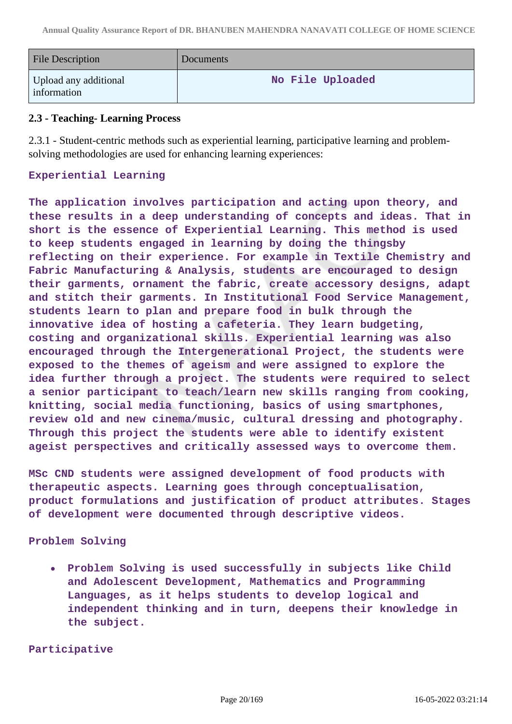| <b>File Description</b>              | Documents        |
|--------------------------------------|------------------|
| Upload any additional<br>information | No File Uploaded |

#### **2.3 - Teaching- Learning Process**

2.3.1 - Student-centric methods such as experiential learning, participative learning and problemsolving methodologies are used for enhancing learning experiences:

### **Experiential Learning**

**The application involves participation and acting upon theory, and these results in a deep understanding of concepts and ideas. That in short is the essence of Experiential Learning. This method is used to keep students engaged in learning by doing the thingsby reflecting on their experience. For example in Textile Chemistry and Fabric Manufacturing & Analysis, students are encouraged to design their garments, ornament the fabric, create accessory designs, adapt and stitch their garments. In Institutional Food Service Management, students learn to plan and prepare food in bulk through the innovative idea of hosting a cafeteria. They learn budgeting, costing and organizational skills. Experiential learning was also encouraged through the Intergenerational Project, the students were exposed to the themes of ageism and were assigned to explore the idea further through a project. The students were required to select a senior participant to teach/learn new skills ranging from cooking, knitting, social media functioning, basics of using smartphones, review old and new cinema/music, cultural dressing and photography. Through this project the students were able to identify existent ageist perspectives and critically assessed ways to overcome them.**

**MSc CND students were assigned development of food products with therapeutic aspects. Learning goes through conceptualisation, product formulations and justification of product attributes. Stages of development were documented through descriptive videos.**

#### **Problem Solving**

**Problem Solving is used successfully in subjects like Child**  $\bullet$ **and Adolescent Development, Mathematics and Programming Languages, as it helps students to develop logical and independent thinking and in turn, deepens their knowledge in the subject.**

**Participative**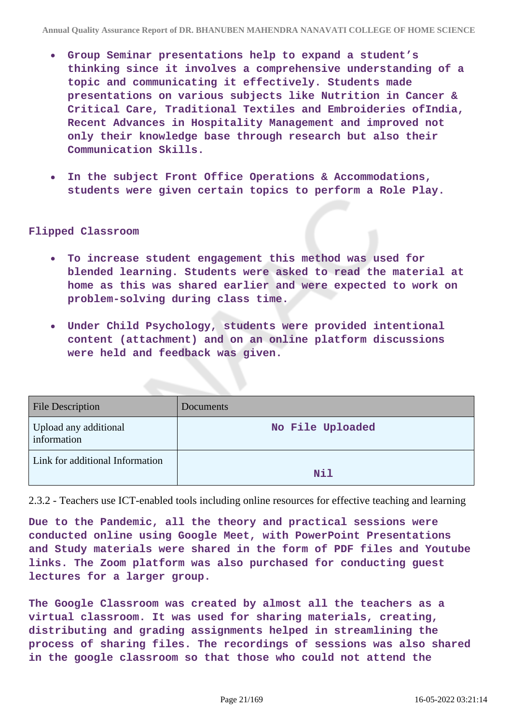- **Group Seminar presentations help to expand a student's thinking since it involves a comprehensive understanding of a topic and communicating it effectively. Students made presentations on various subjects like Nutrition in Cancer & Critical Care, Traditional Textiles and Embroideries ofIndia, Recent Advances in Hospitality Management and improved not only their knowledge base through research but also their Communication Skills.**
- **In the subject Front Office Operations & Accommodations, students were given certain topics to perform a Role Play.**

#### **Flipped Classroom**

- **To increase student engagement this method was used for**  $\bullet$ **blended learning. Students were asked to read the material at home as this was shared earlier and were expected to work on problem-solving during class time.**
- **Under Child Psychology, students were provided intentional content (attachment) and on an online platform discussions were held and feedback was given.**

| <b>File Description</b>              | <b>Documents</b> |
|--------------------------------------|------------------|
| Upload any additional<br>information | No File Uploaded |
| Link for additional Information      | Nil              |

2.3.2 - Teachers use ICT-enabled tools including online resources for effective teaching and learning

**Due to the Pandemic, all the theory and practical sessions were conducted online using Google Meet, with PowerPoint Presentations and Study materials were shared in the form of PDF files and Youtube links. The Zoom platform was also purchased for conducting guest lectures for a larger group.**

**The Google Classroom was created by almost all the teachers as a virtual classroom. It was used for sharing materials, creating, distributing and grading assignments helped in streamlining the process of sharing files. The recordings of sessions was also shared in the google classroom so that those who could not attend the**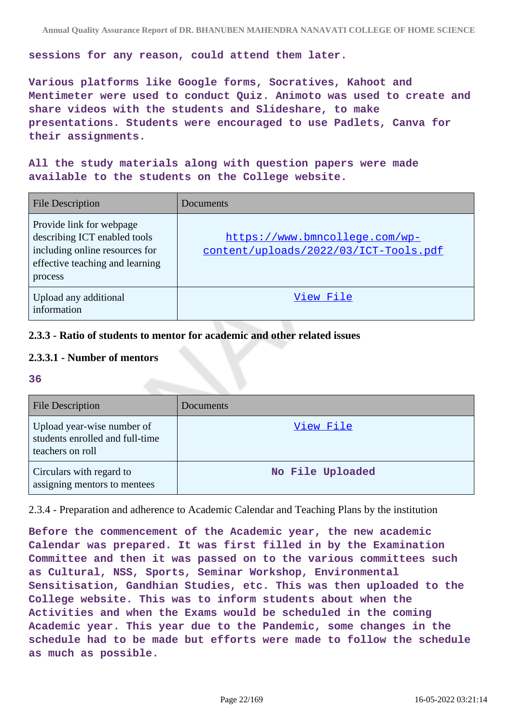**sessions for any reason, could attend them later.**

**Various platforms like Google forms, Socratives, Kahoot and Mentimeter were used to conduct Quiz. Animoto was used to create and share videos with the students and Slideshare, to make presentations. Students were encouraged to use Padlets, Canva for their assignments.**

**All the study materials along with question papers were made available to the students on the College website.**

| <b>File Description</b>                                                                                                                  | Documents                                                               |
|------------------------------------------------------------------------------------------------------------------------------------------|-------------------------------------------------------------------------|
| Provide link for webpage<br>describing ICT enabled tools<br>including online resources for<br>effective teaching and learning<br>process | https://www.bmncollege.com/wp-<br>content/uploads/2022/03/ICT-Tools.pdf |
| Upload any additional<br>information                                                                                                     | View File                                                               |

### **2.3.3 - Ratio of students to mentor for academic and other related issues**

### **2.3.3.1 - Number of mentors**

**36**

| <b>File Description</b>                                                           | Documents        |
|-----------------------------------------------------------------------------------|------------------|
| Upload year-wise number of<br>students enrolled and full-time<br>teachers on roll | View File        |
| Circulars with regard to<br>assigning mentors to mentees                          | No File Uploaded |

2.3.4 - Preparation and adherence to Academic Calendar and Teaching Plans by the institution

**Before the commencement of the Academic year, the new academic Calendar was prepared. It was first filled in by the Examination Committee and then it was passed on to the various committees such as Cultural, NSS, Sports, Seminar Workshop, Environmental Sensitisation, Gandhian Studies, etc. This was then uploaded to the College website. This was to inform students about when the Activities and when the Exams would be scheduled in the coming Academic year. This year due to the Pandemic, some changes in the schedule had to be made but efforts were made to follow the schedule as much as possible.**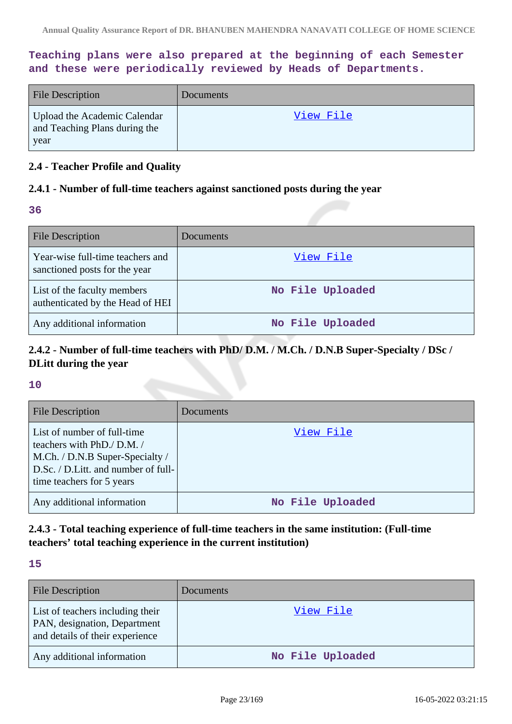**Teaching plans were also prepared at the beginning of each Semester and these were periodically reviewed by Heads of Departments.**

| <b>File Description</b>                                               | Documents |
|-----------------------------------------------------------------------|-----------|
| Upload the Academic Calendar<br>and Teaching Plans during the<br>year | View File |

### **2.4 - Teacher Profile and Quality**

#### **2.4.1 - Number of full-time teachers against sanctioned posts during the year**

**36**

| <b>File Description</b>                                           | Documents        |
|-------------------------------------------------------------------|------------------|
| Year-wise full-time teachers and<br>sanctioned posts for the year | View File        |
| List of the faculty members<br>authenticated by the Head of HEI   | No File Uploaded |
| Any additional information                                        | No File Uploaded |

## **2.4.2 - Number of full-time teachers with PhD/ D.M. / M.Ch. / D.N.B Super-Specialty / DSc / DLitt during the year**

#### **10**

| <b>File Description</b>                                                                                                                                         | Documents        |
|-----------------------------------------------------------------------------------------------------------------------------------------------------------------|------------------|
| List of number of full-time<br>teachers with PhD./ D.M./<br>M.Ch. / D.N.B Super-Specialty /<br>D.Sc. / D.Litt. and number of full-<br>time teachers for 5 years | View File        |
| Any additional information                                                                                                                                      | No File Uploaded |

## **2.4.3 - Total teaching experience of full-time teachers in the same institution: (Full-time teachers' total teaching experience in the current institution)**

#### **15**

| <b>File Description</b>                                                                             | Documents        |
|-----------------------------------------------------------------------------------------------------|------------------|
| List of teachers including their<br>PAN, designation, Department<br>and details of their experience | View File        |
| Any additional information                                                                          | No File Uploaded |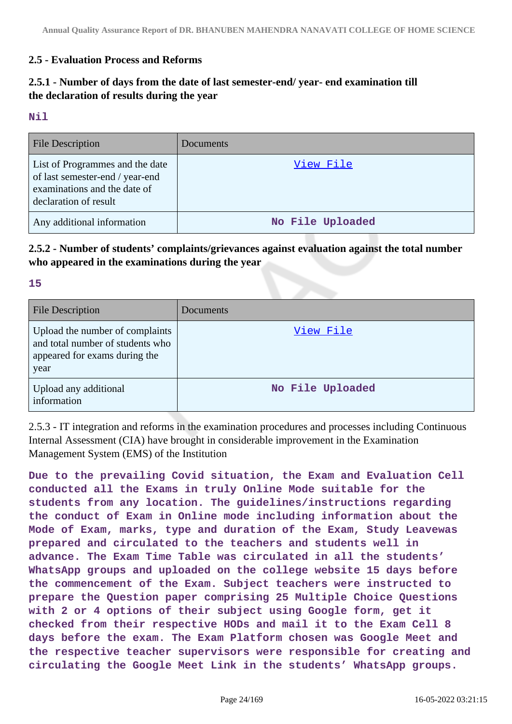## **2.5 - Evaluation Process and Reforms**

## **2.5.1 - Number of days from the date of last semester-end/ year- end examination till the declaration of results during the year**

#### **Nil**

**15**

| <b>File Description</b>                                                                                                     | Documents        |
|-----------------------------------------------------------------------------------------------------------------------------|------------------|
| List of Programmes and the date<br>of last semester-end / year-end<br>examinations and the date of<br>declaration of result | View File        |
| Any additional information                                                                                                  | No File Uploaded |

**2.5.2 - Number of students' complaints/grievances against evaluation against the total number who appeared in the examinations during the year**

| <b>File Description</b>                                                                                      | Documents        |
|--------------------------------------------------------------------------------------------------------------|------------------|
| Upload the number of complaints<br>and total number of students who<br>appeared for exams during the<br>year | View File        |
| Upload any additional<br>information                                                                         | No File Uploaded |

2.5.3 - IT integration and reforms in the examination procedures and processes including Continuous Internal Assessment (CIA) have brought in considerable improvement in the Examination Management System (EMS) of the Institution

**Due to the prevailing Covid situation, the Exam and Evaluation Cell conducted all the Exams in truly Online Mode suitable for the students from any location. The guidelines/instructions regarding the conduct of Exam in Online mode including information about the Mode of Exam, marks, type and duration of the Exam, Study Leavewas prepared and circulated to the teachers and students well in advance. The Exam Time Table was circulated in all the students' WhatsApp groups and uploaded on the college website 15 days before the commencement of the Exam. Subject teachers were instructed to prepare the Question paper comprising 25 Multiple Choice Questions with 2 or 4 options of their subject using Google form, get it checked from their respective HODs and mail it to the Exam Cell 8 days before the exam. The Exam Platform chosen was Google Meet and the respective teacher supervisors were responsible for creating and circulating the Google Meet Link in the students' WhatsApp groups.**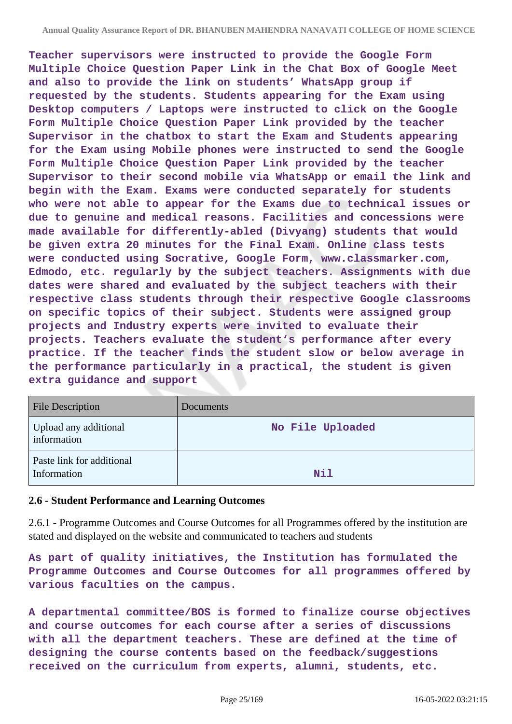**Teacher supervisors were instructed to provide the Google Form Multiple Choice Question Paper Link in the Chat Box of Google Meet and also to provide the link on students' WhatsApp group if requested by the students. Students appearing for the Exam using Desktop computers / Laptops were instructed to click on the Google Form Multiple Choice Question Paper Link provided by the teacher Supervisor in the chatbox to start the Exam and Students appearing for the Exam using Mobile phones were instructed to send the Google Form Multiple Choice Question Paper Link provided by the teacher Supervisor to their second mobile via WhatsApp or email the link and begin with the Exam. Exams were conducted separately for students who were not able to appear for the Exams due to technical issues or due to genuine and medical reasons. Facilities and concessions were made available for differently-abled (Divyang) students that would be given extra 20 minutes for the Final Exam. Online class tests were conducted using Socrative, Google Form, www.classmarker.com, Edmodo, etc. regularly by the subject teachers. Assignments with due dates were shared and evaluated by the subject teachers with their respective class students through their respective Google classrooms on specific topics of their subject. Students were assigned group projects and Industry experts were invited to evaluate their projects. Teachers evaluate the student's performance after every practice. If the teacher finds the student slow or below average in the performance particularly in a practical, the student is given extra guidance and support**

| <b>File Description</b>                  | <b>Documents</b> |
|------------------------------------------|------------------|
| Upload any additional<br>information     | No File Uploaded |
| Paste link for additional<br>Information | Nil              |

### **2.6 - Student Performance and Learning Outcomes**

2.6.1 - Programme Outcomes and Course Outcomes for all Programmes offered by the institution are stated and displayed on the website and communicated to teachers and students

**As part of quality initiatives, the Institution has formulated the Programme Outcomes and Course Outcomes for all programmes offered by various faculties on the campus.**

**A departmental committee/BOS is formed to finalize course objectives and course outcomes for each course after a series of discussions with all the department teachers. These are defined at the time of designing the course contents based on the feedback/suggestions received on the curriculum from experts, alumni, students, etc.**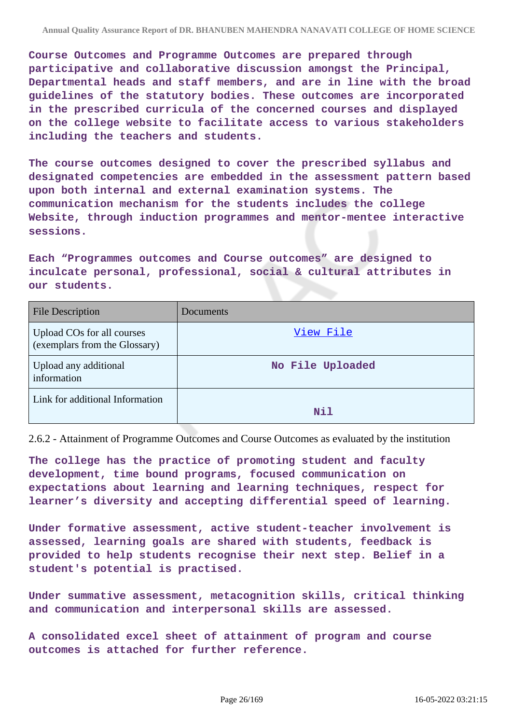**Course Outcomes and Programme Outcomes are prepared through participative and collaborative discussion amongst the Principal, Departmental heads and staff members, and are in line with the broad guidelines of the statutory bodies. These outcomes are incorporated in the prescribed curricula of the concerned courses and displayed on the college website to facilitate access to various stakeholders including the teachers and students.**

**The course outcomes designed to cover the prescribed syllabus and designated competencies are embedded in the assessment pattern based upon both internal and external examination systems. The communication mechanism for the students includes the college Website, through induction programmes and mentor-mentee interactive sessions.**

**Each "Programmes outcomes and Course outcomes" are designed to inculcate personal, professional, social & cultural attributes in our students.**

| <b>File Description</b>                                     | Documents        |
|-------------------------------------------------------------|------------------|
| Upload COs for all courses<br>(exemplars from the Glossary) | <u>View File</u> |
| Upload any additional<br>information                        | No File Uploaded |
| Link for additional Information                             | Nil              |

2.6.2 - Attainment of Programme Outcomes and Course Outcomes as evaluated by the institution

**The college has the practice of promoting student and faculty development, time bound programs, focused communication on expectations about learning and learning techniques, respect for learner's diversity and accepting differential speed of learning.**

**Under formative assessment, active student-teacher involvement is assessed, learning goals are shared with students, feedback is provided to help students recognise their next step. Belief in a student's potential is practised.**

**Under summative assessment, metacognition skills, critical thinking and communication and interpersonal skills are assessed.**

**A consolidated excel sheet of attainment of program and course outcomes is attached for further reference.**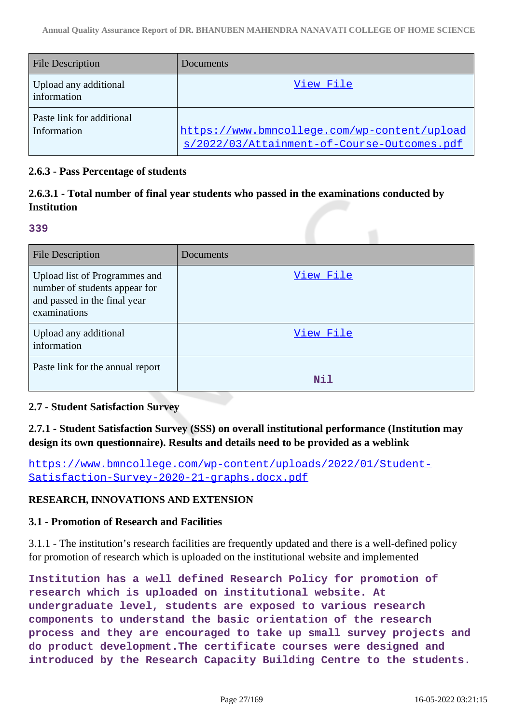| <b>File Description</b>                  | Documents                                                                                   |
|------------------------------------------|---------------------------------------------------------------------------------------------|
| Upload any additional<br>information     | View File                                                                                   |
| Paste link for additional<br>Information | https://www.bmncollege.com/wp-content/upload<br>s/2022/03/Attainment-of-Course-Outcomes.pdf |

### **2.6.3 - Pass Percentage of students**

## **2.6.3.1 - Total number of final year students who passed in the examinations conducted by Institution**

#### **339**

| <b>File Description</b>                                                                                        | Documents |
|----------------------------------------------------------------------------------------------------------------|-----------|
| Upload list of Programmes and<br>number of students appear for<br>and passed in the final year<br>examinations | View File |
| Upload any additional<br>information                                                                           | View File |
| Paste link for the annual report                                                                               | Nil       |

## **2.7 - Student Satisfaction Survey**

## **2.7.1 - Student Satisfaction Survey (SSS) on overall institutional performance (Institution may design its own questionnaire). Results and details need to be provided as a weblink**

[https://www.bmncollege.com/wp-content/uploads/2022/01/Student-](https://www.bmncollege.com/wp-content/uploads/2022/01/Student-Satisfaction-Survey-2020-21-graphs.docx.pdf)[Satisfaction-Survey-2020-21-graphs.docx.pdf](https://www.bmncollege.com/wp-content/uploads/2022/01/Student-Satisfaction-Survey-2020-21-graphs.docx.pdf)

### **RESEARCH, INNOVATIONS AND EXTENSION**

#### **3.1 - Promotion of Research and Facilities**

3.1.1 - The institution's research facilities are frequently updated and there is a well-defined policy for promotion of research which is uploaded on the institutional website and implemented

**Institution has a well defined Research Policy for promotion of research which is uploaded on institutional website. At undergraduate level, students are exposed to various research components to understand the basic orientation of the research process and they are encouraged to take up small survey projects and do product development.The certificate courses were designed and introduced by the Research Capacity Building Centre to the students.**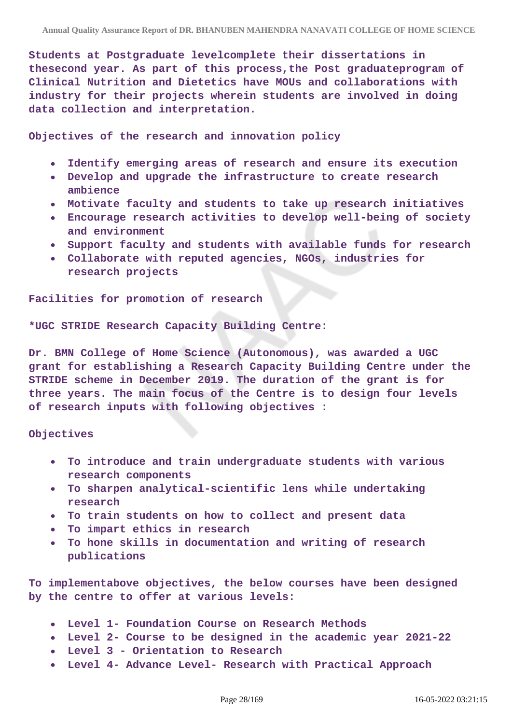**Students at Postgraduate levelcomplete their dissertations in thesecond year. As part of this process,the Post graduateprogram of Clinical Nutrition and Dietetics have MOUs and collaborations with industry for their projects wherein students are involved in doing data collection and interpretation.**

**Objectives of the research and innovation policy**

- **Identify emerging areas of research and ensure its execution**
- **Develop and upgrade the infrastructure to create research ambience**
- **Motivate faculty and students to take up research initiatives**
- **Encourage research activities to develop well-being of society**  $\bullet$ **and environment**
- **Support faculty and students with available funds for research**
- **Collaborate with reputed agencies, NGOs, industries for research projects**

**Facilities for promotion of research**

**\*UGC STRIDE Research Capacity Building Centre:**

**Dr. BMN College of Home Science (Autonomous), was awarded a UGC grant for establishing a Research Capacity Building Centre under the STRIDE scheme in December 2019. The duration of the grant is for three years. The main focus of the Centre is to design four levels of research inputs with following objectives :**

**Objectives**

- **To introduce and train undergraduate students with various research components**
- **To sharpen analytical-scientific lens while undertaking**  $\bullet$ **research**
- **To train students on how to collect and present data**
- **To impart ethics in research**
- **To hone skills in documentation and writing of research publications**

**To implementabove objectives, the below courses have been designed by the centre to offer at various levels:**

- **Level 1- Foundation Course on Research Methods**
- **Level 2- Course to be designed in the academic year 2021-22**
- **Level 3 Orientation to Research**
- **Level 4- Advance Level- Research with Practical Approach**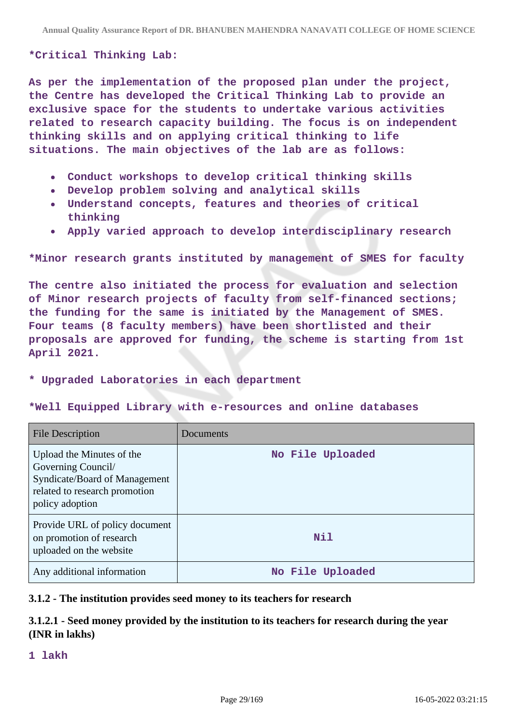#### **\*Critical Thinking Lab:**

**As per the implementation of the proposed plan under the project, the Centre has developed the Critical Thinking Lab to provide an exclusive space for the students to undertake various activities related to research capacity building. The focus is on independent thinking skills and on applying critical thinking to life situations. The main objectives of the lab are as follows:**

- **Conduct workshops to develop critical thinking skills**
- **Develop problem solving and analytical skills**
- **Understand concepts, features and theories of critical thinking**
- **Apply varied approach to develop interdisciplinary research**

**\*Minor research grants instituted by management of SMES for faculty**

**The centre also initiated the process for evaluation and selection of Minor research projects of faculty from self-financed sections; the funding for the same is initiated by the Management of SMES. Four teams (8 faculty members) have been shortlisted and their proposals are approved for funding, the scheme is starting from 1st April 2021.**

#### **\* Upgraded Laboratories in each department**

#### **\*Well Equipped Library with e-resources and online databases**

| File Description                                                                                                                     | Documents        |
|--------------------------------------------------------------------------------------------------------------------------------------|------------------|
| Upload the Minutes of the<br>Governing Council/<br>Syndicate/Board of Management<br>related to research promotion<br>policy adoption | No File Uploaded |
| Provide URL of policy document<br>on promotion of research<br>uploaded on the website                                                | Nil              |
| Any additional information                                                                                                           | No File Uploaded |

#### **3.1.2 - The institution provides seed money to its teachers for research**

## **3.1.2.1 - Seed money provided by the institution to its teachers for research during the year (INR in lakhs)**

**1 lakh**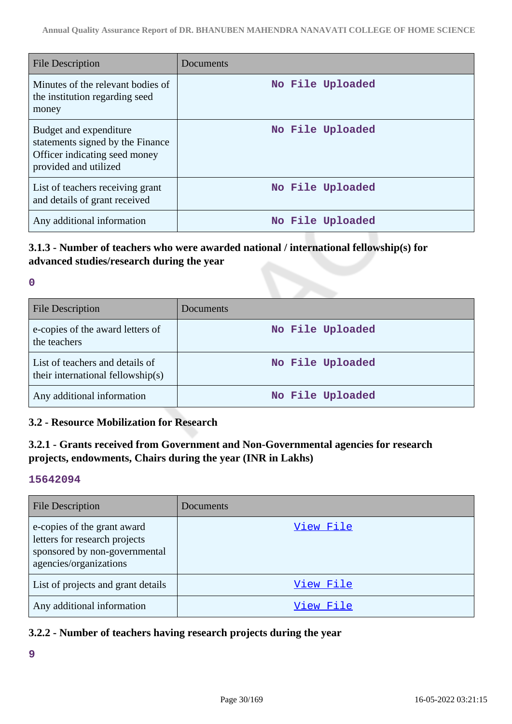| <b>File Description</b>                                                                                              | Documents        |
|----------------------------------------------------------------------------------------------------------------------|------------------|
| Minutes of the relevant bodies of<br>the institution regarding seed<br>money                                         | No File Uploaded |
| Budget and expenditure<br>statements signed by the Finance<br>Officer indicating seed money<br>provided and utilized | No File Uploaded |
| List of teachers receiving grant<br>and details of grant received                                                    | No File Uploaded |
| Any additional information                                                                                           | No File Uploaded |

## **3.1.3 - Number of teachers who were awarded national / international fellowship(s) for advanced studies/research during the year**

#### **0**

| <b>File Description</b>                                              | Documents        |
|----------------------------------------------------------------------|------------------|
| e-copies of the award letters of<br>the teachers                     | No File Uploaded |
| List of teachers and details of<br>their international fellowship(s) | No File Uploaded |
| Any additional information                                           | No File Uploaded |

### **3.2 - Resource Mobilization for Research**

## **3.2.1 - Grants received from Government and Non-Governmental agencies for research projects, endowments, Chairs during the year (INR in Lakhs)**

#### **15642094**

| <b>File Description</b>                                                                                                 | Documents |
|-------------------------------------------------------------------------------------------------------------------------|-----------|
| e-copies of the grant award<br>letters for research projects<br>sponsored by non-governmental<br>agencies/organizations | View File |
| List of projects and grant details                                                                                      | View File |
| Any additional information                                                                                              | View File |

## **3.2.2 - Number of teachers having research projects during the year**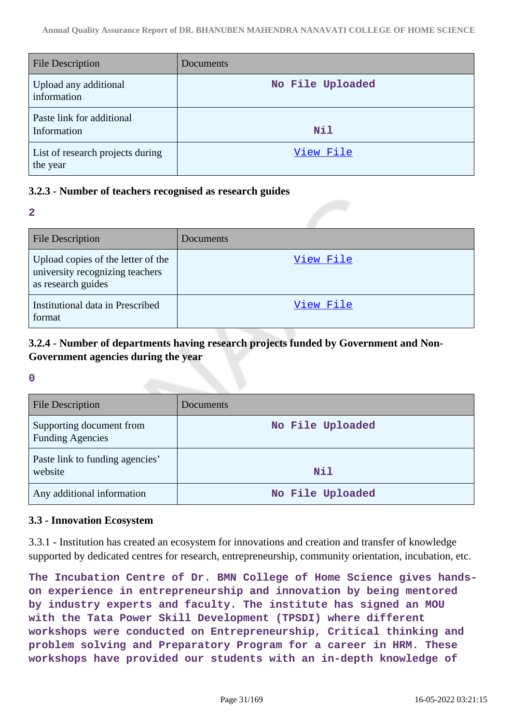| <b>File Description</b>                      | Documents        |
|----------------------------------------------|------------------|
| Upload any additional<br>information         | No File Uploaded |
| Paste link for additional<br>Information     | Nil              |
| List of research projects during<br>the year | View File        |

### **3.2.3 - Number of teachers recognised as research guides**

**2**

| File Description                                                                            | Documents |
|---------------------------------------------------------------------------------------------|-----------|
| Upload copies of the letter of the<br>university recognizing teachers<br>as research guides | View File |
| Institutional data in Prescribed<br>format                                                  | View File |

## **3.2.4 - Number of departments having research projects funded by Government and Non-Government agencies during the year**

**0**

| <b>File Description</b>                             | Documents        |
|-----------------------------------------------------|------------------|
| Supporting document from<br><b>Funding Agencies</b> | No File Uploaded |
| Paste link to funding agencies'<br>website          | <b>Nil</b>       |
| Any additional information                          | No File Uploaded |

### **3.3 - Innovation Ecosystem**

3.3.1 - Institution has created an ecosystem for innovations and creation and transfer of knowledge supported by dedicated centres for research, entrepreneurship, community orientation, incubation, etc.

**The Incubation Centre of Dr. BMN College of Home Science gives handson experience in entrepreneurship and innovation by being mentored by industry experts and faculty. The institute has signed an MOU with the Tata Power Skill Development (TPSDI) where different workshops were conducted on Entrepreneurship, Critical thinking and problem solving and Preparatory Program for a career in HRM. These workshops have provided our students with an in-depth knowledge of**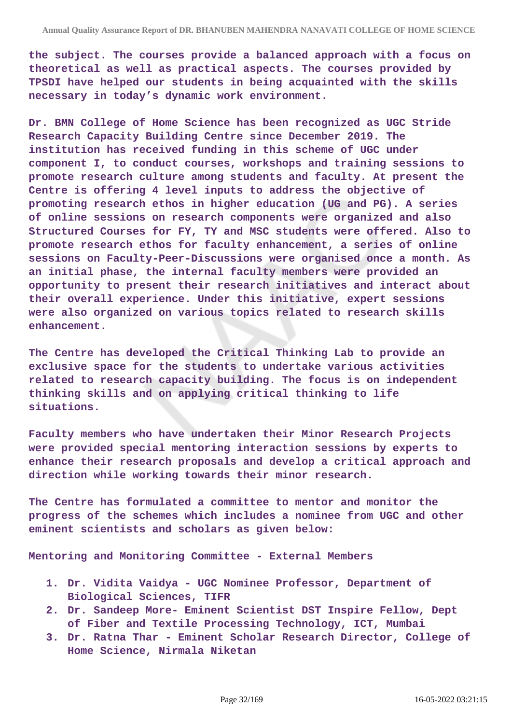**the subject. The courses provide a balanced approach with a focus on theoretical as well as practical aspects. The courses provided by TPSDI have helped our students in being acquainted with the skills necessary in today's dynamic work environment.**

**Dr. BMN College of Home Science has been recognized as UGC Stride Research Capacity Building Centre since December 2019. The institution has received funding in this scheme of UGC under component I, to conduct courses, workshops and training sessions to promote research culture among students and faculty. At present the Centre is offering 4 level inputs to address the objective of promoting research ethos in higher education (UG and PG). A series of online sessions on research components were organized and also Structured Courses for FY, TY and MSC students were offered. Also to promote research ethos for faculty enhancement, a series of online sessions on Faculty-Peer-Discussions were organised once a month. As an initial phase, the internal faculty members were provided an opportunity to present their research initiatives and interact about their overall experience. Under this initiative, expert sessions were also organized on various topics related to research skills enhancement.**

**The Centre has developed the Critical Thinking Lab to provide an exclusive space for the students to undertake various activities related to research capacity building. The focus is on independent thinking skills and on applying critical thinking to life situations.**

**Faculty members who have undertaken their Minor Research Projects were provided special mentoring interaction sessions by experts to enhance their research proposals and develop a critical approach and direction while working towards their minor research.**

**The Centre has formulated a committee to mentor and monitor the progress of the schemes which includes a nominee from UGC and other eminent scientists and scholars as given below:**

**Mentoring and Monitoring Committee - External Members**

- **1. Dr. Vidita Vaidya UGC Nominee Professor, Department of Biological Sciences, TIFR**
- **2. Dr. Sandeep More- Eminent Scientist DST Inspire Fellow, Dept of Fiber and Textile Processing Technology, ICT, Mumbai**
- **3. Dr. Ratna Thar Eminent Scholar Research Director, College of Home Science, Nirmala Niketan**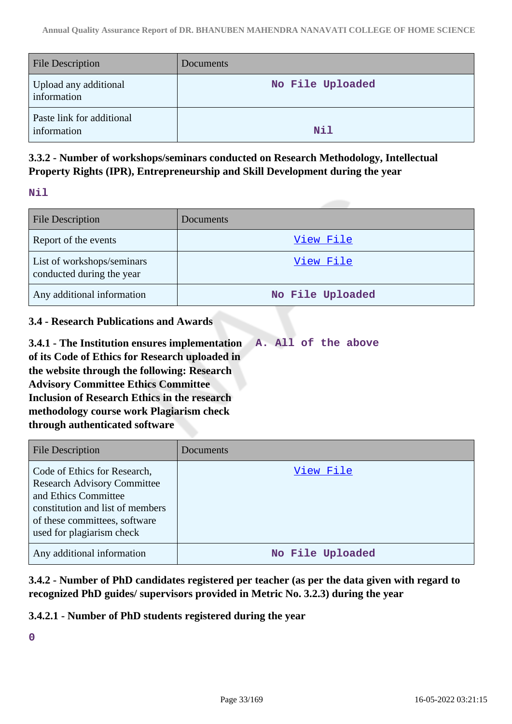| <b>File Description</b>                  | <b>Documents</b> |
|------------------------------------------|------------------|
| Upload any additional<br>information     | No File Uploaded |
| Paste link for additional<br>information | Nil              |

## **3.3.2 - Number of workshops/seminars conducted on Research Methodology, Intellectual Property Rights (IPR), Entrepreneurship and Skill Development during the year**

### **Nil**

| <b>File Description</b>                                 | Documents        |
|---------------------------------------------------------|------------------|
| Report of the events                                    | View File        |
| List of workshops/seminars<br>conducted during the year | View File        |
| Any additional information                              | No File Uploaded |

## **3.4 - Research Publications and Awards**

**3.4.1 - The Institution ensures implementation of its Code of Ethics for Research uploaded in the website through the following: Research Advisory Committee Ethics Committee Inclusion of Research Ethics in the research methodology course work Plagiarism check through authenticated software A. All of the above**

| <b>File Description</b>                                                                                                                                                                      | <b>Documents</b> |
|----------------------------------------------------------------------------------------------------------------------------------------------------------------------------------------------|------------------|
| Code of Ethics for Research,<br><b>Research Advisory Committee</b><br>and Ethics Committee<br>constitution and list of members<br>of these committees, software<br>used for plagiarism check | View File        |
| Any additional information                                                                                                                                                                   | No File Uploaded |

**3.4.2 - Number of PhD candidates registered per teacher (as per the data given with regard to recognized PhD guides/ supervisors provided in Metric No. 3.2.3) during the year**

### **3.4.2.1 - Number of PhD students registered during the year**

**0**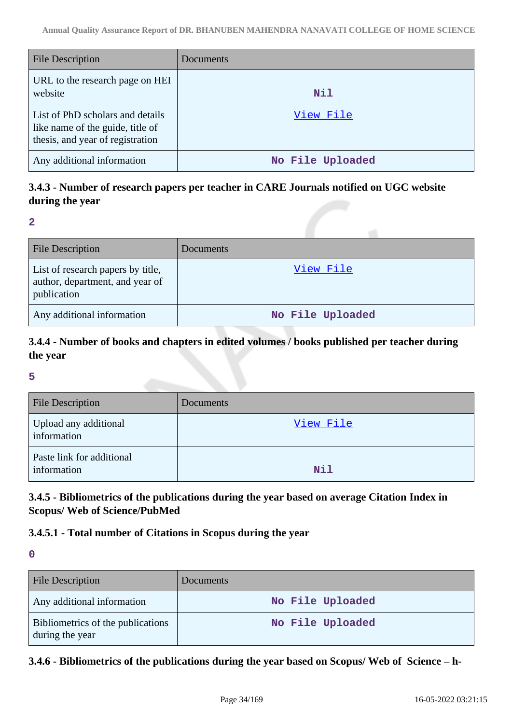| File Description                                                                                         | Documents        |
|----------------------------------------------------------------------------------------------------------|------------------|
| URL to the research page on HEI<br>website                                                               | Nil              |
| List of PhD scholars and details<br>like name of the guide, title of<br>thesis, and year of registration | View File        |
| Any additional information                                                                               | No File Uploaded |

## **3.4.3 - Number of research papers per teacher in CARE Journals notified on UGC website during the year**

**2**

| <b>File Description</b>                                                             | Documents        |
|-------------------------------------------------------------------------------------|------------------|
| List of research papers by title,<br>author, department, and year of<br>publication | View File        |
| Any additional information                                                          | No File Uploaded |

## **3.4.4 - Number of books and chapters in edited volumes / books published per teacher during the year**

#### **5**

| <b>File Description</b>                  | Documents |
|------------------------------------------|-----------|
| Upload any additional<br>information     | View File |
| Paste link for additional<br>information | Nil       |

## **3.4.5 - Bibliometrics of the publications during the year based on average Citation Index in Scopus/ Web of Science/PubMed**

## **3.4.5.1 - Total number of Citations in Scopus during the year**

**0**

| <b>File Description</b>                              | <b>Documents</b> |
|------------------------------------------------------|------------------|
| Any additional information                           | No File Uploaded |
| Bibliometrics of the publications<br>during the year | No File Uploaded |

### **3.4.6 - Bibliometrics of the publications during the year based on Scopus/ Web of Science – h-**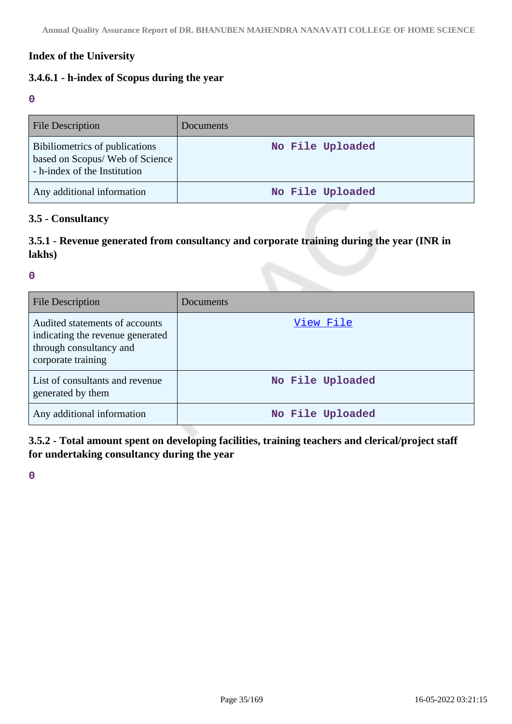## **Index of the University**

## **3.4.6.1 - h-index of Scopus during the year**

**0**

| <b>File Description</b>                                                                           | Documents        |
|---------------------------------------------------------------------------------------------------|------------------|
| Bibiliometrics of publications<br>based on Scopus/ Web of Science<br>- h-index of the Institution | No File Uploaded |
| Any additional information                                                                        | No File Uploaded |

#### **3.5 - Consultancy**

## **3.5.1 - Revenue generated from consultancy and corporate training during the year (INR in lakhs)**

**0**

| <b>File Description</b>                                                                                             | Documents        |
|---------------------------------------------------------------------------------------------------------------------|------------------|
| Audited statements of accounts<br>indicating the revenue generated<br>through consultancy and<br>corporate training | View File        |
| List of consultants and revenue<br>generated by them                                                                | No File Uploaded |
| Any additional information                                                                                          | No File Uploaded |

**3.5.2 - Total amount spent on developing facilities, training teachers and clerical/project staff for undertaking consultancy during the year**

**0**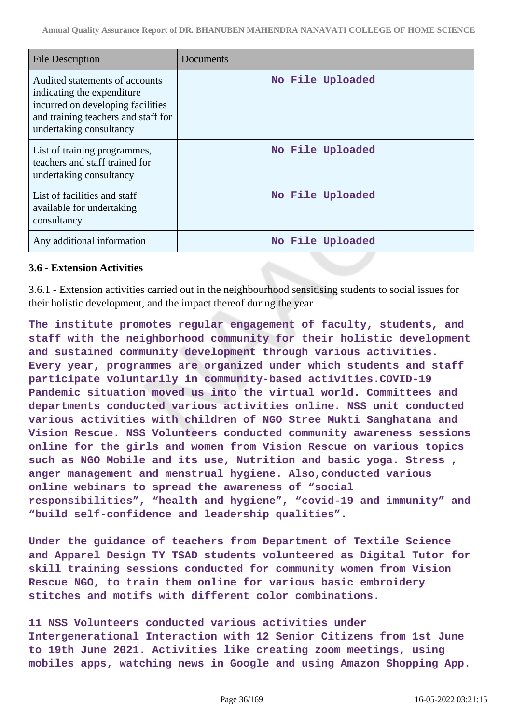| <b>File Description</b>                                                                                                                                             | Documents        |
|---------------------------------------------------------------------------------------------------------------------------------------------------------------------|------------------|
| Audited statements of accounts<br>indicating the expenditure<br>incurred on developing facilities<br>and training teachers and staff for<br>undertaking consultancy | No File Uploaded |
| List of training programmes,<br>teachers and staff trained for<br>undertaking consultancy                                                                           | No File Uploaded |
| List of facilities and staff<br>available for undertaking<br>consultancy                                                                                            | No File Uploaded |
| Any additional information                                                                                                                                          | No File Uploaded |

### **3.6 - Extension Activities**

3.6.1 - Extension activities carried out in the neighbourhood sensitising students to social issues for their holistic development, and the impact thereof during the year

**The institute promotes regular engagement of faculty, students, and staff with the neighborhood community for their holistic development and sustained community development through various activities. Every year, programmes are organized under which students and staff participate voluntarily in community-based activities.COVID-19 Pandemic situation moved us into the virtual world. Committees and departments conducted various activities online. NSS unit conducted various activities with children of NGO Stree Mukti Sanghatana and Vision Rescue. NSS Volunteers conducted community awareness sessions online for the girls and women from Vision Rescue on various topics such as NGO Mobile and its use, Nutrition and basic yoga. Stress , anger management and menstrual hygiene. Also,conducted various online webinars to spread the awareness of "social responsibilities", "health and hygiene", "covid-19 and immunity" and "build self-confidence and leadership qualities".**

**Under the guidance of teachers from Department of Textile Science and Apparel Design TY TSAD students volunteered as Digital Tutor for skill training sessions conducted for community women from Vision Rescue NGO, to train them online for various basic embroidery stitches and motifs with different color combinations.**

**11 NSS Volunteers conducted various activities under Intergenerational Interaction with 12 Senior Citizens from 1st June to 19th June 2021. Activities like creating zoom meetings, using mobiles apps, watching news in Google and using Amazon Shopping App.**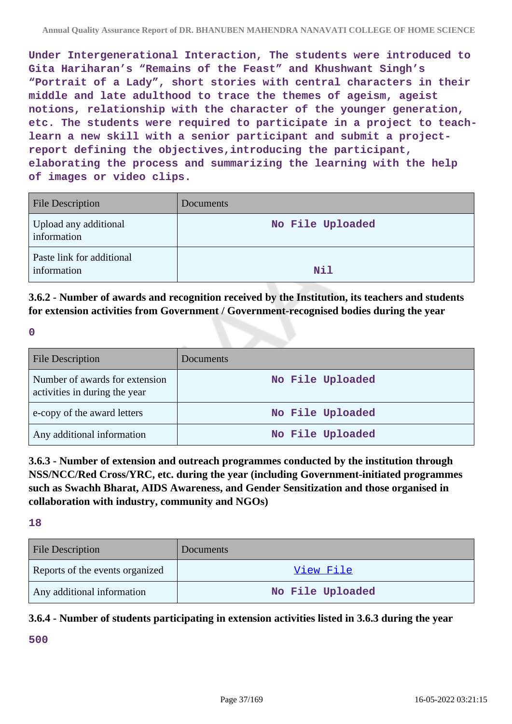**Under Intergenerational Interaction, The students were introduced to Gita Hariharan's "Remains of the Feast" and Khushwant Singh's "Portrait of a Lady", short stories with central characters in their middle and late adulthood to trace the themes of ageism, ageist notions, relationship with the character of the younger generation, etc. The students were required to participate in a project to teachlearn a new skill with a senior participant and submit a projectreport defining the objectives,introducing the participant, elaborating the process and summarizing the learning with the help of images or video clips.**

| <b>File Description</b>                  | Documents        |
|------------------------------------------|------------------|
| Upload any additional<br>information     | No File Uploaded |
| Paste link for additional<br>information | Nil              |

**3.6.2 - Number of awards and recognition received by the Institution, its teachers and students for extension activities from Government / Government-recognised bodies during the year**

**0**

| <b>File Description</b>                                         | Documents        |
|-----------------------------------------------------------------|------------------|
| Number of awards for extension<br>activities in during the year | No File Uploaded |
| e-copy of the award letters                                     | No File Uploaded |
| Any additional information                                      | No File Uploaded |

**3.6.3 - Number of extension and outreach programmes conducted by the institution through NSS/NCC/Red Cross/YRC, etc. during the year (including Government-initiated programmes such as Swachh Bharat, AIDS Awareness, and Gender Sensitization and those organised in collaboration with industry, community and NGOs)**

**18**

| <b>File Description</b>         | Documents        |
|---------------------------------|------------------|
| Reports of the events organized | View File        |
| Any additional information      | No File Uploaded |

## **3.6.4 - Number of students participating in extension activities listed in 3.6.3 during the year**

**500**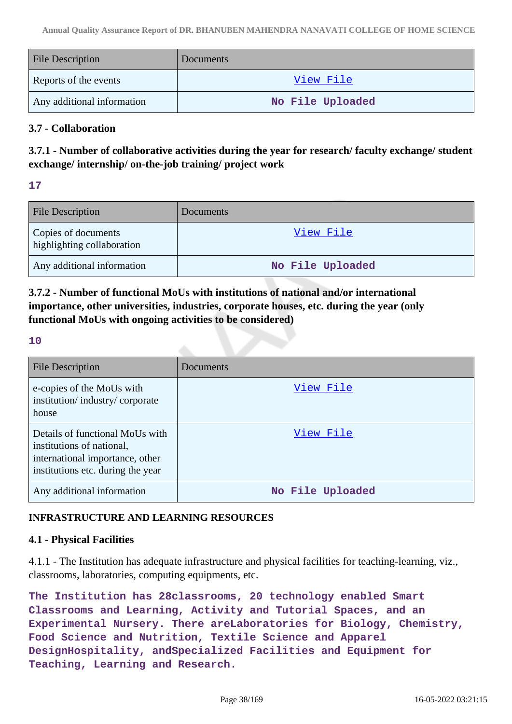| <b>File Description</b>    | Documents        |
|----------------------------|------------------|
| Reports of the events      | <u>View File</u> |
| Any additional information | No File Uploaded |

## **3.7 - Collaboration**

**3.7.1 - Number of collaborative activities during the year for research/ faculty exchange/ student exchange/ internship/ on-the-job training/ project work**

**17**

| <b>File Description</b>                           | <b>Documents</b> |
|---------------------------------------------------|------------------|
| Copies of documents<br>highlighting collaboration | <u>View File</u> |
| Any additional information                        | No File Uploaded |

# **3.7.2 - Number of functional MoUs with institutions of national and/or international importance, other universities, industries, corporate houses, etc. during the year (only functional MoUs with ongoing activities to be considered)**

### **10**

| <b>File Description</b>                                                                                                              | Documents        |
|--------------------------------------------------------------------------------------------------------------------------------------|------------------|
| e-copies of the MoUs with<br>institution/industry/corporate<br>house                                                                 | View File        |
| Details of functional MoUs with<br>institutions of national,<br>international importance, other<br>institutions etc. during the year | View File        |
| Any additional information                                                                                                           | No File Uploaded |

# **INFRASTRUCTURE AND LEARNING RESOURCES**

## **4.1 - Physical Facilities**

4.1.1 - The Institution has adequate infrastructure and physical facilities for teaching-learning, viz., classrooms, laboratories, computing equipments, etc.

**The Institution has 28classrooms, 20 technology enabled Smart Classrooms and Learning, Activity and Tutorial Spaces, and an Experimental Nursery. There areLaboratories for Biology, Chemistry, Food Science and Nutrition, Textile Science and Apparel DesignHospitality, andSpecialized Facilities and Equipment for Teaching, Learning and Research.**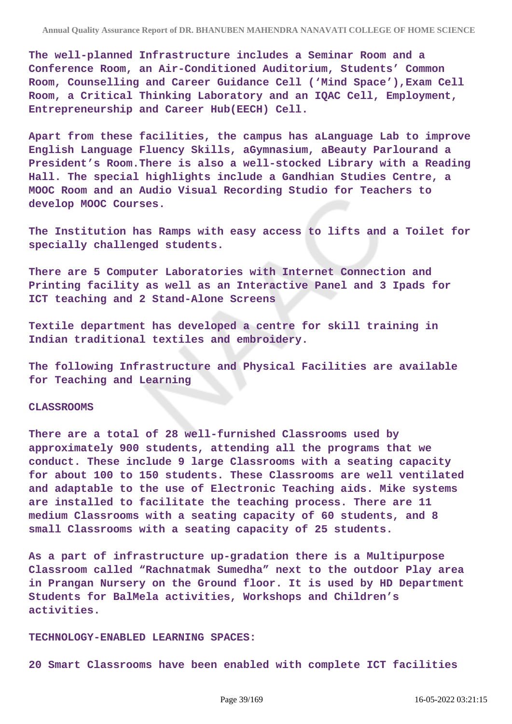**The well-planned Infrastructure includes a Seminar Room and a Conference Room, an Air-Conditioned Auditorium, Students' Common Room, Counselling and Career Guidance Cell ('Mind Space'),Exam Cell Room, a Critical Thinking Laboratory and an IQAC Cell, Employment, Entrepreneurship and Career Hub(EECH) Cell.**

**Apart from these facilities, the campus has aLanguage Lab to improve English Language Fluency Skills, aGymnasium, aBeauty Parlourand a President's Room.There is also a well-stocked Library with a Reading Hall. The special highlights include a Gandhian Studies Centre, a MOOC Room and an Audio Visual Recording Studio for Teachers to develop MOOC Courses.**

**The Institution has Ramps with easy access to lifts and a Toilet for specially challenged students.**

**There are 5 Computer Laboratories with Internet Connection and Printing facility as well as an Interactive Panel and 3 Ipads for ICT teaching and 2 Stand-Alone Screens**

**Textile department has developed a centre for skill training in Indian traditional textiles and embroidery.**

**The following Infrastructure and Physical Facilities are available for Teaching and Learning**

#### **CLASSROOMS**

**There are a total of 28 well-furnished Classrooms used by approximately 900 students, attending all the programs that we conduct. These include 9 large Classrooms with a seating capacity for about 100 to 150 students. These Classrooms are well ventilated and adaptable to the use of Electronic Teaching aids. Mike systems are installed to facilitate the teaching process. There are 11 medium Classrooms with a seating capacity of 60 students, and 8 small Classrooms with a seating capacity of 25 students.**

**As a part of infrastructure up-gradation there is a Multipurpose Classroom called "Rachnatmak Sumedha" next to the outdoor Play area in Prangan Nursery on the Ground floor. It is used by HD Department Students for BalMela activities, Workshops and Children's activities.**

#### **TECHNOLOGY-ENABLED LEARNING SPACES:**

**20 Smart Classrooms have been enabled with complete ICT facilities**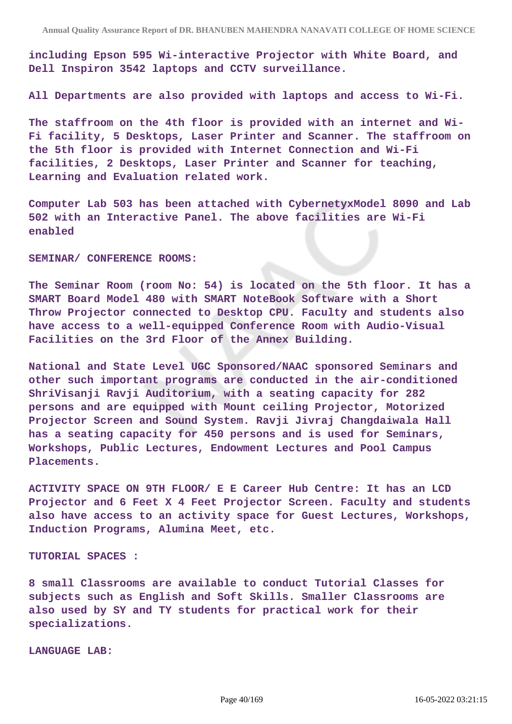**including Epson 595 Wi-interactive Projector with White Board, and Dell Inspiron 3542 laptops and CCTV surveillance.**

**All Departments are also provided with laptops and access to Wi-Fi.**

**The staffroom on the 4th floor is provided with an internet and Wi-Fi facility, 5 Desktops, Laser Printer and Scanner. The staffroom on the 5th floor is provided with Internet Connection and Wi-Fi facilities, 2 Desktops, Laser Printer and Scanner for teaching, Learning and Evaluation related work.**

**Computer Lab 503 has been attached with CybernetyxModel 8090 and Lab 502 with an Interactive Panel. The above facilities are Wi-Fi enabled**

**SEMINAR/ CONFERENCE ROOMS:**

**The Seminar Room (room No: 54) is located on the 5th floor. It has a SMART Board Model 480 with SMART NoteBook Software with a Short Throw Projector connected to Desktop CPU. Faculty and students also have access to a well-equipped Conference Room with Audio-Visual Facilities on the 3rd Floor of the Annex Building.**

**National and State Level UGC Sponsored/NAAC sponsored Seminars and other such important programs are conducted in the air-conditioned ShriVisanji Ravji Auditorium, with a seating capacity for 282 persons and are equipped with Mount ceiling Projector, Motorized Projector Screen and Sound System. Ravji Jivraj Changdaiwala Hall has a seating capacity for 450 persons and is used for Seminars, Workshops, Public Lectures, Endowment Lectures and Pool Campus Placements.**

**ACTIVITY SPACE ON 9TH FLOOR/ E E Career Hub Centre: It has an LCD Projector and 6 Feet X 4 Feet Projector Screen. Faculty and students also have access to an activity space for Guest Lectures, Workshops, Induction Programs, Alumina Meet, etc.**

**TUTORIAL SPACES :**

**8 small Classrooms are available to conduct Tutorial Classes for subjects such as English and Soft Skills. Smaller Classrooms are also used by SY and TY students for practical work for their specializations.**

**LANGUAGE LAB:**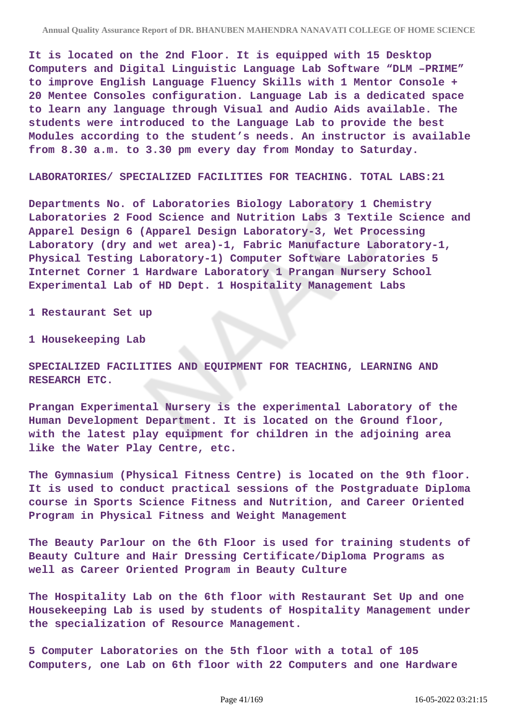**It is located on the 2nd Floor. It is equipped with 15 Desktop Computers and Digital Linguistic Language Lab Software "DLM –PRIME" to improve English Language Fluency Skills with 1 Mentor Console + 20 Mentee Consoles configuration. Language Lab is a dedicated space to learn any language through Visual and Audio Aids available. The students were introduced to the Language Lab to provide the best Modules according to the student's needs. An instructor is available from 8.30 a.m. to 3.30 pm every day from Monday to Saturday.**

**LABORATORIES/ SPECIALIZED FACILITIES FOR TEACHING. TOTAL LABS:21**

**Departments No. of Laboratories Biology Laboratory 1 Chemistry Laboratories 2 Food Science and Nutrition Labs 3 Textile Science and Apparel Design 6 (Apparel Design Laboratory-3, Wet Processing Laboratory (dry and wet area)-1, Fabric Manufacture Laboratory-1, Physical Testing Laboratory-1) Computer Software Laboratories 5 Internet Corner 1 Hardware Laboratory 1 Prangan Nursery School Experimental Lab of HD Dept. 1 Hospitality Management Labs** 

**1 Restaurant Set up**

**1 Housekeeping Lab**

**SPECIALIZED FACILITIES AND EQUIPMENT FOR TEACHING, LEARNING AND RESEARCH ETC.**

**Prangan Experimental Nursery is the experimental Laboratory of the Human Development Department. It is located on the Ground floor, with the latest play equipment for children in the adjoining area like the Water Play Centre, etc.**

**The Gymnasium (Physical Fitness Centre) is located on the 9th floor. It is used to conduct practical sessions of the Postgraduate Diploma course in Sports Science Fitness and Nutrition, and Career Oriented Program in Physical Fitness and Weight Management**

**The Beauty Parlour on the 6th Floor is used for training students of Beauty Culture and Hair Dressing Certificate/Diploma Programs as well as Career Oriented Program in Beauty Culture**

**The Hospitality Lab on the 6th floor with Restaurant Set Up and one Housekeeping Lab is used by students of Hospitality Management under the specialization of Resource Management.**

**5 Computer Laboratories on the 5th floor with a total of 105 Computers, one Lab on 6th floor with 22 Computers and one Hardware**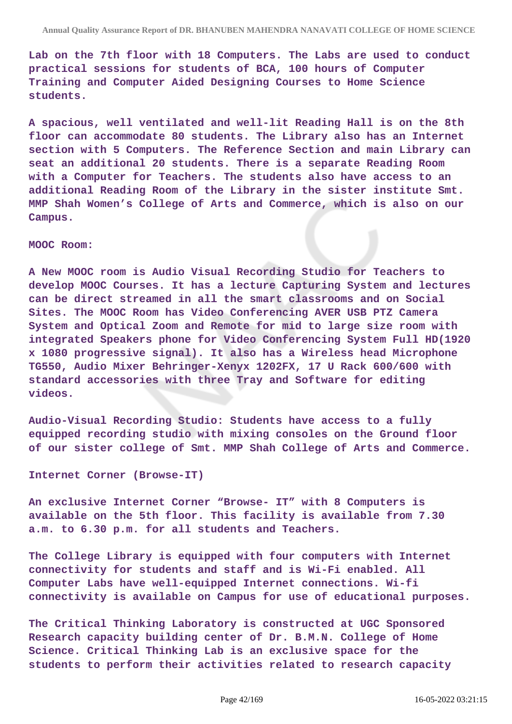**Lab on the 7th floor with 18 Computers. The Labs are used to conduct practical sessions for students of BCA, 100 hours of Computer Training and Computer Aided Designing Courses to Home Science students.**

**A spacious, well ventilated and well-lit Reading Hall is on the 8th floor can accommodate 80 students. The Library also has an Internet section with 5 Computers. The Reference Section and main Library can seat an additional 20 students. There is a separate Reading Room with a Computer for Teachers. The students also have access to an additional Reading Room of the Library in the sister institute Smt. MMP Shah Women's College of Arts and Commerce, which is also on our Campus.**

#### **MOOC Room:**

**A New MOOC room is Audio Visual Recording Studio for Teachers to develop MOOC Courses. It has a lecture Capturing System and lectures can be direct streamed in all the smart classrooms and on Social Sites. The MOOC Room has Video Conferencing AVER USB PTZ Camera System and Optical Zoom and Remote for mid to large size room with integrated Speakers phone for Video Conferencing System Full HD(1920 x 1080 progressive signal). It also has a Wireless head Microphone TG550, Audio Mixer Behringer-Xenyx 1202FX, 17 U Rack 600/600 with standard accessories with three Tray and Software for editing videos.**

**Audio-Visual Recording Studio: Students have access to a fully equipped recording studio with mixing consoles on the Ground floor of our sister college of Smt. MMP Shah College of Arts and Commerce.**

**Internet Corner (Browse-IT)**

**An exclusive Internet Corner "Browse- IT" with 8 Computers is available on the 5th floor. This facility is available from 7.30 a.m. to 6.30 p.m. for all students and Teachers.**

**The College Library is equipped with four computers with Internet connectivity for students and staff and is Wi-Fi enabled. All Computer Labs have well-equipped Internet connections. Wi-fi connectivity is available on Campus for use of educational purposes.**

**The Critical Thinking Laboratory is constructed at UGC Sponsored Research capacity building center of Dr. B.M.N. College of Home Science. Critical Thinking Lab is an exclusive space for the students to perform their activities related to research capacity**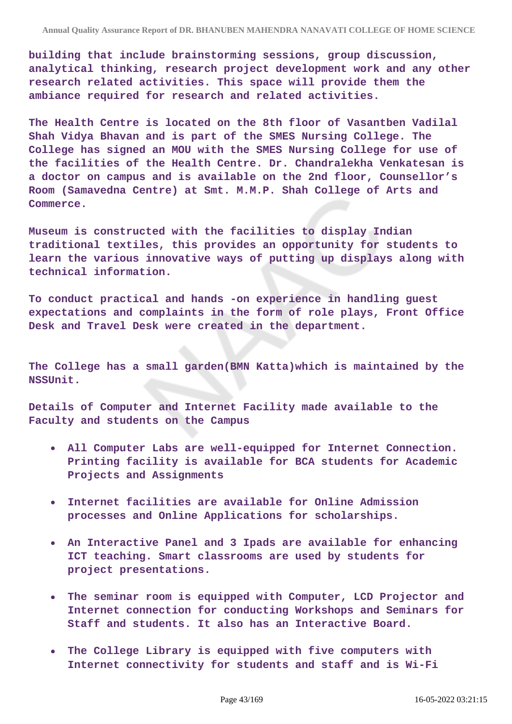**building that include brainstorming sessions, group discussion, analytical thinking, research project development work and any other research related activities. This space will provide them the ambiance required for research and related activities.**

**The Health Centre is located on the 8th floor of Vasantben Vadilal Shah Vidya Bhavan and is part of the SMES Nursing College. The College has signed an MOU with the SMES Nursing College for use of the facilities of the Health Centre. Dr. Chandralekha Venkatesan is a doctor on campus and is available on the 2nd floor, Counsellor's Room (Samavedna Centre) at Smt. M.M.P. Shah College of Arts and Commerce.**

**Museum is constructed with the facilities to display Indian traditional textiles, this provides an opportunity for students to learn the various innovative ways of putting up displays along with technical information.**

**To conduct practical and hands -on experience in handling guest expectations and complaints in the form of role plays, Front Office Desk and Travel Desk were created in the department.**

**The College has a small garden(BMN Katta)which is maintained by the NSSUnit.**

**Details of Computer and Internet Facility made available to the Faculty and students on the Campus**

- **All Computer Labs are well-equipped for Internet Connection. Printing facility is available for BCA students for Academic Projects and Assignments**
- **Internet facilities are available for Online Admission processes and Online Applications for scholarships.**
- **An Interactive Panel and 3 Ipads are available for enhancing ICT teaching. Smart classrooms are used by students for project presentations.**
- **The seminar room is equipped with Computer, LCD Projector and Internet connection for conducting Workshops and Seminars for Staff and students. It also has an Interactive Board.**
- **The College Library is equipped with five computers with Internet connectivity for students and staff and is Wi-Fi**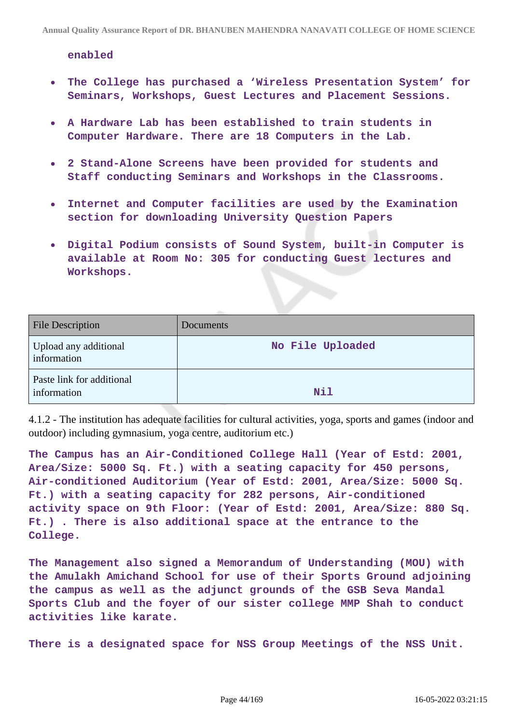**enabled**

- **The College has purchased a 'Wireless Presentation System' for**  $\bullet$ **Seminars, Workshops, Guest Lectures and Placement Sessions.**
- **A Hardware Lab has been established to train students in Computer Hardware. There are 18 Computers in the Lab.**
- **2 Stand-Alone Screens have been provided for students and Staff conducting Seminars and Workshops in the Classrooms.**
- **Internet and Computer facilities are used by the Examination**  $\bullet$ **section for downloading University Question Papers**
- **Digital Podium consists of Sound System, built-in Computer is available at Room No: 305 for conducting Guest lectures and Workshops.**

| <b>File Description</b>                  | Documents        |
|------------------------------------------|------------------|
| Upload any additional<br>information     | No File Uploaded |
| Paste link for additional<br>information | Nil              |

4.1.2 - The institution has adequate facilities for cultural activities, yoga, sports and games (indoor and outdoor) including gymnasium, yoga centre, auditorium etc.)

**The Campus has an Air-Conditioned College Hall (Year of Estd: 2001, Area/Size: 5000 Sq. Ft.) with a seating capacity for 450 persons, Air-conditioned Auditorium (Year of Estd: 2001, Area/Size: 5000 Sq. Ft.) with a seating capacity for 282 persons, Air-conditioned activity space on 9th Floor: (Year of Estd: 2001, Area/Size: 880 Sq. Ft.) . There is also additional space at the entrance to the College.**

**The Management also signed a Memorandum of Understanding (MOU) with the Amulakh Amichand School for use of their Sports Ground adjoining the campus as well as the adjunct grounds of the GSB Seva Mandal Sports Club and the foyer of our sister college MMP Shah to conduct activities like karate.**

**There is a designated space for NSS Group Meetings of the NSS Unit.**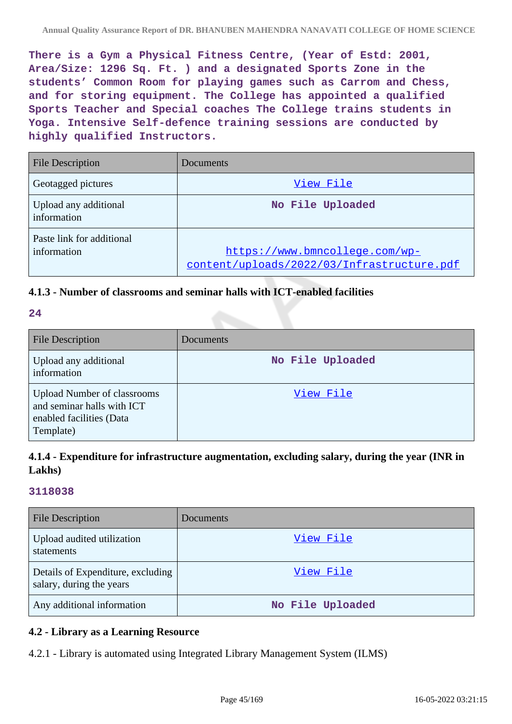**There is a Gym a Physical Fitness Centre, (Year of Estd: 2001, Area/Size: 1296 Sq. Ft. ) and a designated Sports Zone in the students' Common Room for playing games such as Carrom and Chess, and for storing equipment. The College has appointed a qualified Sports Teacher and Special coaches The College trains students in Yoga. Intensive Self-defence training sessions are conducted by highly qualified Instructors.**

| <b>File Description</b>                  | Documents                                                                    |
|------------------------------------------|------------------------------------------------------------------------------|
| Geotagged pictures                       | View File                                                                    |
| Upload any additional<br>information     | No File Uploaded                                                             |
| Paste link for additional<br>information | https://www.bmncollege.com/wp-<br>content/uploads/2022/03/Infrastructure.pdf |

## **4.1.3 - Number of classrooms and seminar halls with ICT-enabled facilities**

## **24**

| <b>File Description</b>                                                                                   | Documents        |
|-----------------------------------------------------------------------------------------------------------|------------------|
| Upload any additional<br>information                                                                      | No File Uploaded |
| <b>Upload Number of classrooms</b><br>and seminar halls with ICT<br>enabled facilities (Data<br>Template) | View File        |

**<sup>4.1.4 -</sup> Expenditure for infrastructure augmentation, excluding salary, during the year (INR in Lakhs)**

### **3118038**

| <b>File Description</b>                                       | Documents        |
|---------------------------------------------------------------|------------------|
| Upload audited utilization<br>statements                      | View File        |
| Details of Expenditure, excluding<br>salary, during the years | View File        |
| Any additional information                                    | No File Uploaded |

## **4.2 - Library as a Learning Resource**

4.2.1 - Library is automated using Integrated Library Management System (ILMS)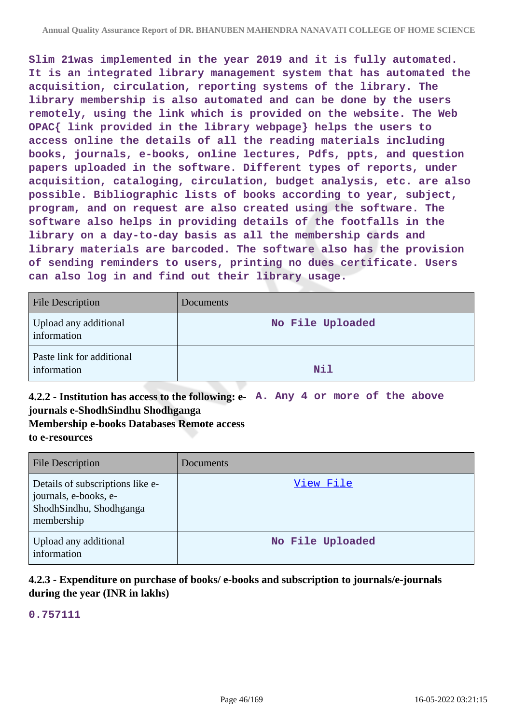**Slim 21was implemented in the year 2019 and it is fully automated. It is an integrated library management system that has automated the acquisition, circulation, reporting systems of the library. The library membership is also automated and can be done by the users remotely, using the link which is provided on the website. The Web OPAC{ link provided in the library webpage} helps the users to access online the details of all the reading materials including books, journals, e-books, online lectures, Pdfs, ppts, and question papers uploaded in the software. Different types of reports, under acquisition, cataloging, circulation, budget analysis, etc. are also possible. Bibliographic lists of books according to year, subject, program, and on request are also created using the software. The software also helps in providing details of the footfalls in the library on a day-to-day basis as all the membership cards and library materials are barcoded. The software also has the provision of sending reminders to users, printing no dues certificate. Users can also log in and find out their library usage.**

| <b>File Description</b>                  | <b>Documents</b> |
|------------------------------------------|------------------|
| Upload any additional<br>information     | No File Uploaded |
| Paste link for additional<br>information | <b>Nil</b>       |

**4.2.2 - Institution has access to the following: e-A. Any 4 or more of the above journals e-ShodhSindhu Shodhganga**

**Membership e-books Databases Remote access to e-resources**

| <b>File Description</b>                                                                            | Documents        |
|----------------------------------------------------------------------------------------------------|------------------|
| Details of subscriptions like e-<br>journals, e-books, e-<br>ShodhSindhu, Shodhganga<br>membership | View File        |
| Upload any additional<br>information                                                               | No File Uploaded |

# **4.2.3 - Expenditure on purchase of books/ e-books and subscription to journals/e-journals during the year (INR in lakhs)**

**0.757111**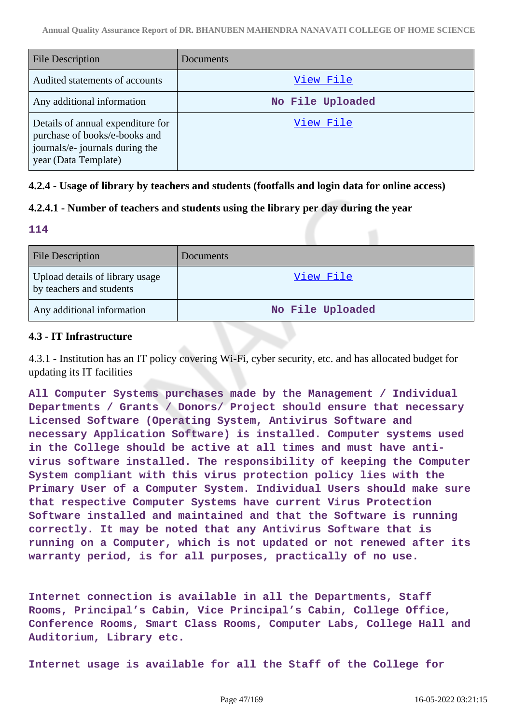| <b>File Description</b>                                                                                                       | Documents        |
|-------------------------------------------------------------------------------------------------------------------------------|------------------|
| Audited statements of accounts                                                                                                | View File        |
| Any additional information                                                                                                    | No File Uploaded |
| Details of annual expenditure for<br>purchase of books/e-books and<br>journals/e- journals during the<br>year (Data Template) | View File        |

## **4.2.4 - Usage of library by teachers and students (footfalls and login data for online access)**

# **4.2.4.1 - Number of teachers and students using the library per day during the year**

**114**

| <b>File Description</b>                                     | <b>Documents</b> |
|-------------------------------------------------------------|------------------|
| Upload details of library usage<br>by teachers and students | View File        |
| Any additional information                                  | No File Uploaded |

## **4.3 - IT Infrastructure**

4.3.1 - Institution has an IT policy covering Wi-Fi, cyber security, etc. and has allocated budget for updating its IT facilities

**All Computer Systems purchases made by the Management / Individual Departments / Grants / Donors/ Project should ensure that necessary Licensed Software (Operating System, Antivirus Software and necessary Application Software) is installed. Computer systems used in the College should be active at all times and must have antivirus software installed. The responsibility of keeping the Computer System compliant with this virus protection policy lies with the Primary User of a Computer System. Individual Users should make sure that respective Computer Systems have current Virus Protection Software installed and maintained and that the Software is running correctly. It may be noted that any Antivirus Software that is running on a Computer, which is not updated or not renewed after its warranty period, is for all purposes, practically of no use.**

**Internet connection is available in all the Departments, Staff Rooms, Principal's Cabin, Vice Principal's Cabin, College Office, Conference Rooms, Smart Class Rooms, Computer Labs, College Hall and Auditorium, Library etc.**

**Internet usage is available for all the Staff of the College for**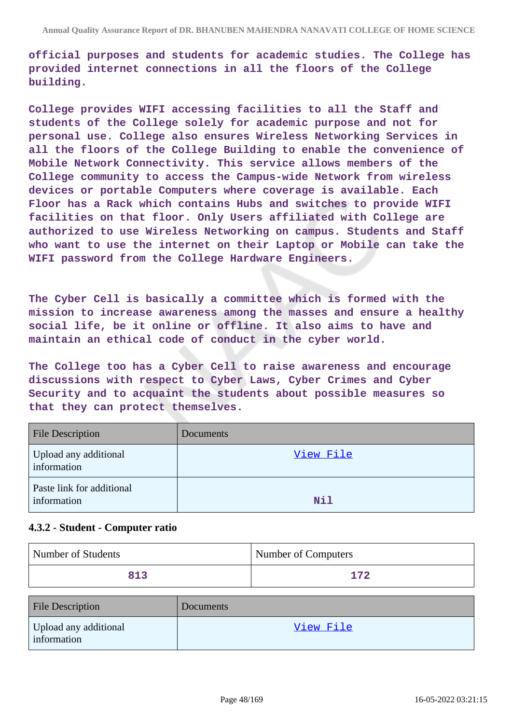**official purposes and students for academic studies. The College has provided internet connections in all the floors of the College building.**

**College provides WIFI accessing facilities to all the Staff and students of the College solely for academic purpose and not for personal use. College also ensures Wireless Networking Services in all the floors of the College Building to enable the convenience of Mobile Network Connectivity. This service allows members of the College community to access the Campus-wide Network from wireless devices or portable Computers where coverage is available. Each Floor has a Rack which contains Hubs and switches to provide WIFI facilities on that floor. Only Users affiliated with College are authorized to use Wireless Networking on campus. Students and Staff who want to use the internet on their Laptop or Mobile can take the WIFI password from the College Hardware Engineers.**

**The Cyber Cell is basically a committee which is formed with the mission to increase awareness among the masses and ensure a healthy social life, be it online or offline. It also aims to have and maintain an ethical code of conduct in the cyber world.**

**The College too has a Cyber Cell to raise awareness and encourage discussions with respect to Cyber Laws, Cyber Crimes and Cyber Security and to acquaint the students about possible measures so that they can protect themselves.**

| <b>File Description</b>                  | Documents |
|------------------------------------------|-----------|
| Upload any additional<br>information     | View File |
| Paste link for additional<br>information | Nil       |

## **4.3.2 - Student - Computer ratio**

| Number of Students | Number of Computers |
|--------------------|---------------------|
| 813                | 172                 |

| <b>File Description</b>              | <b>Documents</b> |
|--------------------------------------|------------------|
| Upload any additional<br>information | View File        |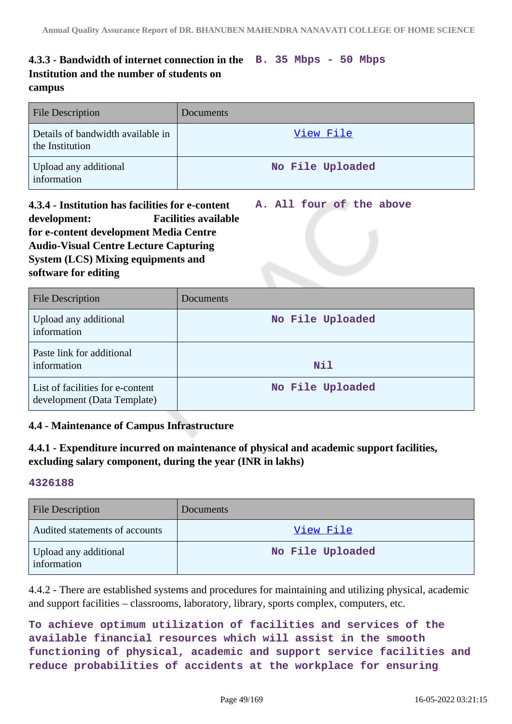# **4.3.3 - Bandwidth of internet connection in the B. 35 Mbps - 50 Mbps Institution and the number of students on campus**

| <b>File Description</b>                              | <b>Documents</b> |
|------------------------------------------------------|------------------|
| Details of bandwidth available in<br>the Institution | View File        |
| Upload any additional<br>information                 | No File Uploaded |

**4.3.4 - Institution has facilities for e-content development: Facilities available for e-content development Media Centre Audio-Visual Centre Lecture Capturing System (LCS) Mixing equipments and software for editing A. All four of the above**

| <b>File Description</b>                                         | Documents        |
|-----------------------------------------------------------------|------------------|
| Upload any additional<br>information                            | No File Uploaded |
| Paste link for additional<br>information                        | Nil              |
| List of facilities for e-content<br>development (Data Template) | No File Uploaded |

# **4.4 - Maintenance of Campus Infrastructure**

# **4.4.1 - Expenditure incurred on maintenance of physical and academic support facilities, excluding salary component, during the year (INR in lakhs)**

### **4326188**

| <b>File Description</b>              | <b>Documents</b> |
|--------------------------------------|------------------|
| Audited statements of accounts       | View File        |
| Upload any additional<br>information | No File Uploaded |

4.4.2 - There are established systems and procedures for maintaining and utilizing physical, academic and support facilities – classrooms, laboratory, library, sports complex, computers, etc.

**To achieve optimum utilization of facilities and services of the available financial resources which will assist in the smooth functioning of physical, academic and support service facilities and reduce probabilities of accidents at the workplace for ensuring**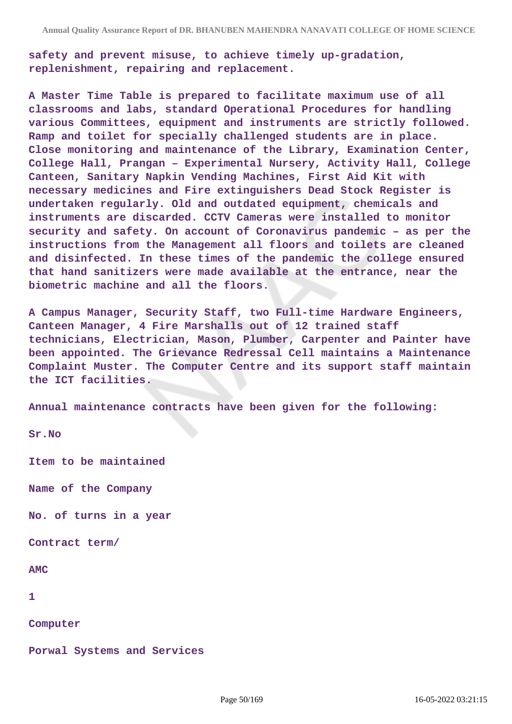**safety and prevent misuse, to achieve timely up-gradation, replenishment, repairing and replacement.**

**A Master Time Table is prepared to facilitate maximum use of all classrooms and labs, standard Operational Procedures for handling various Committees, equipment and instruments are strictly followed. Ramp and toilet for specially challenged students are in place. Close monitoring and maintenance of the Library, Examination Center, College Hall, Prangan – Experimental Nursery, Activity Hall, College Canteen, Sanitary Napkin Vending Machines, First Aid Kit with necessary medicines and Fire extinguishers Dead Stock Register is undertaken regularly. Old and outdated equipment, chemicals and instruments are discarded. CCTV Cameras were installed to monitor security and safety. On account of Coronavirus pandemic – as per the instructions from the Management all floors and toilets are cleaned and disinfected. In these times of the pandemic the college ensured that hand sanitizers were made available at the entrance, near the biometric machine and all the floors.**

**A Campus Manager, Security Staff, two Full-time Hardware Engineers, Canteen Manager, 4 Fire Marshalls out of 12 trained staff technicians, Electrician, Mason, Plumber, Carpenter and Painter have been appointed. The Grievance Redressal Cell maintains a Maintenance Complaint Muster. The Computer Centre and its support staff maintain the ICT facilities.**

**Annual maintenance contracts have been given for the following:**

**Sr.No**

**Item to be maintained**

**Name of the Company**

**No. of turns in a year**

**Contract term/**

**AMC**

**1**

**Computer**

**Porwal Systems and Services**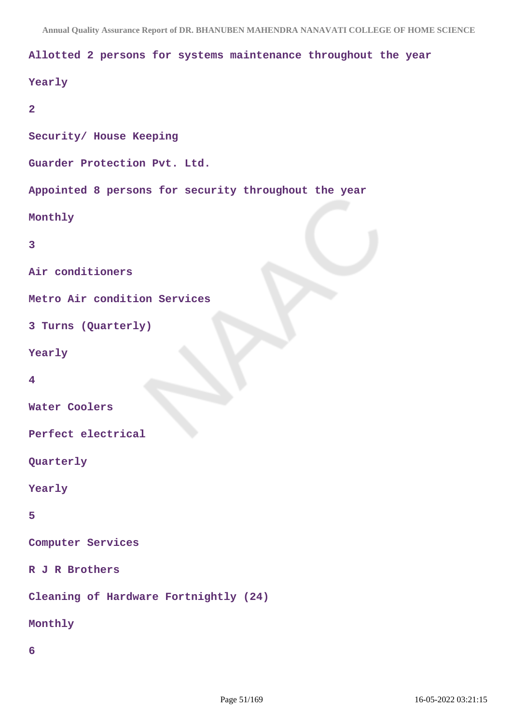#### **Allotted 2 persons for systems maintenance throughout the year**

```
Yearly
2
Security/ House Keeping
Guarder Protection Pvt. Ltd.
Appointed 8 persons for security throughout the year
Monthly
3
Air conditioners
Metro Air condition Services
3 Turns (Quarterly)
Yearly
4
Water Coolers
Perfect electrical
Quarterly
Yearly
5
Computer Services
R J R Brothers
```
**Cleaning of Hardware Fortnightly (24)**

**Monthly**

**6**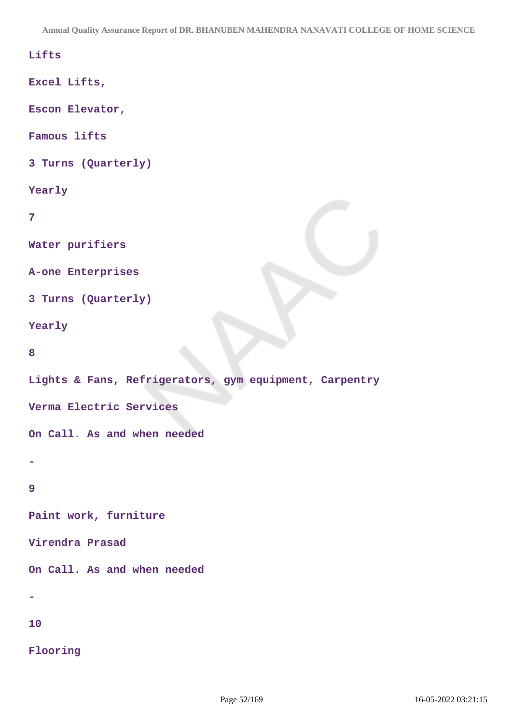**Annual Quality Assurance Report of DR. BHANUBEN MAHENDRA NANAVATI COLLEGE OF HOME SCIENCE**

## **Lifts**

**Excel Lifts,**

**Escon Elevator,**

**Famous lifts**

**3 Turns (Quarterly)**

#### **Yearly**

```
7
```
**Water purifiers**

**A-one Enterprises**

**3 Turns (Quarterly)**

**Yearly**

**8**

**Lights & Fans, Refrigerators, gym equipment, Carpentry**

**Verma Electric Services**

**On Call. As and when needed**

## **9**

**-**

**Paint work, furniture**

**Virendra Prasad**

**On Call. As and when needed**

**-**

**10**

**Flooring**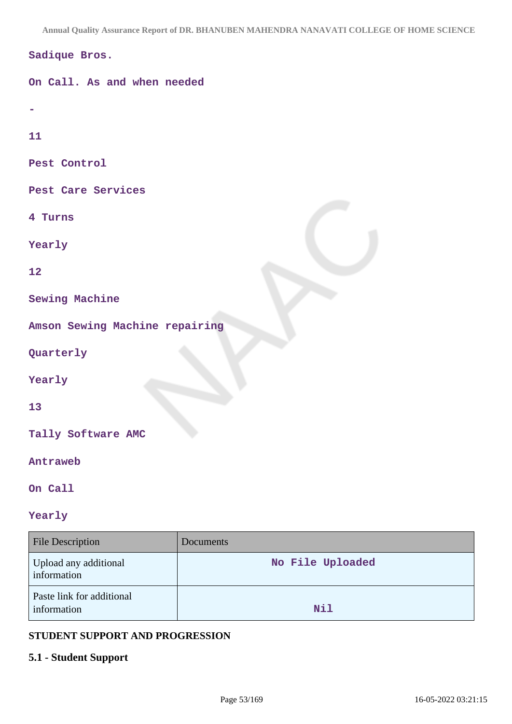**Annual Quality Assurance Report of DR. BHANUBEN MAHENDRA NANAVATI COLLEGE OF HOME SCIENCE**

| Sadique Bros.                  |
|--------------------------------|
| On Call. As and when needed    |
|                                |
| 11                             |
| Pest Control                   |
| Pest Care Services             |
| 4 Turns                        |
| Yearly                         |
| 12                             |
| <b>Sewing Machine</b>          |
| Amson Sewing Machine repairing |
| Quarterly                      |
| Yearly                         |
| 13                             |
| Tally Software AMC             |
| Antraweb                       |

**On Call**

# **Yearly**

| <b>File Description</b>                  | <b>Documents</b> |
|------------------------------------------|------------------|
| Upload any additional<br>information     | No File Uploaded |
| Paste link for additional<br>information | Nil              |

## **STUDENT SUPPORT AND PROGRESSION**

# **5.1 - Student Support**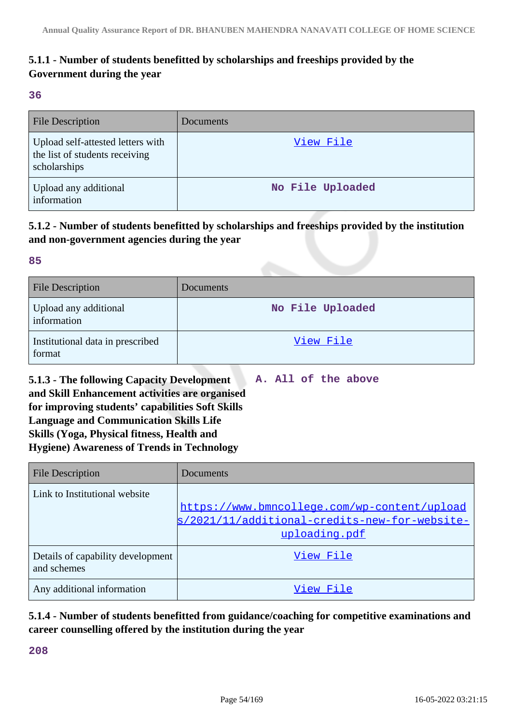# **5.1.1 - Number of students benefitted by scholarships and freeships provided by the Government during the year**

#### **36**

| <b>File Description</b>                                                             | Documents        |
|-------------------------------------------------------------------------------------|------------------|
| Upload self-attested letters with<br>the list of students receiving<br>scholarships | View File        |
| Upload any additional<br>information                                                | No File Uploaded |

# **5.1.2 - Number of students benefitted by scholarships and freeships provided by the institution and non-government agencies during the year**

## **85**

| <b>File Description</b>                    | Documents        |
|--------------------------------------------|------------------|
| Upload any additional<br>information       | No File Uploaded |
| Institutional data in prescribed<br>format | View File        |

**5.1.3 - The following Capacity Development and Skill Enhancement activities are organised for improving students' capabilities Soft Skills Language and Communication Skills Life Skills (Yoga, Physical fitness, Health and Hygiene) Awareness of Trends in Technology A. All of the above**

| <b>File Description</b>                          | Documents                                     |
|--------------------------------------------------|-----------------------------------------------|
| Link to Institutional website                    |                                               |
|                                                  | https://www.bmncollege.com/wp-content/upload  |
|                                                  | s/2021/11/additional-credits-new-for-website- |
|                                                  | uploading.pdf                                 |
| Details of capability development<br>and schemes | View File                                     |
| Any additional information                       | View File                                     |

**5.1.4 - Number of students benefitted from guidance/coaching for competitive examinations and career counselling offered by the institution during the year**

**208**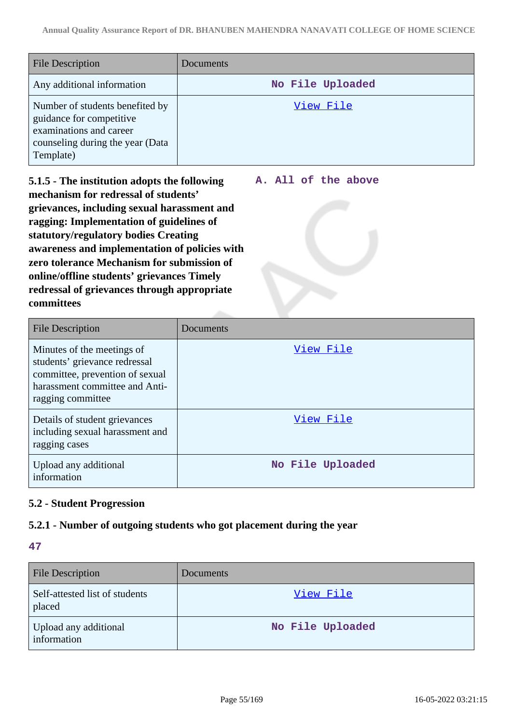| <b>File Description</b>                                                                                                                 | <b>Documents</b> |
|-----------------------------------------------------------------------------------------------------------------------------------------|------------------|
| Any additional information                                                                                                              | No File Uploaded |
| Number of students benefited by<br>guidance for competitive<br>examinations and career<br>counseling during the year (Data<br>Template) | View File        |

**A. All of the above**

**5.1.5 - The institution adopts the following mechanism for redressal of students' grievances, including sexual harassment and ragging: Implementation of guidelines of statutory/regulatory bodies Creating awareness and implementation of policies with zero tolerance Mechanism for submission of online/offline students' grievances Timely redressal of grievances through appropriate committees**

File Description Documents Minutes of the meetings of students' grievance redressal committee, prevention of sexual harassment committee and Antiragging committee [View File](https://assessmentonline.naac.gov.in/storage/app/public/aqar/16657/16657_270_614.docx?1652694673) Details of student grievances including sexual harassment and ragging cases [View File](https://assessmentonline.naac.gov.in/storage/app/public/aqar/16657/16657_270_615.docx?1652694673) Upload any additional information **No File Uploaded**

# **5.2 - Student Progression**

## **5.2.1 - Number of outgoing students who got placement during the year**

### **47**

| <b>File Description</b>                  | <b>Documents</b> |
|------------------------------------------|------------------|
| Self-attested list of students<br>placed | View File        |
| Upload any additional<br>information     | No File Uploaded |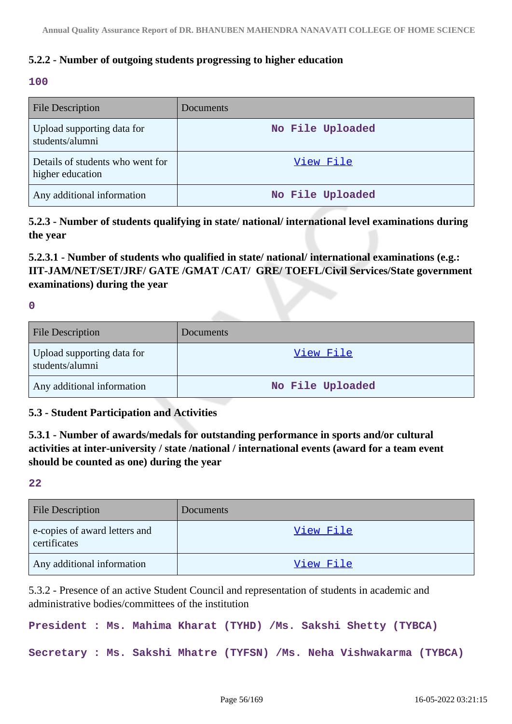# **5.2.2 - Number of outgoing students progressing to higher education**

### **100**

| <b>File Description</b>                              | <b>Documents</b> |
|------------------------------------------------------|------------------|
| Upload supporting data for<br>students/alumni        | No File Uploaded |
| Details of students who went for<br>higher education | View File        |
| Any additional information                           | No File Uploaded |

**5.2.3 - Number of students qualifying in state/ national/ international level examinations during the year**

**5.2.3.1 - Number of students who qualified in state/ national/ international examinations (e.g.: IIT-JAM/NET/SET/JRF/ GATE /GMAT /CAT/ GRE/ TOEFL/Civil Services/State government examinations) during the year**

**0**

| <b>File Description</b>                       | <b>Documents</b> |
|-----------------------------------------------|------------------|
| Upload supporting data for<br>students/alumni | View File        |
| Any additional information                    | No File Uploaded |

## **5.3 - Student Participation and Activities**

**5.3.1 - Number of awards/medals for outstanding performance in sports and/or cultural activities at inter-university / state /national / international events (award for a team event should be counted as one) during the year**

**22**

| <b>File Description</b>                       | Documents |
|-----------------------------------------------|-----------|
| e-copies of award letters and<br>certificates | View File |
| Any additional information                    | View File |

5.3.2 - Presence of an active Student Council and representation of students in academic and administrative bodies/committees of the institution

**President : Ms. Mahima Kharat (TYHD) /Ms. Sakshi Shetty (TYBCA)**

**Secretary : Ms. Sakshi Mhatre (TYFSN) /Ms. Neha Vishwakarma (TYBCA)**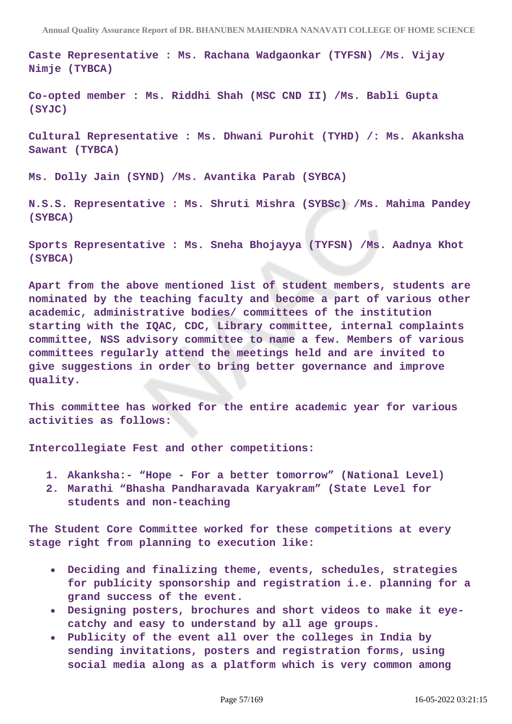**Caste Representative : Ms. Rachana Wadgaonkar (TYFSN) /Ms. Vijay Nimje (TYBCA)**

**Co-opted member : Ms. Riddhi Shah (MSC CND II) /Ms. Babli Gupta (SYJC)**

**Cultural Representative : Ms. Dhwani Purohit (TYHD) /: Ms. Akanksha Sawant (TYBCA)**

**Ms. Dolly Jain (SYND) /Ms. Avantika Parab (SYBCA)**

**N.S.S. Representative : Ms. Shruti Mishra (SYBSc) /Ms. Mahima Pandey (SYBCA)**

**Sports Representative : Ms. Sneha Bhojayya (TYFSN) /Ms. Aadnya Khot (SYBCA)**

**Apart from the above mentioned list of student members, students are nominated by the teaching faculty and become a part of various other academic, administrative bodies/ committees of the institution starting with the IQAC, CDC, Library committee, internal complaints committee, NSS advisory committee to name a few. Members of various committees regularly attend the meetings held and are invited to give suggestions in order to bring better governance and improve quality.**

**This committee has worked for the entire academic year for various activities as follows:**

**Intercollegiate Fest and other competitions:**

- **1. Akanksha:- "Hope For a better tomorrow" (National Level)**
- **2. Marathi "Bhasha Pandharavada Karyakram" (State Level for students and non-teaching**

**The Student Core Committee worked for these competitions at every stage right from planning to execution like:**

- **Deciding and finalizing theme, events, schedules, strategies for publicity sponsorship and registration i.e. planning for a grand success of the event.**
- **Designing posters, brochures and short videos to make it eyecatchy and easy to understand by all age groups.**
- **Publicity of the event all over the colleges in India by sending invitations, posters and registration forms, using social media along as a platform which is very common among**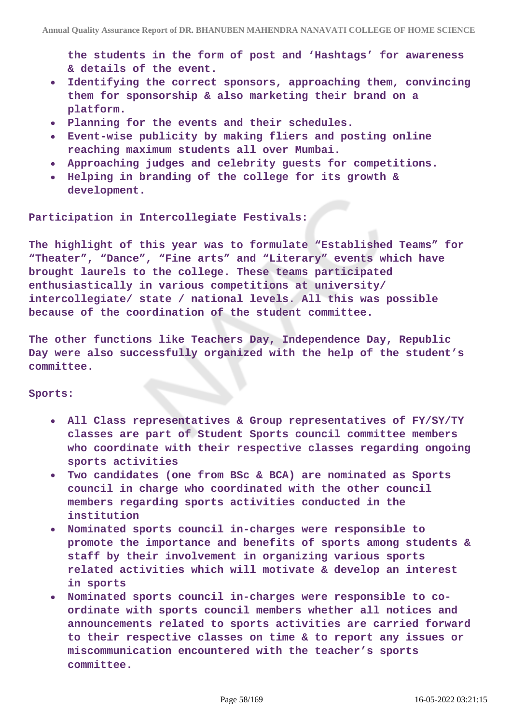**the students in the form of post and 'Hashtags' for awareness & details of the event.**

- **Identifying the correct sponsors, approaching them, convincing**  $\bullet$ **them for sponsorship & also marketing their brand on a platform.**
- **Planning for the events and their schedules.**
- **Event-wise publicity by making fliers and posting online reaching maximum students all over Mumbai.**
- **Approaching judges and celebrity guests for competitions.**
- **Helping in branding of the college for its growth & development.**

#### **Participation in Intercollegiate Festivals:**

**The highlight of this year was to formulate "Established Teams" for "Theater", "Dance", "Fine arts" and "Literary" events which have brought laurels to the college. These teams participated enthusiastically in various competitions at university/ intercollegiate/ state / national levels. All this was possible because of the coordination of the student committee.**

**The other functions like Teachers Day, Independence Day, Republic Day were also successfully organized with the help of the student's committee.**

#### **Sports:**

- **All Class representatives & Group representatives of FY/SY/TY classes are part of Student Sports council committee members who coordinate with their respective classes regarding ongoing sports activities**
- **Two candidates (one from BSc & BCA) are nominated as Sports council in charge who coordinated with the other council members regarding sports activities conducted in the institution**
- **Nominated sports council in-charges were responsible to promote the importance and benefits of sports among students & staff by their involvement in organizing various sports related activities which will motivate & develop an interest in sports**
- **Nominated sports council in-charges were responsible to coordinate with sports council members whether all notices and announcements related to sports activities are carried forward to their respective classes on time & to report any issues or miscommunication encountered with the teacher's sports committee.**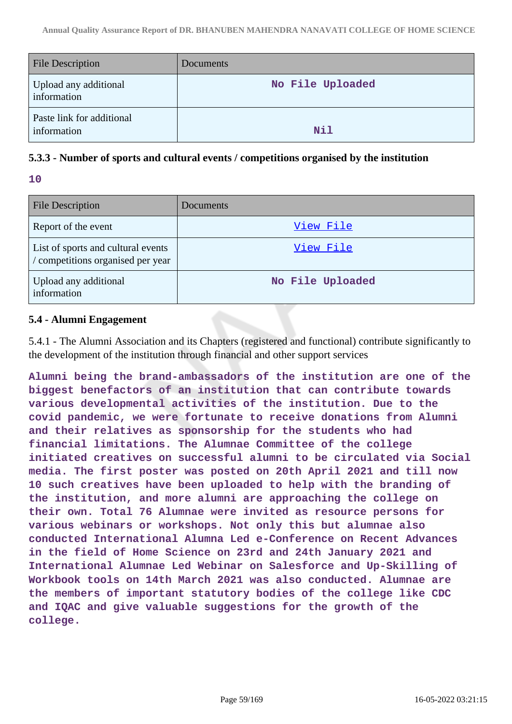| <b>File Description</b>                  | Documents        |
|------------------------------------------|------------------|
| Upload any additional<br>information     | No File Uploaded |
| Paste link for additional<br>information | Nil              |

# **5.3.3 - Number of sports and cultural events / competitions organised by the institution**

| e e | w       |
|-----|---------|
|     |         |
|     | I       |
|     | ٧<br>M. |

| <b>File Description</b>                                                 | <b>Documents</b> |
|-------------------------------------------------------------------------|------------------|
| Report of the event                                                     | View File        |
| List of sports and cultural events<br>/ competitions organised per year | View File        |
| Upload any additional<br>information                                    | No File Uploaded |

# **5.4 - Alumni Engagement**

5.4.1 - The Alumni Association and its Chapters (registered and functional) contribute significantly to the development of the institution through financial and other support services

**Alumni being the brand-ambassadors of the institution are one of the biggest benefactors of an institution that can contribute towards various developmental activities of the institution. Due to the covid pandemic, we were fortunate to receive donations from Alumni and their relatives as sponsorship for the students who had financial limitations. The Alumnae Committee of the college initiated creatives on successful alumni to be circulated via Social media. The first poster was posted on 20th April 2021 and till now 10 such creatives have been uploaded to help with the branding of the institution, and more alumni are approaching the college on their own. Total 76 Alumnae were invited as resource persons for various webinars or workshops. Not only this but alumnae also conducted International Alumna Led e-Conference on Recent Advances in the field of Home Science on 23rd and 24th January 2021 and International Alumnae Led Webinar on Salesforce and Up-Skilling of Workbook tools on 14th March 2021 was also conducted. Alumnae are the members of important statutory bodies of the college like CDC and IQAC and give valuable suggestions for the growth of the college.**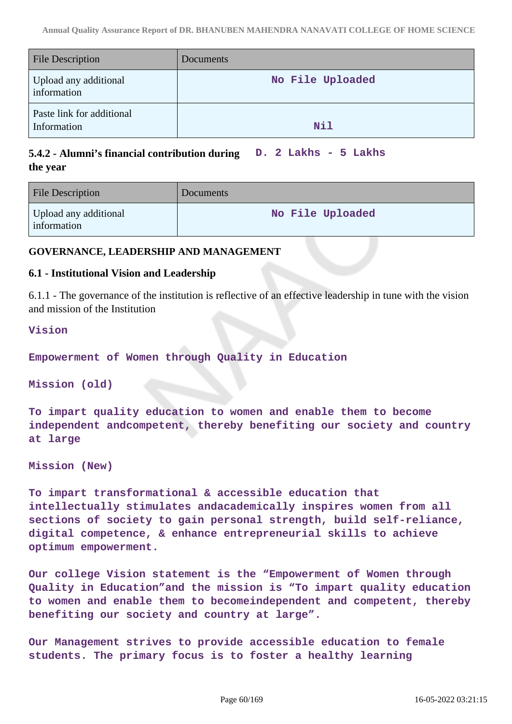| <b>File Description</b>                  | Documents        |
|------------------------------------------|------------------|
| Upload any additional<br>information     | No File Uploaded |
| Paste link for additional<br>Information | Nil              |

#### **5.4.2 - Alumni's financial contribution during the year D. 2 Lakhs - 5 Lakhs**

| <b>File Description</b>              | Documents        |
|--------------------------------------|------------------|
| Upload any additional<br>information | No File Uploaded |

## **GOVERNANCE, LEADERSHIP AND MANAGEMENT**

## **6.1 - Institutional Vision and Leadership**

6.1.1 - The governance of the institution is reflective of an effective leadership in tune with the vision and mission of the Institution

#### **Vision**

**Empowerment of Women through Quality in Education**

**Mission (old)**

**To impart quality education to women and enable them to become independent andcompetent, thereby benefiting our society and country at large**

**Mission (New)**

**To impart transformational & accessible education that intellectually stimulates andacademically inspires women from all sections of society to gain personal strength, build self-reliance, digital competence, & enhance entrepreneurial skills to achieve optimum empowerment.**

**Our college Vision statement is the "Empowerment of Women through Quality in Education"and the mission is "To impart quality education to women and enable them to becomeindependent and competent, thereby benefiting our society and country at large".**

**Our Management strives to provide accessible education to female students. The primary focus is to foster a healthy learning**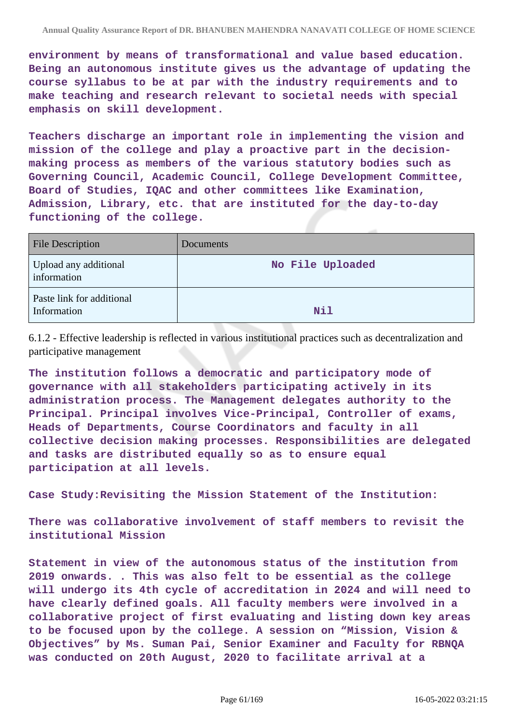**environment by means of transformational and value based education. Being an autonomous institute gives us the advantage of updating the course syllabus to be at par with the industry requirements and to make teaching and research relevant to societal needs with special emphasis on skill development.**

**Teachers discharge an important role in implementing the vision and mission of the college and play a proactive part in the decisionmaking process as members of the various statutory bodies such as Governing Council, Academic Council, College Development Committee, Board of Studies, IQAC and other committees like Examination, Admission, Library, etc. that are instituted for the day-to-day functioning of the college.**

| <b>File Description</b>                  | Documents        |
|------------------------------------------|------------------|
| Upload any additional<br>information     | No File Uploaded |
| Paste link for additional<br>Information | Nil              |

6.1.2 - Effective leadership is reflected in various institutional practices such as decentralization and participative management

**The institution follows a democratic and participatory mode of governance with all stakeholders participating actively in its administration process. The Management delegates authority to the Principal. Principal involves Vice-Principal, Controller of exams, Heads of Departments, Course Coordinators and faculty in all collective decision making processes. Responsibilities are delegated and tasks are distributed equally so as to ensure equal participation at all levels.**

**Case Study:Revisiting the Mission Statement of the Institution:**

**There was collaborative involvement of staff members to revisit the institutional Mission**

**Statement in view of the autonomous status of the institution from 2019 onwards. . This was also felt to be essential as the college will undergo its 4th cycle of accreditation in 2024 and will need to have clearly defined goals. All faculty members were involved in a collaborative project of first evaluating and listing down key areas to be focused upon by the college. A session on "Mission, Vision & Objectives" by Ms. Suman Pai, Senior Examiner and Faculty for RBNQA was conducted on 20th August, 2020 to facilitate arrival at a**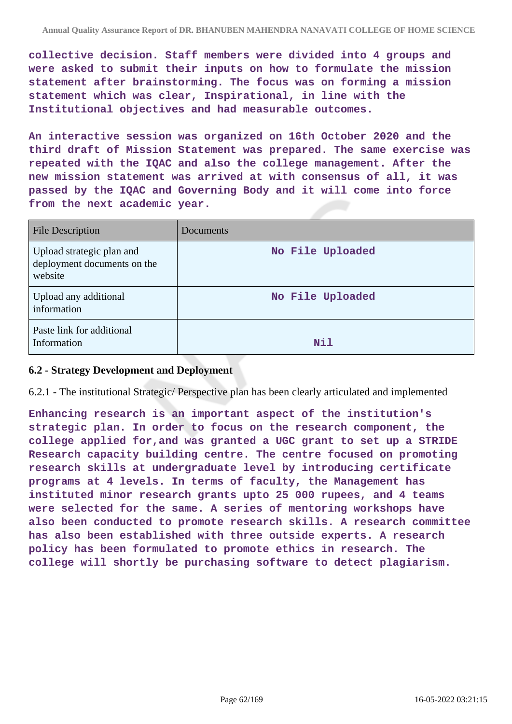**collective decision. Staff members were divided into 4 groups and were asked to submit their inputs on how to formulate the mission statement after brainstorming. The focus was on forming a mission statement which was clear, Inspirational, in line with the Institutional objectives and had measurable outcomes.**

**An interactive session was organized on 16th October 2020 and the third draft of Mission Statement was prepared. The same exercise was repeated with the IQAC and also the college management. After the new mission statement was arrived at with consensus of all, it was passed by the IQAC and Governing Body and it will come into force from the next academic year.**

| <b>File Description</b>                                             | <b>Documents</b> |
|---------------------------------------------------------------------|------------------|
| Upload strategic plan and<br>deployment documents on the<br>website | No File Uploaded |
| Upload any additional<br>information                                | No File Uploaded |
| Paste link for additional<br>Information                            | Nil              |

### **6.2 - Strategy Development and Deployment**

6.2.1 - The institutional Strategic/ Perspective plan has been clearly articulated and implemented

**Enhancing research is an important aspect of the institution's strategic plan. In order to focus on the research component, the college applied for,and was granted a UGC grant to set up a STRIDE Research capacity building centre. The centre focused on promoting research skills at undergraduate level by introducing certificate programs at 4 levels. In terms of faculty, the Management has instituted minor research grants upto 25 000 rupees, and 4 teams were selected for the same. A series of mentoring workshops have also been conducted to promote research skills. A research committee has also been established with three outside experts. A research policy has been formulated to promote ethics in research. The college will shortly be purchasing software to detect plagiarism.**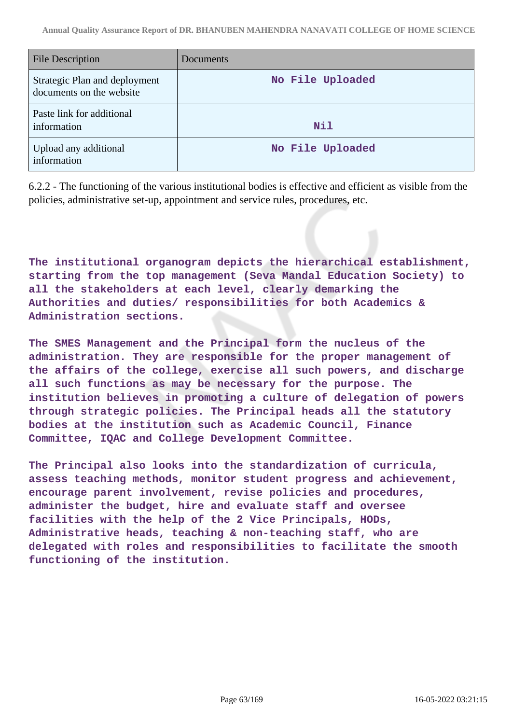| <b>File Description</b>                                   | Documents        |
|-----------------------------------------------------------|------------------|
| Strategic Plan and deployment<br>documents on the website | No File Uploaded |
| Paste link for additional<br>information                  | Nil              |
| Upload any additional<br>information                      | No File Uploaded |

6.2.2 - The functioning of the various institutional bodies is effective and efficient as visible from the policies, administrative set-up, appointment and service rules, procedures, etc.

**The institutional organogram depicts the hierarchical establishment, starting from the top management (Seva Mandal Education Society) to all the stakeholders at each level, clearly demarking the Authorities and duties/ responsibilities for both Academics & Administration sections.**

**The SMES Management and the Principal form the nucleus of the administration. They are responsible for the proper management of the affairs of the college, exercise all such powers, and discharge all such functions as may be necessary for the purpose. The institution believes in promoting a culture of delegation of powers through strategic policies. The Principal heads all the statutory bodies at the institution such as Academic Council, Finance Committee, IQAC and College Development Committee.**

**The Principal also looks into the standardization of curricula, assess teaching methods, monitor student progress and achievement, encourage parent involvement, revise policies and procedures, administer the budget, hire and evaluate staff and oversee facilities with the help of the 2 Vice Principals, HODs, Administrative heads, teaching & non-teaching staff, who are delegated with roles and responsibilities to facilitate the smooth functioning of the institution.**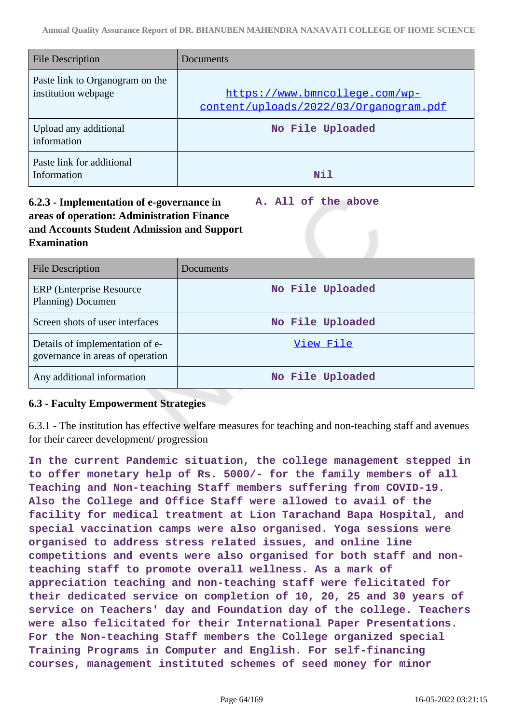| <b>File Description</b>                                | Documents                                                                |
|--------------------------------------------------------|--------------------------------------------------------------------------|
| Paste link to Organogram on the<br>institution webpage | https://www.bmncollege.com/wp-<br>content/uploads/2022/03/Organogram.pdf |
| Upload any additional<br>information                   | No File Uploaded                                                         |
| Paste link for additional<br>Information               | Nil                                                                      |

# **6.2.3 - Implementation of e-governance in areas of operation: Administration Finance and Accounts Student Admission and Support Examination**

**A. All of the above**

| <b>File Description</b>                                             | Documents        |
|---------------------------------------------------------------------|------------------|
| ERP (Enterprise Resource)<br>Planning) Documen                      | No File Uploaded |
| Screen shots of user interfaces                                     | No File Uploaded |
| Details of implementation of e-<br>governance in areas of operation | View File        |
| Any additional information                                          | No File Uploaded |

# **6.3 - Faculty Empowerment Strategies**

6.3.1 - The institution has effective welfare measures for teaching and non-teaching staff and avenues for their career development/ progression

**In the current Pandemic situation, the college management stepped in to offer monetary help of Rs. 5000/- for the family members of all Teaching and Non-teaching Staff members suffering from COVID-19. Also the College and Office Staff were allowed to avail of the facility for medical treatment at Lion Tarachand Bapa Hospital, and special vaccination camps were also organised. Yoga sessions were organised to address stress related issues, and online line competitions and events were also organised for both staff and nonteaching staff to promote overall wellness. As a mark of appreciation teaching and non-teaching staff were felicitated for their dedicated service on completion of 10, 20, 25 and 30 years of service on Teachers' day and Foundation day of the college. Teachers were also felicitated for their International Paper Presentations. For the Non-teaching Staff members the College organized special Training Programs in Computer and English. For self-financing courses, management instituted schemes of seed money for minor**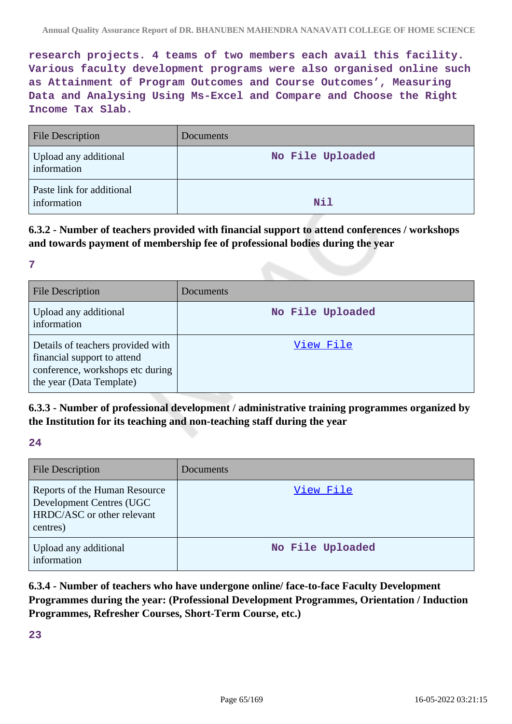**research projects. 4 teams of two members each avail this facility. Various faculty development programs were also organised online such as Attainment of Program Outcomes and Course Outcomes', Measuring Data and Analysing Using Ms-Excel and Compare and Choose the Right Income Tax Slab.**

| <b>File Description</b>                  | Documents        |
|------------------------------------------|------------------|
| Upload any additional<br>information     | No File Uploaded |
| Paste link for additional<br>information | Nil              |

**6.3.2 - Number of teachers provided with financial support to attend conferences / workshops and towards payment of membership fee of professional bodies during the year**

**7**

| <b>File Description</b>                                                                                                          | Documents        |
|----------------------------------------------------------------------------------------------------------------------------------|------------------|
| Upload any additional<br>information                                                                                             | No File Uploaded |
| Details of teachers provided with<br>financial support to attend<br>conference, workshops etc during<br>the year (Data Template) | View File        |

# **6.3.3 - Number of professional development / administrative training programmes organized by the Institution for its teaching and non-teaching staff during the year**

**24**

| <b>File Description</b>                                                                             | Documents        |
|-----------------------------------------------------------------------------------------------------|------------------|
| Reports of the Human Resource<br>Development Centres (UGC<br>HRDC/ASC or other relevant<br>centres) | View File        |
| Upload any additional<br>information                                                                | No File Uploaded |

**6.3.4 - Number of teachers who have undergone online/ face-to-face Faculty Development Programmes during the year: (Professional Development Programmes, Orientation / Induction Programmes, Refresher Courses, Short-Term Course, etc.)**

**23**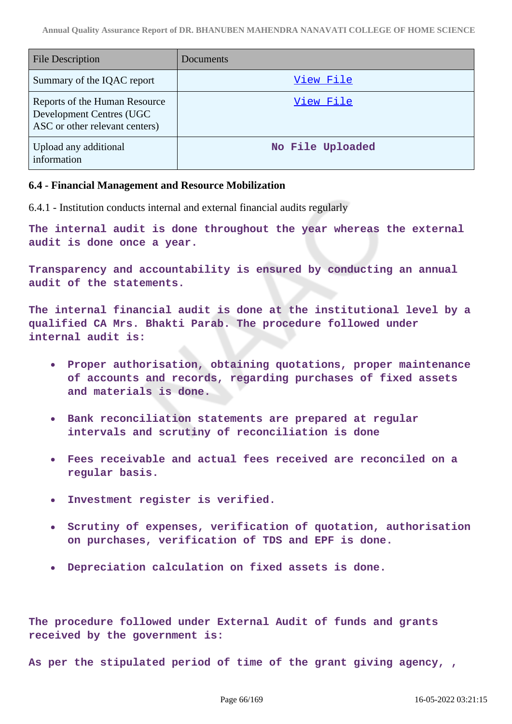| <b>File Description</b>                                                                     | Documents        |
|---------------------------------------------------------------------------------------------|------------------|
| Summary of the IQAC report                                                                  | View File        |
| Reports of the Human Resource<br>Development Centres (UGC<br>ASC or other relevant centers) | View File        |
| Upload any additional<br>information                                                        | No File Uploaded |

### **6.4 - Financial Management and Resource Mobilization**

6.4.1 - Institution conducts internal and external financial audits regularly

**The internal audit is done throughout the year whereas the external audit is done once a year.**

**Transparency and accountability is ensured by conducting an annual audit of the statements.**

**The internal financial audit is done at the institutional level by a qualified CA Mrs. Bhakti Parab. The procedure followed under internal audit is:**

- **Proper authorisation, obtaining quotations, proper maintenance of accounts and records, regarding purchases of fixed assets and materials is done.**
- **Bank reconciliation statements are prepared at regular intervals and scrutiny of reconciliation is done**
- **Fees receivable and actual fees received are reconciled on a regular basis.**
- **Investment register is verified.**
- **Scrutiny of expenses, verification of quotation, authorisation on purchases, verification of TDS and EPF is done.**
- **Depreciation calculation on fixed assets is done.**

**The procedure followed under External Audit of funds and grants received by the government is:**

**As per the stipulated period of time of the grant giving agency, ,**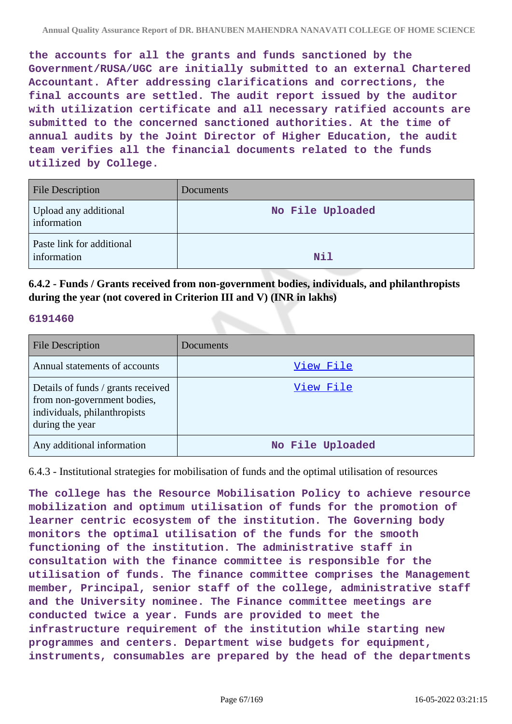**the accounts for all the grants and funds sanctioned by the Government/RUSA/UGC are initially submitted to an external Chartered Accountant. After addressing clarifications and corrections, the final accounts are settled. The audit report issued by the auditor with utilization certificate and all necessary ratified accounts are submitted to the concerned sanctioned authorities. At the time of annual audits by the Joint Director of Higher Education, the audit team verifies all the financial documents related to the funds utilized by College.**

| <b>File Description</b>                  | Documents        |
|------------------------------------------|------------------|
| Upload any additional<br>information     | No File Uploaded |
| Paste link for additional<br>information | <b>Nil</b>       |

**6.4.2 - Funds / Grants received from non-government bodies, individuals, and philanthropists during the year (not covered in Criterion III and V) (INR in lakhs)**

### **6191460**

| <b>File Description</b>                                                                                              | Documents        |
|----------------------------------------------------------------------------------------------------------------------|------------------|
| Annual statements of accounts                                                                                        | View File        |
| Details of funds / grants received<br>from non-government bodies,<br>individuals, philanthropists<br>during the year | View File        |
| Any additional information                                                                                           | No File Uploaded |

6.4.3 - Institutional strategies for mobilisation of funds and the optimal utilisation of resources

**The college has the Resource Mobilisation Policy to achieve resource mobilization and optimum utilisation of funds for the promotion of learner centric ecosystem of the institution. The Governing body monitors the optimal utilisation of the funds for the smooth functioning of the institution. The administrative staff in consultation with the finance committee is responsible for the utilisation of funds. The finance committee comprises the Management member, Principal, senior staff of the college, administrative staff and the University nominee. The Finance committee meetings are conducted twice a year. Funds are provided to meet the infrastructure requirement of the institution while starting new programmes and centers. Department wise budgets for equipment, instruments, consumables are prepared by the head of the departments**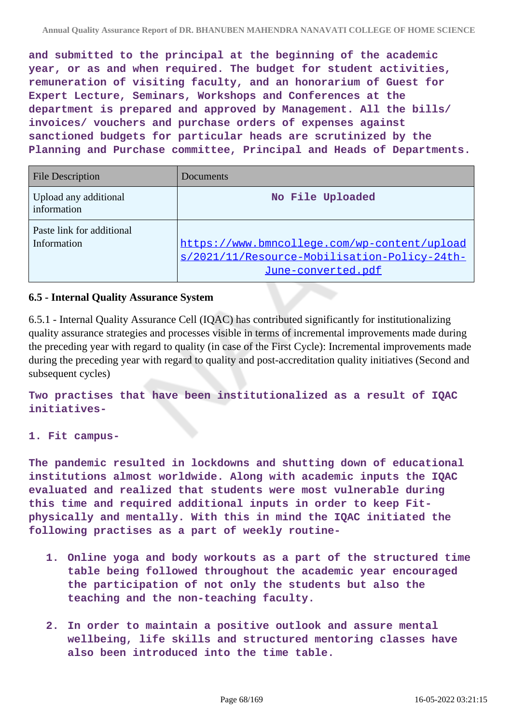**and submitted to the principal at the beginning of the academic year, or as and when required. The budget for student activities, remuneration of visiting faculty, and an honorarium of Guest for Expert Lecture, Seminars, Workshops and Conferences at the department is prepared and approved by Management. All the bills/ invoices/ vouchers and purchase orders of expenses against sanctioned budgets for particular heads are scrutinized by the Planning and Purchase committee, Principal and Heads of Departments.**

| <b>File Description</b>                  | Documents                                                                                                          |
|------------------------------------------|--------------------------------------------------------------------------------------------------------------------|
| Upload any additional<br>information     | No File Uploaded                                                                                                   |
| Paste link for additional<br>Information | https://www.bmncollege.com/wp-content/upload<br>s/2021/11/Resource-Mobilisation-Policy-24th-<br>June-converted.pdf |

## **6.5 - Internal Quality Assurance System**

6.5.1 - Internal Quality Assurance Cell (IQAC) has contributed significantly for institutionalizing quality assurance strategies and processes visible in terms of incremental improvements made during the preceding year with regard to quality (in case of the First Cycle): Incremental improvements made during the preceding year with regard to quality and post-accreditation quality initiatives (Second and subsequent cycles)

**Two practises that have been institutionalized as a result of IQAC initiatives-**

**1. Fit campus-**

**The pandemic resulted in lockdowns and shutting down of educational institutions almost worldwide. Along with academic inputs the IQAC evaluated and realized that students were most vulnerable during this time and required additional inputs in order to keep Fitphysically and mentally. With this in mind the IQAC initiated the following practises as a part of weekly routine-**

- **1. Online yoga and body workouts as a part of the structured time table being followed throughout the academic year encouraged the participation of not only the students but also the teaching and the non-teaching faculty.**
- **2. In order to maintain a positive outlook and assure mental wellbeing, life skills and structured mentoring classes have also been introduced into the time table.**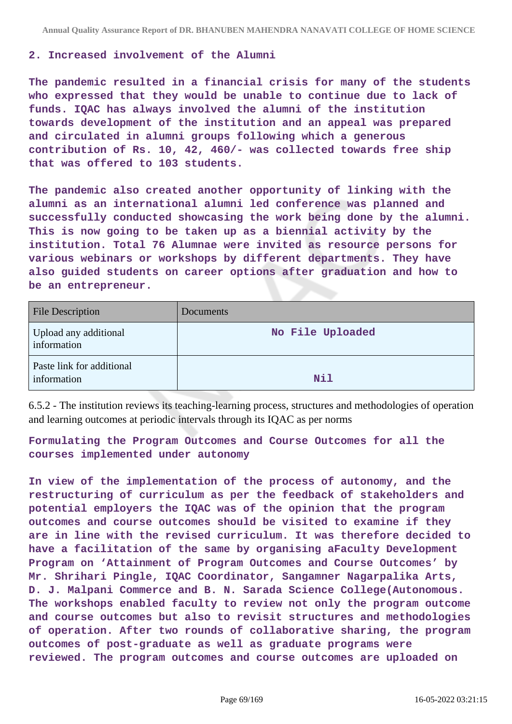#### **2. Increased involvement of the Alumni**

**The pandemic resulted in a financial crisis for many of the students who expressed that they would be unable to continue due to lack of funds. IQAC has always involved the alumni of the institution towards development of the institution and an appeal was prepared and circulated in alumni groups following which a generous contribution of Rs. 10, 42, 460/- was collected towards free ship that was offered to 103 students.**

**The pandemic also created another opportunity of linking with the alumni as an international alumni led conference was planned and successfully conducted showcasing the work being done by the alumni. This is now going to be taken up as a biennial activity by the institution. Total 76 Alumnae were invited as resource persons for various webinars or workshops by different departments. They have also guided students on career options after graduation and how to be an entrepreneur.**

| <b>File Description</b>                  | Documents        |
|------------------------------------------|------------------|
| Upload any additional<br>information     | No File Uploaded |
| Paste link for additional<br>information | Nil              |

6.5.2 - The institution reviews its teaching-learning process, structures and methodologies of operation and learning outcomes at periodic intervals through its IQAC as per norms

**Formulating the Program Outcomes and Course Outcomes for all the courses implemented under autonomy**

**In view of the implementation of the process of autonomy, and the restructuring of curriculum as per the feedback of stakeholders and potential employers the IQAC was of the opinion that the program outcomes and course outcomes should be visited to examine if they are in line with the revised curriculum. It was therefore decided to have a facilitation of the same by organising aFaculty Development Program on 'Attainment of Program Outcomes and Course Outcomes' by Mr. Shrihari Pingle, IQAC Coordinator, Sangamner Nagarpalika Arts, D. J. Malpani Commerce and B. N. Sarada Science College(Autonomous. The workshops enabled faculty to review not only the program outcome and course outcomes but also to revisit structures and methodologies of operation. After two rounds of collaborative sharing, the program outcomes of post-graduate as well as graduate programs were reviewed. The program outcomes and course outcomes are uploaded on**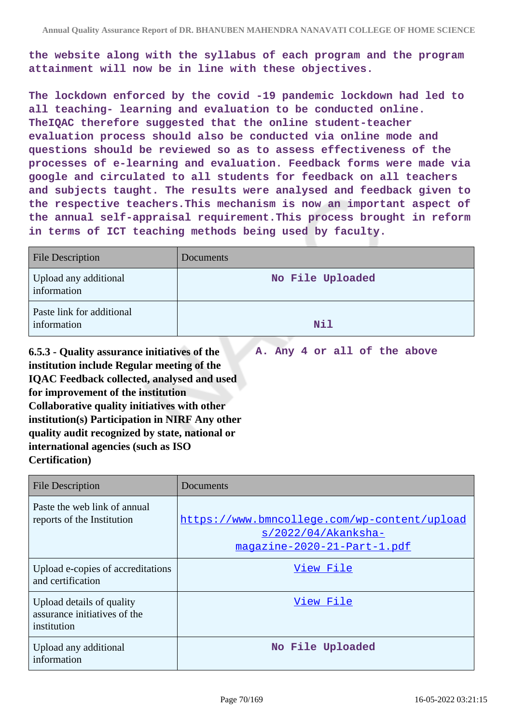**the website along with the syllabus of each program and the program attainment will now be in line with these objectives.**

**The lockdown enforced by the covid -19 pandemic lockdown had led to all teaching- learning and evaluation to be conducted online. TheIQAC therefore suggested that the online student-teacher evaluation process should also be conducted via online mode and questions should be reviewed so as to assess effectiveness of the processes of e-learning and evaluation. Feedback forms were made via google and circulated to all students for feedback on all teachers and subjects taught. The results were analysed and feedback given to the respective teachers.This mechanism is now an important aspect of the annual self-appraisal requirement.This process brought in reform in terms of ICT teaching methods being used by faculty.**

| <b>File Description</b>                  | Documents        |
|------------------------------------------|------------------|
| Upload any additional<br>information     | No File Uploaded |
| Paste link for additional<br>information | Nil              |

**6.5.3 - Quality assurance initiatives of the institution include Regular meeting of the IQAC Feedback collected, analysed and used for improvement of the institution Collaborative quality initiatives with other institution(s) Participation in NIRF Any other quality audit recognized by state, national or international agencies (such as ISO Certification) A. Any 4 or all of the above**

| <b>File Description</b>                                                  | Documents                                                                                             |
|--------------------------------------------------------------------------|-------------------------------------------------------------------------------------------------------|
| Paste the web link of annual<br>reports of the Institution               | https://www.bmncollege.com/wp-content/upload<br>$s/2022/04/Akanks$ ha-<br>magazine-2020-21-Part-1.pdf |
| Upload e-copies of accreditations<br>and certification                   | View File                                                                                             |
| Upload details of quality<br>assurance initiatives of the<br>institution | View File                                                                                             |
| Upload any additional<br>information                                     | No File Uploaded                                                                                      |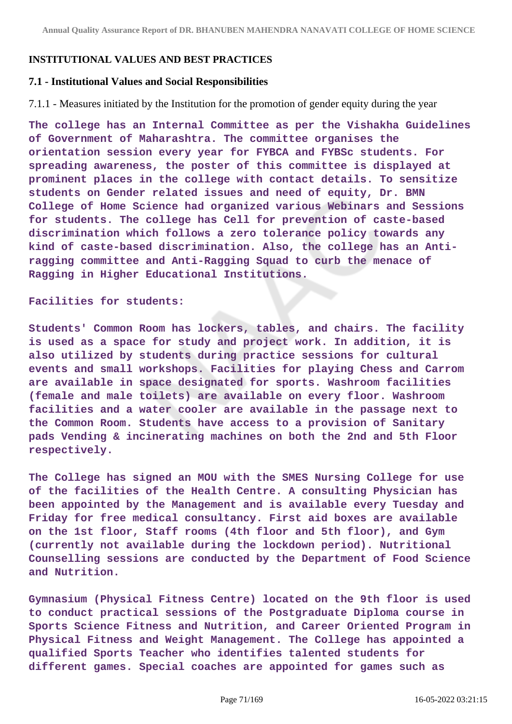### **INSTITUTIONAL VALUES AND BEST PRACTICES**

#### **7.1 - Institutional Values and Social Responsibilities**

7.1.1 - Measures initiated by the Institution for the promotion of gender equity during the year

**The college has an Internal Committee as per the Vishakha Guidelines of Government of Maharashtra. The committee organises the orientation session every year for FYBCA and FYBSc students. For spreading awareness, the poster of this committee is displayed at prominent places in the college with contact details. To sensitize students on Gender related issues and need of equity, Dr. BMN College of Home Science had organized various Webinars and Sessions for students. The college has Cell for prevention of caste-based discrimination which follows a zero tolerance policy towards any kind of caste-based discrimination. Also, the college has an Antiragging committee and Anti-Ragging Squad to curb the menace of Ragging in Higher Educational Institutions.**

#### **Facilities for students:**

**Students' Common Room has lockers, tables, and chairs. The facility is used as a space for study and project work. In addition, it is also utilized by students during practice sessions for cultural events and small workshops. Facilities for playing Chess and Carrom are available in space designated for sports. Washroom facilities (female and male toilets) are available on every floor. Washroom facilities and a water cooler are available in the passage next to the Common Room. Students have access to a provision of Sanitary pads Vending & incinerating machines on both the 2nd and 5th Floor respectively.**

**The College has signed an MOU with the SMES Nursing College for use of the facilities of the Health Centre. A consulting Physician has been appointed by the Management and is available every Tuesday and Friday for free medical consultancy. First aid boxes are available on the 1st floor, Staff rooms (4th floor and 5th floor), and Gym (currently not available during the lockdown period). Nutritional Counselling sessions are conducted by the Department of Food Science and Nutrition.**

**Gymnasium (Physical Fitness Centre) located on the 9th floor is used to conduct practical sessions of the Postgraduate Diploma course in Sports Science Fitness and Nutrition, and Career Oriented Program in Physical Fitness and Weight Management. The College has appointed a qualified Sports Teacher who identifies talented students for different games. Special coaches are appointed for games such as**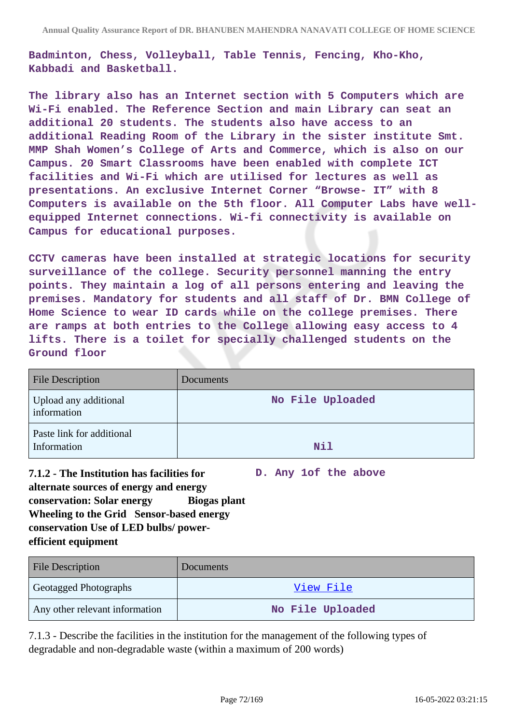**Badminton, Chess, Volleyball, Table Tennis, Fencing, Kho-Kho, Kabbadi and Basketball.**

**The library also has an Internet section with 5 Computers which are Wi-Fi enabled. The Reference Section and main Library can seat an additional 20 students. The students also have access to an additional Reading Room of the Library in the sister institute Smt. MMP Shah Women's College of Arts and Commerce, which is also on our Campus. 20 Smart Classrooms have been enabled with complete ICT facilities and Wi-Fi which are utilised for lectures as well as presentations. An exclusive Internet Corner "Browse- IT" with 8 Computers is available on the 5th floor. All Computer Labs have wellequipped Internet connections. Wi-fi connectivity is available on Campus for educational purposes.**

**CCTV cameras have been installed at strategic locations for security surveillance of the college. Security personnel manning the entry points. They maintain a log of all persons entering and leaving the premises. Mandatory for students and all staff of Dr. BMN College of Home Science to wear ID cards while on the college premises. There are ramps at both entries to the College allowing easy access to 4 lifts. There is a toilet for specially challenged students on the Ground floor**

| <b>File Description</b>                  | <b>Documents</b> |
|------------------------------------------|------------------|
| Upload any additional<br>information     | No File Uploaded |
| Paste link for additional<br>Information | Nil              |

**7.1.2 - The Institution has facilities for alternate sources of energy and energy conservation: Solar energy Biogas plant Wheeling to the Grid Sensor-based energy conservation Use of LED bulbs/ powerefficient equipment D. Any 1of the above**

| <b>File Description</b>        | Documents        |
|--------------------------------|------------------|
| <b>Geotagged Photographs</b>   | View File        |
| Any other relevant information | No File Uploaded |

7.1.3 - Describe the facilities in the institution for the management of the following types of degradable and non-degradable waste (within a maximum of 200 words)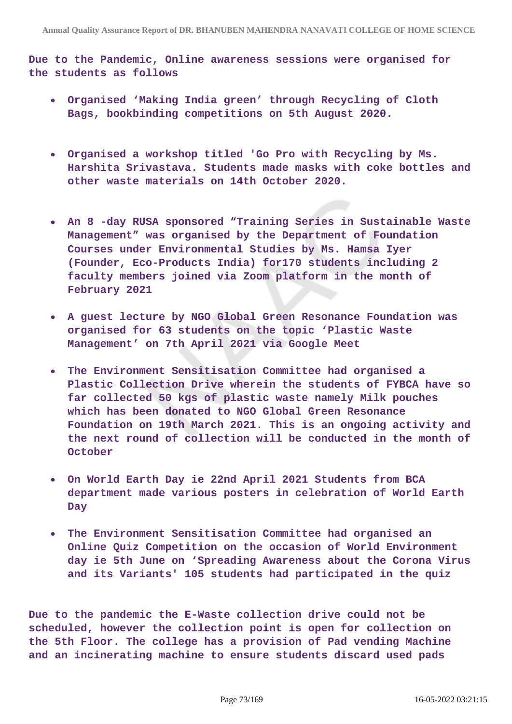**Due to the Pandemic, Online awareness sessions were organised for the students as follows**

- **Organised 'Making India green' through Recycling of Cloth Bags, bookbinding competitions on 5th August 2020.**
- **Organised a workshop titled 'Go Pro with Recycling by Ms. Harshita Srivastava. Students made masks with coke bottles and other waste materials on 14th October 2020.**
- **An 8 -day RUSA sponsored "Training Series in Sustainable Waste Management" was organised by the Department of Foundation Courses under Environmental Studies by Ms. Hamsa Iyer (Founder, Eco-Products India) for170 students including 2 faculty members joined via Zoom platform in the month of February 2021**
- **A guest lecture by NGO Global Green Resonance Foundation was organised for 63 students on the topic 'Plastic Waste Management' on 7th April 2021 via Google Meet**
- **The Environment Sensitisation Committee had organised a Plastic Collection Drive wherein the students of FYBCA have so far collected 50 kgs of plastic waste namely Milk pouches which has been donated to NGO Global Green Resonance Foundation on 19th March 2021. This is an ongoing activity and the next round of collection will be conducted in the month of October**
- **On World Earth Day ie 22nd April 2021 Students from BCA department made various posters in celebration of World Earth Day**
- **The Environment Sensitisation Committee had organised an Online Quiz Competition on the occasion of World Environment day ie 5th June on 'Spreading Awareness about the Corona Virus and its Variants' 105 students had participated in the quiz**

**Due to the pandemic the E-Waste collection drive could not be scheduled, however the collection point is open for collection on the 5th Floor. The college has a provision of Pad vending Machine and an incinerating machine to ensure students discard used pads**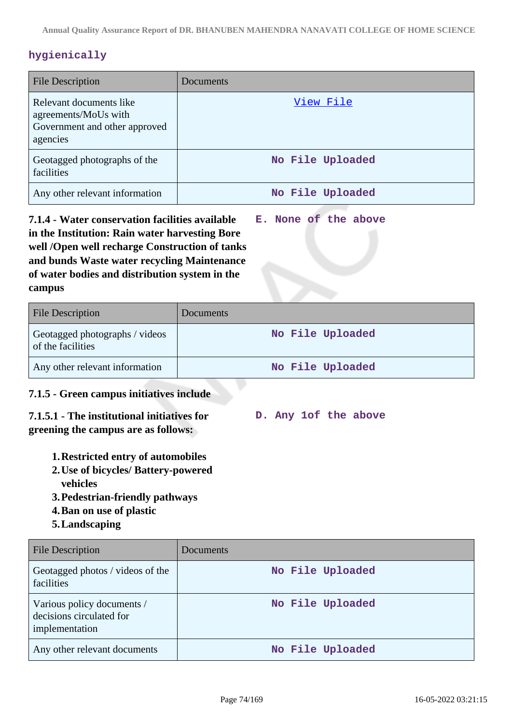# **hygienically**

| <b>File Description</b>                                                                      | Documents        |
|----------------------------------------------------------------------------------------------|------------------|
| Relevant documents like<br>agreements/MoUs with<br>Government and other approved<br>agencies | View File        |
| Geotagged photographs of the<br>facilities                                                   | No File Uploaded |
| Any other relevant information                                                               | No File Uploaded |

**7.1.4 - Water conservation facilities available in the Institution: Rain water harvesting Bore well /Open well recharge Construction of tanks and bunds Waste water recycling Maintenance of water bodies and distribution system in the campus E. None of the above**

| <b>File Description</b>                             | <b>Documents</b> |
|-----------------------------------------------------|------------------|
| Geotagged photographs / videos<br>of the facilities | No File Uploaded |
| Any other relevant information                      | No File Uploaded |

**D. Any 1of the above**

## **7.1.5 - Green campus initiatives include**

## **7.1.5.1 - The institutional initiatives for greening the campus are as follows:**

- **1.Restricted entry of automobiles**
- **2.Use of bicycles/ Battery-powered**
	- **vehicles**
- **3.Pedestrian-friendly pathways**
- **4.Ban on use of plastic**
- **5.Landscaping**

| <b>File Description</b>                                                  | Documents        |
|--------------------------------------------------------------------------|------------------|
| Geotagged photos / videos of the<br>facilities                           | No File Uploaded |
| Various policy documents /<br>decisions circulated for<br>implementation | No File Uploaded |
| Any other relevant documents                                             | No File Uploaded |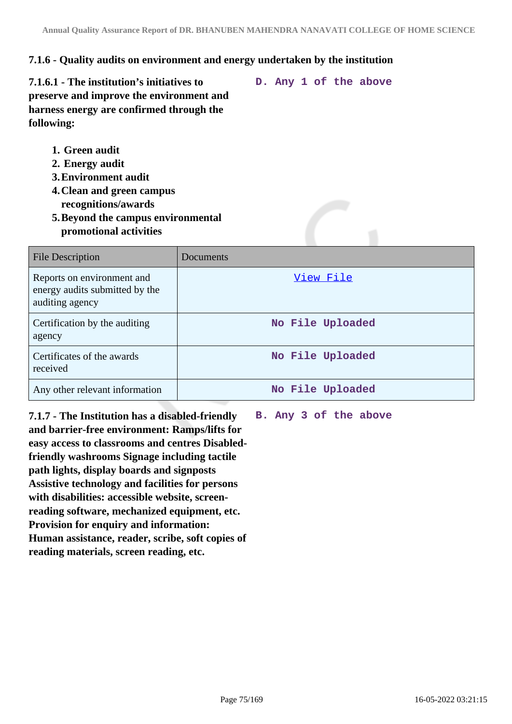## **7.1.6 - Quality audits on environment and energy undertaken by the institution**

**7.1.6.1 - The institution's initiatives to preserve and improve the environment and harness energy are confirmed through the following:**

- **1. Green audit**
- **2. Energy audit**
- **3.Environment audit**
- **4.Clean and green campus recognitions/awards**
- **5.Beyond the campus environmental promotional activities**

| File Description                                                                | Documents        |
|---------------------------------------------------------------------------------|------------------|
| Reports on environment and<br>energy audits submitted by the<br>auditing agency | View File        |
| Certification by the auditing<br>agency                                         | No File Uploaded |
| Certificates of the awards<br>received                                          | No File Uploaded |
| Any other relevant information                                                  | No File Uploaded |

**7.1.7 - The Institution has a disabled-friendly and barrier-free environment: Ramps/lifts for easy access to classrooms and centres Disabledfriendly washrooms Signage including tactile path lights, display boards and signposts Assistive technology and facilities for persons with disabilities: accessible website, screenreading software, mechanized equipment, etc. Provision for enquiry and information: Human assistance, reader, scribe, soft copies of reading materials, screen reading, etc.**

**B. Any 3 of the above**

**D. Any 1 of the above**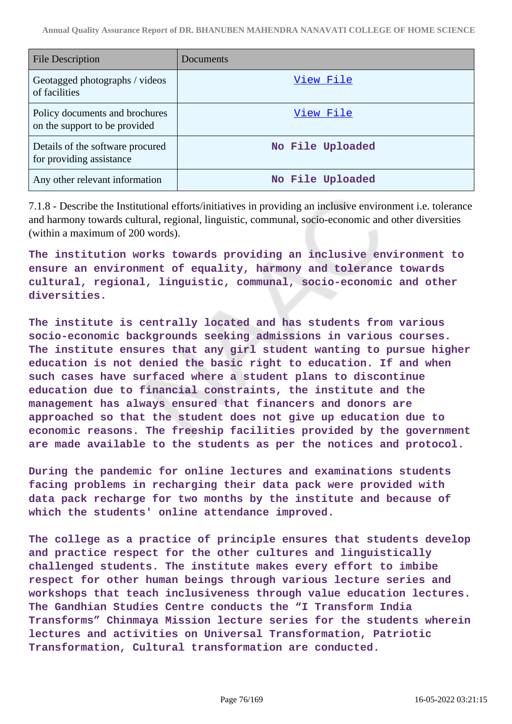| <b>File Description</b>                                         | Documents        |
|-----------------------------------------------------------------|------------------|
| Geotagged photographs / videos<br>of facilities                 | View File        |
| Policy documents and brochures<br>on the support to be provided | View File        |
| Details of the software procured<br>for providing assistance    | No File Uploaded |
| Any other relevant information                                  | No File Uploaded |

7.1.8 - Describe the Institutional efforts/initiatives in providing an inclusive environment i.e. tolerance and harmony towards cultural, regional, linguistic, communal, socio-economic and other diversities (within a maximum of 200 words).

**The institution works towards providing an inclusive environment to ensure an environment of equality, harmony and tolerance towards cultural, regional, linguistic, communal, socio-economic and other diversities.**

**The institute is centrally located and has students from various socio-economic backgrounds seeking admissions in various courses. The institute ensures that any girl student wanting to pursue higher education is not denied the basic right to education. If and when such cases have surfaced where a student plans to discontinue education due to financial constraints, the institute and the management has always ensured that financers and donors are approached so that the student does not give up education due to economic reasons. The freeship facilities provided by the government are made available to the students as per the notices and protocol.**

**During the pandemic for online lectures and examinations students facing problems in recharging their data pack were provided with data pack recharge for two months by the institute and because of which the students' online attendance improved.**

**The college as a practice of principle ensures that students develop and practice respect for the other cultures and linguistically challenged students. The institute makes every effort to imbibe respect for other human beings through various lecture series and workshops that teach inclusiveness through value education lectures. The Gandhian Studies Centre conducts the "I Transform India Transforms" Chinmaya Mission lecture series for the students wherein lectures and activities on Universal Transformation, Patriotic Transformation, Cultural transformation are conducted.**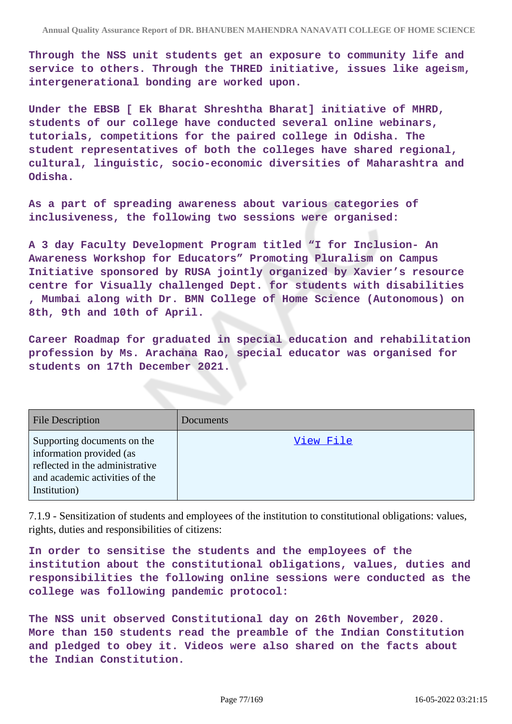**Through the NSS unit students get an exposure to community life and service to others. Through the THRED initiative, issues like ageism, intergenerational bonding are worked upon.**

**Under the EBSB [ Ek Bharat Shreshtha Bharat] initiative of MHRD, students of our college have conducted several online webinars, tutorials, competitions for the paired college in Odisha. The student representatives of both the colleges have shared regional, cultural, linguistic, socio-economic diversities of Maharashtra and Odisha.**

**As a part of spreading awareness about various categories of inclusiveness, the following two sessions were organised:**

**A 3 day Faculty Development Program titled "I for Inclusion- An Awareness Workshop for Educators" Promoting Pluralism on Campus Initiative sponsored by RUSA jointly organized by Xavier's resource centre for Visually challenged Dept. for students with disabilities , Mumbai along with Dr. BMN College of Home Science (Autonomous) on 8th, 9th and 10th of April.**

**Career Roadmap for graduated in special education and rehabilitation profession by Ms. Arachana Rao, special educator was organised for students on 17th December 2021.**

| <b>File Description</b>                                                                                                                      | <b>Documents</b> |
|----------------------------------------------------------------------------------------------------------------------------------------------|------------------|
| Supporting documents on the<br>information provided (as<br>reflected in the administrative<br>and academic activities of the<br>Institution) | View File        |

7.1.9 - Sensitization of students and employees of the institution to constitutional obligations: values, rights, duties and responsibilities of citizens:

**In order to sensitise the students and the employees of the institution about the constitutional obligations, values, duties and responsibilities the following online sessions were conducted as the college was following pandemic protocol:**

**The NSS unit observed Constitutional day on 26th November, 2020. More than 150 students read the preamble of the Indian Constitution and pledged to obey it. Videos were also shared on the facts about the Indian Constitution.**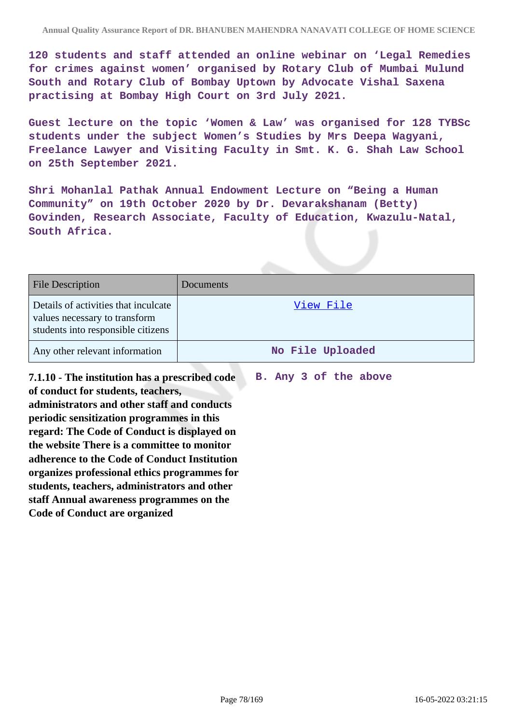**120 students and staff attended an online webinar on 'Legal Remedies for crimes against women' organised by Rotary Club of Mumbai Mulund South and Rotary Club of Bombay Uptown by Advocate Vishal Saxena practising at Bombay High Court on 3rd July 2021.**

**Guest lecture on the topic 'Women & Law' was organised for 128 TYBSc students under the subject Women's Studies by Mrs Deepa Wagyani, Freelance Lawyer and Visiting Faculty in Smt. K. G. Shah Law School on 25th September 2021.**

**Shri Mohanlal Pathak Annual Endowment Lecture on "Being a Human Community" on 19th October 2020 by Dr. Devarakshanam (Betty) Govinden, Research Associate, Faculty of Education, Kwazulu-Natal, South Africa.**

| <b>File Description</b>                                                                                     | Documents        |
|-------------------------------------------------------------------------------------------------------------|------------------|
| Details of activities that inculcate<br>values necessary to transform<br>students into responsible citizens | View File        |
| Any other relevant information                                                                              | No File Uploaded |

**7.1.10 - The institution has a prescribed code of conduct for students, teachers, administrators and other staff and conducts periodic sensitization programmes in this regard: The Code of Conduct is displayed on the website There is a committee to monitor adherence to the Code of Conduct Institution organizes professional ethics programmes for students, teachers, administrators and other staff Annual awareness programmes on the Code of Conduct are organized** 

**B. Any 3 of the above**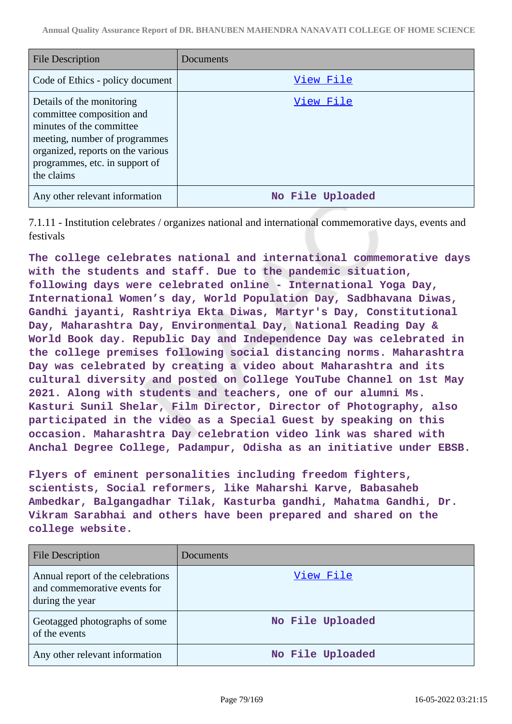| <b>File Description</b>                                                                                                                                                                                  | Documents        |
|----------------------------------------------------------------------------------------------------------------------------------------------------------------------------------------------------------|------------------|
| Code of Ethics - policy document                                                                                                                                                                         | View File        |
| Details of the monitoring<br>committee composition and<br>minutes of the committee<br>meeting, number of programmes<br>organized, reports on the various<br>programmes, etc. in support of<br>the claims | View File        |
| Any other relevant information                                                                                                                                                                           | No File Uploaded |

7.1.11 - Institution celebrates / organizes national and international commemorative days, events and festivals

**The college celebrates national and international commemorative days with the students and staff. Due to the pandemic situation, following days were celebrated online - International Yoga Day, International Women's day, World Population Day, Sadbhavana Diwas, Gandhi jayanti, Rashtriya Ekta Diwas, Martyr's Day, Constitutional Day, Maharashtra Day, Environmental Day, National Reading Day & World Book day. Republic Day and Independence Day was celebrated in the college premises following social distancing norms. Maharashtra Day was celebrated by creating a video about Maharashtra and its cultural diversity and posted on College YouTube Channel on 1st May 2021. Along with students and teachers, one of our alumni Ms. Kasturi Sunil Shelar, Film Director, Director of Photography, also participated in the video as a Special Guest by speaking on this occasion. Maharashtra Day celebration video link was shared with Anchal Degree College, Padampur, Odisha as an initiative under EBSB.**

**Flyers of eminent personalities including freedom fighters, scientists, Social reformers, like Maharshi Karve, Babasaheb Ambedkar, Balgangadhar Tilak, Kasturba gandhi, Mahatma Gandhi, Dr. Vikram Sarabhai and others have been prepared and shared on the college website.**

| <b>File Description</b>                                                              | Documents        |
|--------------------------------------------------------------------------------------|------------------|
| Annual report of the celebrations<br>and commemorative events for<br>during the year | View File        |
| Geotagged photographs of some<br>of the events                                       | No File Uploaded |
| Any other relevant information                                                       | No File Uploaded |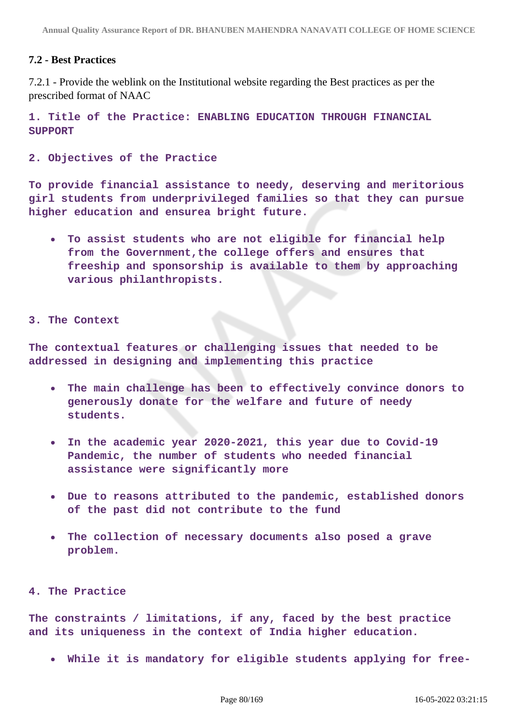## **7.2 - Best Practices**

7.2.1 - Provide the weblink on the Institutional website regarding the Best practices as per the prescribed format of NAAC

**1. Title of the Practice: ENABLING EDUCATION THROUGH FINANCIAL SUPPORT**

**2. Objectives of the Practice**

**To provide financial assistance to needy, deserving and meritorious girl students from underprivileged families so that they can pursue higher education and ensurea bright future.**

**To assist students who are not eligible for financial help from the Government,the college offers and ensures that freeship and sponsorship is available to them by approaching various philanthropists.**

#### **3. The Context**

**The contextual features or challenging issues that needed to be addressed in designing and implementing this practice**

- **The main challenge has been to effectively convince donors to generously donate for the welfare and future of needy students.**
- **In the academic year 2020-2021, this year due to Covid-19 Pandemic, the number of students who needed financial assistance were significantly more**
- **Due to reasons attributed to the pandemic, established donors of the past did not contribute to the fund**
- **The collection of necessary documents also posed a grave problem.**

#### **4. The Practice**

**The constraints / limitations, if any, faced by the best practice and its uniqueness in the context of India higher education.**

**While it is mandatory for eligible students applying for free-**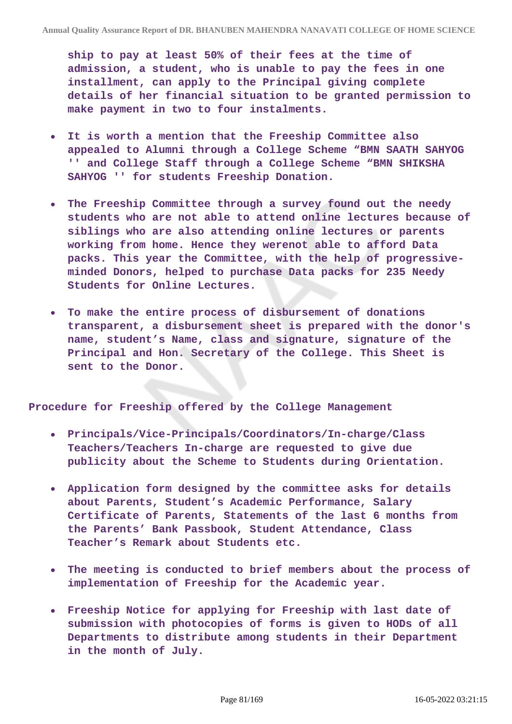**ship to pay at least 50% of their fees at the time of admission, a student, who is unable to pay the fees in one installment, can apply to the Principal giving complete details of her financial situation to be granted permission to make payment in two to four instalments.**

- **It is worth a mention that the Freeship Committee also appealed to Alumni through a College Scheme "BMN SAATH SAHYOG '' and College Staff through a College Scheme "BMN SHIKSHA SAHYOG '' for students Freeship Donation.**
- **The Freeship Committee through a survey found out the needy**  $\bullet$ **students who are not able to attend online lectures because of siblings who are also attending online lectures or parents working from home. Hence they werenot able to afford Data packs. This year the Committee, with the help of progressiveminded Donors, helped to purchase Data packs for 235 Needy Students for Online Lectures.**
- **To make the entire process of disbursement of donations transparent, a disbursement sheet is prepared with the donor's name, student's Name, class and signature, signature of the Principal and Hon. Secretary of the College. This Sheet is sent to the Donor.**

**Procedure for Freeship offered by the College Management**

- **Principals/Vice-Principals/Coordinators/In-charge/Class Teachers/Teachers In-charge are requested to give due publicity about the Scheme to Students during Orientation.**
- **Application form designed by the committee asks for details about Parents, Student's Academic Performance, Salary Certificate of Parents, Statements of the last 6 months from the Parents' Bank Passbook, Student Attendance, Class Teacher's Remark about Students etc.**
- **The meeting is conducted to brief members about the process of**  $\bullet$ **implementation of Freeship for the Academic year.**
- **Freeship Notice for applying for Freeship with last date of submission with photocopies of forms is given to HODs of all Departments to distribute among students in their Department in the month of July.**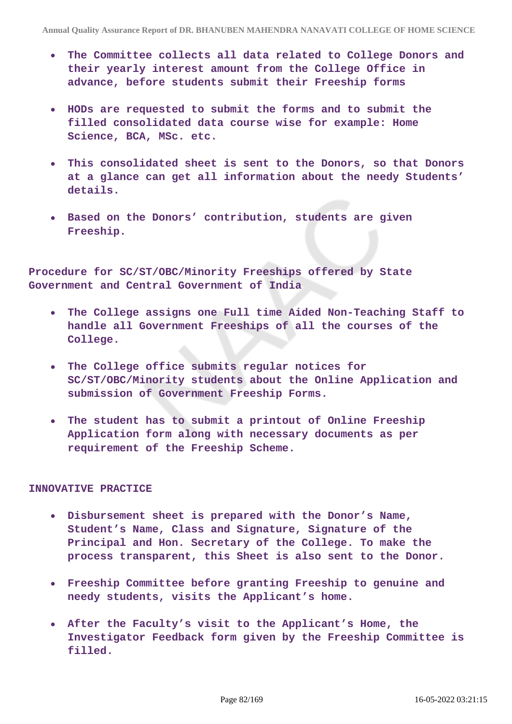- **The Committee collects all data related to College Donors and their yearly interest amount from the College Office in advance, before students submit their Freeship forms**
- **HODs are requested to submit the forms and to submit the filled consolidated data course wise for example: Home Science, BCA, MSc. etc.**
- **This consolidated sheet is sent to the Donors, so that Donors at a glance can get all information about the needy Students' details.**
- **Based on the Donors' contribution, students are given Freeship.**

**Procedure for SC/ST/OBC/Minority Freeships offered by State Government and Central Government of India**

- **The College assigns one Full time Aided Non-Teaching Staff to handle all Government Freeships of all the courses of the College.**
- **The College office submits regular notices for SC/ST/OBC/Minority students about the Online Application and submission of Government Freeship Forms.**
- **The student has to submit a printout of Online Freeship Application form along with necessary documents as per requirement of the Freeship Scheme.**

#### **INNOVATIVE PRACTICE**

- **Disbursement sheet is prepared with the Donor's Name, Student's Name, Class and Signature, Signature of the Principal and Hon. Secretary of the College. To make the process transparent, this Sheet is also sent to the Donor.**
- **Freeship Committee before granting Freeship to genuine and needy students, visits the Applicant's home.**
- **After the Faculty's visit to the Applicant's Home, the Investigator Feedback form given by the Freeship Committee is filled.**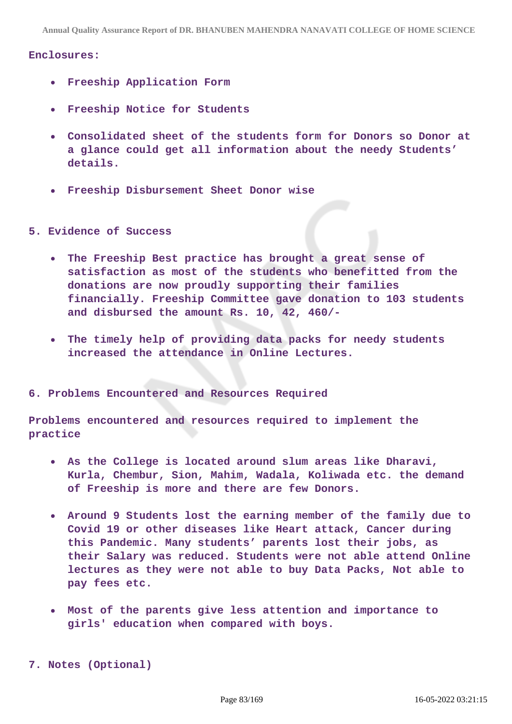**Annual Quality Assurance Report of DR. BHANUBEN MAHENDRA NANAVATI COLLEGE OF HOME SCIENCE**

#### **Enclosures:**

- **Freeship Application Form**
- **Freeship Notice for Students**
- **Consolidated sheet of the students form for Donors so Donor at a glance could get all information about the needy Students' details.**
- **Freeship Disbursement Sheet Donor wise**
- **5. Evidence of Success**
	- **The Freeship Best practice has brought a great sense of**  $\bullet$ **satisfaction as most of the students who benefitted from the donations are now proudly supporting their families financially. Freeship Committee gave donation to 103 students and disbursed the amount Rs. 10, 42, 460/-**
	- **The timely help of providing data packs for needy students increased the attendance in Online Lectures.**

#### **6. Problems Encountered and Resources Required**

**Problems encountered and resources required to implement the practice**

- **As the College is located around slum areas like Dharavi, Kurla, Chembur, Sion, Mahim, Wadala, Koliwada etc. the demand of Freeship is more and there are few Donors.**
- **Around 9 Students lost the earning member of the family due to Covid 19 or other diseases like Heart attack, Cancer during this Pandemic. Many students' parents lost their jobs, as their Salary was reduced. Students were not able attend Online lectures as they were not able to buy Data Packs, Not able to pay fees etc.**
- **Most of the parents give less attention and importance to girls' education when compared with boys.**

**7. Notes (Optional)**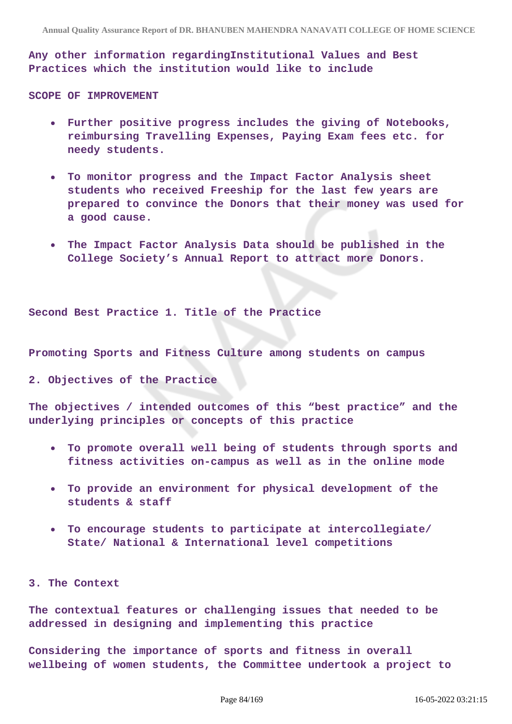**Any other information regardingInstitutional Values and Best Practices which the institution would like to include**

**SCOPE OF IMPROVEMENT**

- **Further positive progress includes the giving of Notebooks, reimbursing Travelling Expenses, Paying Exam fees etc. for needy students.**
- **To monitor progress and the Impact Factor Analysis sheet students who received Freeship for the last few years are prepared to convince the Donors that their money was used for a good cause.**
- **The Impact Factor Analysis Data should be published in the College Society's Annual Report to attract more Donors.**

**Second Best Practice 1. Title of the Practice** 

**Promoting Sports and Fitness Culture among students on campus**

**2. Objectives of the Practice**

**The objectives / intended outcomes of this "best practice" and the underlying principles or concepts of this practice**

- **To promote overall well being of students through sports and**  $\bullet$ **fitness activities on-campus as well as in the online mode**
- **To provide an environment for physical development of the students & staff**
- **To encourage students to participate at intercollegiate/ State/ National & International level competitions**

**3. The Context**

**The contextual features or challenging issues that needed to be addressed in designing and implementing this practice**

**Considering the importance of sports and fitness in overall wellbeing of women students, the Committee undertook a project to**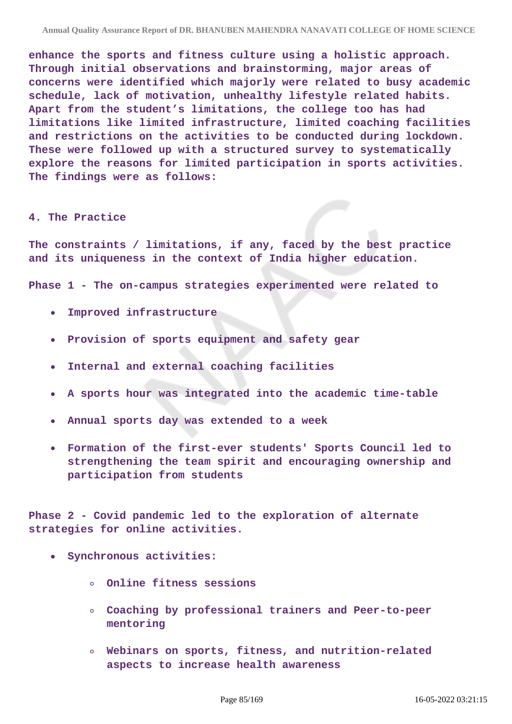**enhance the sports and fitness culture using a holistic approach. Through initial observations and brainstorming, major areas of concerns were identified which majorly were related to busy academic schedule, lack of motivation, unhealthy lifestyle related habits. Apart from the student's limitations, the college too has had limitations like limited infrastructure, limited coaching facilities and restrictions on the activities to be conducted during lockdown. These were followed up with a structured survey to systematically explore the reasons for limited participation in sports activities. The findings were as follows:**

#### **4. The Practice**

**The constraints / limitations, if any, faced by the best practice and its uniqueness in the context of India higher education.**

**Phase 1 - The on-campus strategies experimented were related to**

- **Improved infrastructure**  $\bullet$
- **Provision of sports equipment and safety gear**
- **Internal and external coaching facilities**
- **A sports hour was integrated into the academic time-table**
- **Annual sports day was extended to a week**
- **Formation of the first-ever students' Sports Council led to strengthening the team spirit and encouraging ownership and participation from students**

**Phase 2 - Covid pandemic led to the exploration of alternate strategies for online activities.**

- **Synchronous activities:**
	- **Online fitness sessions**
	- **Coaching by professional trainers and Peer-to-peer mentoring**
	- **Webinars on sports, fitness, and nutrition-related aspects to increase health awareness**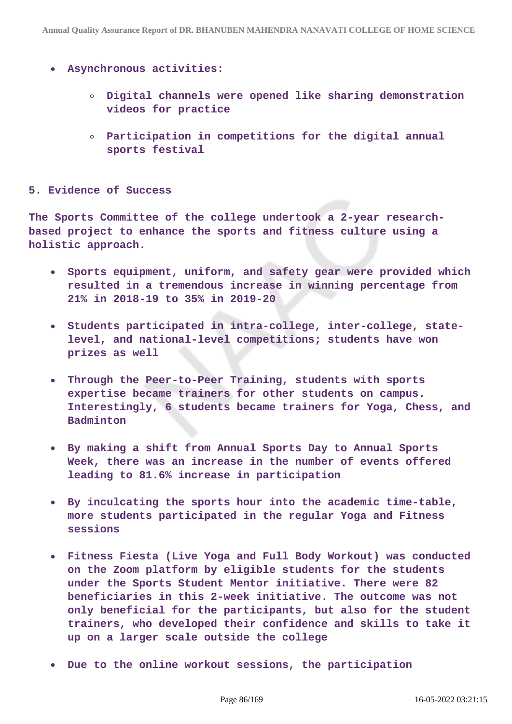- **Asynchronous activities:**
	- **Digital channels were opened like sharing demonstration videos for practice**
	- **Participation in competitions for the digital annual sports festival**

#### **5. Evidence of Success**

**The Sports Committee of the college undertook a 2-year researchbased project to enhance the sports and fitness culture using a holistic approach.**

- **Sports equipment, uniform, and safety gear were provided which**  $\bullet$ **resulted in a tremendous increase in winning percentage from 21% in 2018-19 to 35% in 2019-20**
- **Students participated in intra-college, inter-college, statelevel, and national-level competitions; students have won prizes as well**
- **Through the Peer-to-Peer Training, students with sports expertise became trainers for other students on campus. Interestingly, 6 students became trainers for Yoga, Chess, and Badminton**
- **By making a shift from Annual Sports Day to Annual Sports Week, there was an increase in the number of events offered leading to 81.6% increase in participation**
- **By inculcating the sports hour into the academic time-table, more students participated in the regular Yoga and Fitness sessions**
- **Fitness Fiesta (Live Yoga and Full Body Workout) was conducted on the Zoom platform by eligible students for the students under the Sports Student Mentor initiative. There were 82 beneficiaries in this 2-week initiative. The outcome was not only beneficial for the participants, but also for the student trainers, who developed their confidence and skills to take it up on a larger scale outside the college**
- **Due to the online workout sessions, the participation**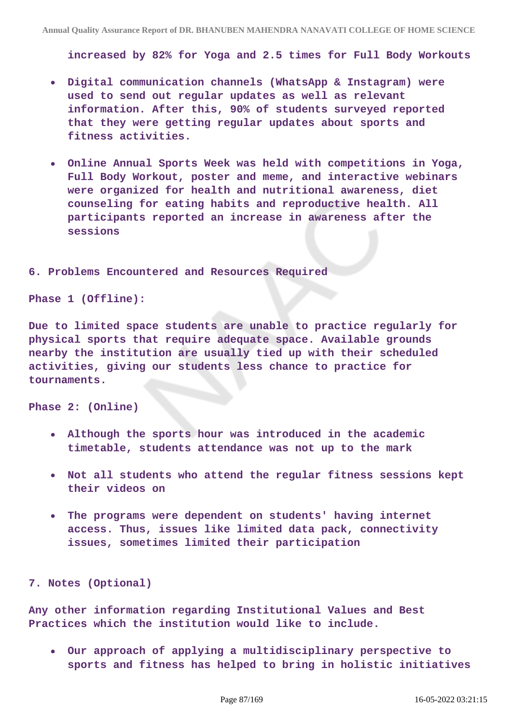**increased by 82% for Yoga and 2.5 times for Full Body Workouts**

- **Digital communication channels (WhatsApp & Instagram) were used to send out regular updates as well as relevant information. After this, 90% of students surveyed reported that they were getting regular updates about sports and fitness activities.**
- **Online Annual Sports Week was held with competitions in Yoga, Full Body Workout, poster and meme, and interactive webinars were organized for health and nutritional awareness, diet counseling for eating habits and reproductive health. All participants reported an increase in awareness after the sessions**

#### **6. Problems Encountered and Resources Required**

**Phase 1 (Offline):**

**Due to limited space students are unable to practice regularly for physical sports that require adequate space. Available grounds nearby the institution are usually tied up with their scheduled activities, giving our students less chance to practice for tournaments.**

**Phase 2: (Online)**

- **Although the sports hour was introduced in the academic timetable, students attendance was not up to the mark**
- **Not all students who attend the regular fitness sessions kept their videos on**
- **The programs were dependent on students' having internet access. Thus, issues like limited data pack, connectivity issues, sometimes limited their participation**

**7. Notes (Optional)**

**Any other information regarding Institutional Values and Best Practices which the institution would like to include.**

**Our approach of applying a multidisciplinary perspective to sports and fitness has helped to bring in holistic initiatives**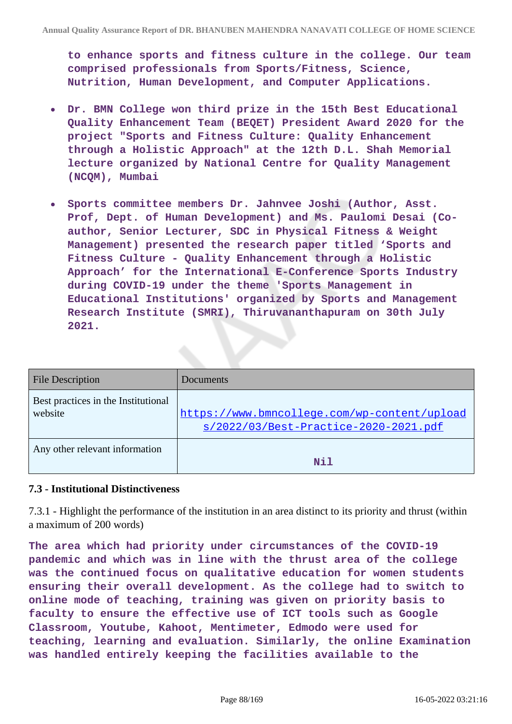**to enhance sports and fitness culture in the college. Our team comprised professionals from Sports/Fitness, Science, Nutrition, Human Development, and Computer Applications.**

- **Dr. BMN College won third prize in the 15th Best Educational Quality Enhancement Team (BEQET) President Award 2020 for the project "Sports and Fitness Culture: Quality Enhancement through a Holistic Approach" at the 12th D.L. Shah Memorial lecture organized by National Centre for Quality Management (NCQM), Mumbai**
- **Sports committee members Dr. Jahnvee Joshi (Author, Asst.**  $\bullet$ **Prof, Dept. of Human Development) and Ms. Paulomi Desai (Coauthor, Senior Lecturer, SDC in Physical Fitness & Weight Management) presented the research paper titled 'Sports and Fitness Culture - Quality Enhancement through a Holistic Approach' for the International E-Conference Sports Industry during COVID-19 under the theme 'Sports Management in Educational Institutions' organized by Sports and Management Research Institute (SMRI), Thiruvananthapuram on 30th July 2021.**

| <b>File Description</b>                        | Documents                                                                             |
|------------------------------------------------|---------------------------------------------------------------------------------------|
| Best practices in the Institutional<br>website | https://www.bmncollege.com/wp-content/upload<br>s/2022/03/Best-Practice-2020-2021.pdf |
| Any other relevant information                 | Nil                                                                                   |

## **7.3 - Institutional Distinctiveness**

7.3.1 - Highlight the performance of the institution in an area distinct to its priority and thrust (within a maximum of 200 words)

**The area which had priority under circumstances of the COVID-19 pandemic and which was in line with the thrust area of the college was the continued focus on qualitative education for women students ensuring their overall development. As the college had to switch to online mode of teaching, training was given on priority basis to faculty to ensure the effective use of ICT tools such as Google Classroom, Youtube, Kahoot, Mentimeter, Edmodo were used for teaching, learning and evaluation. Similarly, the online Examination was handled entirely keeping the facilities available to the**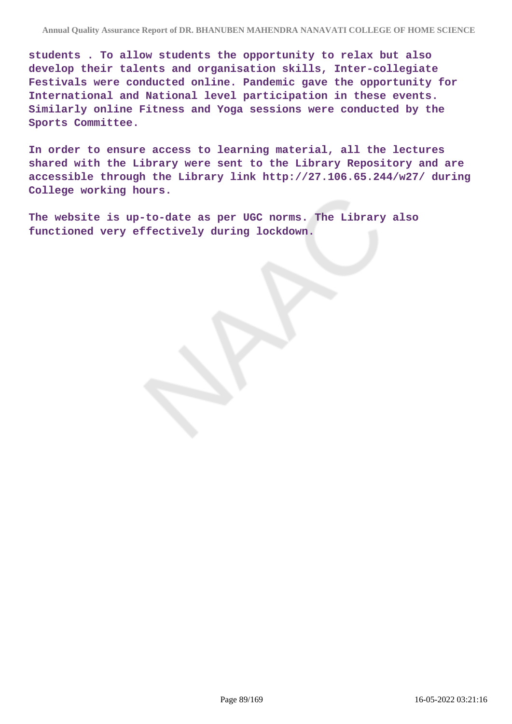**students . To allow students the opportunity to relax but also develop their talents and organisation skills, Inter-collegiate Festivals were conducted online. Pandemic gave the opportunity for International and National level participation in these events. Similarly online Fitness and Yoga sessions were conducted by the Sports Committee.**

**In order to ensure access to learning material, all the lectures shared with the Library were sent to the Library Repository and are accessible through the Library link http://27.106.65.244/w27/ during College working hours.**

**The website is up-to-date as per UGC norms. The Library also functioned very effectively during lockdown.**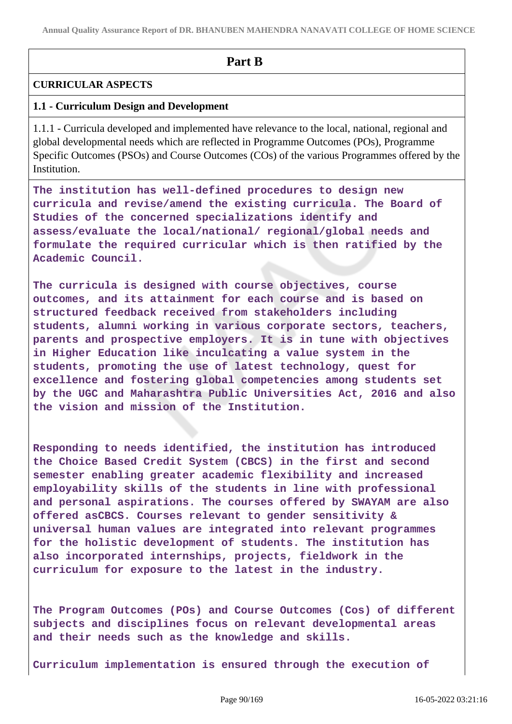**Annual Quality Assurance Report of DR. BHANUBEN MAHENDRA NANAVATI COLLEGE OF HOME SCIENCE**

# **Part B**

# **CURRICULAR ASPECTS**

# **1.1 - Curriculum Design and Development**

1.1.1 - Curricula developed and implemented have relevance to the local, national, regional and global developmental needs which are reflected in Programme Outcomes (POs), Programme Specific Outcomes (PSOs) and Course Outcomes (COs) of the various Programmes offered by the Institution.

**The institution has well-defined procedures to design new curricula and revise/amend the existing curricula. The Board of Studies of the concerned specializations identify and assess/evaluate the local/national/ regional/global needs and formulate the required curricular which is then ratified by the Academic Council.**

**The curricula is designed with course objectives, course outcomes, and its attainment for each course and is based on structured feedback received from stakeholders including students, alumni working in various corporate sectors, teachers, parents and prospective employers. It is in tune with objectives in Higher Education like inculcating a value system in the students, promoting the use of latest technology, quest for excellence and fostering global competencies among students set by the UGC and Maharashtra Public Universities Act, 2016 and also the vision and mission of the Institution.**

**Responding to needs identified, the institution has introduced the Choice Based Credit System (CBCS) in the first and second semester enabling greater academic flexibility and increased employability skills of the students in line with professional and personal aspirations. The courses offered by SWAYAM are also offered asCBCS. Courses relevant to gender sensitivity & universal human values are integrated into relevant programmes for the holistic development of students. The institution has also incorporated internships, projects, fieldwork in the curriculum for exposure to the latest in the industry.**

**The Program Outcomes (POs) and Course Outcomes (Cos) of different subjects and disciplines focus on relevant developmental areas and their needs such as the knowledge and skills.**

**Curriculum implementation is ensured through the execution of**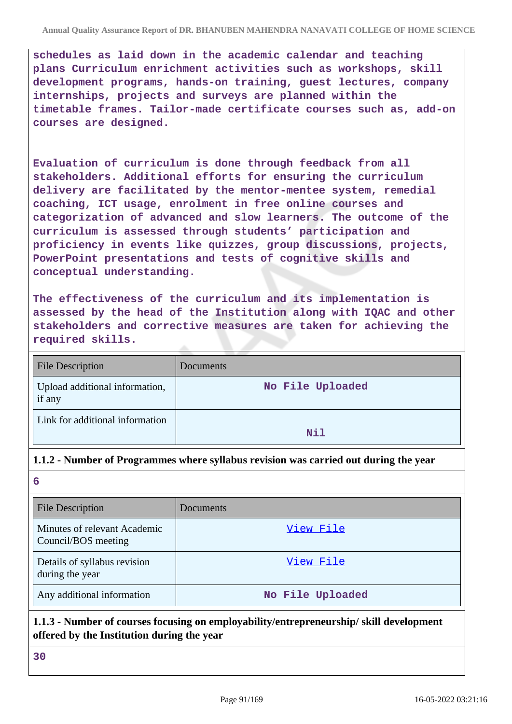**schedules as laid down in the academic calendar and teaching plans Curriculum enrichment activities such as workshops, skill development programs, hands-on training, guest lectures, company internships, projects and surveys are planned within the timetable frames. Tailor-made certificate courses such as, add-on courses are designed.**

**Evaluation of curriculum is done through feedback from all stakeholders. Additional efforts for ensuring the curriculum delivery are facilitated by the mentor-mentee system, remedial coaching, ICT usage, enrolment in free online courses and categorization of advanced and slow learners. The outcome of the curriculum is assessed through students' participation and proficiency in events like quizzes, group discussions, projects, PowerPoint presentations and tests of cognitive skills and conceptual understanding.**

**The effectiveness of the curriculum and its implementation is assessed by the head of the Institution along with IQAC and other stakeholders and corrective measures are taken for achieving the required skills.**

| <b>File Description</b>                  | Documents        |
|------------------------------------------|------------------|
| Upload additional information,<br>if any | No File Uploaded |
| Link for additional information          | Nil              |

## **1.1.2 - Number of Programmes where syllabus revision was carried out during the year**

**6**

| <b>File Description</b>                             | Documents        |
|-----------------------------------------------------|------------------|
| Minutes of relevant Academic<br>Council/BOS meeting | View File        |
| Details of syllabus revision<br>during the year     | View File        |
| Any additional information                          | No File Uploaded |

# **1.1.3 - Number of courses focusing on employability/entrepreneurship/ skill development offered by the Institution during the year**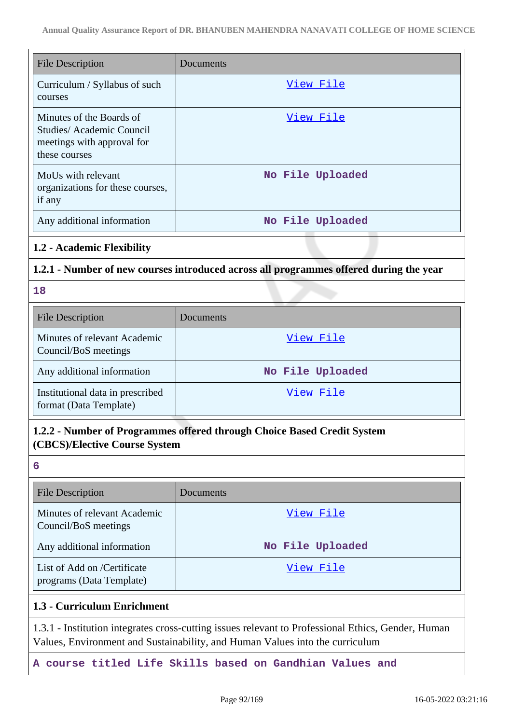| <b>File Description</b>                                                                             | Documents        |
|-----------------------------------------------------------------------------------------------------|------------------|
| Curriculum / Syllabus of such<br>courses                                                            | View File        |
| Minutes of the Boards of<br>Studies/Academic Council<br>meetings with approval for<br>these courses | View File        |
| MoUs with relevant<br>organizations for these courses,<br>if any                                    | No File Uploaded |
| Any additional information                                                                          | No File Uploaded |

#### **1.2 - Academic Flexibility**

#### **1.2.1 - Number of new courses introduced across all programmes offered during the year**

**18**

| <b>File Description</b>                                    | Documents        |
|------------------------------------------------------------|------------------|
| Minutes of relevant Academic<br>Council/BoS meetings       | View File        |
| Any additional information                                 | No File Uploaded |
| Institutional data in prescribed<br>format (Data Template) | View File        |

# **1.2.2 - Number of Programmes offered through Choice Based Credit System (CBCS)/Elective Course System**

**6**

| <b>File Description</b>                                 | Documents        |
|---------------------------------------------------------|------------------|
| Minutes of relevant Academic<br>Council/BoS meetings    | View File        |
| Any additional information                              | No File Uploaded |
| List of Add on /Certificate<br>programs (Data Template) | View File        |

## **1.3 - Curriculum Enrichment**

1.3.1 - Institution integrates cross-cutting issues relevant to Professional Ethics, Gender, Human Values, Environment and Sustainability, and Human Values into the curriculum

**A course titled Life Skills based on Gandhian Values and**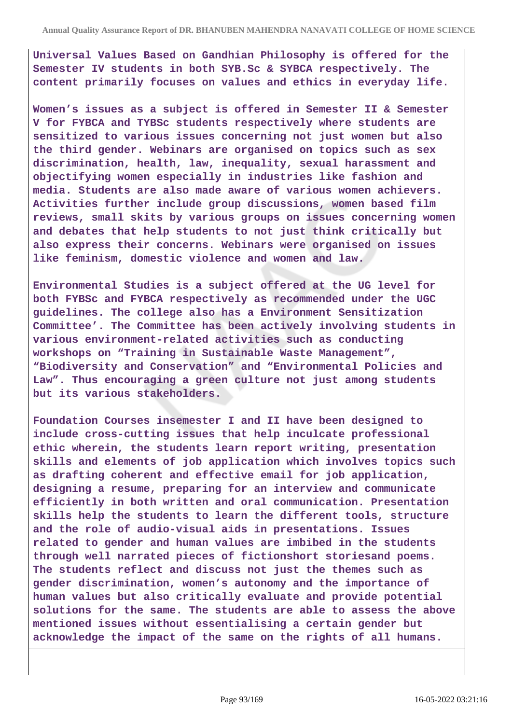**Universal Values Based on Gandhian Philosophy is offered for the Semester IV students in both SYB.Sc & SYBCA respectively. The content primarily focuses on values and ethics in everyday life.**

**Women's issues as a subject is offered in Semester II & Semester V for FYBCA and TYBSc students respectively where students are sensitized to various issues concerning not just women but also the third gender. Webinars are organised on topics such as sex discrimination, health, law, inequality, sexual harassment and objectifying women especially in industries like fashion and media. Students are also made aware of various women achievers. Activities further include group discussions, women based film reviews, small skits by various groups on issues concerning women and debates that help students to not just think critically but also express their concerns. Webinars were organised on issues like feminism, domestic violence and women and law.**

**Environmental Studies is a subject offered at the UG level for both FYBSc and FYBCA respectively as recommended under the UGC guidelines. The college also has a Environment Sensitization Committee'. The Committee has been actively involving students in various environment-related activities such as conducting workshops on "Training in Sustainable Waste Management", "Biodiversity and Conservation" and "Environmental Policies and Law". Thus encouraging a green culture not just among students but its various stakeholders.**

**Foundation Courses insemester I and II have been designed to include cross-cutting issues that help inculcate professional ethic wherein, the students learn report writing, presentation skills and elements of job application which involves topics such as drafting coherent and effective email for job application, designing a resume, preparing for an interview and communicate efficiently in both written and oral communication. Presentation skills help the students to learn the different tools, structure and the role of audio-visual aids in presentations. Issues related to gender and human values are imbibed in the students through well narrated pieces of fictionshort storiesand poems. The students reflect and discuss not just the themes such as gender discrimination, women's autonomy and the importance of human values but also critically evaluate and provide potential solutions for the same. The students are able to assess the above mentioned issues without essentialising a certain gender but acknowledge the impact of the same on the rights of all humans.**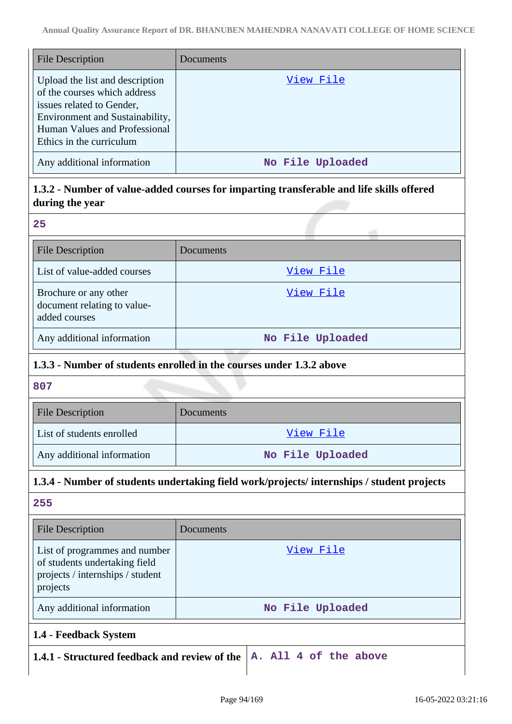| <b>File Description</b>                                                                                                                                                                      | Documents        |
|----------------------------------------------------------------------------------------------------------------------------------------------------------------------------------------------|------------------|
| Upload the list and description<br>of the courses which address<br>issues related to Gender,<br>Environment and Sustainability,<br>Human Values and Professional<br>Ethics in the curriculum | View File        |
| Any additional information                                                                                                                                                                   | No File Uploaded |

# **1.3.2 - Number of value-added courses for imparting transferable and life skills offered during the year**

| $\rightarrow$ |                     |
|---------------|---------------------|
|               | ۰.<br>$\rightarrow$ |
|               | I                   |
|               | ۰.                  |
|               |                     |

| <b>File Description</b>                                               | Documents        |
|-----------------------------------------------------------------------|------------------|
| List of value-added courses                                           | View File        |
| Brochure or any other<br>document relating to value-<br>added courses | View File        |
| Any additional information                                            | No File Uploaded |

## **1.3.3 - Number of students enrolled in the courses under 1.3.2 above**

**807**

| <b>File Description</b>    | <b>Documents</b> |
|----------------------------|------------------|
| List of students enrolled  | View File        |
| Any additional information | No File Uploaded |

# **1.3.4 - Number of students undertaking field work/projects/ internships / student projects**

| <b>File Description</b>                                                                                        | Documents                                                                         |
|----------------------------------------------------------------------------------------------------------------|-----------------------------------------------------------------------------------|
| List of programmes and number<br>of students undertaking field<br>projects / internships / student<br>projects | View File                                                                         |
| Any additional information                                                                                     | No File Uploaded                                                                  |
| 1.4 - Feedback System                                                                                          |                                                                                   |
|                                                                                                                | 1.4.1 - Structured feedback and review of the $ A \cdot A11 \cdot 4$ of the above |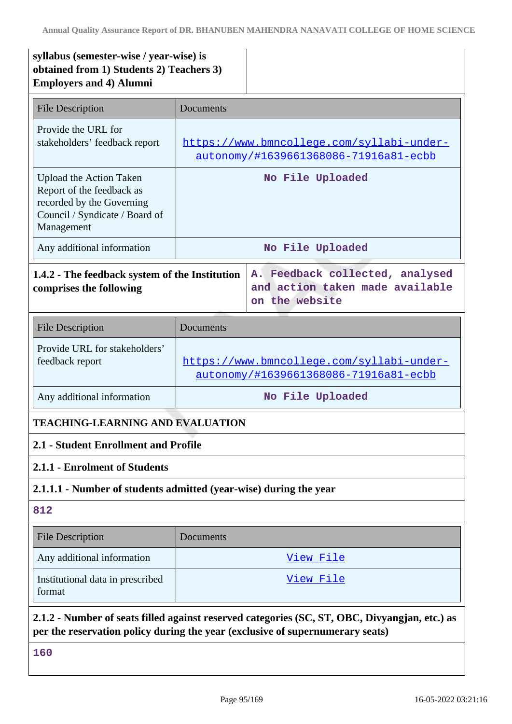# **syllabus (semester-wise / year-wise) is obtained from 1) Students 2) Teachers 3) Employers and 4) Alumni**

| File Description                                                                                                                  | Documents                                                                          |
|-----------------------------------------------------------------------------------------------------------------------------------|------------------------------------------------------------------------------------|
| Provide the URL for<br>stakeholders' feedback report                                                                              | https://www.bmncollege.com/syllabi-under-<br>autonomy/#1639661368086-71916a81-ecbb |
| Upload the Action Taken<br>Report of the feedback as<br>recorded by the Governing<br>Council / Syndicate / Board of<br>Management | No File Uploaded                                                                   |
| Any additional information                                                                                                        | No File Uploaded                                                                   |
| A. Feedback collected, analysed<br>1.4.2 - The feedback system of the Institution                                                 |                                                                                    |

# **1.4.2 - The feedback system of the Institution comprises the following**

| <b>File Description</b>                          | <b>Documents</b>                                                                   |
|--------------------------------------------------|------------------------------------------------------------------------------------|
| Provide URL for stakeholders'<br>feedback report | https://www.bmncollege.com/syllabi-under-<br>autonomy/#1639661368086-71916a81-ecbb |
| Any additional information                       | No File Uploaded                                                                   |

**on the website**

**and action taken made available**

# **TEACHING-LEARNING AND EVALUATION**

# **2.1 - Student Enrollment and Profile**

## **2.1.1 - Enrolment of Students**

## **2.1.1.1 - Number of students admitted (year-wise) during the year**

## **812**

| <b>File Description</b>                    | Documents |
|--------------------------------------------|-----------|
| Any additional information                 | View File |
| Institutional data in prescribed<br>format | View File |

**2.1.2 - Number of seats filled against reserved categories (SC, ST, OBC, Divyangjan, etc.) as per the reservation policy during the year (exclusive of supernumerary seats)**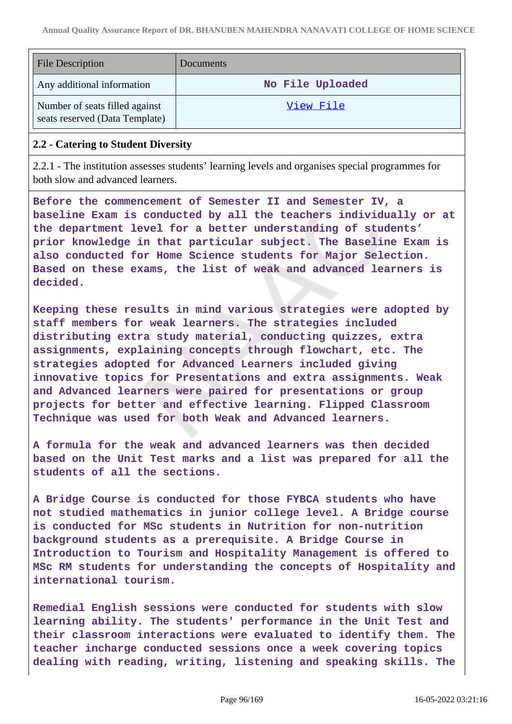| <b>File Description</b>                                          | Documents        |
|------------------------------------------------------------------|------------------|
| Any additional information                                       | No File Uploaded |
| Number of seats filled against<br>seats reserved (Data Template) | View File        |

## **2.2 - Catering to Student Diversity**

2.2.1 - The institution assesses students' learning levels and organises special programmes for both slow and advanced learners.

**Before the commencement of Semester II and Semester IV, a baseline Exam is conducted by all the teachers individually or at the department level for a better understanding of students' prior knowledge in that particular subject. The Baseline Exam is also conducted for Home Science students for Major Selection. Based on these exams, the list of weak and advanced learners is decided.**

**Keeping these results in mind various strategies were adopted by staff members for weak learners. The strategies included distributing extra study material, conducting quizzes, extra assignments, explaining concepts through flowchart, etc. The strategies adopted for Advanced Learners included giving innovative topics for Presentations and extra assignments. Weak and Advanced learners were paired for presentations or group projects for better and effective learning. Flipped Classroom Technique was used for both Weak and Advanced learners.**

**A formula for the weak and advanced learners was then decided based on the Unit Test marks and a list was prepared for all the students of all the sections.**

**A Bridge Course is conducted for those FYBCA students who have not studied mathematics in junior college level. A Bridge course is conducted for MSc students in Nutrition for non-nutrition background students as a prerequisite. A Bridge Course in Introduction to Tourism and Hospitality Management is offered to MSc RM students for understanding the concepts of Hospitality and international tourism.**

**Remedial English sessions were conducted for students with slow learning ability. The students' performance in the Unit Test and their classroom interactions were evaluated to identify them. The teacher incharge conducted sessions once a week covering topics dealing with reading, writing, listening and speaking skills. The**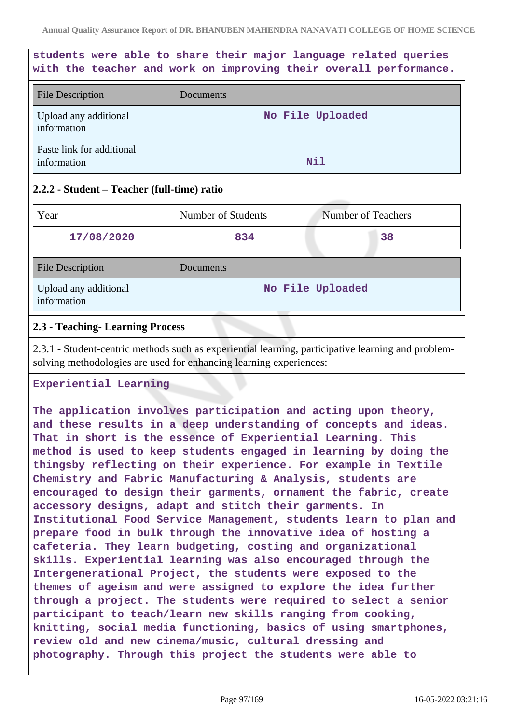# **students were able to share their major language related queries with the teacher and work on improving their overall performance.**

| <b>File Description</b>                  | Documents        |
|------------------------------------------|------------------|
| Upload any additional<br>information     | No File Uploaded |
| Paste link for additional<br>information | Nil              |

## **2.2.2 - Student – Teacher (full-time) ratio**

| Year                                 | Number of Students | <b>Number of Teachers</b> |
|--------------------------------------|--------------------|---------------------------|
| 17/08/2020                           | 834                | 38                        |
| <b>File Description</b>              | Documents          |                           |
| Upload any additional<br>information | No File Uploaded   |                           |

## **2.3 - Teaching- Learning Process**

2.3.1 - Student-centric methods such as experiential learning, participative learning and problemsolving methodologies are used for enhancing learning experiences:

#### **Experiential Learning**

**The application involves participation and acting upon theory, and these results in a deep understanding of concepts and ideas. That in short is the essence of Experiential Learning. This method is used to keep students engaged in learning by doing the thingsby reflecting on their experience. For example in Textile Chemistry and Fabric Manufacturing & Analysis, students are encouraged to design their garments, ornament the fabric, create accessory designs, adapt and stitch their garments. In Institutional Food Service Management, students learn to plan and prepare food in bulk through the innovative idea of hosting a cafeteria. They learn budgeting, costing and organizational skills. Experiential learning was also encouraged through the Intergenerational Project, the students were exposed to the themes of ageism and were assigned to explore the idea further through a project. The students were required to select a senior participant to teach/learn new skills ranging from cooking, knitting, social media functioning, basics of using smartphones, review old and new cinema/music, cultural dressing and photography. Through this project the students were able to**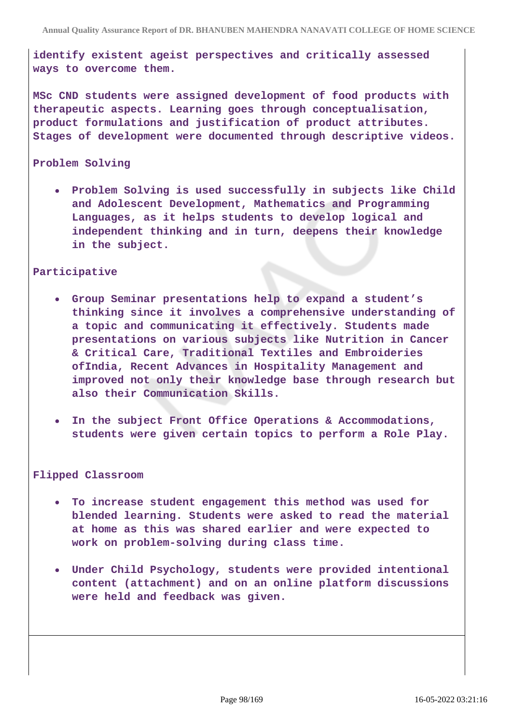**identify existent ageist perspectives and critically assessed ways to overcome them.**

**MSc CND students were assigned development of food products with therapeutic aspects. Learning goes through conceptualisation, product formulations and justification of product attributes. Stages of development were documented through descriptive videos.**

#### **Problem Solving**

**Problem Solving is used successfully in subjects like Child and Adolescent Development, Mathematics and Programming Languages, as it helps students to develop logical and independent thinking and in turn, deepens their knowledge in the subject.**

#### **Participative**

- **Group Seminar presentations help to expand a student's thinking since it involves a comprehensive understanding of a topic and communicating it effectively. Students made presentations on various subjects like Nutrition in Cancer & Critical Care, Traditional Textiles and Embroideries ofIndia, Recent Advances in Hospitality Management and improved not only their knowledge base through research but also their Communication Skills.**
- **In the subject Front Office Operations & Accommodations, students were given certain topics to perform a Role Play.**

#### **Flipped Classroom**

- **To increase student engagement this method was used for blended learning. Students were asked to read the material at home as this was shared earlier and were expected to work on problem-solving during class time.**
- **Under Child Psychology, students were provided intentional content (attachment) and on an online platform discussions were held and feedback was given.**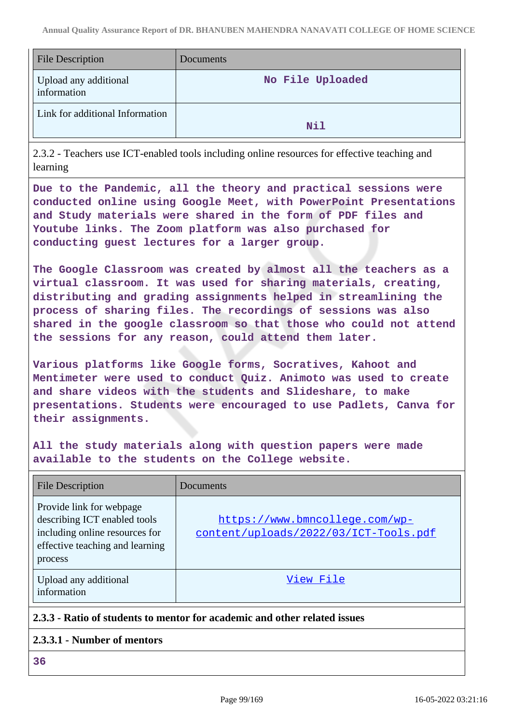| <b>File Description</b>              | Documents        |
|--------------------------------------|------------------|
| Upload any additional<br>information | No File Uploaded |
| Link for additional Information      | Nil              |

2.3.2 - Teachers use ICT-enabled tools including online resources for effective teaching and learning

**Due to the Pandemic, all the theory and practical sessions were conducted online using Google Meet, with PowerPoint Presentations and Study materials were shared in the form of PDF files and Youtube links. The Zoom platform was also purchased for conducting guest lectures for a larger group.**

**The Google Classroom was created by almost all the teachers as a virtual classroom. It was used for sharing materials, creating, distributing and grading assignments helped in streamlining the process of sharing files. The recordings of sessions was also shared in the google classroom so that those who could not attend the sessions for any reason, could attend them later.**

**Various platforms like Google forms, Socratives, Kahoot and Mentimeter were used to conduct Quiz. Animoto was used to create and share videos with the students and Slideshare, to make presentations. Students were encouraged to use Padlets, Canva for their assignments.**

**All the study materials along with question papers were made available to the students on the College website.**

| File Description                                                                                                                         | Documents                                                               |
|------------------------------------------------------------------------------------------------------------------------------------------|-------------------------------------------------------------------------|
| Provide link for webpage<br>describing ICT enabled tools<br>including online resources for<br>effective teaching and learning<br>process | https://www.bmncollege.com/wp-<br>content/uploads/2022/03/ICT-Tools.pdf |
| Upload any additional<br>information                                                                                                     | View File                                                               |

# **2.3.3 - Ratio of students to mentor for academic and other related issues**

## **2.3.3.1 - Number of mentors**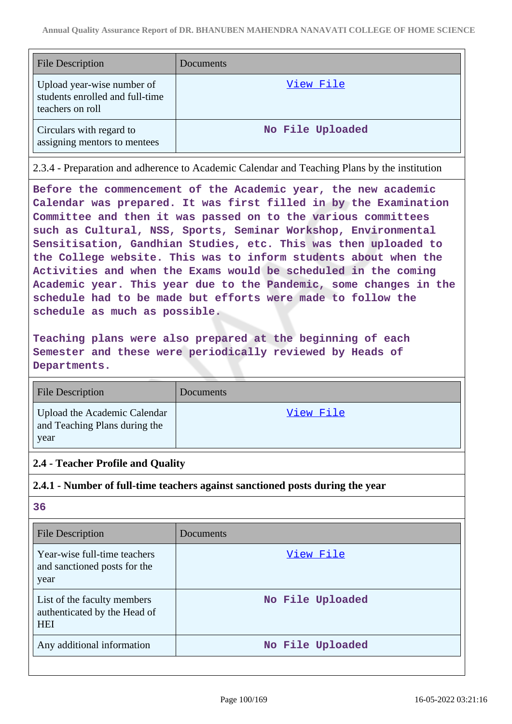| <b>File Description</b>                                                           | Documents        |
|-----------------------------------------------------------------------------------|------------------|
| Upload year-wise number of<br>students enrolled and full-time<br>teachers on roll | View File        |
| Circulars with regard to<br>assigning mentors to mentees                          | No File Uploaded |

2.3.4 - Preparation and adherence to Academic Calendar and Teaching Plans by the institution

**Before the commencement of the Academic year, the new academic Calendar was prepared. It was first filled in by the Examination Committee and then it was passed on to the various committees such as Cultural, NSS, Sports, Seminar Workshop, Environmental Sensitisation, Gandhian Studies, etc. This was then uploaded to the College website. This was to inform students about when the Activities and when the Exams would be scheduled in the coming Academic year. This year due to the Pandemic, some changes in the schedule had to be made but efforts were made to follow the schedule as much as possible.**

**Teaching plans were also prepared at the beginning of each Semester and these were periodically reviewed by Heads of Departments.**

| <b>File Description</b>                                               | Documents        |
|-----------------------------------------------------------------------|------------------|
| Upload the Academic Calendar<br>and Teaching Plans during the<br>year | <u>View File</u> |

## **2.4 - Teacher Profile and Quality**

## **2.4.1 - Number of full-time teachers against sanctioned posts during the year**

| <b>File Description</b>                                                   | Documents        |
|---------------------------------------------------------------------------|------------------|
| Year-wise full-time teachers<br>and sanctioned posts for the<br>year      | View File        |
| List of the faculty members<br>authenticated by the Head of<br><b>HEI</b> | No File Uploaded |
| Any additional information                                                | No File Uploaded |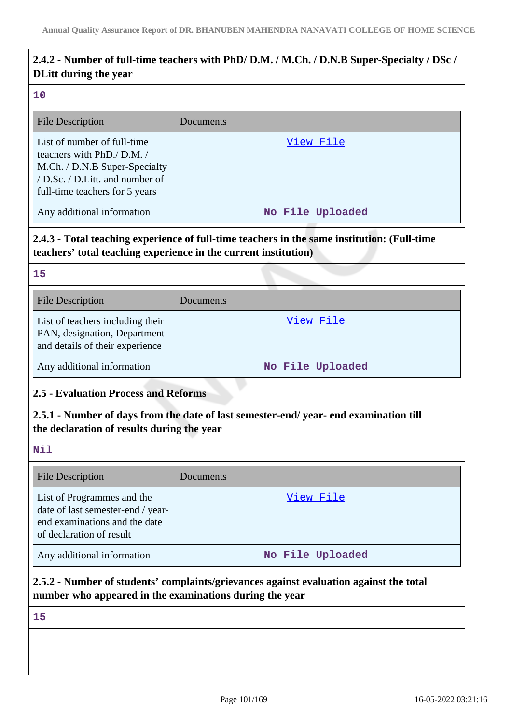# **2.4.2 - Number of full-time teachers with PhD/ D.M. / M.Ch. / D.N.B Super-Specialty / DSc / DLitt during the year**

#### **10**

| <b>File Description</b>                                                                                                                                        | Documents        |
|----------------------------------------------------------------------------------------------------------------------------------------------------------------|------------------|
| List of number of full-time<br>teachers with PhD./ D.M./<br>M.Ch. / D.N.B Super-Specialty<br>/ D.Sc. / D.Litt. and number of<br>full-time teachers for 5 years | View File        |
| Any additional information                                                                                                                                     | No File Uploaded |

# **2.4.3 - Total teaching experience of full-time teachers in the same institution: (Full-time teachers' total teaching experience in the current institution)**

**15**

| <b>File Description</b>                                                                             | Documents        |
|-----------------------------------------------------------------------------------------------------|------------------|
| List of teachers including their<br>PAN, designation, Department<br>and details of their experience | View File        |
| Any additional information                                                                          | No File Uploaded |

# **2.5 - Evaluation Process and Reforms**

# **2.5.1 - Number of days from the date of last semester-end/ year- end examination till the declaration of results during the year**

#### **Nil**

| <b>File Description</b>                                                                                                      | Documents        |
|------------------------------------------------------------------------------------------------------------------------------|------------------|
| List of Programmes and the<br>date of last semester-end / year-<br>end examinations and the date<br>of declaration of result | View File        |
| Any additional information                                                                                                   | No File Uploaded |

## **2.5.2 - Number of students' complaints/grievances against evaluation against the total number who appeared in the examinations during the year**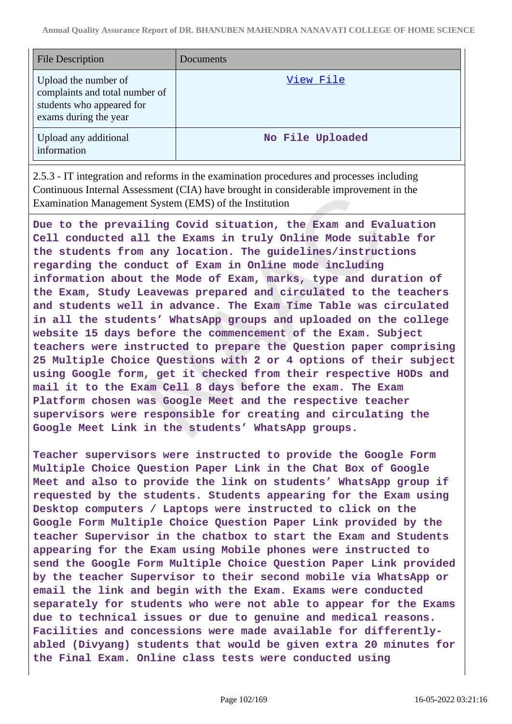| <b>File Description</b>                                                                                      | Documents        |
|--------------------------------------------------------------------------------------------------------------|------------------|
| Upload the number of<br>complaints and total number of<br>students who appeared for<br>exams during the year | View File        |
| Upload any additional<br>information                                                                         | No File Uploaded |

2.5.3 - IT integration and reforms in the examination procedures and processes including Continuous Internal Assessment (CIA) have brought in considerable improvement in the Examination Management System (EMS) of the Institution

**Due to the prevailing Covid situation, the Exam and Evaluation Cell conducted all the Exams in truly Online Mode suitable for the students from any location. The guidelines/instructions regarding the conduct of Exam in Online mode including information about the Mode of Exam, marks, type and duration of the Exam, Study Leavewas prepared and circulated to the teachers and students well in advance. The Exam Time Table was circulated in all the students' WhatsApp groups and uploaded on the college website 15 days before the commencement of the Exam. Subject teachers were instructed to prepare the Question paper comprising 25 Multiple Choice Questions with 2 or 4 options of their subject using Google form, get it checked from their respective HODs and mail it to the Exam Cell 8 days before the exam. The Exam Platform chosen was Google Meet and the respective teacher supervisors were responsible for creating and circulating the Google Meet Link in the students' WhatsApp groups.**

**Teacher supervisors were instructed to provide the Google Form Multiple Choice Question Paper Link in the Chat Box of Google Meet and also to provide the link on students' WhatsApp group if requested by the students. Students appearing for the Exam using Desktop computers / Laptops were instructed to click on the Google Form Multiple Choice Question Paper Link provided by the teacher Supervisor in the chatbox to start the Exam and Students appearing for the Exam using Mobile phones were instructed to send the Google Form Multiple Choice Question Paper Link provided by the teacher Supervisor to their second mobile via WhatsApp or email the link and begin with the Exam. Exams were conducted separately for students who were not able to appear for the Exams due to technical issues or due to genuine and medical reasons. Facilities and concessions were made available for differentlyabled (Divyang) students that would be given extra 20 minutes for the Final Exam. Online class tests were conducted using**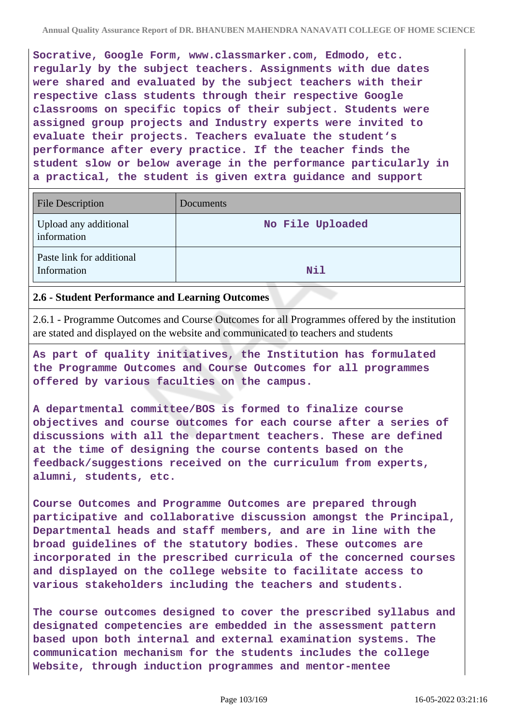**Socrative, Google Form, www.classmarker.com, Edmodo, etc. regularly by the subject teachers. Assignments with due dates were shared and evaluated by the subject teachers with their respective class students through their respective Google classrooms on specific topics of their subject. Students were assigned group projects and Industry experts were invited to evaluate their projects. Teachers evaluate the student's performance after every practice. If the teacher finds the student slow or below average in the performance particularly in a practical, the student is given extra guidance and support**

| <b>File Description</b>                  | Documents        |
|------------------------------------------|------------------|
| Upload any additional<br>information     | No File Uploaded |
| Paste link for additional<br>Information | Nil              |

#### **2.6 - Student Performance and Learning Outcomes**

2.6.1 - Programme Outcomes and Course Outcomes for all Programmes offered by the institution are stated and displayed on the website and communicated to teachers and students

**As part of quality initiatives, the Institution has formulated the Programme Outcomes and Course Outcomes for all programmes offered by various faculties on the campus.**

**A departmental committee/BOS is formed to finalize course objectives and course outcomes for each course after a series of discussions with all the department teachers. These are defined at the time of designing the course contents based on the feedback/suggestions received on the curriculum from experts, alumni, students, etc.**

**Course Outcomes and Programme Outcomes are prepared through participative and collaborative discussion amongst the Principal, Departmental heads and staff members, and are in line with the broad guidelines of the statutory bodies. These outcomes are incorporated in the prescribed curricula of the concerned courses and displayed on the college website to facilitate access to various stakeholders including the teachers and students.**

**The course outcomes designed to cover the prescribed syllabus and designated competencies are embedded in the assessment pattern based upon both internal and external examination systems. The communication mechanism for the students includes the college Website, through induction programmes and mentor-mentee**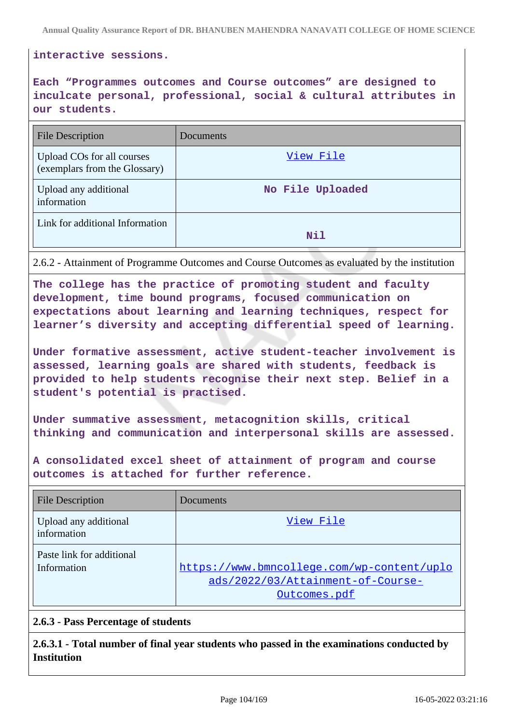#### **interactive sessions.**

**Each "Programmes outcomes and Course outcomes" are designed to inculcate personal, professional, social & cultural attributes in our students.**

| <b>File Description</b>                                     | <b>Documents</b> |
|-------------------------------------------------------------|------------------|
| Upload COs for all courses<br>(exemplars from the Glossary) | View File        |
| Upload any additional<br>information                        | No File Uploaded |
| Link for additional Information                             | Nil              |

2.6.2 - Attainment of Programme Outcomes and Course Outcomes as evaluated by the institution

**The college has the practice of promoting student and faculty development, time bound programs, focused communication on expectations about learning and learning techniques, respect for learner's diversity and accepting differential speed of learning.**

**Under formative assessment, active student-teacher involvement is assessed, learning goals are shared with students, feedback is provided to help students recognise their next step. Belief in a student's potential is practised.**

**Under summative assessment, metacognition skills, critical thinking and communication and interpersonal skills are assessed.**

**A consolidated excel sheet of attainment of program and course outcomes is attached for further reference.**

| <b>File Description</b>                  | Documents                                                                                       |
|------------------------------------------|-------------------------------------------------------------------------------------------------|
| Upload any additional<br>information     | View File                                                                                       |
| Paste link for additional<br>Information | https://www.bmncollege.com/wp-content/uplo<br>ads/2022/03/Attainment-of-Course-<br>Outcomes.pdf |

#### **2.6.3 - Pass Percentage of students**

**2.6.3.1 - Total number of final year students who passed in the examinations conducted by Institution**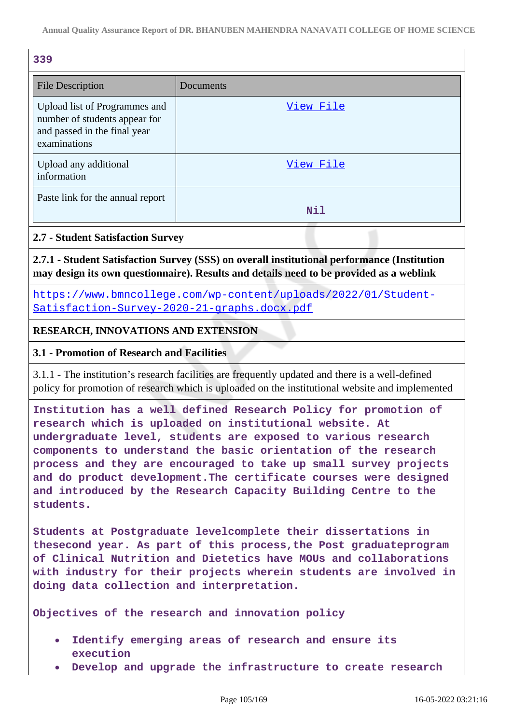| 339                                                                                                            |           |
|----------------------------------------------------------------------------------------------------------------|-----------|
| <b>File Description</b>                                                                                        | Documents |
| Upload list of Programmes and<br>number of students appear for<br>and passed in the final year<br>examinations | View File |
| Upload any additional<br>information                                                                           | View File |
| Paste link for the annual report                                                                               | Nil       |

## **2.7 - Student Satisfaction Survey**

**2.7.1 - Student Satisfaction Survey (SSS) on overall institutional performance (Institution may design its own questionnaire). Results and details need to be provided as a weblink**

[https://www.bmncollege.com/wp-content/uploads/2022/01/Student-](https://www.bmncollege.com/wp-content/uploads/2022/01/Student-Satisfaction-Survey-2020-21-graphs.docx.pdf)[Satisfaction-Survey-2020-21-graphs.docx.pdf](https://www.bmncollege.com/wp-content/uploads/2022/01/Student-Satisfaction-Survey-2020-21-graphs.docx.pdf)

## **RESEARCH, INNOVATIONS AND EXTENSION**

#### **3.1 - Promotion of Research and Facilities**

3.1.1 - The institution's research facilities are frequently updated and there is a well-defined policy for promotion of research which is uploaded on the institutional website and implemented

**Institution has a well defined Research Policy for promotion of research which is uploaded on institutional website. At undergraduate level, students are exposed to various research components to understand the basic orientation of the research process and they are encouraged to take up small survey projects and do product development.The certificate courses were designed and introduced by the Research Capacity Building Centre to the students.**

**Students at Postgraduate levelcomplete their dissertations in thesecond year. As part of this process,the Post graduateprogram of Clinical Nutrition and Dietetics have MOUs and collaborations with industry for their projects wherein students are involved in doing data collection and interpretation.**

**Objectives of the research and innovation policy**

- **Identify emerging areas of research and ensure its execution**
- **Develop and upgrade the infrastructure to create research**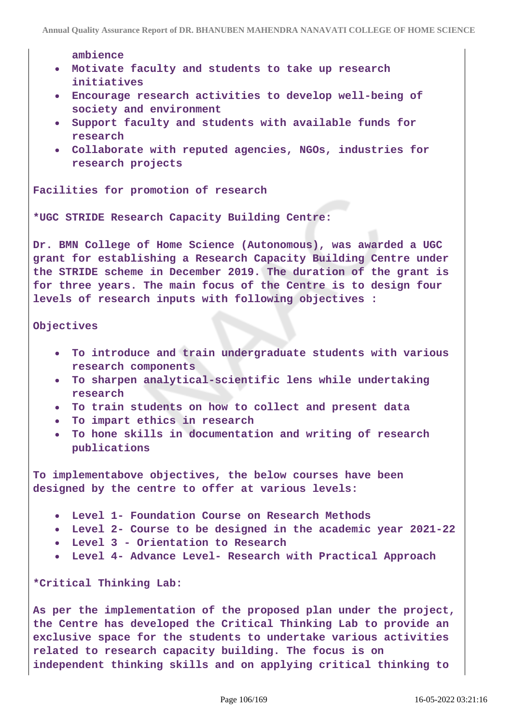**ambience**

- **Motivate faculty and students to take up research initiatives**
- **Encourage research activities to develop well-being of society and environment**
- **Support faculty and students with available funds for research**
- **Collaborate with reputed agencies, NGOs, industries for research projects**

**Facilities for promotion of research**

**\*UGC STRIDE Research Capacity Building Centre:**

**Dr. BMN College of Home Science (Autonomous), was awarded a UGC grant for establishing a Research Capacity Building Centre under the STRIDE scheme in December 2019. The duration of the grant is for three years. The main focus of the Centre is to design four levels of research inputs with following objectives :**

#### **Objectives**

- **To introduce and train undergraduate students with various research components**
- **To sharpen analytical-scientific lens while undertaking research**
- **To train students on how to collect and present data**
- **To impart ethics in research**
- **To hone skills in documentation and writing of research publications**

**To implementabove objectives, the below courses have been designed by the centre to offer at various levels:**

- **Level 1- Foundation Course on Research Methods**
- **Level 2- Course to be designed in the academic year 2021-22**
- **Level 3 Orientation to Research**
- **Level 4- Advance Level- Research with Practical Approach**

**\*Critical Thinking Lab:**

**As per the implementation of the proposed plan under the project, the Centre has developed the Critical Thinking Lab to provide an exclusive space for the students to undertake various activities related to research capacity building. The focus is on independent thinking skills and on applying critical thinking to**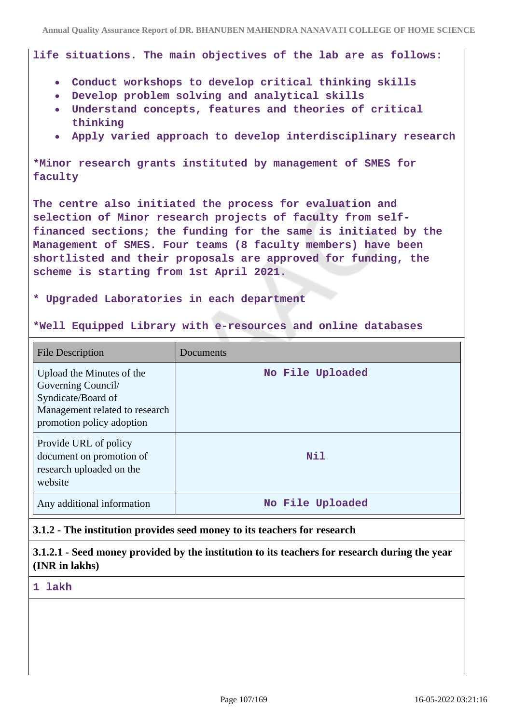**life situations. The main objectives of the lab are as follows:**

- **Conduct workshops to develop critical thinking skills**
- **Develop problem solving and analytical skills**
- **Understand concepts, features and theories of critical thinking**
- **Apply varied approach to develop interdisciplinary research**

**\*Minor research grants instituted by management of SMES for faculty**

**The centre also initiated the process for evaluation and selection of Minor research projects of faculty from selffinanced sections; the funding for the same is initiated by the Management of SMES. Four teams (8 faculty members) have been shortlisted and their proposals are approved for funding, the scheme is starting from 1st April 2021.**

#### **\* Upgraded Laboratories in each department**

**\*Well Equipped Library with e-resources and online databases**

| <b>File Description</b>                                                                                                              | Documents        |
|--------------------------------------------------------------------------------------------------------------------------------------|------------------|
| Upload the Minutes of the<br>Governing Council/<br>Syndicate/Board of<br>Management related to research<br>promotion policy adoption | No File Uploaded |
| Provide URL of policy<br>document on promotion of<br>research uploaded on the<br>website                                             | Nil              |
| Any additional information                                                                                                           | No File Uploaded |

## **3.1.2 - The institution provides seed money to its teachers for research**

**3.1.2.1 - Seed money provided by the institution to its teachers for research during the year (INR in lakhs)**

**1 lakh**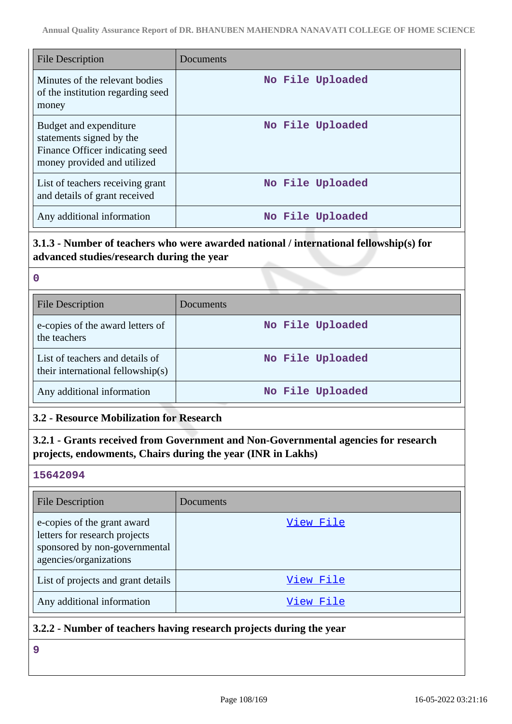| <b>File Description</b>                                                                                              | Documents        |
|----------------------------------------------------------------------------------------------------------------------|------------------|
| Minutes of the relevant bodies<br>of the institution regarding seed<br>money                                         | No File Uploaded |
| Budget and expenditure<br>statements signed by the<br>Finance Officer indicating seed<br>money provided and utilized | No File Uploaded |
| List of teachers receiving grant<br>and details of grant received                                                    | No File Uploaded |
| Any additional information                                                                                           | No File Uploaded |

# **3.1.3 - Number of teachers who were awarded national / international fellowship(s) for advanced studies/research during the year**

| $\mathbf 0$                                                          |                  |
|----------------------------------------------------------------------|------------------|
| <b>File Description</b>                                              | Documents        |
| e-copies of the award letters of<br>the teachers                     | No File Uploaded |
| List of teachers and details of<br>their international fellowship(s) | No File Uploaded |
| Any additional information                                           | No File Uploaded |

# **3.2 - Resource Mobilization for Research**

# **3.2.1 - Grants received from Government and Non-Governmental agencies for research projects, endowments, Chairs during the year (INR in Lakhs)**

## **15642094**

| <b>File Description</b>                                                                                                 | Documents |
|-------------------------------------------------------------------------------------------------------------------------|-----------|
| e-copies of the grant award<br>letters for research projects<br>sponsored by non-governmental<br>agencies/organizations | View File |
| List of projects and grant details                                                                                      | View File |
| Any additional information                                                                                              | View File |

## **3.2.2 - Number of teachers having research projects during the year**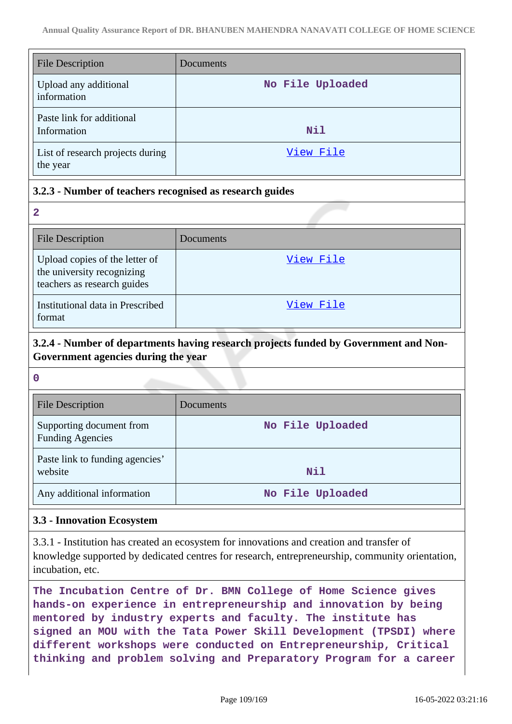| <b>File Description</b>                      | Documents        |
|----------------------------------------------|------------------|
| Upload any additional<br>information         | No File Uploaded |
| Paste link for additional<br>Information     | Nil              |
| List of research projects during<br>the year | View File        |

### **3.2.3 - Number of teachers recognised as research guides**

| 2                                                                                           |           |
|---------------------------------------------------------------------------------------------|-----------|
| <b>File Description</b>                                                                     | Documents |
| Upload copies of the letter of<br>the university recognizing<br>teachers as research guides | View File |
| Institutional data in Prescribed<br>format                                                  | View File |

# **3.2.4 - Number of departments having research projects funded by Government and Non-Government agencies during the year**

**0**

| <b>File Description</b>                             | Documents        |
|-----------------------------------------------------|------------------|
| Supporting document from<br><b>Funding Agencies</b> | No File Uploaded |
| Paste link to funding agencies'<br>website          | Nil              |
| Any additional information                          | No File Uploaded |

#### **3.3 - Innovation Ecosystem**

3.3.1 - Institution has created an ecosystem for innovations and creation and transfer of knowledge supported by dedicated centres for research, entrepreneurship, community orientation, incubation, etc.

**The Incubation Centre of Dr. BMN College of Home Science gives hands-on experience in entrepreneurship and innovation by being mentored by industry experts and faculty. The institute has signed an MOU with the Tata Power Skill Development (TPSDI) where different workshops were conducted on Entrepreneurship, Critical thinking and problem solving and Preparatory Program for a career**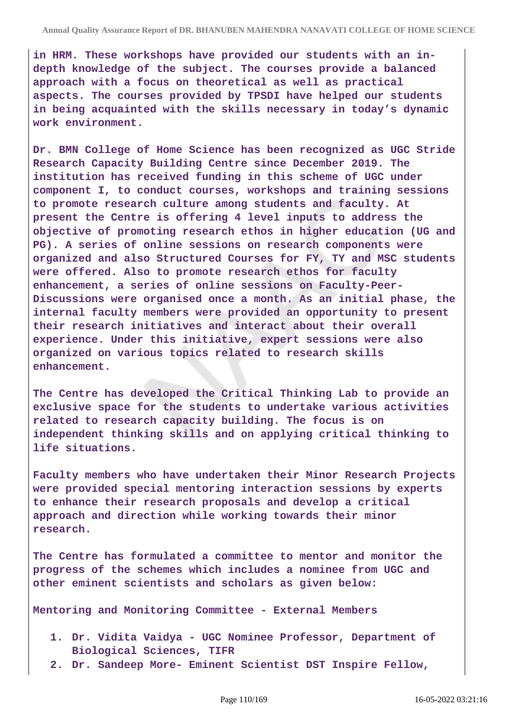**in HRM. These workshops have provided our students with an indepth knowledge of the subject. The courses provide a balanced approach with a focus on theoretical as well as practical aspects. The courses provided by TPSDI have helped our students in being acquainted with the skills necessary in today's dynamic work environment.**

**Dr. BMN College of Home Science has been recognized as UGC Stride Research Capacity Building Centre since December 2019. The institution has received funding in this scheme of UGC under component I, to conduct courses, workshops and training sessions to promote research culture among students and faculty. At present the Centre is offering 4 level inputs to address the objective of promoting research ethos in higher education (UG and PG). A series of online sessions on research components were organized and also Structured Courses for FY, TY and MSC students were offered. Also to promote research ethos for faculty enhancement, a series of online sessions on Faculty-Peer-Discussions were organised once a month. As an initial phase, the internal faculty members were provided an opportunity to present their research initiatives and interact about their overall experience. Under this initiative, expert sessions were also organized on various topics related to research skills enhancement.**

**The Centre has developed the Critical Thinking Lab to provide an exclusive space for the students to undertake various activities related to research capacity building. The focus is on independent thinking skills and on applying critical thinking to life situations.**

**Faculty members who have undertaken their Minor Research Projects were provided special mentoring interaction sessions by experts to enhance their research proposals and develop a critical approach and direction while working towards their minor research.**

**The Centre has formulated a committee to mentor and monitor the progress of the schemes which includes a nominee from UGC and other eminent scientists and scholars as given below:**

**Mentoring and Monitoring Committee - External Members**

- **1. Dr. Vidita Vaidya UGC Nominee Professor, Department of Biological Sciences, TIFR**
- **2. Dr. Sandeep More- Eminent Scientist DST Inspire Fellow,**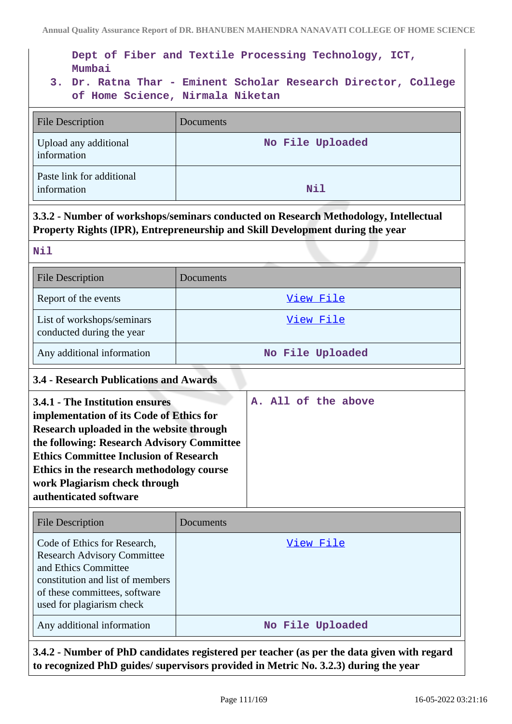**Dept of Fiber and Textile Processing Technology, ICT, Mumbai**

**3. Dr. Ratna Thar - Eminent Scholar Research Director, College of Home Science, Nirmala Niketan**

| File Description                         | <b>Documents</b> |
|------------------------------------------|------------------|
| Upload any additional<br>information     | No File Uploaded |
| Paste link for additional<br>information | Nil              |

# **3.3.2 - Number of workshops/seminars conducted on Research Methodology, Intellectual Property Rights (IPR), Entrepreneurship and Skill Development during the year**

| <b>File Description</b>                                 | Documents        |
|---------------------------------------------------------|------------------|
| Report of the events                                    | View File        |
| List of workshops/seminars<br>conducted during the year | View File        |
| Any additional information                              | No File Uploaded |

#### **3.4 - Research Publications and Awards**

| 3.4.1 - The Institution ensures               | A. All of the above |
|-----------------------------------------------|---------------------|
| implementation of its Code of Ethics for      |                     |
| Research uploaded in the website through      |                     |
| the following: Research Advisory Committee    |                     |
| <b>Ethics Committee Inclusion of Research</b> |                     |
| Ethics in the research methodology course     |                     |
| work Plagiarism check through                 |                     |
| authenticated software                        |                     |
|                                               |                     |

| <b>File Description</b>                                                                                                                                                                      | Documents        |
|----------------------------------------------------------------------------------------------------------------------------------------------------------------------------------------------|------------------|
| Code of Ethics for Research,<br><b>Research Advisory Committee</b><br>and Ethics Committee<br>constitution and list of members<br>of these committees, software<br>used for plagiarism check | View File        |
| Any additional information                                                                                                                                                                   | No File Uploaded |

**3.4.2 - Number of PhD candidates registered per teacher (as per the data given with regard to recognized PhD guides/ supervisors provided in Metric No. 3.2.3) during the year**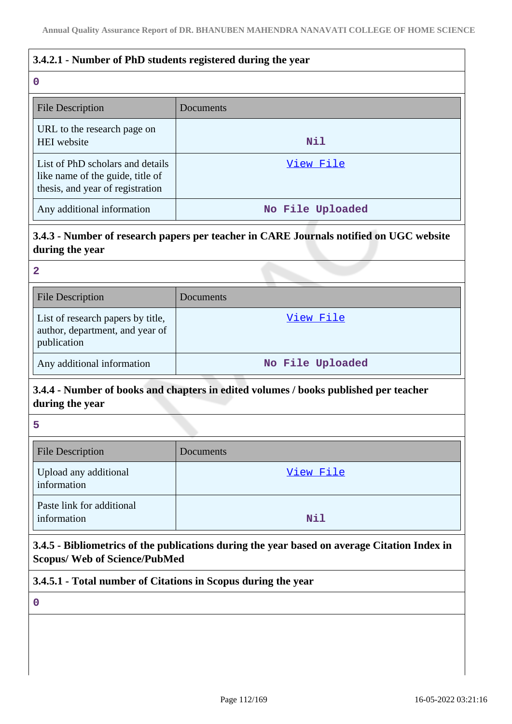### **3.4.2.1 - Number of PhD students registered during the year**

| $\mathbf 0$                                                                                              |                  |
|----------------------------------------------------------------------------------------------------------|------------------|
| <b>File Description</b>                                                                                  | Documents        |
| URL to the research page on<br><b>HEI</b> website                                                        | <b>Nil</b>       |
| List of PhD scholars and details<br>like name of the guide, title of<br>thesis, and year of registration | View File        |
| Any additional information                                                                               | No File Uploaded |

# **3.4.3 - Number of research papers per teacher in CARE Journals notified on UGC website during the year**

| 2                                                                                   |                  |
|-------------------------------------------------------------------------------------|------------------|
| <b>File Description</b>                                                             | Documents        |
| List of research papers by title,<br>author, department, and year of<br>publication | View File        |
| Any additional information                                                          | No File Uploaded |

# **3.4.4 - Number of books and chapters in edited volumes / books published per teacher during the year**

**5**

| <b>File Description</b>                  | Documents |
|------------------------------------------|-----------|
| Upload any additional<br>information     | View File |
| Paste link for additional<br>information | Nil       |

**3.4.5 - Bibliometrics of the publications during the year based on average Citation Index in Scopus/ Web of Science/PubMed**

# **3.4.5.1 - Total number of Citations in Scopus during the year**

**0**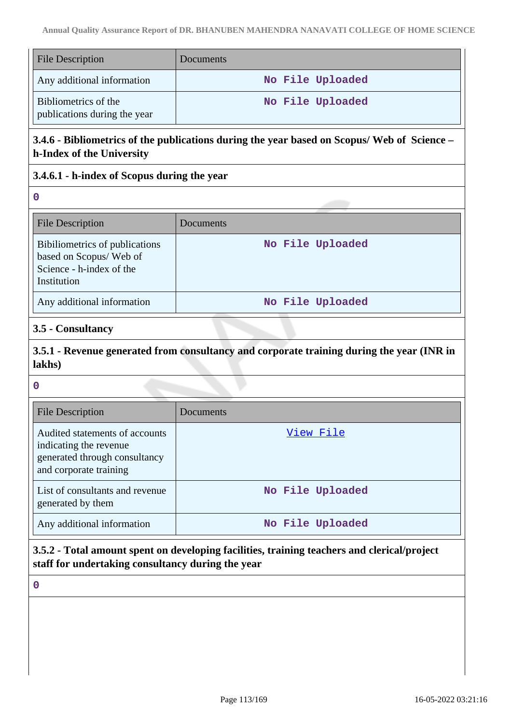| <b>File Description</b>                              | Documents        |
|------------------------------------------------------|------------------|
| Any additional information                           | No File Uploaded |
| Bibliometrics of the<br>publications during the year | No File Uploaded |

# **3.4.6 - Bibliometrics of the publications during the year based on Scopus/ Web of Science – h-Index of the University**

# **3.4.6.1 - h-index of Scopus during the year**

**0**

| File Description                                                                                    | Documents        |
|-----------------------------------------------------------------------------------------------------|------------------|
| Bibiliometrics of publications<br>based on Scopus/Web of<br>Science - h-index of the<br>Institution | No File Uploaded |
| Any additional information                                                                          | No File Uploaded |

#### **3.5 - Consultancy**

**3.5.1 - Revenue generated from consultancy and corporate training during the year (INR in lakhs)**

**0**

| <b>File Description</b>                                                                                             | Documents        |
|---------------------------------------------------------------------------------------------------------------------|------------------|
| Audited statements of accounts<br>indicating the revenue<br>generated through consultancy<br>and corporate training | View File        |
| List of consultants and revenue<br>generated by them                                                                | No File Uploaded |
| Any additional information                                                                                          | No File Uploaded |

**3.5.2 - Total amount spent on developing facilities, training teachers and clerical/project staff for undertaking consultancy during the year**

**0**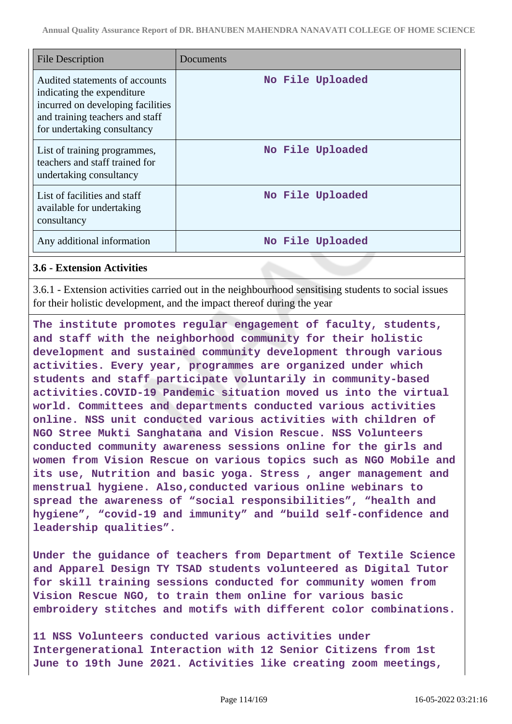| <b>File Description</b>                                                                                                                                              | Documents        |
|----------------------------------------------------------------------------------------------------------------------------------------------------------------------|------------------|
| Audited statements of accounts<br>indicating the expenditure.<br>incurred on developing facilities<br>and training teachers and staff<br>for undertaking consultancy | No File Uploaded |
| List of training programmes,<br>teachers and staff trained for<br>undertaking consultancy                                                                            | No File Uploaded |
| List of facilities and staff<br>available for undertaking<br>consultancy                                                                                             | No File Uploaded |
| Any additional information                                                                                                                                           | No File Uploaded |

#### **3.6 - Extension Activities**

3.6.1 - Extension activities carried out in the neighbourhood sensitising students to social issues for their holistic development, and the impact thereof during the year

**The institute promotes regular engagement of faculty, students, and staff with the neighborhood community for their holistic development and sustained community development through various activities. Every year, programmes are organized under which students and staff participate voluntarily in community-based activities.COVID-19 Pandemic situation moved us into the virtual world. Committees and departments conducted various activities online. NSS unit conducted various activities with children of NGO Stree Mukti Sanghatana and Vision Rescue. NSS Volunteers conducted community awareness sessions online for the girls and women from Vision Rescue on various topics such as NGO Mobile and its use, Nutrition and basic yoga. Stress , anger management and menstrual hygiene. Also,conducted various online webinars to spread the awareness of "social responsibilities", "health and hygiene", "covid-19 and immunity" and "build self-confidence and leadership qualities".**

**Under the guidance of teachers from Department of Textile Science and Apparel Design TY TSAD students volunteered as Digital Tutor for skill training sessions conducted for community women from Vision Rescue NGO, to train them online for various basic embroidery stitches and motifs with different color combinations.**

**11 NSS Volunteers conducted various activities under Intergenerational Interaction with 12 Senior Citizens from 1st June to 19th June 2021. Activities like creating zoom meetings,**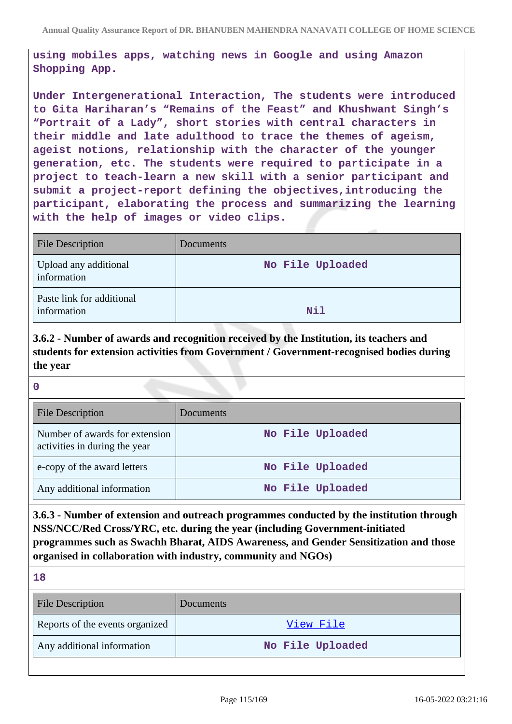**using mobiles apps, watching news in Google and using Amazon Shopping App.**

**Under Intergenerational Interaction, The students were introduced to Gita Hariharan's "Remains of the Feast" and Khushwant Singh's "Portrait of a Lady", short stories with central characters in their middle and late adulthood to trace the themes of ageism, ageist notions, relationship with the character of the younger generation, etc. The students were required to participate in a project to teach-learn a new skill with a senior participant and submit a project-report defining the objectives,introducing the participant, elaborating the process and summarizing the learning with the help of images or video clips.**

| File Description                         | Documents        |
|------------------------------------------|------------------|
| Upload any additional<br>information     | No File Uploaded |
| Paste link for additional<br>information | Nil              |

**3.6.2 - Number of awards and recognition received by the Institution, its teachers and students for extension activities from Government / Government-recognised bodies during the year**

**0**

| <b>File Description</b>                                         | Documents        |
|-----------------------------------------------------------------|------------------|
| Number of awards for extension<br>activities in during the year | No File Uploaded |
| e-copy of the award letters                                     | No File Uploaded |
| Any additional information                                      | No File Uploaded |

**3.6.3 - Number of extension and outreach programmes conducted by the institution through NSS/NCC/Red Cross/YRC, etc. during the year (including Government-initiated programmes such as Swachh Bharat, AIDS Awareness, and Gender Sensitization and those organised in collaboration with industry, community and NGOs)**

**18**

| <b>File Description</b>         | <b>Documents</b> |
|---------------------------------|------------------|
| Reports of the events organized | View File        |
| Any additional information      | No File Uploaded |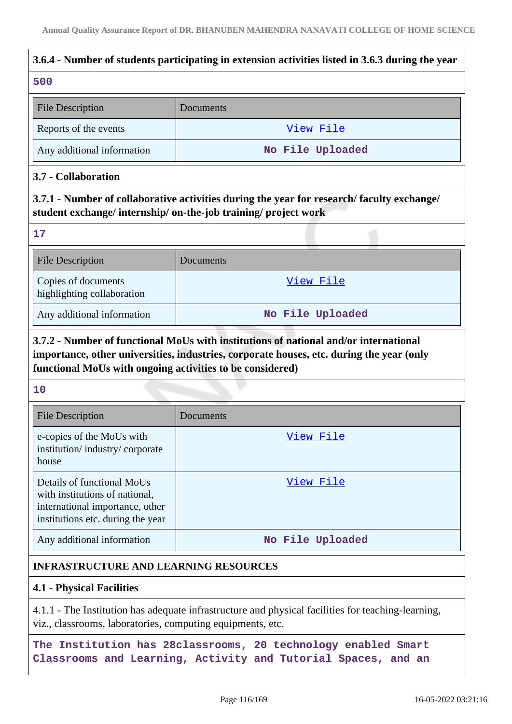# **3.6.4 - Number of students participating in extension activities listed in 3.6.3 during the year 500** File Description Documents Reports of the events and the vents of the events and the vents of the events and  $V$  i.e.  $V$  i.e.  $V$  i.e.  $V$  i.e.  $V$  i.e.  $V$  i.e.  $V$  i.e.  $V$  i.e.  $V$  i.e.  $V$  i.e.  $V$  i.e.  $V$  i.e.  $V$  i.e.  $V$  i.e.  $V$  i.e.  $V$  i Any additional information **No File Uploaded 3.7 - Collaboration 3.7.1 - Number of collaborative activities during the year for research/ faculty exchange/ student exchange/ internship/ on-the-job training/ project work 17** File Description Documents Copies of documents [View File](https://assessmentonline.naac.gov.in/storage/app/public/aqar/16657/16657_250_574.xlsx?1652694673) highlighting collaboration Any additional information **No File Uploaded 3.7.2 - Number of functional MoUs with institutions of national and/or international importance, other universities, industries, corporate houses, etc. during the year (only functional MoUs with ongoing activities to be considered) 10** Г File Description Documents

| <b>File Description</b>                                                                                                              | Documents        |
|--------------------------------------------------------------------------------------------------------------------------------------|------------------|
| e-copies of the MoUs with<br>institution/industry/corporate<br>house                                                                 | View File        |
| Details of functional MoUs<br>with institutions of national,<br>international importance, other<br>institutions etc. during the year | <u>View File</u> |
| Any additional information                                                                                                           | No File Uploaded |

# **INFRASTRUCTURE AND LEARNING RESOURCES**

# **4.1 - Physical Facilities**

4.1.1 - The Institution has adequate infrastructure and physical facilities for teaching-learning, viz., classrooms, laboratories, computing equipments, etc.

**The Institution has 28classrooms, 20 technology enabled Smart Classrooms and Learning, Activity and Tutorial Spaces, and an**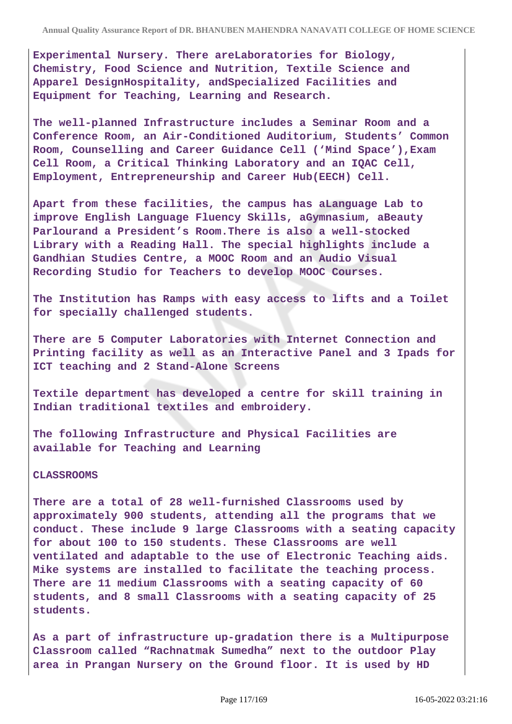**Experimental Nursery. There areLaboratories for Biology, Chemistry, Food Science and Nutrition, Textile Science and Apparel DesignHospitality, andSpecialized Facilities and Equipment for Teaching, Learning and Research.**

**The well-planned Infrastructure includes a Seminar Room and a Conference Room, an Air-Conditioned Auditorium, Students' Common Room, Counselling and Career Guidance Cell ('Mind Space'),Exam Cell Room, a Critical Thinking Laboratory and an IQAC Cell, Employment, Entrepreneurship and Career Hub(EECH) Cell.**

**Apart from these facilities, the campus has aLanguage Lab to improve English Language Fluency Skills, aGymnasium, aBeauty Parlourand a President's Room.There is also a well-stocked Library with a Reading Hall. The special highlights include a Gandhian Studies Centre, a MOOC Room and an Audio Visual Recording Studio for Teachers to develop MOOC Courses.**

**The Institution has Ramps with easy access to lifts and a Toilet for specially challenged students.**

**There are 5 Computer Laboratories with Internet Connection and Printing facility as well as an Interactive Panel and 3 Ipads for ICT teaching and 2 Stand-Alone Screens**

**Textile department has developed a centre for skill training in Indian traditional textiles and embroidery.**

**The following Infrastructure and Physical Facilities are available for Teaching and Learning**

#### **CLASSROOMS**

**There are a total of 28 well-furnished Classrooms used by approximately 900 students, attending all the programs that we conduct. These include 9 large Classrooms with a seating capacity for about 100 to 150 students. These Classrooms are well ventilated and adaptable to the use of Electronic Teaching aids. Mike systems are installed to facilitate the teaching process. There are 11 medium Classrooms with a seating capacity of 60 students, and 8 small Classrooms with a seating capacity of 25 students.**

**As a part of infrastructure up-gradation there is a Multipurpose Classroom called "Rachnatmak Sumedha" next to the outdoor Play area in Prangan Nursery on the Ground floor. It is used by HD**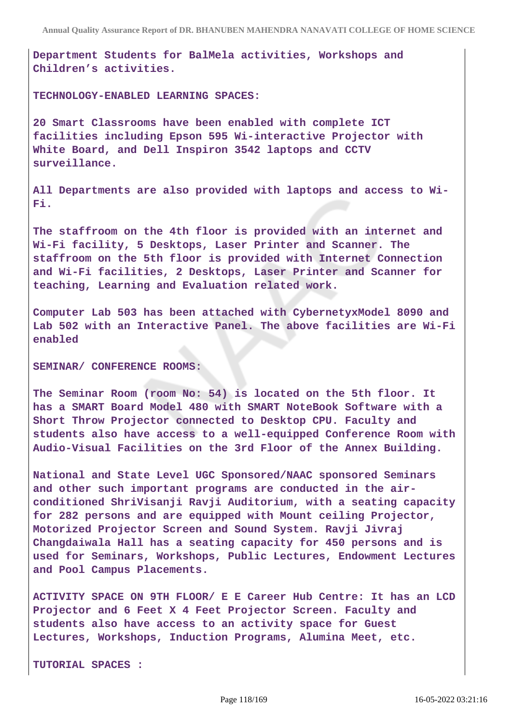**Department Students for BalMela activities, Workshops and Children's activities.**

**TECHNOLOGY-ENABLED LEARNING SPACES:**

**20 Smart Classrooms have been enabled with complete ICT facilities including Epson 595 Wi-interactive Projector with White Board, and Dell Inspiron 3542 laptops and CCTV surveillance.**

**All Departments are also provided with laptops and access to Wi-Fi.**

**The staffroom on the 4th floor is provided with an internet and Wi-Fi facility, 5 Desktops, Laser Printer and Scanner. The staffroom on the 5th floor is provided with Internet Connection and Wi-Fi facilities, 2 Desktops, Laser Printer and Scanner for teaching, Learning and Evaluation related work.**

**Computer Lab 503 has been attached with CybernetyxModel 8090 and Lab 502 with an Interactive Panel. The above facilities are Wi-Fi enabled**

**SEMINAR/ CONFERENCE ROOMS:**

**The Seminar Room (room No: 54) is located on the 5th floor. It has a SMART Board Model 480 with SMART NoteBook Software with a Short Throw Projector connected to Desktop CPU. Faculty and students also have access to a well-equipped Conference Room with Audio-Visual Facilities on the 3rd Floor of the Annex Building.**

**National and State Level UGC Sponsored/NAAC sponsored Seminars and other such important programs are conducted in the airconditioned ShriVisanji Ravji Auditorium, with a seating capacity for 282 persons and are equipped with Mount ceiling Projector, Motorized Projector Screen and Sound System. Ravji Jivraj Changdaiwala Hall has a seating capacity for 450 persons and is used for Seminars, Workshops, Public Lectures, Endowment Lectures and Pool Campus Placements.**

**ACTIVITY SPACE ON 9TH FLOOR/ E E Career Hub Centre: It has an LCD Projector and 6 Feet X 4 Feet Projector Screen. Faculty and students also have access to an activity space for Guest Lectures, Workshops, Induction Programs, Alumina Meet, etc.**

**TUTORIAL SPACES :**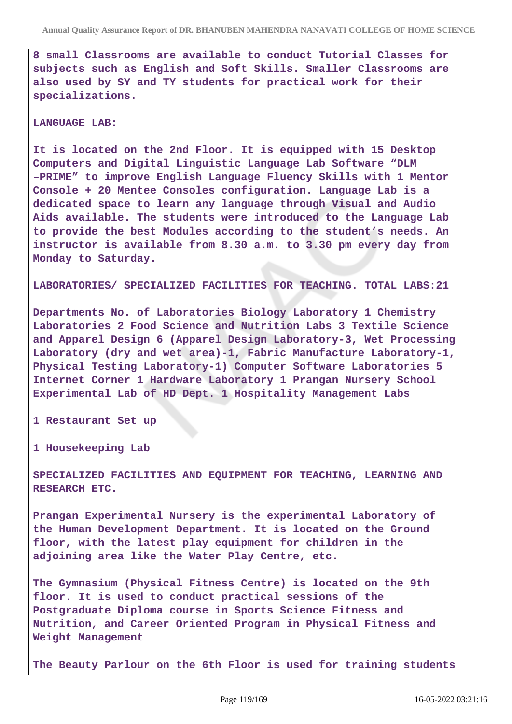**8 small Classrooms are available to conduct Tutorial Classes for subjects such as English and Soft Skills. Smaller Classrooms are also used by SY and TY students for practical work for their specializations.**

#### **LANGUAGE LAB:**

**It is located on the 2nd Floor. It is equipped with 15 Desktop Computers and Digital Linguistic Language Lab Software "DLM –PRIME" to improve English Language Fluency Skills with 1 Mentor Console + 20 Mentee Consoles configuration. Language Lab is a dedicated space to learn any language through Visual and Audio Aids available. The students were introduced to the Language Lab to provide the best Modules according to the student's needs. An instructor is available from 8.30 a.m. to 3.30 pm every day from Monday to Saturday.**

**LABORATORIES/ SPECIALIZED FACILITIES FOR TEACHING. TOTAL LABS:21**

**Departments No. of Laboratories Biology Laboratory 1 Chemistry Laboratories 2 Food Science and Nutrition Labs 3 Textile Science and Apparel Design 6 (Apparel Design Laboratory-3, Wet Processing Laboratory (dry and wet area)-1, Fabric Manufacture Laboratory-1, Physical Testing Laboratory-1) Computer Software Laboratories 5 Internet Corner 1 Hardware Laboratory 1 Prangan Nursery School Experimental Lab of HD Dept. 1 Hospitality Management Labs** 

**1 Restaurant Set up**

**1 Housekeeping Lab**

**SPECIALIZED FACILITIES AND EQUIPMENT FOR TEACHING, LEARNING AND RESEARCH ETC.**

**Prangan Experimental Nursery is the experimental Laboratory of the Human Development Department. It is located on the Ground floor, with the latest play equipment for children in the adjoining area like the Water Play Centre, etc.**

**The Gymnasium (Physical Fitness Centre) is located on the 9th floor. It is used to conduct practical sessions of the Postgraduate Diploma course in Sports Science Fitness and Nutrition, and Career Oriented Program in Physical Fitness and Weight Management**

**The Beauty Parlour on the 6th Floor is used for training students**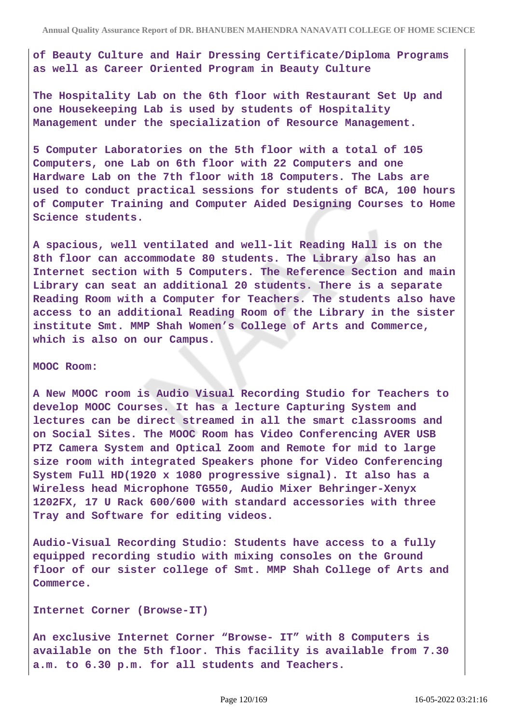**of Beauty Culture and Hair Dressing Certificate/Diploma Programs as well as Career Oriented Program in Beauty Culture**

**The Hospitality Lab on the 6th floor with Restaurant Set Up and one Housekeeping Lab is used by students of Hospitality Management under the specialization of Resource Management.**

**5 Computer Laboratories on the 5th floor with a total of 105 Computers, one Lab on 6th floor with 22 Computers and one Hardware Lab on the 7th floor with 18 Computers. The Labs are used to conduct practical sessions for students of BCA, 100 hours of Computer Training and Computer Aided Designing Courses to Home Science students.**

**A spacious, well ventilated and well-lit Reading Hall is on the 8th floor can accommodate 80 students. The Library also has an Internet section with 5 Computers. The Reference Section and main Library can seat an additional 20 students. There is a separate Reading Room with a Computer for Teachers. The students also have access to an additional Reading Room of the Library in the sister institute Smt. MMP Shah Women's College of Arts and Commerce, which is also on our Campus.**

#### **MOOC Room:**

**A New MOOC room is Audio Visual Recording Studio for Teachers to develop MOOC Courses. It has a lecture Capturing System and lectures can be direct streamed in all the smart classrooms and on Social Sites. The MOOC Room has Video Conferencing AVER USB PTZ Camera System and Optical Zoom and Remote for mid to large size room with integrated Speakers phone for Video Conferencing System Full HD(1920 x 1080 progressive signal). It also has a Wireless head Microphone TG550, Audio Mixer Behringer-Xenyx 1202FX, 17 U Rack 600/600 with standard accessories with three Tray and Software for editing videos.**

**Audio-Visual Recording Studio: Students have access to a fully equipped recording studio with mixing consoles on the Ground floor of our sister college of Smt. MMP Shah College of Arts and Commerce.**

**Internet Corner (Browse-IT)**

**An exclusive Internet Corner "Browse- IT" with 8 Computers is available on the 5th floor. This facility is available from 7.30 a.m. to 6.30 p.m. for all students and Teachers.**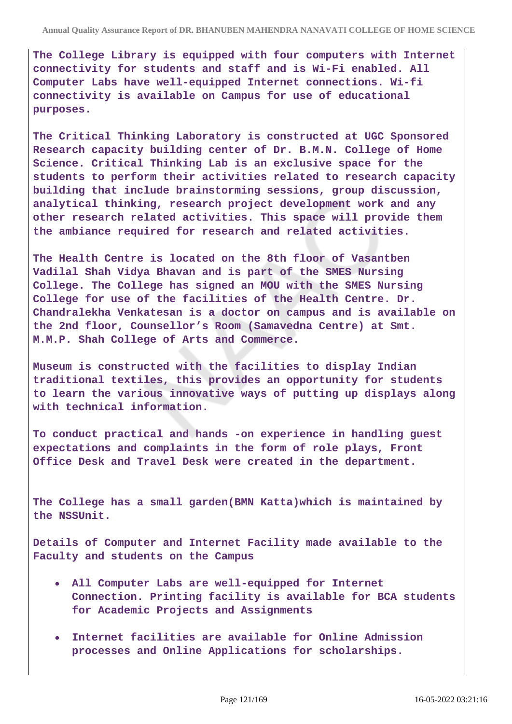**The College Library is equipped with four computers with Internet connectivity for students and staff and is Wi-Fi enabled. All Computer Labs have well-equipped Internet connections. Wi-fi connectivity is available on Campus for use of educational purposes.**

**The Critical Thinking Laboratory is constructed at UGC Sponsored Research capacity building center of Dr. B.M.N. College of Home Science. Critical Thinking Lab is an exclusive space for the students to perform their activities related to research capacity building that include brainstorming sessions, group discussion, analytical thinking, research project development work and any other research related activities. This space will provide them the ambiance required for research and related activities.**

**The Health Centre is located on the 8th floor of Vasantben Vadilal Shah Vidya Bhavan and is part of the SMES Nursing College. The College has signed an MOU with the SMES Nursing College for use of the facilities of the Health Centre. Dr. Chandralekha Venkatesan is a doctor on campus and is available on the 2nd floor, Counsellor's Room (Samavedna Centre) at Smt. M.M.P. Shah College of Arts and Commerce.**

**Museum is constructed with the facilities to display Indian traditional textiles, this provides an opportunity for students to learn the various innovative ways of putting up displays along with technical information.**

**To conduct practical and hands -on experience in handling guest expectations and complaints in the form of role plays, Front Office Desk and Travel Desk were created in the department.**

**The College has a small garden(BMN Katta)which is maintained by the NSSUnit.**

**Details of Computer and Internet Facility made available to the Faculty and students on the Campus**

- **All Computer Labs are well-equipped for Internet Connection. Printing facility is available for BCA students for Academic Projects and Assignments**
- **Internet facilities are available for Online Admission processes and Online Applications for scholarships.**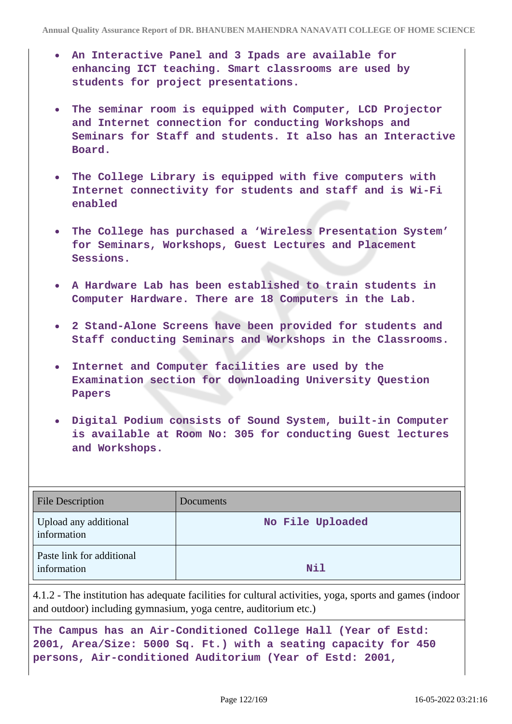- **An Interactive Panel and 3 Ipads are available for enhancing ICT teaching. Smart classrooms are used by students for project presentations.**
- **The seminar room is equipped with Computer, LCD Projector and Internet connection for conducting Workshops and Seminars for Staff and students. It also has an Interactive Board.**
- **The College Library is equipped with five computers with Internet connectivity for students and staff and is Wi-Fi enabled**
- **The College has purchased a 'Wireless Presentation System' for Seminars, Workshops, Guest Lectures and Placement Sessions.**
- **A Hardware Lab has been established to train students in Computer Hardware. There are 18 Computers in the Lab.**
- **2 Stand-Alone Screens have been provided for students and Staff conducting Seminars and Workshops in the Classrooms.**
- **Internet and Computer facilities are used by the Examination section for downloading University Question Papers**
- **Digital Podium consists of Sound System, built-in Computer is available at Room No: 305 for conducting Guest lectures and Workshops.**

| <b>File Description</b>                  | Documents        |
|------------------------------------------|------------------|
| Upload any additional<br>information     | No File Uploaded |
| Paste link for additional<br>information | Nil              |

4.1.2 - The institution has adequate facilities for cultural activities, yoga, sports and games (indoor and outdoor) including gymnasium, yoga centre, auditorium etc.)

**The Campus has an Air-Conditioned College Hall (Year of Estd: 2001, Area/Size: 5000 Sq. Ft.) with a seating capacity for 450 persons, Air-conditioned Auditorium (Year of Estd: 2001,**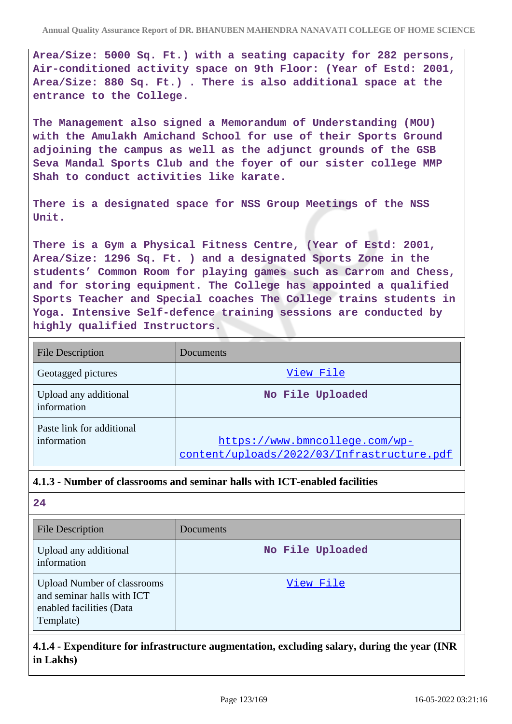**Area/Size: 5000 Sq. Ft.) with a seating capacity for 282 persons, Air-conditioned activity space on 9th Floor: (Year of Estd: 2001, Area/Size: 880 Sq. Ft.) . There is also additional space at the entrance to the College.**

**The Management also signed a Memorandum of Understanding (MOU) with the Amulakh Amichand School for use of their Sports Ground adjoining the campus as well as the adjunct grounds of the GSB Seva Mandal Sports Club and the foyer of our sister college MMP Shah to conduct activities like karate.**

**There is a designated space for NSS Group Meetings of the NSS Unit.**

**There is a Gym a Physical Fitness Centre, (Year of Estd: 2001, Area/Size: 1296 Sq. Ft. ) and a designated Sports Zone in the students' Common Room for playing games such as Carrom and Chess, and for storing equipment. The College has appointed a qualified Sports Teacher and Special coaches The College trains students in Yoga. Intensive Self-defence training sessions are conducted by highly qualified Instructors.**

| <b>File Description</b>                  | Documents                                                                    |
|------------------------------------------|------------------------------------------------------------------------------|
| Geotagged pictures                       | View File                                                                    |
| Upload any additional<br>information     | No File Uploaded                                                             |
| Paste link for additional<br>information | https://www.bmncollege.com/wp-<br>content/uploads/2022/03/Infrastructure.pdf |

#### **4.1.3 - Number of classrooms and seminar halls with ICT-enabled facilities**

**24**

| <b>File Description</b>                                                                                   | Documents        |
|-----------------------------------------------------------------------------------------------------------|------------------|
| Upload any additional<br>information                                                                      | No File Uploaded |
| <b>Upload Number of classrooms</b><br>and seminar halls with ICT<br>enabled facilities (Data<br>Template) | View File        |

# **4.1.4 - Expenditure for infrastructure augmentation, excluding salary, during the year (INR in Lakhs)**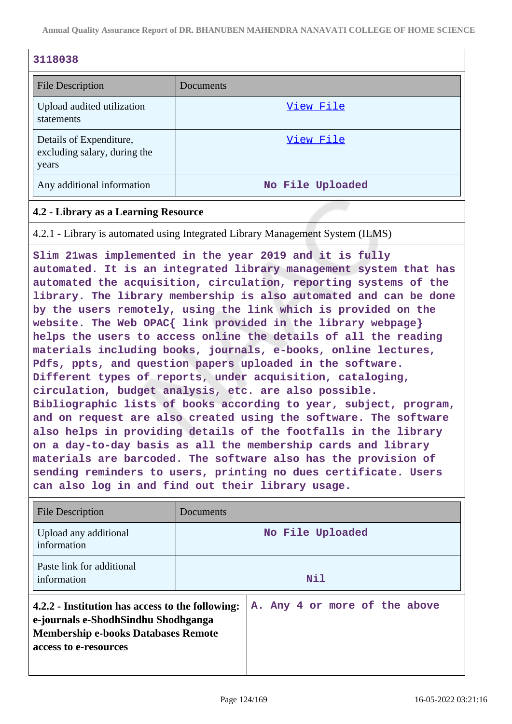| 3118038                                                          |                  |
|------------------------------------------------------------------|------------------|
| <b>File Description</b>                                          | Documents        |
| Upload audited utilization<br>statements                         | View File        |
| Details of Expenditure,<br>excluding salary, during the<br>years | View File        |
| Any additional information                                       | No File Uploaded |

### **4.2 - Library as a Learning Resource**

4.2.1 - Library is automated using Integrated Library Management System (ILMS)

**Slim 21was implemented in the year 2019 and it is fully automated. It is an integrated library management system that has automated the acquisition, circulation, reporting systems of the library. The library membership is also automated and can be done by the users remotely, using the link which is provided on the website. The Web OPAC{ link provided in the library webpage} helps the users to access online the details of all the reading materials including books, journals, e-books, online lectures, Pdfs, ppts, and question papers uploaded in the software. Different types of reports, under acquisition, cataloging, circulation, budget analysis, etc. are also possible. Bibliographic lists of books according to year, subject, program, and on request are also created using the software. The software also helps in providing details of the footfalls in the library on a day-to-day basis as all the membership cards and library materials are barcoded. The software also has the provision of sending reminders to users, printing no dues certificate. Users can also log in and find out their library usage.**

| <b>File Description</b>                                                                                                                                        | Documents                     |
|----------------------------------------------------------------------------------------------------------------------------------------------------------------|-------------------------------|
| Upload any additional<br>information                                                                                                                           | No File Uploaded              |
| Paste link for additional<br>information                                                                                                                       | Nil                           |
| 4.2.2 - Institution has access to the following:<br>e-journals e-ShodhSindhu Shodhganga<br><b>Membership e-books Databases Remote</b><br>access to e-resources | A. Any 4 or more of the above |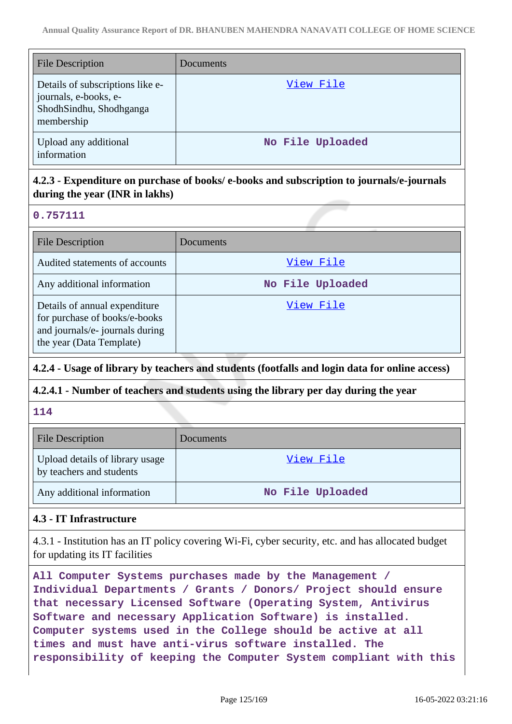| <b>File Description</b>                                                                            | Documents        |
|----------------------------------------------------------------------------------------------------|------------------|
| Details of subscriptions like e-<br>journals, e-books, e-<br>ShodhSindhu, Shodhganga<br>membership | View File        |
| Upload any additional<br>information                                                               | No File Uploaded |

# **4.2.3 - Expenditure on purchase of books/ e-books and subscription to journals/e-journals during the year (INR in lakhs)**

#### **0.757111**

| <b>File Description</b>                                                                                                       | Documents        |
|-------------------------------------------------------------------------------------------------------------------------------|------------------|
| Audited statements of accounts                                                                                                | View File        |
| Any additional information                                                                                                    | No File Uploaded |
| Details of annual expenditure<br>for purchase of books/e-books<br>and journals/e- journals during<br>the year (Data Template) | View File        |

# **4.2.4 - Usage of library by teachers and students (footfalls and login data for online access)**

#### **4.2.4.1 - Number of teachers and students using the library per day during the year**

#### **114**

| <b>File Description</b>                                     | Documents        |
|-------------------------------------------------------------|------------------|
| Upload details of library usage<br>by teachers and students | View File        |
| Any additional information                                  | No File Uploaded |

#### **4.3 - IT Infrastructure**

4.3.1 - Institution has an IT policy covering Wi-Fi, cyber security, etc. and has allocated budget for updating its IT facilities

**All Computer Systems purchases made by the Management / Individual Departments / Grants / Donors/ Project should ensure that necessary Licensed Software (Operating System, Antivirus Software and necessary Application Software) is installed. Computer systems used in the College should be active at all times and must have anti-virus software installed. The responsibility of keeping the Computer System compliant with this**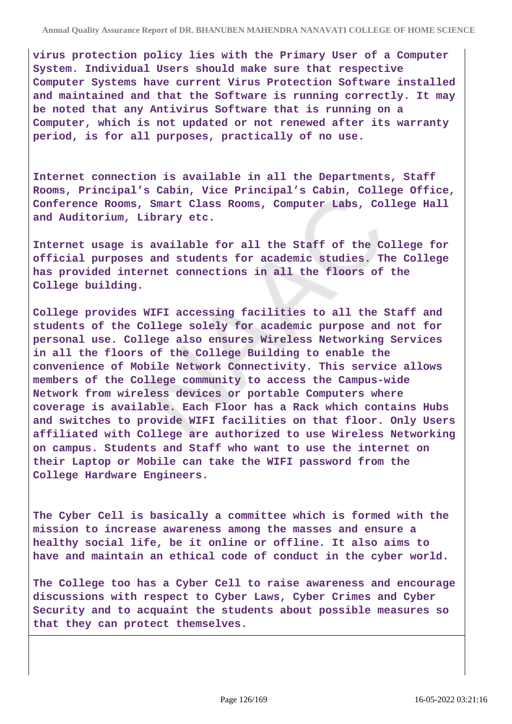**virus protection policy lies with the Primary User of a Computer System. Individual Users should make sure that respective Computer Systems have current Virus Protection Software installed and maintained and that the Software is running correctly. It may be noted that any Antivirus Software that is running on a Computer, which is not updated or not renewed after its warranty period, is for all purposes, practically of no use.**

**Internet connection is available in all the Departments, Staff Rooms, Principal's Cabin, Vice Principal's Cabin, College Office, Conference Rooms, Smart Class Rooms, Computer Labs, College Hall and Auditorium, Library etc.**

**Internet usage is available for all the Staff of the College for official purposes and students for academic studies. The College has provided internet connections in all the floors of the College building.**

**College provides WIFI accessing facilities to all the Staff and students of the College solely for academic purpose and not for personal use. College also ensures Wireless Networking Services in all the floors of the College Building to enable the convenience of Mobile Network Connectivity. This service allows members of the College community to access the Campus-wide Network from wireless devices or portable Computers where coverage is available. Each Floor has a Rack which contains Hubs and switches to provide WIFI facilities on that floor. Only Users affiliated with College are authorized to use Wireless Networking on campus. Students and Staff who want to use the internet on their Laptop or Mobile can take the WIFI password from the College Hardware Engineers.**

**The Cyber Cell is basically a committee which is formed with the mission to increase awareness among the masses and ensure a healthy social life, be it online or offline. It also aims to have and maintain an ethical code of conduct in the cyber world.**

**The College too has a Cyber Cell to raise awareness and encourage discussions with respect to Cyber Laws, Cyber Crimes and Cyber Security and to acquaint the students about possible measures so that they can protect themselves.**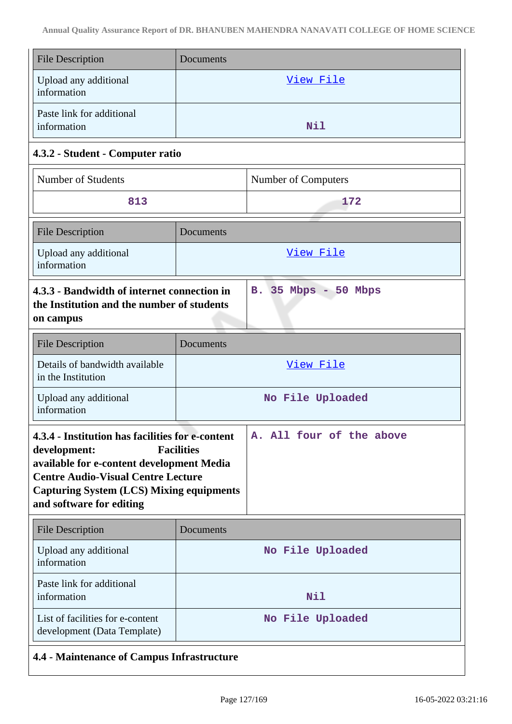| <b>File Description</b>                                                                                                                                                                                                                                                                    | Documents            |
|--------------------------------------------------------------------------------------------------------------------------------------------------------------------------------------------------------------------------------------------------------------------------------------------|----------------------|
| Upload any additional<br>information                                                                                                                                                                                                                                                       | <u>View File</u>     |
| Paste link for additional<br>information                                                                                                                                                                                                                                                   | Nil                  |
| 4.3.2 - Student - Computer ratio                                                                                                                                                                                                                                                           |                      |
| <b>Number of Students</b>                                                                                                                                                                                                                                                                  | Number of Computers  |
| 813                                                                                                                                                                                                                                                                                        | 172                  |
| <b>File Description</b>                                                                                                                                                                                                                                                                    | Documents            |
| Upload any additional<br>information                                                                                                                                                                                                                                                       | <u>View File</u>     |
| 4.3.3 - Bandwidth of internet connection in<br>the Institution and the number of students<br>on campus                                                                                                                                                                                     | B. 35 Mbps - 50 Mbps |
| <b>File Description</b>                                                                                                                                                                                                                                                                    | Documents            |
| Details of bandwidth available<br>in the Institution                                                                                                                                                                                                                                       | View File            |
| Upload any additional<br>information                                                                                                                                                                                                                                                       | No File Uploaded     |
| 4.3.4 - Institution has facilities for e-content<br>A. All four of the above<br><b>Facilities</b><br>development:<br>available for e-content development Media<br><b>Centre Audio-Visual Centre Lecture</b><br><b>Capturing System (LCS) Mixing equipments</b><br>and software for editing |                      |
| <b>File Description</b>                                                                                                                                                                                                                                                                    | Documents            |
| Upload any additional<br>information                                                                                                                                                                                                                                                       | No File Uploaded     |
| Paste link for additional<br>information                                                                                                                                                                                                                                                   | Nil                  |
| List of facilities for e-content<br>development (Data Template)                                                                                                                                                                                                                            | No File Uploaded     |
| 4.4 - Maintenance of Campus Infrastructure                                                                                                                                                                                                                                                 |                      |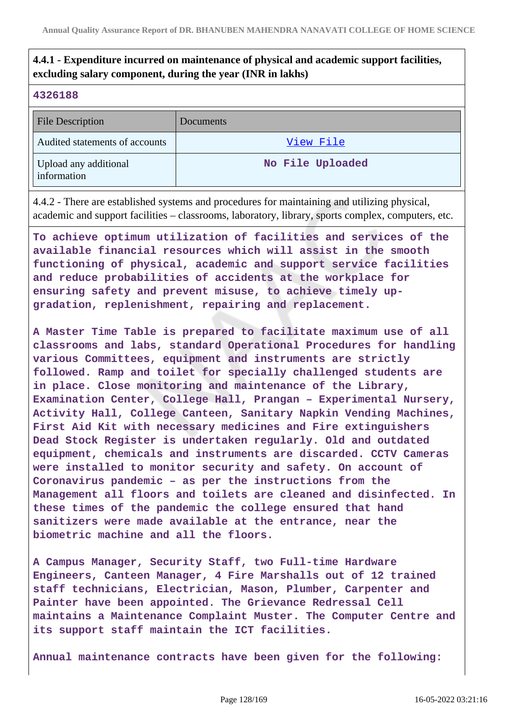# **4.4.1 - Expenditure incurred on maintenance of physical and academic support facilities, excluding salary component, during the year (INR in lakhs)**

#### **4326188**

| <b>File Description</b>              | Documents        |
|--------------------------------------|------------------|
| Audited statements of accounts       | View File        |
| Upload any additional<br>information | No File Uploaded |

4.4.2 - There are established systems and procedures for maintaining and utilizing physical, academic and support facilities – classrooms, laboratory, library, sports complex, computers, etc.

**To achieve optimum utilization of facilities and services of the available financial resources which will assist in the smooth functioning of physical, academic and support service facilities and reduce probabilities of accidents at the workplace for ensuring safety and prevent misuse, to achieve timely upgradation, replenishment, repairing and replacement.**

**A Master Time Table is prepared to facilitate maximum use of all classrooms and labs, standard Operational Procedures for handling various Committees, equipment and instruments are strictly followed. Ramp and toilet for specially challenged students are in place. Close monitoring and maintenance of the Library, Examination Center, College Hall, Prangan – Experimental Nursery, Activity Hall, College Canteen, Sanitary Napkin Vending Machines, First Aid Kit with necessary medicines and Fire extinguishers Dead Stock Register is undertaken regularly. Old and outdated equipment, chemicals and instruments are discarded. CCTV Cameras were installed to monitor security and safety. On account of Coronavirus pandemic – as per the instructions from the Management all floors and toilets are cleaned and disinfected. In these times of the pandemic the college ensured that hand sanitizers were made available at the entrance, near the biometric machine and all the floors.**

**A Campus Manager, Security Staff, two Full-time Hardware Engineers, Canteen Manager, 4 Fire Marshalls out of 12 trained staff technicians, Electrician, Mason, Plumber, Carpenter and Painter have been appointed. The Grievance Redressal Cell maintains a Maintenance Complaint Muster. The Computer Centre and its support staff maintain the ICT facilities.**

**Annual maintenance contracts have been given for the following:**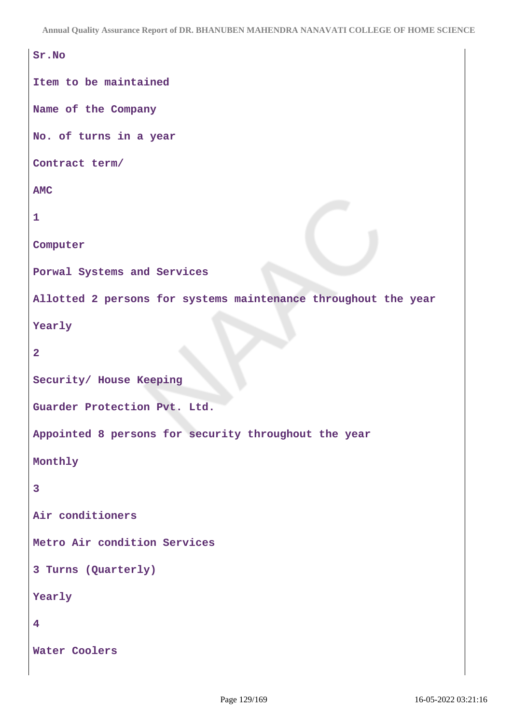```
Sr.No
Item to be maintained
Name of the Company
No. of turns in a year
Contract term/
AMC
1
Computer
Porwal Systems and Services
Allotted 2 persons for systems maintenance throughout the year
Yearly
2
Security/ House Keeping
Guarder Protection Pvt. Ltd.
Appointed 8 persons for security throughout the year
Monthly
3
Air conditioners
Metro Air condition Services
3 Turns (Quarterly)
Yearly
4
Water Coolers
```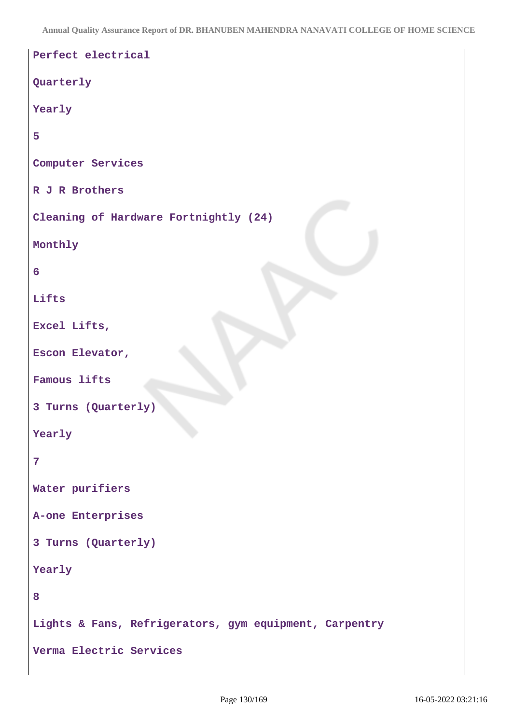```
Perfect electrical
Quarterly
Yearly
5
Computer Services
R J R Brothers
Cleaning of Hardware Fortnightly (24)
Monthly
6
Lifts
Excel Lifts,
Escon Elevator,
Famous lifts
3 Turns (Quarterly)
Yearly
7
Water purifiers
A-one Enterprises
3 Turns (Quarterly)
Yearly
8
Lights & Fans, Refrigerators, gym equipment, Carpentry
Verma Electric Services
```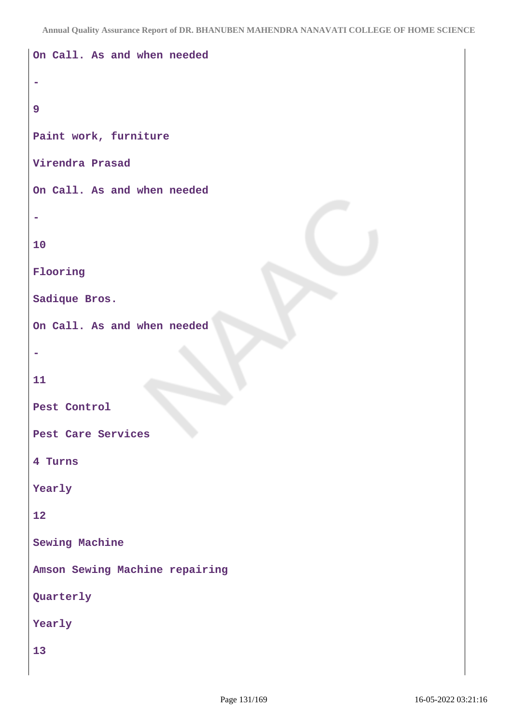```
On Call. As and when needed
-
9
Paint work, furniture
Virendra Prasad
On Call. As and when needed
-
10
Flooring
Sadique Bros.
On Call. As and when needed
-
11
Pest Control
Pest Care Services
4 Turns
Yearly
12
Sewing Machine
Amson Sewing Machine repairing
Quarterly
Yearly
13
```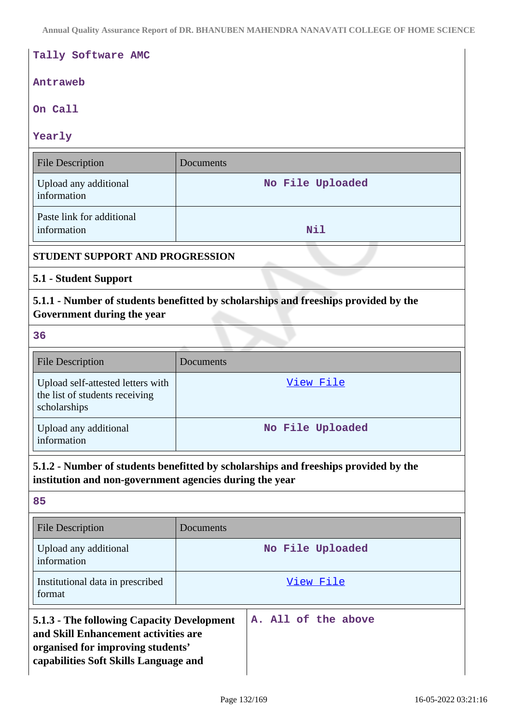| Tally Software AMC                                                                                                                                                                      |                  |  |
|-----------------------------------------------------------------------------------------------------------------------------------------------------------------------------------------|------------------|--|
| Antraweb                                                                                                                                                                                |                  |  |
| On Call                                                                                                                                                                                 |                  |  |
| Yearly                                                                                                                                                                                  |                  |  |
| <b>File Description</b>                                                                                                                                                                 | Documents        |  |
| Upload any additional<br>information                                                                                                                                                    | No File Uploaded |  |
| Paste link for additional<br>information                                                                                                                                                | <b>Nil</b>       |  |
| <b>STUDENT SUPPORT AND PROGRESSION</b>                                                                                                                                                  |                  |  |
| 5.1 - Student Support                                                                                                                                                                   |                  |  |
| 5.1.1 - Number of students benefitted by scholarships and freeships provided by the<br>Government during the year                                                                       |                  |  |
| 36                                                                                                                                                                                      |                  |  |
| <b>File Description</b>                                                                                                                                                                 | Documents        |  |
| Upload self-attested letters with<br>the list of students receiving<br>scholarships                                                                                                     | View File        |  |
| Upload any additional<br>information                                                                                                                                                    | No File Uploaded |  |
| 5.1.2 - Number of students benefitted by scholarships and freeships provided by the<br>institution and non-government agencies during the year                                          |                  |  |
| 85                                                                                                                                                                                      |                  |  |
| <b>File Description</b>                                                                                                                                                                 | Documents        |  |
| Upload any additional<br>information                                                                                                                                                    | No File Uploaded |  |
| Institutional data in prescribed<br>format                                                                                                                                              | View File        |  |
| 5.1.3 - The following Capacity Development<br>A. All of the above<br>and Skill Enhancement activities are<br>organised for improving students'<br>capabilities Soft Skills Language and |                  |  |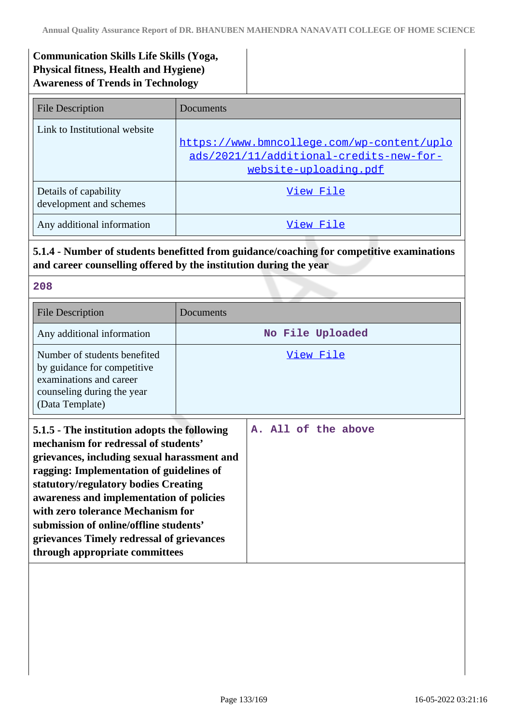# **Communication Skills Life Skills (Yoga, Physical fitness, Health and Hygiene) Awareness of Trends in Technology**

| <b>File Description</b>                          | Documents                                                                                                      |
|--------------------------------------------------|----------------------------------------------------------------------------------------------------------------|
| Link to Institutional website                    | https://www.bmncollege.com/wp-content/uplo<br>ads/2021/11/additional-credits-new-for-<br>website-uploading.pdf |
| Details of capability<br>development and schemes | View File                                                                                                      |
| Any additional information                       | View File                                                                                                      |

# **5.1.4 - Number of students benefitted from guidance/coaching for competitive examinations and career counselling offered by the institution during the year**

**208**

| <b>File Description</b>                                                                                                                                                                                                                                                                                                                                                                                                           | Documents           |
|-----------------------------------------------------------------------------------------------------------------------------------------------------------------------------------------------------------------------------------------------------------------------------------------------------------------------------------------------------------------------------------------------------------------------------------|---------------------|
| Any additional information                                                                                                                                                                                                                                                                                                                                                                                                        | No File Uploaded    |
| Number of students benefited<br>by guidance for competitive<br>examinations and career<br>counseling during the year<br>(Data Template)                                                                                                                                                                                                                                                                                           | View File           |
| 5.1.5 - The institution adopts the following<br>mechanism for redressal of students'<br>grievances, including sexual harassment and<br>ragging: Implementation of guidelines of<br>statutory/regulatory bodies Creating<br>awareness and implementation of policies<br>with zero tolerance Mechanism for<br>submission of online/offline students'<br>grievances Timely redressal of grievances<br>through appropriate committees | A. All of the above |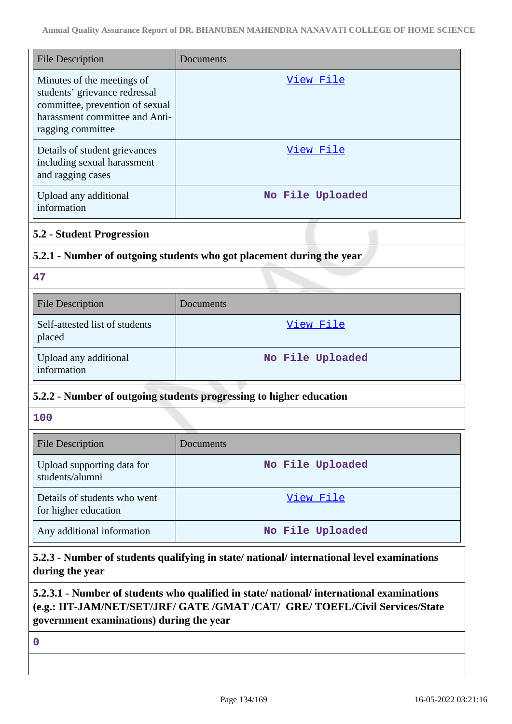| <b>File Description</b>                                                                                                                               | Documents                                                           |  |
|-------------------------------------------------------------------------------------------------------------------------------------------------------|---------------------------------------------------------------------|--|
| Minutes of the meetings of<br>students' grievance redressal<br>committee, prevention of sexual<br>harassment committee and Anti-<br>ragging committee | <u>View File</u>                                                    |  |
| Details of student grievances<br>including sexual harassment<br>and ragging cases                                                                     | <u>View File</u>                                                    |  |
| Upload any additional<br>information                                                                                                                  | No File Uploaded                                                    |  |
| <b>5.2 - Student Progression</b>                                                                                                                      |                                                                     |  |
| 5.2.1 - Number of outgoing students who got placement during the year                                                                                 |                                                                     |  |
| 47                                                                                                                                                    |                                                                     |  |
| <b>File Description</b>                                                                                                                               | Documents                                                           |  |
| Self-attested list of students<br>placed                                                                                                              | View File                                                           |  |
| Upload any additional<br>information                                                                                                                  | No File Uploaded                                                    |  |
|                                                                                                                                                       | 5.2.2 - Number of outgoing students progressing to higher education |  |
| 100                                                                                                                                                   |                                                                     |  |
| <b>File Description</b>                                                                                                                               | Documents                                                           |  |
| Upload supporting data for<br>students/alumni                                                                                                         | No File Uploaded                                                    |  |
| Details of students who went<br>for higher education                                                                                                  | View File                                                           |  |
| Any additional information                                                                                                                            | No File Uploaded                                                    |  |

**5.2.3 - Number of students qualifying in state/ national/ international level examinations during the year**

# **5.2.3.1 - Number of students who qualified in state/ national/ international examinations (e.g.: IIT-JAM/NET/SET/JRF/ GATE /GMAT /CAT/ GRE/ TOEFL/Civil Services/State government examinations) during the year**

**0**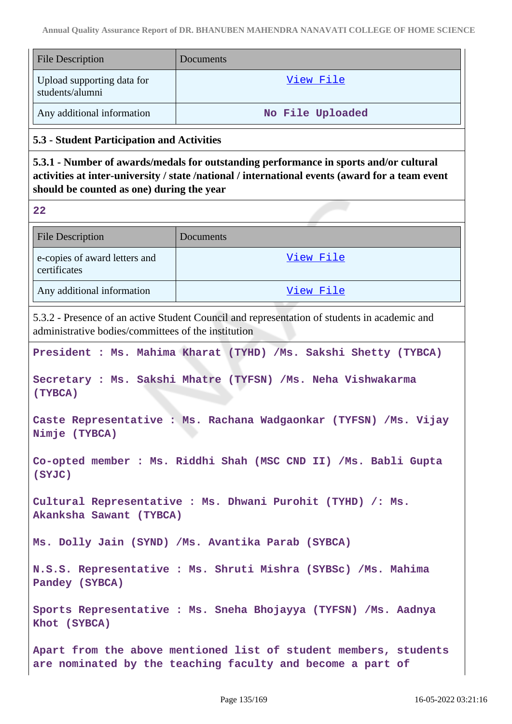| <b>File Description</b>                             | Documents                                                                                                                                                                                |
|-----------------------------------------------------|------------------------------------------------------------------------------------------------------------------------------------------------------------------------------------------|
| Upload supporting data for<br>students/alumni       | View File                                                                                                                                                                                |
| Any additional information                          | No File Uploaded                                                                                                                                                                         |
| 5.3 - Student Participation and Activities          |                                                                                                                                                                                          |
| should be counted as one) during the year           | 5.3.1 - Number of awards/medals for outstanding performance in sports and/or cultural<br>activities at inter-university / state /national / international events (award for a team event |
| 22                                                  |                                                                                                                                                                                          |
| <b>File Description</b>                             | Documents                                                                                                                                                                                |
| e-copies of award letters and<br>certificates       | View File                                                                                                                                                                                |
| Any additional information                          | View File                                                                                                                                                                                |
| administrative bodies/committees of the institution | 5.3.2 - Presence of an active Student Council and representation of students in academic and                                                                                             |
|                                                     | President : Ms. Mahima Kharat (TYHD) /Ms. Sakshi Shetty (TYBCA)                                                                                                                          |
| (TYBCA)                                             | Secretary : Ms. Sakshi Mhatre (TYFSN) /Ms. Neha Vishwakarma                                                                                                                              |
| Nimje (TYBCA)                                       | Caste Representative : Ms. Rachana Wadgaonkar (TYFSN) /Ms. Vijay                                                                                                                         |
| (SYJC)                                              | Co-opted member : Ms. Riddhi Shah (MSC CND II) /Ms. Babli Gupta                                                                                                                          |
| Akanksha Sawant (TYBCA)                             | Cultural Representative : Ms. Dhwani Purohit (TYHD) /: Ms.                                                                                                                               |
|                                                     | Ms. Dolly Jain (SYND) /Ms. Avantika Parab (SYBCA)                                                                                                                                        |
| Pandey (SYBCA)                                      | N.S.S. Representative : Ms. Shruti Mishra (SYBSc) /Ms. Mahima                                                                                                                            |
|                                                     |                                                                                                                                                                                          |

**Apart from the above mentioned list of student members, students are nominated by the teaching faculty and become a part of**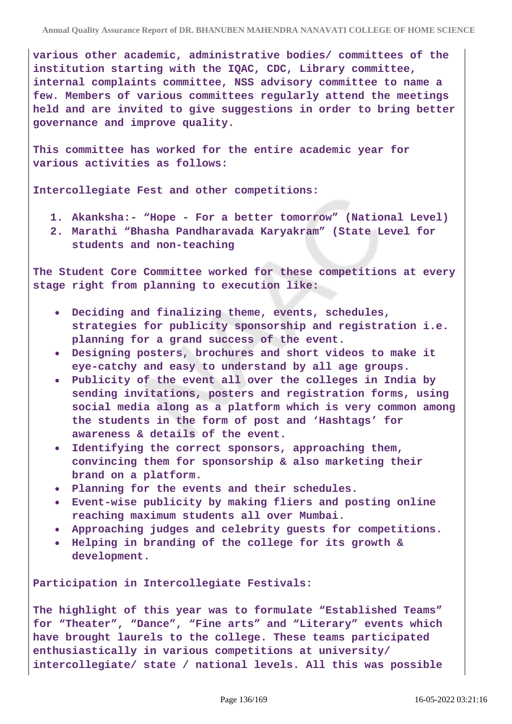**various other academic, administrative bodies/ committees of the institution starting with the IQAC, CDC, Library committee, internal complaints committee, NSS advisory committee to name a few. Members of various committees regularly attend the meetings held and are invited to give suggestions in order to bring better governance and improve quality.**

**This committee has worked for the entire academic year for various activities as follows:**

**Intercollegiate Fest and other competitions:**

- **1. Akanksha:- "Hope For a better tomorrow" (National Level)**
- **2. Marathi "Bhasha Pandharavada Karyakram" (State Level for students and non-teaching**

**The Student Core Committee worked for these competitions at every stage right from planning to execution like:**

- **Deciding and finalizing theme, events, schedules, strategies for publicity sponsorship and registration i.e. planning for a grand success of the event.**
- **Designing posters, brochures and short videos to make it eye-catchy and easy to understand by all age groups.**
- **Publicity of the event all over the colleges in India by sending invitations, posters and registration forms, using social media along as a platform which is very common among the students in the form of post and 'Hashtags' for awareness & details of the event.**
- **Identifying the correct sponsors, approaching them, convincing them for sponsorship & also marketing their brand on a platform.**
- **Planning for the events and their schedules.**
- **Event-wise publicity by making fliers and posting online reaching maximum students all over Mumbai.**
- **Approaching judges and celebrity guests for competitions.**
- **Helping in branding of the college for its growth & development.**

**Participation in Intercollegiate Festivals:**

**The highlight of this year was to formulate "Established Teams" for "Theater", "Dance", "Fine arts" and "Literary" events which have brought laurels to the college. These teams participated enthusiastically in various competitions at university/ intercollegiate/ state / national levels. All this was possible**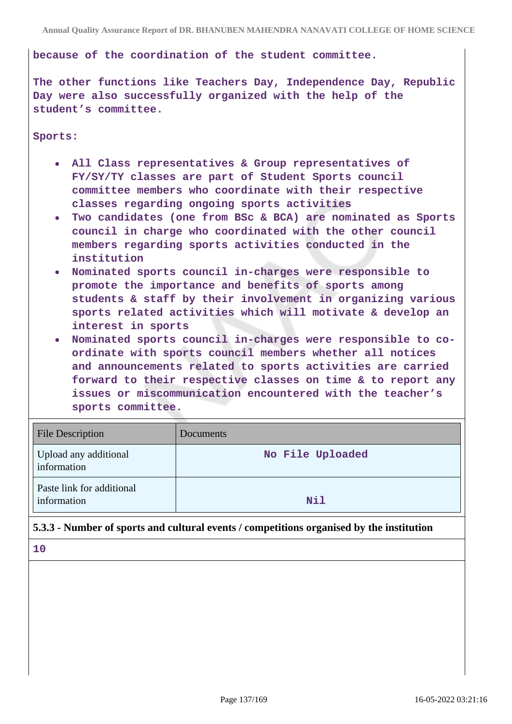#### **because of the coordination of the student committee.**

**The other functions like Teachers Day, Independence Day, Republic Day were also successfully organized with the help of the student's committee.**

#### **Sports:**

- **All Class representatives & Group representatives of FY/SY/TY classes are part of Student Sports council committee members who coordinate with their respective classes regarding ongoing sports activities**
- **Two candidates (one from BSc & BCA) are nominated as Sports council in charge who coordinated with the other council members regarding sports activities conducted in the institution**
- **Nominated sports council in-charges were responsible to promote the importance and benefits of sports among students & staff by their involvement in organizing various sports related activities which will motivate & develop an interest in sports**
- **Nominated sports council in-charges were responsible to coordinate with sports council members whether all notices and announcements related to sports activities are carried forward to their respective classes on time & to report any issues or miscommunication encountered with the teacher's sports committee.**

| <b>File Description</b>                  | Documents        |
|------------------------------------------|------------------|
| Upload any additional<br>information     | No File Uploaded |
| Paste link for additional<br>information | Nil              |

# **5.3.3 - Number of sports and cultural events / competitions organised by the institution**

**10**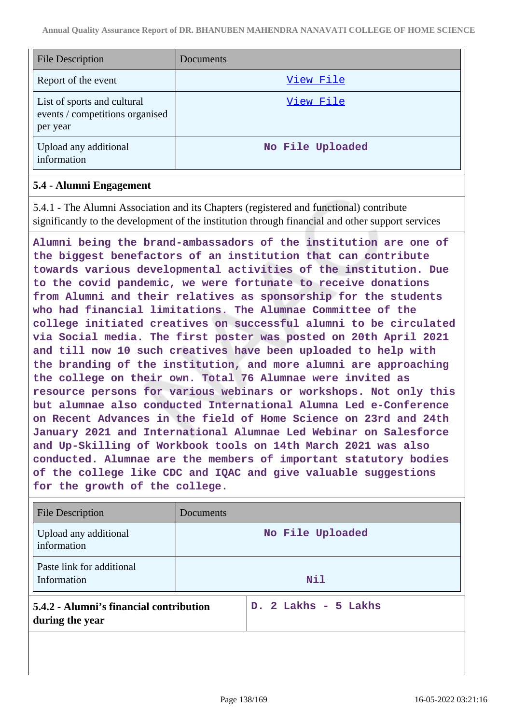| <b>File Description</b>                                                    | Documents        |
|----------------------------------------------------------------------------|------------------|
| Report of the event                                                        | View File        |
| List of sports and cultural<br>events / competitions organised<br>per year | View File        |
| Upload any additional<br>information                                       | No File Uploaded |

#### **5.4 - Alumni Engagement**

5.4.1 - The Alumni Association and its Chapters (registered and functional) contribute significantly to the development of the institution through financial and other support services

**Alumni being the brand-ambassadors of the institution are one of the biggest benefactors of an institution that can contribute towards various developmental activities of the institution. Due to the covid pandemic, we were fortunate to receive donations from Alumni and their relatives as sponsorship for the students who had financial limitations. The Alumnae Committee of the college initiated creatives on successful alumni to be circulated via Social media. The first poster was posted on 20th April 2021 and till now 10 such creatives have been uploaded to help with the branding of the institution, and more alumni are approaching the college on their own. Total 76 Alumnae were invited as resource persons for various webinars or workshops. Not only this but alumnae also conducted International Alumna Led e-Conference on Recent Advances in the field of Home Science on 23rd and 24th January 2021 and International Alumnae Led Webinar on Salesforce and Up-Skilling of Workbook tools on 14th March 2021 was also conducted. Alumnae are the members of important statutory bodies of the college like CDC and IQAC and give valuable suggestions for the growth of the college.**

| <b>File Description</b>                                    | Documents            |
|------------------------------------------------------------|----------------------|
| Upload any additional<br>information                       | No File Uploaded     |
| Paste link for additional<br>Information                   | <b>Nil</b>           |
| 5.4.2 - Alumni's financial contribution<br>during the year | D. 2 Lakhs - 5 Lakhs |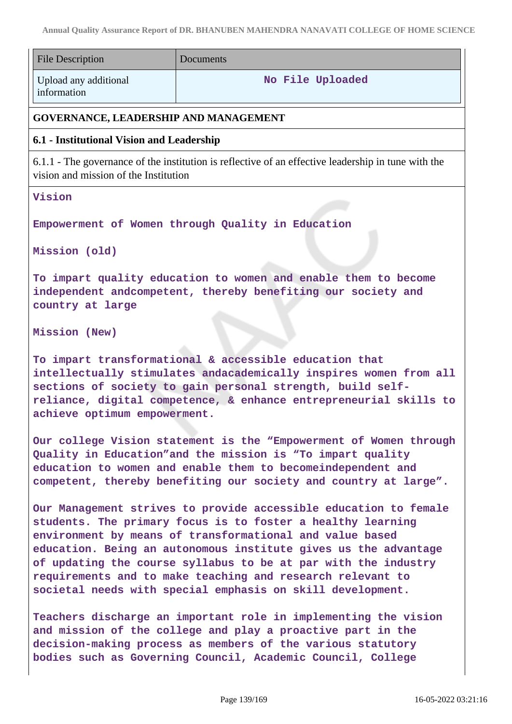| <b>File Description</b>                                                                                                                                                                                                                                                                                                                                                                                                                                      | Documents                                                                                           |  |
|--------------------------------------------------------------------------------------------------------------------------------------------------------------------------------------------------------------------------------------------------------------------------------------------------------------------------------------------------------------------------------------------------------------------------------------------------------------|-----------------------------------------------------------------------------------------------------|--|
| Upload any additional<br>information                                                                                                                                                                                                                                                                                                                                                                                                                         | No File Uploaded                                                                                    |  |
| GOVERNANCE, LEADERSHIP AND MANAGEMENT                                                                                                                                                                                                                                                                                                                                                                                                                        |                                                                                                     |  |
| 6.1 - Institutional Vision and Leadership                                                                                                                                                                                                                                                                                                                                                                                                                    |                                                                                                     |  |
| vision and mission of the Institution                                                                                                                                                                                                                                                                                                                                                                                                                        | 6.1.1 - The governance of the institution is reflective of an effective leadership in tune with the |  |
| Vision                                                                                                                                                                                                                                                                                                                                                                                                                                                       |                                                                                                     |  |
| Empowerment of Women through Quality in Education<br>Mission (old)                                                                                                                                                                                                                                                                                                                                                                                           |                                                                                                     |  |
| To impart quality education to women and enable them to become<br>independent andcompetent, thereby benefiting our society and<br>country at large                                                                                                                                                                                                                                                                                                           |                                                                                                     |  |
| Mission (New)                                                                                                                                                                                                                                                                                                                                                                                                                                                |                                                                                                     |  |
| To impart transformational & accessible education that<br>intellectually stimulates andacademically inspires women from all<br>sections of society to gain personal strength, build self-<br>reliance, digital competence, & enhance entrepreneurial skills to<br>achieve optimum empowerment.                                                                                                                                                               |                                                                                                     |  |
| Our college Vision statement is the "Empowerment of Women through<br>Quality in Education"and the mission is "To impart quality<br>education to women and enable them to becomeindependent and<br>competent, thereby benefiting our society and country at large".                                                                                                                                                                                           |                                                                                                     |  |
| Our Management strives to provide accessible education to female<br>students. The primary focus is to foster a healthy learning<br>environment by means of transformational and value based<br>education. Being an autonomous institute gives us the advantage<br>of updating the course syllabus to be at par with the industry<br>requirements and to make teaching and research relevant to<br>societal needs with special emphasis on skill development. |                                                                                                     |  |
| Teachers discharge an important role in implementing the vision<br>and mission of the college and play a proactive part in the<br>decision-making process as members of the various statutory<br>bodies such as Governing Council, Academic Council, College                                                                                                                                                                                                 |                                                                                                     |  |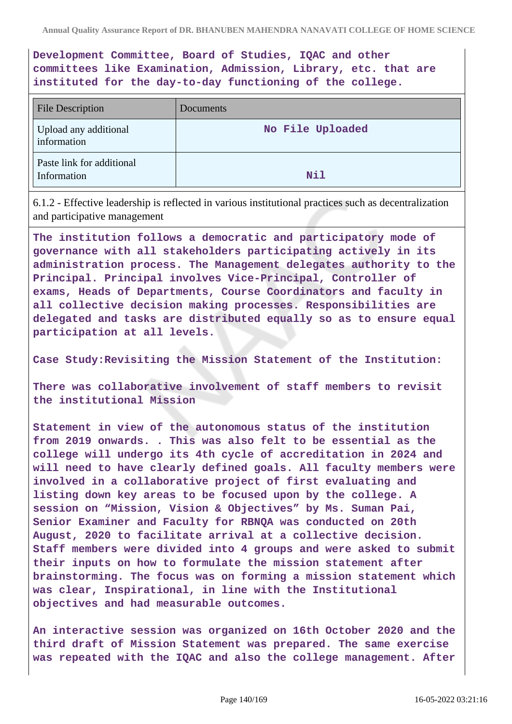**Development Committee, Board of Studies, IQAC and other committees like Examination, Admission, Library, etc. that are instituted for the day-to-day functioning of the college.**

| <b>File Description</b>                  | Documents        |
|------------------------------------------|------------------|
| Upload any additional<br>information     | No File Uploaded |
| Paste link for additional<br>Information | Nil              |

6.1.2 - Effective leadership is reflected in various institutional practices such as decentralization and participative management

**The institution follows a democratic and participatory mode of governance with all stakeholders participating actively in its administration process. The Management delegates authority to the Principal. Principal involves Vice-Principal, Controller of exams, Heads of Departments, Course Coordinators and faculty in all collective decision making processes. Responsibilities are delegated and tasks are distributed equally so as to ensure equal participation at all levels.**

**Case Study:Revisiting the Mission Statement of the Institution:**

**There was collaborative involvement of staff members to revisit the institutional Mission**

**Statement in view of the autonomous status of the institution from 2019 onwards. . This was also felt to be essential as the college will undergo its 4th cycle of accreditation in 2024 and will need to have clearly defined goals. All faculty members were involved in a collaborative project of first evaluating and listing down key areas to be focused upon by the college. A session on "Mission, Vision & Objectives" by Ms. Suman Pai, Senior Examiner and Faculty for RBNQA was conducted on 20th August, 2020 to facilitate arrival at a collective decision. Staff members were divided into 4 groups and were asked to submit their inputs on how to formulate the mission statement after brainstorming. The focus was on forming a mission statement which was clear, Inspirational, in line with the Institutional objectives and had measurable outcomes.**

**An interactive session was organized on 16th October 2020 and the third draft of Mission Statement was prepared. The same exercise was repeated with the IQAC and also the college management. After**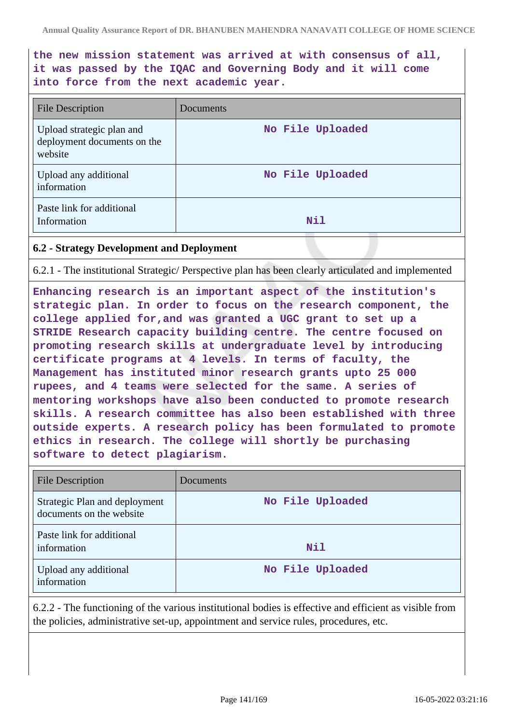**the new mission statement was arrived at with consensus of all, it was passed by the IQAC and Governing Body and it will come into force from the next academic year.**

| <b>File Description</b>                                             | Documents        |
|---------------------------------------------------------------------|------------------|
| Upload strategic plan and<br>deployment documents on the<br>website | No File Uploaded |
| Upload any additional<br>information                                | No File Uploaded |
| Paste link for additional<br>Information                            | <b>Nil</b>       |

#### **6.2 - Strategy Development and Deployment**

6.2.1 - The institutional Strategic/ Perspective plan has been clearly articulated and implemented

**Enhancing research is an important aspect of the institution's strategic plan. In order to focus on the research component, the college applied for,and was granted a UGC grant to set up a STRIDE Research capacity building centre. The centre focused on promoting research skills at undergraduate level by introducing certificate programs at 4 levels. In terms of faculty, the Management has instituted minor research grants upto 25 000 rupees, and 4 teams were selected for the same. A series of mentoring workshops have also been conducted to promote research skills. A research committee has also been established with three outside experts. A research policy has been formulated to promote ethics in research. The college will shortly be purchasing software to detect plagiarism.**

| <b>File Description</b>                                   | Documents        |
|-----------------------------------------------------------|------------------|
| Strategic Plan and deployment<br>documents on the website | No File Uploaded |
| Paste link for additional<br>information                  | Nil              |
| Upload any additional<br>information                      | No File Uploaded |

6.2.2 - The functioning of the various institutional bodies is effective and efficient as visible from the policies, administrative set-up, appointment and service rules, procedures, etc.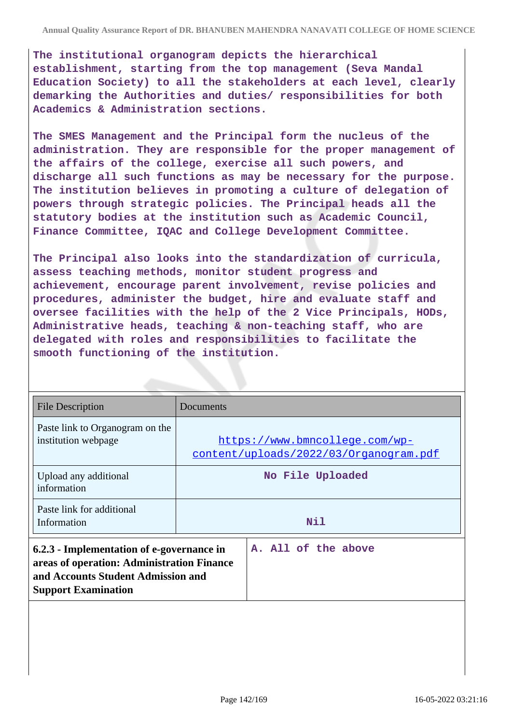**The institutional organogram depicts the hierarchical establishment, starting from the top management (Seva Mandal Education Society) to all the stakeholders at each level, clearly demarking the Authorities and duties/ responsibilities for both Academics & Administration sections.**

**The SMES Management and the Principal form the nucleus of the administration. They are responsible for the proper management of the affairs of the college, exercise all such powers, and discharge all such functions as may be necessary for the purpose. The institution believes in promoting a culture of delegation of powers through strategic policies. The Principal heads all the statutory bodies at the institution such as Academic Council, Finance Committee, IQAC and College Development Committee.**

**The Principal also looks into the standardization of curricula, assess teaching methods, monitor student progress and achievement, encourage parent involvement, revise policies and procedures, administer the budget, hire and evaluate staff and oversee facilities with the help of the 2 Vice Principals, HODs, Administrative heads, teaching & non-teaching staff, who are delegated with roles and responsibilities to facilitate the smooth functioning of the institution.**

| <b>File Description</b>                                                                                                                                     | Documents                                                                |  |
|-------------------------------------------------------------------------------------------------------------------------------------------------------------|--------------------------------------------------------------------------|--|
| Paste link to Organogram on the<br>institution webpage                                                                                                      | https://www.bmncollege.com/wp-<br>content/uploads/2022/03/Organogram.pdf |  |
| Upload any additional<br>information                                                                                                                        | No File Uploaded                                                         |  |
| Paste link for additional<br>Information                                                                                                                    | Nil                                                                      |  |
| 6.2.3 - Implementation of e-governance in<br>areas of operation: Administration Finance<br>and Accounts Student Admission and<br><b>Support Examination</b> | A. All of the above                                                      |  |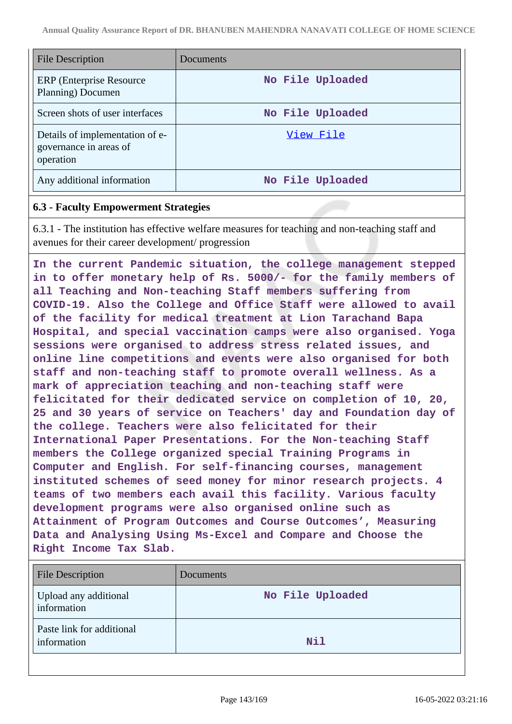| <b>File Description</b>                                                | Documents        |
|------------------------------------------------------------------------|------------------|
| ERP (Enterprise Resource)<br>Planning) Documen                         | No File Uploaded |
| Screen shots of user interfaces                                        | No File Uploaded |
| Details of implementation of e-<br>governance in areas of<br>operation | View File        |
| Any additional information                                             | No File Uploaded |

### **6.3 - Faculty Empowerment Strategies**

6.3.1 - The institution has effective welfare measures for teaching and non-teaching staff and avenues for their career development/ progression

**In the current Pandemic situation, the college management stepped in to offer monetary help of Rs. 5000/- for the family members of all Teaching and Non-teaching Staff members suffering from COVID-19. Also the College and Office Staff were allowed to avail of the facility for medical treatment at Lion Tarachand Bapa Hospital, and special vaccination camps were also organised. Yoga sessions were organised to address stress related issues, and online line competitions and events were also organised for both staff and non-teaching staff to promote overall wellness. As a mark of appreciation teaching and non-teaching staff were felicitated for their dedicated service on completion of 10, 20, 25 and 30 years of service on Teachers' day and Foundation day of the college. Teachers were also felicitated for their International Paper Presentations. For the Non-teaching Staff members the College organized special Training Programs in Computer and English. For self-financing courses, management instituted schemes of seed money for minor research projects. 4 teams of two members each avail this facility. Various faculty development programs were also organised online such as Attainment of Program Outcomes and Course Outcomes', Measuring Data and Analysing Using Ms-Excel and Compare and Choose the Right Income Tax Slab.**

| <b>File Description</b>                  | Documents        |
|------------------------------------------|------------------|
| Upload any additional<br>information     | No File Uploaded |
| Paste link for additional<br>information | Nil              |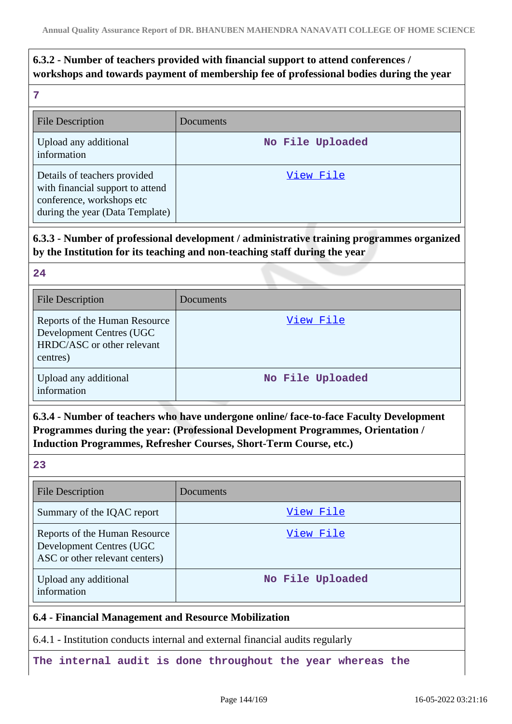# **6.3.2 - Number of teachers provided with financial support to attend conferences / workshops and towards payment of membership fee of professional bodies during the year**

**24**

| <b>File Description</b>                                                                                                          | <b>Documents</b> |
|----------------------------------------------------------------------------------------------------------------------------------|------------------|
| Upload any additional<br>information                                                                                             | No File Uploaded |
| Details of teachers provided<br>with financial support to attend<br>conference, workshops etc<br>during the year (Data Template) | View File        |

**6.3.3 - Number of professional development / administrative training programmes organized by the Institution for its teaching and non-teaching staff during the year**

| <b>File Description</b>                                                                             | Documents        |
|-----------------------------------------------------------------------------------------------------|------------------|
| Reports of the Human Resource<br>Development Centres (UGC<br>HRDC/ASC or other relevant<br>centres) | View File        |
| Upload any additional<br>information                                                                | No File Uploaded |

**6.3.4 - Number of teachers who have undergone online/ face-to-face Faculty Development Programmes during the year: (Professional Development Programmes, Orientation / Induction Programmes, Refresher Courses, Short-Term Course, etc.)**

| ٠ | m.                       |
|---|--------------------------|
|   | ×<br>۰.<br>×<br>- 3<br>v |

| <b>File Description</b>                                                                             | Documents        |
|-----------------------------------------------------------------------------------------------------|------------------|
| Summary of the IQAC report                                                                          | View File        |
| Reports of the Human Resource<br><b>Development Centres (UGC)</b><br>ASC or other relevant centers) | View File        |
| Upload any additional<br>information                                                                | No File Uploaded |

#### **6.4 - Financial Management and Resource Mobilization**

6.4.1 - Institution conducts internal and external financial audits regularly

**The internal audit is done throughout the year whereas the**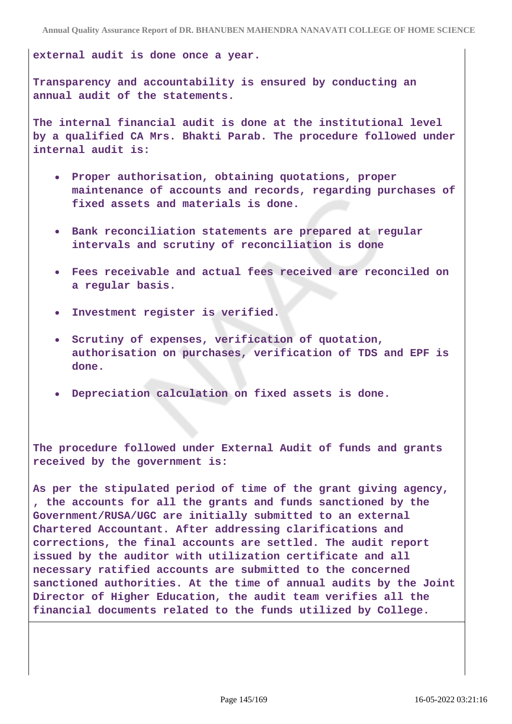**external audit is done once a year.**

**Transparency and accountability is ensured by conducting an annual audit of the statements.**

**The internal financial audit is done at the institutional level by a qualified CA Mrs. Bhakti Parab. The procedure followed under internal audit is:**

- **Proper authorisation, obtaining quotations, proper maintenance of accounts and records, regarding purchases of fixed assets and materials is done.**
- **Bank reconciliation statements are prepared at regular intervals and scrutiny of reconciliation is done**
- **Fees receivable and actual fees received are reconciled on a regular basis.**
- **Investment register is verified.**
- **Scrutiny of expenses, verification of quotation, authorisation on purchases, verification of TDS and EPF is done.**
- **Depreciation calculation on fixed assets is done.**

**The procedure followed under External Audit of funds and grants received by the government is:**

**As per the stipulated period of time of the grant giving agency, , the accounts for all the grants and funds sanctioned by the Government/RUSA/UGC are initially submitted to an external Chartered Accountant. After addressing clarifications and corrections, the final accounts are settled. The audit report issued by the auditor with utilization certificate and all necessary ratified accounts are submitted to the concerned sanctioned authorities. At the time of annual audits by the Joint Director of Higher Education, the audit team verifies all the financial documents related to the funds utilized by College.**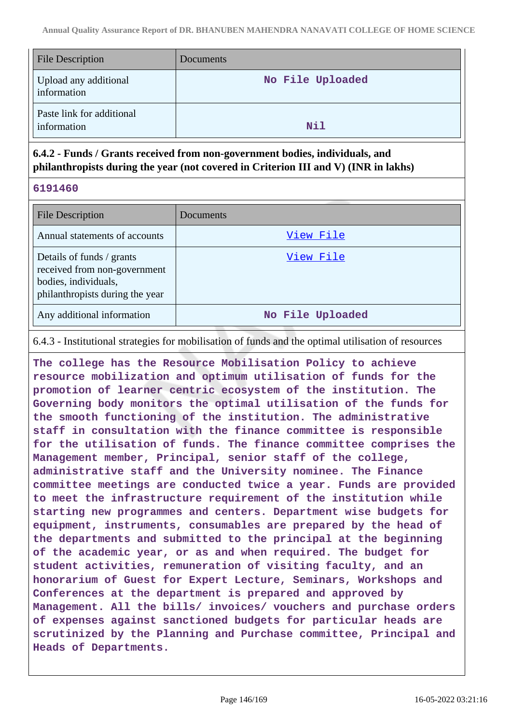| <b>File Description</b>                  | Documents        |
|------------------------------------------|------------------|
| Upload any additional<br>information     | No File Uploaded |
| Paste link for additional<br>information | Nil              |

# **6.4.2 - Funds / Grants received from non-government bodies, individuals, and philanthropists during the year (not covered in Criterion III and V) (INR in lakhs)**

**6191460**

| <b>File Description</b>                                                                                              | Documents        |
|----------------------------------------------------------------------------------------------------------------------|------------------|
| Annual statements of accounts                                                                                        | View File        |
| Details of funds / grants<br>received from non-government<br>bodies, individuals,<br>philanthropists during the year | View File        |
| Any additional information                                                                                           | No File Uploaded |

6.4.3 - Institutional strategies for mobilisation of funds and the optimal utilisation of resources

**The college has the Resource Mobilisation Policy to achieve resource mobilization and optimum utilisation of funds for the promotion of learner centric ecosystem of the institution. The Governing body monitors the optimal utilisation of the funds for the smooth functioning of the institution. The administrative staff in consultation with the finance committee is responsible for the utilisation of funds. The finance committee comprises the Management member, Principal, senior staff of the college, administrative staff and the University nominee. The Finance committee meetings are conducted twice a year. Funds are provided to meet the infrastructure requirement of the institution while starting new programmes and centers. Department wise budgets for equipment, instruments, consumables are prepared by the head of the departments and submitted to the principal at the beginning of the academic year, or as and when required. The budget for student activities, remuneration of visiting faculty, and an honorarium of Guest for Expert Lecture, Seminars, Workshops and Conferences at the department is prepared and approved by Management. All the bills/ invoices/ vouchers and purchase orders of expenses against sanctioned budgets for particular heads are scrutinized by the Planning and Purchase committee, Principal and Heads of Departments.**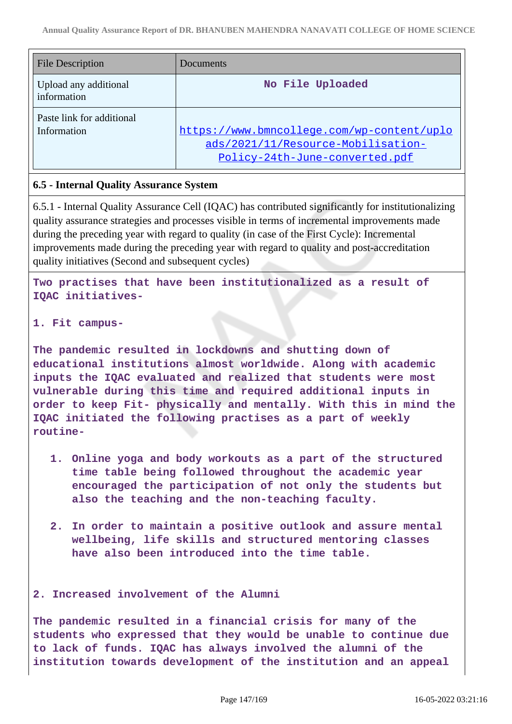| <b>File Description</b>                  | Documents                                                                                                          |
|------------------------------------------|--------------------------------------------------------------------------------------------------------------------|
| Upload any additional<br>information     | No File Uploaded                                                                                                   |
| Paste link for additional<br>Information | https://www.bmncollege.com/wp-content/uplo<br>ads/2021/11/Resource-Mobilisation-<br>Policy-24th-June-converted.pdf |

# **6.5 - Internal Quality Assurance System**

6.5.1 - Internal Quality Assurance Cell (IQAC) has contributed significantly for institutionalizing quality assurance strategies and processes visible in terms of incremental improvements made during the preceding year with regard to quality (in case of the First Cycle): Incremental improvements made during the preceding year with regard to quality and post-accreditation quality initiatives (Second and subsequent cycles)

**Two practises that have been institutionalized as a result of IQAC initiatives-**

## **1. Fit campus-**

**The pandemic resulted in lockdowns and shutting down of educational institutions almost worldwide. Along with academic inputs the IQAC evaluated and realized that students were most vulnerable during this time and required additional inputs in order to keep Fit- physically and mentally. With this in mind the IQAC initiated the following practises as a part of weekly routine-**

- **1. Online yoga and body workouts as a part of the structured time table being followed throughout the academic year encouraged the participation of not only the students but also the teaching and the non-teaching faculty.**
- **2. In order to maintain a positive outlook and assure mental wellbeing, life skills and structured mentoring classes have also been introduced into the time table.**

## **2. Increased involvement of the Alumni**

**The pandemic resulted in a financial crisis for many of the students who expressed that they would be unable to continue due to lack of funds. IQAC has always involved the alumni of the institution towards development of the institution and an appeal**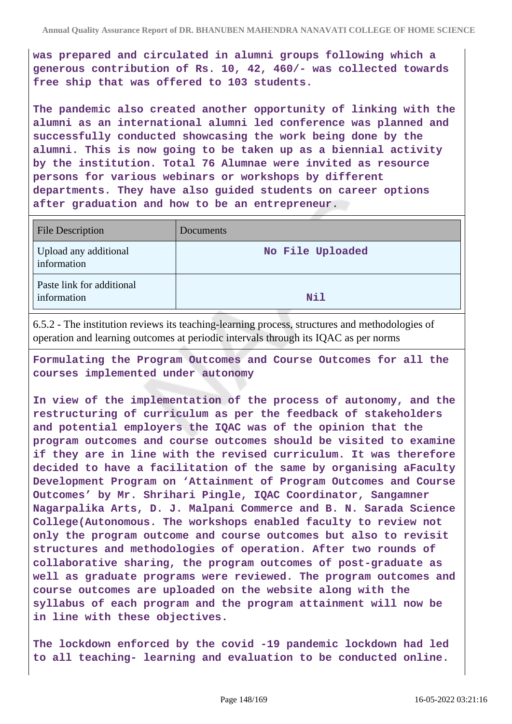**was prepared and circulated in alumni groups following which a generous contribution of Rs. 10, 42, 460/- was collected towards free ship that was offered to 103 students.**

**The pandemic also created another opportunity of linking with the alumni as an international alumni led conference was planned and successfully conducted showcasing the work being done by the alumni. This is now going to be taken up as a biennial activity by the institution. Total 76 Alumnae were invited as resource persons for various webinars or workshops by different departments. They have also guided students on career options after graduation and how to be an entrepreneur.**

| <b>File Description</b>                  | <b>Documents</b> |
|------------------------------------------|------------------|
| Upload any additional<br>information     | No File Uploaded |
| Paste link for additional<br>information | Nil              |

6.5.2 - The institution reviews its teaching-learning process, structures and methodologies of operation and learning outcomes at periodic intervals through its IQAC as per norms

**Formulating the Program Outcomes and Course Outcomes for all the courses implemented under autonomy**

**In view of the implementation of the process of autonomy, and the restructuring of curriculum as per the feedback of stakeholders and potential employers the IQAC was of the opinion that the program outcomes and course outcomes should be visited to examine if they are in line with the revised curriculum. It was therefore decided to have a facilitation of the same by organising aFaculty Development Program on 'Attainment of Program Outcomes and Course Outcomes' by Mr. Shrihari Pingle, IQAC Coordinator, Sangamner Nagarpalika Arts, D. J. Malpani Commerce and B. N. Sarada Science College(Autonomous. The workshops enabled faculty to review not only the program outcome and course outcomes but also to revisit structures and methodologies of operation. After two rounds of collaborative sharing, the program outcomes of post-graduate as well as graduate programs were reviewed. The program outcomes and course outcomes are uploaded on the website along with the syllabus of each program and the program attainment will now be in line with these objectives.**

**The lockdown enforced by the covid -19 pandemic lockdown had led to all teaching- learning and evaluation to be conducted online.**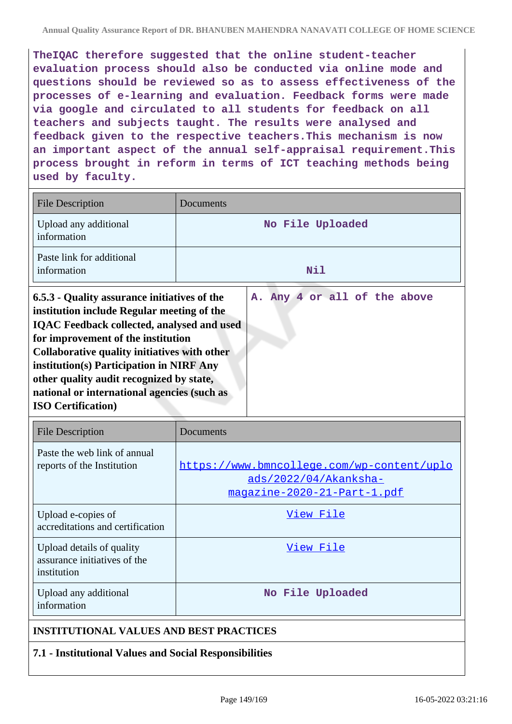**TheIQAC therefore suggested that the online student-teacher evaluation process should also be conducted via online mode and questions should be reviewed so as to assess effectiveness of the processes of e-learning and evaluation. Feedback forms were made via google and circulated to all students for feedback on all teachers and subjects taught. The results were analysed and feedback given to the respective teachers.This mechanism is now an important aspect of the annual self-appraisal requirement.This process brought in reform in terms of ICT teaching methods being used by faculty.**

| <b>File Description</b>                                                                                                                                                                                                                                                                                                                                                                                                                    | Documents                                                                                          |  |
|--------------------------------------------------------------------------------------------------------------------------------------------------------------------------------------------------------------------------------------------------------------------------------------------------------------------------------------------------------------------------------------------------------------------------------------------|----------------------------------------------------------------------------------------------------|--|
| Upload any additional<br>information                                                                                                                                                                                                                                                                                                                                                                                                       | No File Uploaded                                                                                   |  |
| Paste link for additional<br>information                                                                                                                                                                                                                                                                                                                                                                                                   | Nil                                                                                                |  |
| A. Any 4 or all of the above<br>6.5.3 - Quality assurance initiatives of the<br>institution include Regular meeting of the<br><b>IQAC Feedback collected, analysed and used</b><br>for improvement of the institution<br>Collaborative quality initiatives with other<br>institution(s) Participation in NIRF Any<br>other quality audit recognized by state,<br>national or international agencies (such as<br><b>ISO Certification</b> ) |                                                                                                    |  |
| <b>File Description</b>                                                                                                                                                                                                                                                                                                                                                                                                                    | Documents                                                                                          |  |
| Paste the web link of annual<br>reports of the Institution                                                                                                                                                                                                                                                                                                                                                                                 | https://www.bmncollege.com/wp-content/uplo<br>ads/2022/04/Akanksha-<br>magazine-2020-21-Part-1.pdf |  |
| Upload e-copies of<br>accreditations and certification                                                                                                                                                                                                                                                                                                                                                                                     | View File                                                                                          |  |
| Upload details of quality<br>assurance initiatives of the<br>institution                                                                                                                                                                                                                                                                                                                                                                   | <u>View File</u>                                                                                   |  |
| Upload any additional<br>information                                                                                                                                                                                                                                                                                                                                                                                                       | No File Uploaded                                                                                   |  |
| <b>INSTITUTIONAL VALUES AND BEST PRACTICES</b>                                                                                                                                                                                                                                                                                                                                                                                             |                                                                                                    |  |
| 7.1 - Institutional Values and Social Responsibilities                                                                                                                                                                                                                                                                                                                                                                                     |                                                                                                    |  |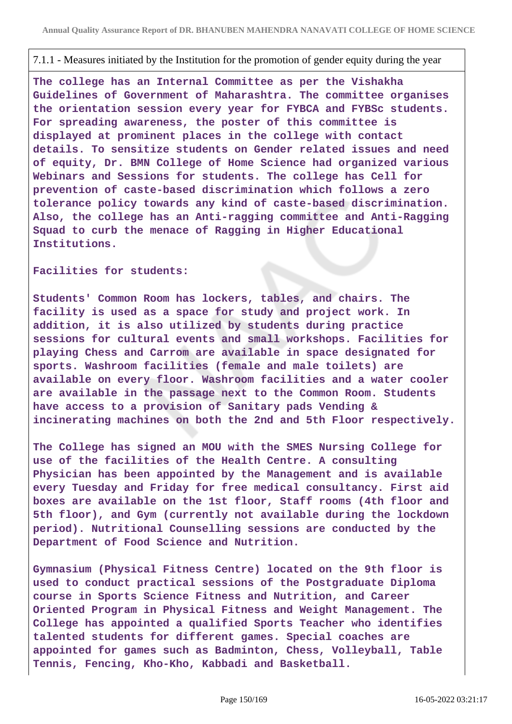## 7.1.1 - Measures initiated by the Institution for the promotion of gender equity during the year

**The college has an Internal Committee as per the Vishakha Guidelines of Government of Maharashtra. The committee organises the orientation session every year for FYBCA and FYBSc students. For spreading awareness, the poster of this committee is displayed at prominent places in the college with contact details. To sensitize students on Gender related issues and need of equity, Dr. BMN College of Home Science had organized various Webinars and Sessions for students. The college has Cell for prevention of caste-based discrimination which follows a zero tolerance policy towards any kind of caste-based discrimination. Also, the college has an Anti-ragging committee and Anti-Ragging Squad to curb the menace of Ragging in Higher Educational Institutions.**

**Facilities for students:**

**Students' Common Room has lockers, tables, and chairs. The facility is used as a space for study and project work. In addition, it is also utilized by students during practice sessions for cultural events and small workshops. Facilities for playing Chess and Carrom are available in space designated for sports. Washroom facilities (female and male toilets) are available on every floor. Washroom facilities and a water cooler are available in the passage next to the Common Room. Students have access to a provision of Sanitary pads Vending & incinerating machines on both the 2nd and 5th Floor respectively.**

**The College has signed an MOU with the SMES Nursing College for use of the facilities of the Health Centre. A consulting Physician has been appointed by the Management and is available every Tuesday and Friday for free medical consultancy. First aid boxes are available on the 1st floor, Staff rooms (4th floor and 5th floor), and Gym (currently not available during the lockdown period). Nutritional Counselling sessions are conducted by the Department of Food Science and Nutrition.**

**Gymnasium (Physical Fitness Centre) located on the 9th floor is used to conduct practical sessions of the Postgraduate Diploma course in Sports Science Fitness and Nutrition, and Career Oriented Program in Physical Fitness and Weight Management. The College has appointed a qualified Sports Teacher who identifies talented students for different games. Special coaches are appointed for games such as Badminton, Chess, Volleyball, Table Tennis, Fencing, Kho-Kho, Kabbadi and Basketball.**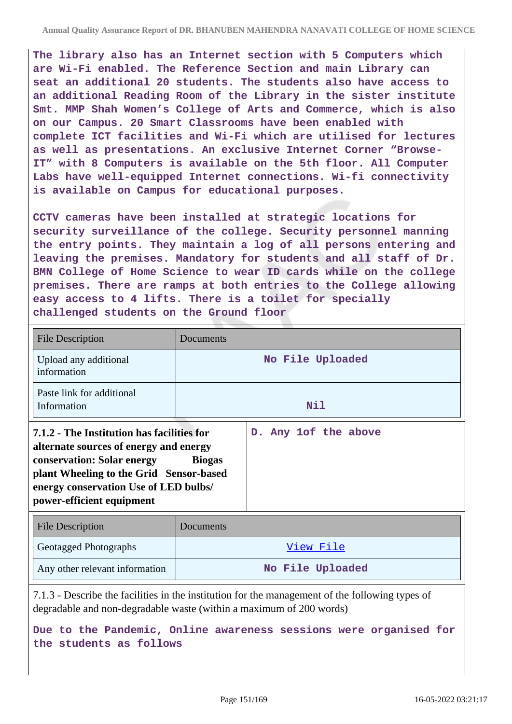**The library also has an Internet section with 5 Computers which are Wi-Fi enabled. The Reference Section and main Library can seat an additional 20 students. The students also have access to an additional Reading Room of the Library in the sister institute Smt. MMP Shah Women's College of Arts and Commerce, which is also on our Campus. 20 Smart Classrooms have been enabled with complete ICT facilities and Wi-Fi which are utilised for lectures as well as presentations. An exclusive Internet Corner "Browse-IT" with 8 Computers is available on the 5th floor. All Computer Labs have well-equipped Internet connections. Wi-fi connectivity is available on Campus for educational purposes.**

**CCTV cameras have been installed at strategic locations for security surveillance of the college. Security personnel manning the entry points. They maintain a log of all persons entering and leaving the premises. Mandatory for students and all staff of Dr. BMN College of Home Science to wear ID cards while on the college premises. There are ramps at both entries to the College allowing easy access to 4 lifts. There is a toilet for specially challenged students on the Ground floor**

| <b>File Description</b>                                                                                                                                                                                                                    | Documents     |                      |
|--------------------------------------------------------------------------------------------------------------------------------------------------------------------------------------------------------------------------------------------|---------------|----------------------|
| Upload any additional<br>information                                                                                                                                                                                                       |               | No File Uploaded     |
| Paste link for additional<br>Information                                                                                                                                                                                                   |               | Nil                  |
| 7.1.2 - The Institution has facilities for<br>alternate sources of energy and energy<br><b>conservation: Solar energy</b><br>plant Wheeling to the Grid Sensor-based<br>energy conservation Use of LED bulbs/<br>power-efficient equipment | <b>Biogas</b> | D. Any 1of the above |
| <b>File Description</b>                                                                                                                                                                                                                    | Documents     |                      |

| File Description               | Documents        |
|--------------------------------|------------------|
| Geotagged Photographs          | View File        |
| Any other relevant information | No File Uploaded |

7.1.3 - Describe the facilities in the institution for the management of the following types of degradable and non-degradable waste (within a maximum of 200 words)

**Due to the Pandemic, Online awareness sessions were organised for the students as follows**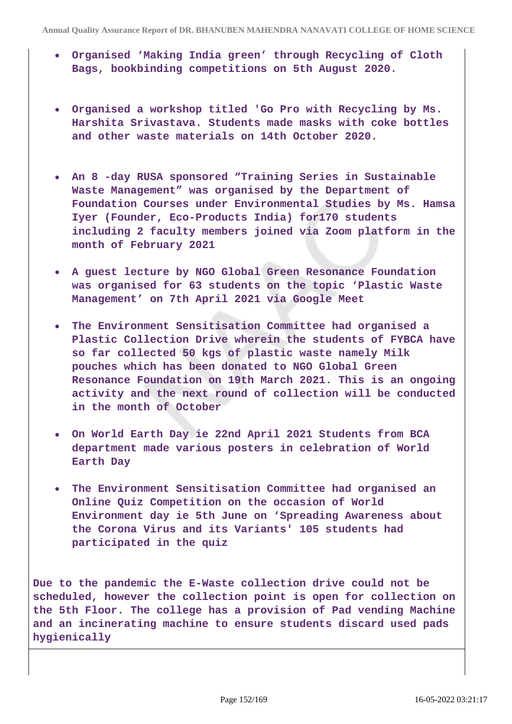- **Organised 'Making India green' through Recycling of Cloth Bags, bookbinding competitions on 5th August 2020.**
- **Organised a workshop titled 'Go Pro with Recycling by Ms. Harshita Srivastava. Students made masks with coke bottles and other waste materials on 14th October 2020.**
- **An 8 -day RUSA sponsored "Training Series in Sustainable Waste Management" was organised by the Department of Foundation Courses under Environmental Studies by Ms. Hamsa Iyer (Founder, Eco-Products India) for170 students including 2 faculty members joined via Zoom platform in the month of February 2021**
- **A guest lecture by NGO Global Green Resonance Foundation was organised for 63 students on the topic 'Plastic Waste Management' on 7th April 2021 via Google Meet**
- **The Environment Sensitisation Committee had organised a Plastic Collection Drive wherein the students of FYBCA have so far collected 50 kgs of plastic waste namely Milk pouches which has been donated to NGO Global Green Resonance Foundation on 19th March 2021. This is an ongoing activity and the next round of collection will be conducted in the month of October**
- **On World Earth Day ie 22nd April 2021 Students from BCA department made various posters in celebration of World Earth Day**
- **The Environment Sensitisation Committee had organised an Online Quiz Competition on the occasion of World Environment day ie 5th June on 'Spreading Awareness about the Corona Virus and its Variants' 105 students had participated in the quiz**

**Due to the pandemic the E-Waste collection drive could not be scheduled, however the collection point is open for collection on the 5th Floor. The college has a provision of Pad vending Machine and an incinerating machine to ensure students discard used pads hygienically**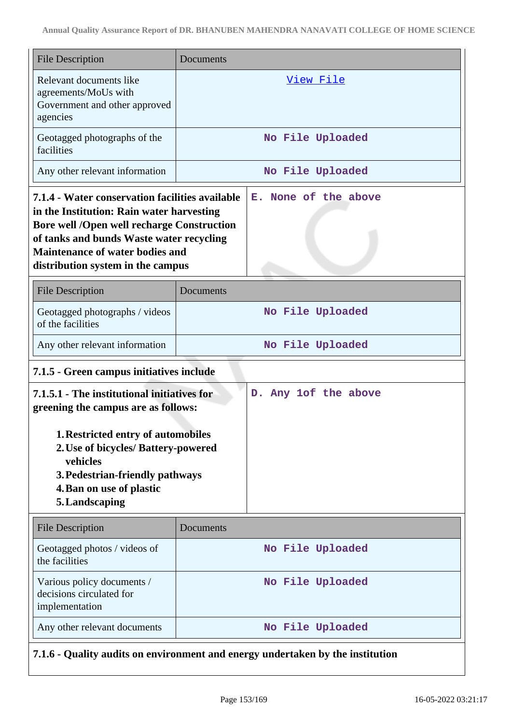| <b>File Description</b>                                                                                                                                                                                                                                                      | Documents                                                                      |  |  |
|------------------------------------------------------------------------------------------------------------------------------------------------------------------------------------------------------------------------------------------------------------------------------|--------------------------------------------------------------------------------|--|--|
| Relevant documents like<br>agreements/MoUs with<br>Government and other approved<br>agencies                                                                                                                                                                                 | <u>View File</u>                                                               |  |  |
| Geotagged photographs of the<br>facilities                                                                                                                                                                                                                                   | No File Uploaded                                                               |  |  |
| Any other relevant information                                                                                                                                                                                                                                               | No File Uploaded                                                               |  |  |
| 7.1.4 - Water conservation facilities available<br>in the Institution: Rain water harvesting<br><b>Bore well /Open well recharge Construction</b><br>of tanks and bunds Waste water recycling<br><b>Maintenance of water bodies and</b><br>distribution system in the campus | E. None of the above                                                           |  |  |
| <b>File Description</b>                                                                                                                                                                                                                                                      | Documents                                                                      |  |  |
| Geotagged photographs / videos<br>of the facilities                                                                                                                                                                                                                          | No File Uploaded                                                               |  |  |
| Any other relevant information                                                                                                                                                                                                                                               | No File Uploaded                                                               |  |  |
|                                                                                                                                                                                                                                                                              | 7.1.5 - Green campus initiatives include                                       |  |  |
| 7.1.5.1 - The institutional initiatives for<br>D. Any 1of the above<br>greening the campus are as follows:<br>1. Restricted entry of automobiles<br>2. Use of bicycles/ Battery-powered                                                                                      |                                                                                |  |  |
| vehicles<br>3. Pedestrian-friendly pathways<br>4. Ban on use of plastic<br>5. Landscaping                                                                                                                                                                                    |                                                                                |  |  |
| <b>File Description</b>                                                                                                                                                                                                                                                      | Documents                                                                      |  |  |
| Geotagged photos / videos of<br>the facilities                                                                                                                                                                                                                               | No File Uploaded                                                               |  |  |
| Various policy documents /<br>decisions circulated for<br>implementation                                                                                                                                                                                                     | No File Uploaded                                                               |  |  |
| Any other relevant documents                                                                                                                                                                                                                                                 | No File Uploaded                                                               |  |  |
|                                                                                                                                                                                                                                                                              | 7.1.6 - Quality audits on environment and energy undertaken by the institution |  |  |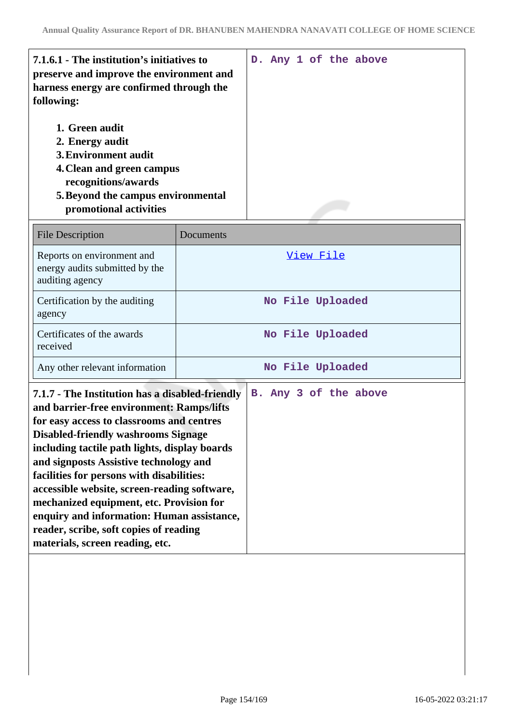| 7.1.6.1 - The institution's initiatives to<br>preserve and improve the environment and<br>harness energy are confirmed through the<br>following:<br>1. Green audit<br>2. Energy audit<br><b>3. Environment audit</b><br>4. Clean and green campus<br>recognitions/awards<br>5. Beyond the campus environmental<br>promotional activities                                                                                                                                                                            | D. Any 1 of the above |  |
|---------------------------------------------------------------------------------------------------------------------------------------------------------------------------------------------------------------------------------------------------------------------------------------------------------------------------------------------------------------------------------------------------------------------------------------------------------------------------------------------------------------------|-----------------------|--|
| <b>File Description</b>                                                                                                                                                                                                                                                                                                                                                                                                                                                                                             | Documents             |  |
| Reports on environment and<br>energy audits submitted by the<br>auditing agency                                                                                                                                                                                                                                                                                                                                                                                                                                     | View File             |  |
| Certification by the auditing<br>agency                                                                                                                                                                                                                                                                                                                                                                                                                                                                             | No File Uploaded      |  |
| Certificates of the awards<br>received                                                                                                                                                                                                                                                                                                                                                                                                                                                                              | No File Uploaded      |  |
| Any other relevant information                                                                                                                                                                                                                                                                                                                                                                                                                                                                                      | No File Uploaded      |  |
| 7.1.7 - The Institution has a disabled-friendly<br>and barrier-free environment: Ramps/lifts<br>for easy access to classrooms and centres<br><b>Disabled-friendly washrooms Signage</b><br>including tactile path lights, display boards<br>and signposts Assistive technology and<br>facilities for persons with disabilities:<br>accessible website, screen-reading software,<br>mechanized equipment, etc. Provision for<br>enquiry and information: Human assistance,<br>reader, scribe, soft copies of reading | B. Any 3 of the above |  |

**materials, screen reading, etc.**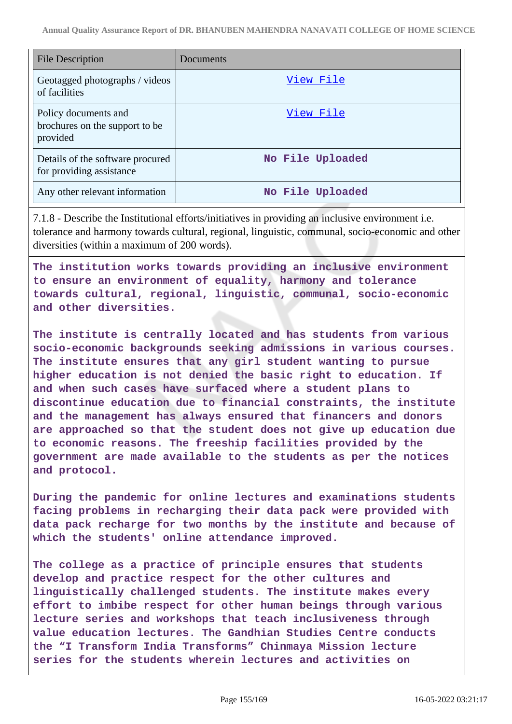| <b>File Description</b>                                            | Documents        |
|--------------------------------------------------------------------|------------------|
| Geotagged photographs / videos<br>of facilities                    | View File        |
| Policy documents and<br>brochures on the support to be<br>provided | View File        |
| Details of the software procured<br>for providing assistance       | No File Uploaded |
| Any other relevant information                                     | No File Uploaded |

7.1.8 - Describe the Institutional efforts/initiatives in providing an inclusive environment i.e. tolerance and harmony towards cultural, regional, linguistic, communal, socio-economic and other diversities (within a maximum of 200 words).

**The institution works towards providing an inclusive environment to ensure an environment of equality, harmony and tolerance towards cultural, regional, linguistic, communal, socio-economic and other diversities.**

**The institute is centrally located and has students from various socio-economic backgrounds seeking admissions in various courses. The institute ensures that any girl student wanting to pursue higher education is not denied the basic right to education. If and when such cases have surfaced where a student plans to discontinue education due to financial constraints, the institute and the management has always ensured that financers and donors are approached so that the student does not give up education due to economic reasons. The freeship facilities provided by the government are made available to the students as per the notices and protocol.**

**During the pandemic for online lectures and examinations students facing problems in recharging their data pack were provided with data pack recharge for two months by the institute and because of which the students' online attendance improved.**

**The college as a practice of principle ensures that students develop and practice respect for the other cultures and linguistically challenged students. The institute makes every effort to imbibe respect for other human beings through various lecture series and workshops that teach inclusiveness through value education lectures. The Gandhian Studies Centre conducts the "I Transform India Transforms" Chinmaya Mission lecture series for the students wherein lectures and activities on**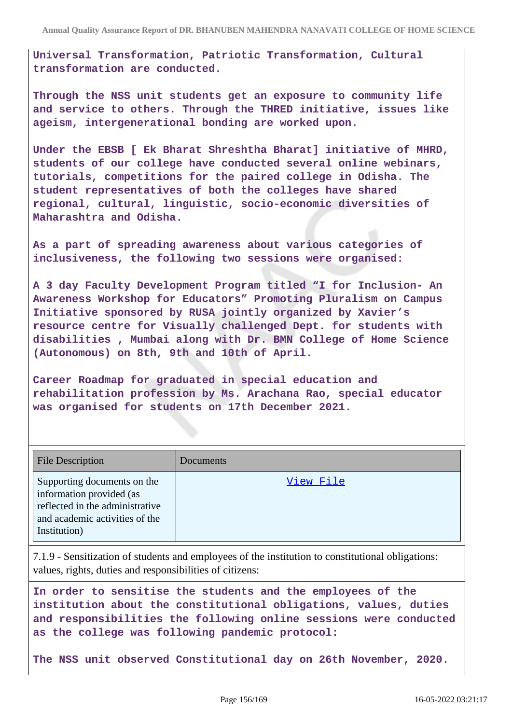**Universal Transformation, Patriotic Transformation, Cultural transformation are conducted.**

**Through the NSS unit students get an exposure to community life and service to others. Through the THRED initiative, issues like ageism, intergenerational bonding are worked upon.**

**Under the EBSB [ Ek Bharat Shreshtha Bharat] initiative of MHRD, students of our college have conducted several online webinars, tutorials, competitions for the paired college in Odisha. The student representatives of both the colleges have shared regional, cultural, linguistic, socio-economic diversities of Maharashtra and Odisha.**

**As a part of spreading awareness about various categories of inclusiveness, the following two sessions were organised:**

**A 3 day Faculty Development Program titled "I for Inclusion- An Awareness Workshop for Educators" Promoting Pluralism on Campus Initiative sponsored by RUSA jointly organized by Xavier's resource centre for Visually challenged Dept. for students with disabilities , Mumbai along with Dr. BMN College of Home Science (Autonomous) on 8th, 9th and 10th of April.**

**Career Roadmap for graduated in special education and rehabilitation profession by Ms. Arachana Rao, special educator was organised for students on 17th December 2021.**

| <b>File Description</b>                                                                                                                      | Documents |
|----------------------------------------------------------------------------------------------------------------------------------------------|-----------|
| Supporting documents on the<br>information provided (as<br>reflected in the administrative<br>and academic activities of the<br>Institution) | View File |

7.1.9 - Sensitization of students and employees of the institution to constitutional obligations: values, rights, duties and responsibilities of citizens:

**In order to sensitise the students and the employees of the institution about the constitutional obligations, values, duties and responsibilities the following online sessions were conducted as the college was following pandemic protocol:**

**The NSS unit observed Constitutional day on 26th November, 2020.**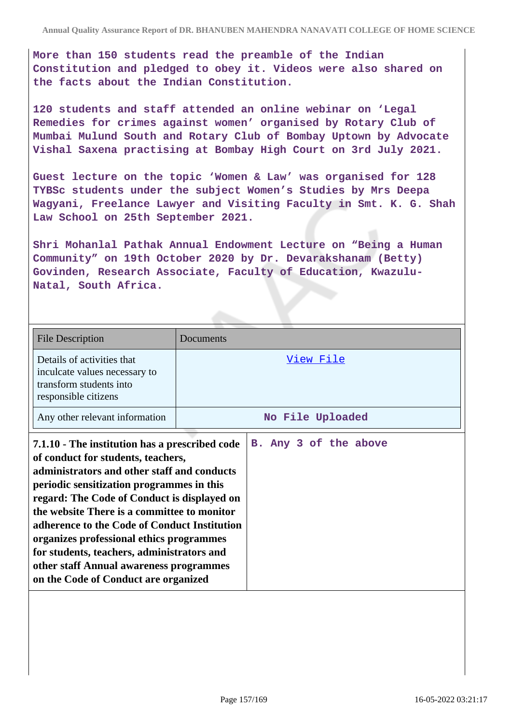**More than 150 students read the preamble of the Indian Constitution and pledged to obey it. Videos were also shared on the facts about the Indian Constitution.**

**120 students and staff attended an online webinar on 'Legal Remedies for crimes against women' organised by Rotary Club of Mumbai Mulund South and Rotary Club of Bombay Uptown by Advocate Vishal Saxena practising at Bombay High Court on 3rd July 2021.**

**Guest lecture on the topic 'Women & Law' was organised for 128 TYBSc students under the subject Women's Studies by Mrs Deepa Wagyani, Freelance Lawyer and Visiting Faculty in Smt. K. G. Shah Law School on 25th September 2021.**

**Shri Mohanlal Pathak Annual Endowment Lecture on "Being a Human Community" on 19th October 2020 by Dr. Devarakshanam (Betty) Govinden, Research Associate, Faculty of Education, Kwazulu-Natal, South Africa.**

| <b>File Description</b>                                                                                                                                                                                                                                                                                                                                                                                                                                                                                     | Documents             |
|-------------------------------------------------------------------------------------------------------------------------------------------------------------------------------------------------------------------------------------------------------------------------------------------------------------------------------------------------------------------------------------------------------------------------------------------------------------------------------------------------------------|-----------------------|
| Details of activities that<br>inculcate values necessary to<br>transform students into<br>responsible citizens                                                                                                                                                                                                                                                                                                                                                                                              | View File             |
| Any other relevant information                                                                                                                                                                                                                                                                                                                                                                                                                                                                              | No File Uploaded      |
| 7.1.10 - The institution has a prescribed code<br>of conduct for students, teachers,<br>administrators and other staff and conducts<br>periodic sensitization programmes in this<br>regard: The Code of Conduct is displayed on<br>the website There is a committee to monitor<br>adherence to the Code of Conduct Institution<br>organizes professional ethics programmes<br>for students, teachers, administrators and<br>other staff Annual awareness programmes<br>on the Code of Conduct are organized | B. Any 3 of the above |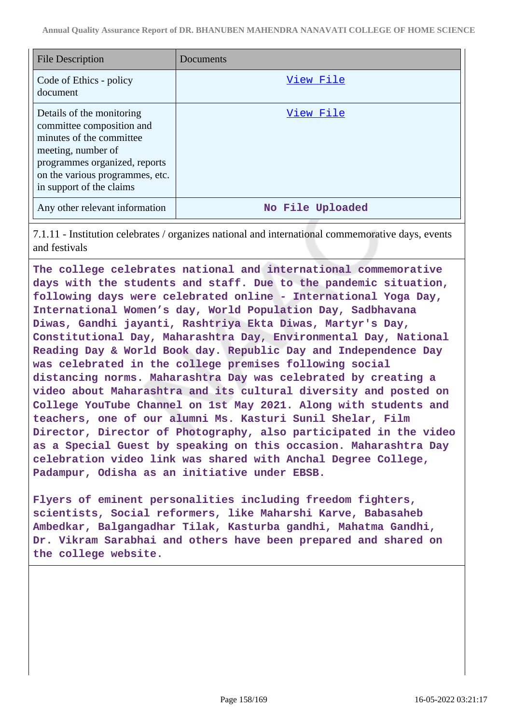| <b>File Description</b>                                                                                                                                                                                  | Documents        |
|----------------------------------------------------------------------------------------------------------------------------------------------------------------------------------------------------------|------------------|
| Code of Ethics - policy<br>document                                                                                                                                                                      | View File        |
| Details of the monitoring<br>committee composition and<br>minutes of the committee<br>meeting, number of<br>programmes organized, reports<br>on the various programmes, etc.<br>in support of the claims | View File        |
| Any other relevant information                                                                                                                                                                           | No File Uploaded |

7.1.11 - Institution celebrates / organizes national and international commemorative days, events and festivals

**The college celebrates national and international commemorative days with the students and staff. Due to the pandemic situation, following days were celebrated online - International Yoga Day, International Women's day, World Population Day, Sadbhavana Diwas, Gandhi jayanti, Rashtriya Ekta Diwas, Martyr's Day, Constitutional Day, Maharashtra Day, Environmental Day, National Reading Day & World Book day. Republic Day and Independence Day was celebrated in the college premises following social distancing norms. Maharashtra Day was celebrated by creating a video about Maharashtra and its cultural diversity and posted on College YouTube Channel on 1st May 2021. Along with students and teachers, one of our alumni Ms. Kasturi Sunil Shelar, Film Director, Director of Photography, also participated in the video as a Special Guest by speaking on this occasion. Maharashtra Day celebration video link was shared with Anchal Degree College, Padampur, Odisha as an initiative under EBSB.**

**Flyers of eminent personalities including freedom fighters, scientists, Social reformers, like Maharshi Karve, Babasaheb Ambedkar, Balgangadhar Tilak, Kasturba gandhi, Mahatma Gandhi, Dr. Vikram Sarabhai and others have been prepared and shared on the college website.**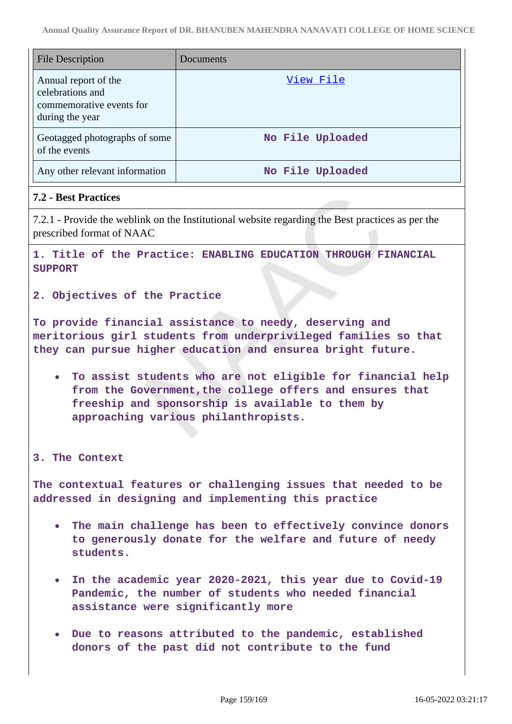| <b>File Description</b>                                                                 | Documents        |
|-----------------------------------------------------------------------------------------|------------------|
| Annual report of the<br>celebrations and<br>commemorative events for<br>during the year | View File        |
| Geotagged photographs of some<br>of the events                                          | No File Uploaded |
| Any other relevant information                                                          | No File Uploaded |

# **7.2 - Best Practices**

7.2.1 - Provide the weblink on the Institutional website regarding the Best practices as per the prescribed format of NAAC

**1. Title of the Practice: ENABLING EDUCATION THROUGH FINANCIAL SUPPORT**

**2. Objectives of the Practice**

**To provide financial assistance to needy, deserving and meritorious girl students from underprivileged families so that they can pursue higher education and ensurea bright future.**

**To assist students who are not eligible for financial help from the Government,the college offers and ensures that freeship and sponsorship is available to them by approaching various philanthropists.**

**3. The Context**

**The contextual features or challenging issues that needed to be addressed in designing and implementing this practice**

- **The main challenge has been to effectively convince donors to generously donate for the welfare and future of needy students.**
- **In the academic year 2020-2021, this year due to Covid-19 Pandemic, the number of students who needed financial assistance were significantly more**
- **Due to reasons attributed to the pandemic, established donors of the past did not contribute to the fund**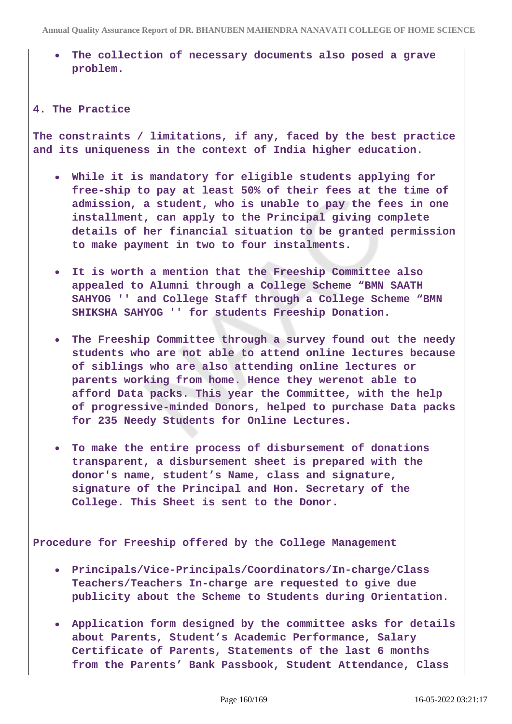**The collection of necessary documents also posed a grave problem.**

### **4. The Practice**

**The constraints / limitations, if any, faced by the best practice and its uniqueness in the context of India higher education.**

- **While it is mandatory for eligible students applying for free-ship to pay at least 50% of their fees at the time of admission, a student, who is unable to pay the fees in one installment, can apply to the Principal giving complete details of her financial situation to be granted permission to make payment in two to four instalments.**
- **It is worth a mention that the Freeship Committee also appealed to Alumni through a College Scheme "BMN SAATH SAHYOG '' and College Staff through a College Scheme "BMN SHIKSHA SAHYOG '' for students Freeship Donation.**
- **The Freeship Committee through a survey found out the needy students who are not able to attend online lectures because of siblings who are also attending online lectures or parents working from home. Hence they werenot able to afford Data packs. This year the Committee, with the help of progressive-minded Donors, helped to purchase Data packs for 235 Needy Students for Online Lectures.**
- **To make the entire process of disbursement of donations transparent, a disbursement sheet is prepared with the donor's name, student's Name, class and signature, signature of the Principal and Hon. Secretary of the College. This Sheet is sent to the Donor.**

**Procedure for Freeship offered by the College Management**

- **Principals/Vice-Principals/Coordinators/In-charge/Class Teachers/Teachers In-charge are requested to give due publicity about the Scheme to Students during Orientation.**
- **Application form designed by the committee asks for details about Parents, Student's Academic Performance, Salary Certificate of Parents, Statements of the last 6 months from the Parents' Bank Passbook, Student Attendance, Class**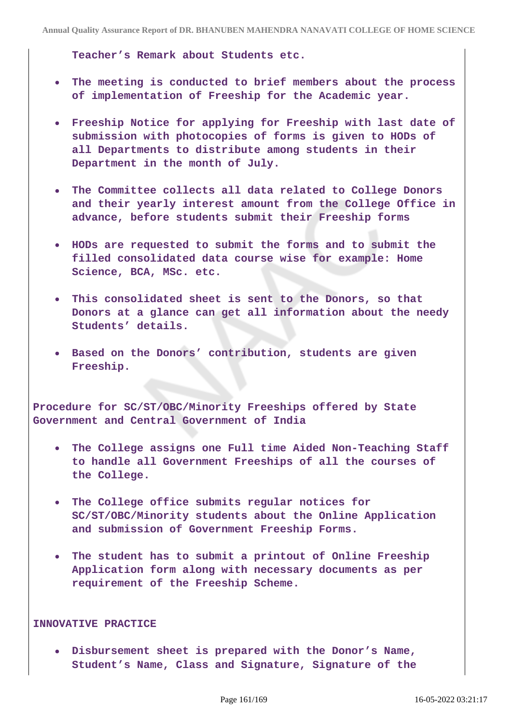**Teacher's Remark about Students etc.**

- **The meeting is conducted to brief members about the process of implementation of Freeship for the Academic year.**
- **Freeship Notice for applying for Freeship with last date of submission with photocopies of forms is given to HODs of all Departments to distribute among students in their Department in the month of July.**
- **The Committee collects all data related to College Donors and their yearly interest amount from the College Office in advance, before students submit their Freeship forms**
- **HODs are requested to submit the forms and to submit the filled consolidated data course wise for example: Home Science, BCA, MSc. etc.**
- **This consolidated sheet is sent to the Donors, so that Donors at a glance can get all information about the needy Students' details.**
- **Based on the Donors' contribution, students are given Freeship.**

**Procedure for SC/ST/OBC/Minority Freeships offered by State Government and Central Government of India**

- **The College assigns one Full time Aided Non-Teaching Staff to handle all Government Freeships of all the courses of the College.**
- **The College office submits regular notices for SC/ST/OBC/Minority students about the Online Application and submission of Government Freeship Forms.**
- **The student has to submit a printout of Online Freeship Application form along with necessary documents as per requirement of the Freeship Scheme.**

### **INNOVATIVE PRACTICE**

**Disbursement sheet is prepared with the Donor's Name, Student's Name, Class and Signature, Signature of the**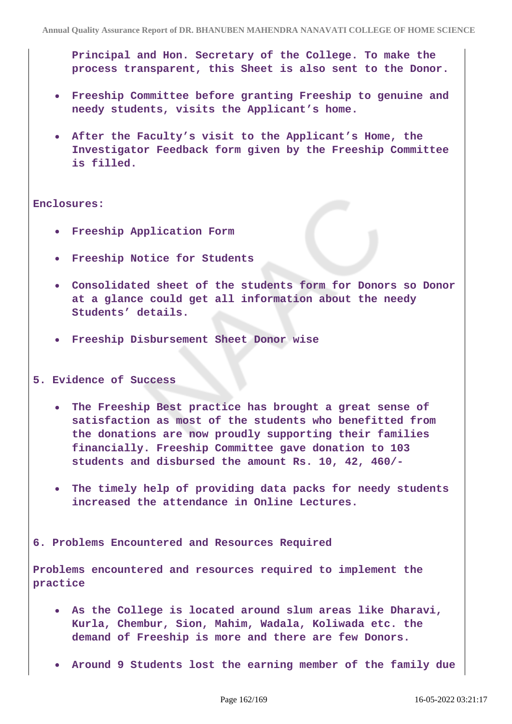**Principal and Hon. Secretary of the College. To make the process transparent, this Sheet is also sent to the Donor.**

- **Freeship Committee before granting Freeship to genuine and needy students, visits the Applicant's home.**
- **After the Faculty's visit to the Applicant's Home, the Investigator Feedback form given by the Freeship Committee is filled.**

### **Enclosures:**

- **Freeship Application Form**
- **Freeship Notice for Students**
- **Consolidated sheet of the students form for Donors so Donor at a glance could get all information about the needy Students' details.**
- **Freeship Disbursement Sheet Donor wise**

### **5. Evidence of Success**

- **The Freeship Best practice has brought a great sense of satisfaction as most of the students who benefitted from the donations are now proudly supporting their families financially. Freeship Committee gave donation to 103 students and disbursed the amount Rs. 10, 42, 460/-**
- **The timely help of providing data packs for needy students increased the attendance in Online Lectures.**

### **6. Problems Encountered and Resources Required**

**Problems encountered and resources required to implement the practice**

- **As the College is located around slum areas like Dharavi, Kurla, Chembur, Sion, Mahim, Wadala, Koliwada etc. the demand of Freeship is more and there are few Donors.**
- **Around 9 Students lost the earning member of the family due**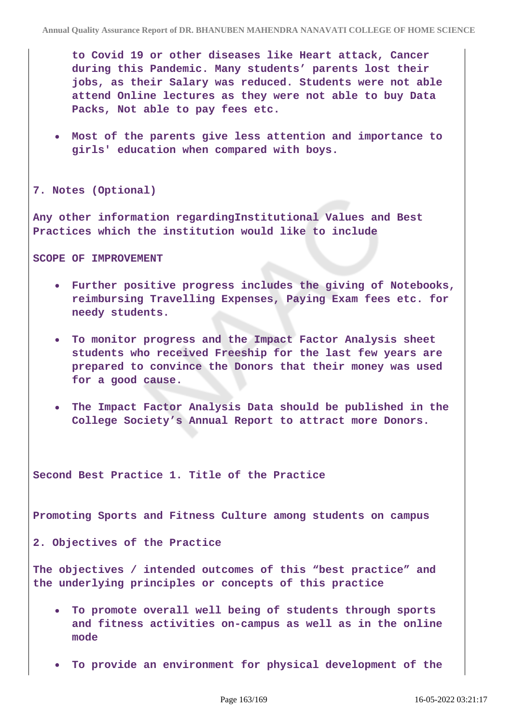**to Covid 19 or other diseases like Heart attack, Cancer during this Pandemic. Many students' parents lost their jobs, as their Salary was reduced. Students were not able attend Online lectures as they were not able to buy Data Packs, Not able to pay fees etc.**

**Most of the parents give less attention and importance to girls' education when compared with boys.**

**7. Notes (Optional)**

**Any other information regardingInstitutional Values and Best Practices which the institution would like to include**

**SCOPE OF IMPROVEMENT**

- **Further positive progress includes the giving of Notebooks, reimbursing Travelling Expenses, Paying Exam fees etc. for needy students.**
- **To monitor progress and the Impact Factor Analysis sheet students who received Freeship for the last few years are prepared to convince the Donors that their money was used for a good cause.**
- **The Impact Factor Analysis Data should be published in the College Society's Annual Report to attract more Donors.**

**Second Best Practice 1. Title of the Practice** 

**Promoting Sports and Fitness Culture among students on campus**

**2. Objectives of the Practice**

**The objectives / intended outcomes of this "best practice" and the underlying principles or concepts of this practice**

- **To promote overall well being of students through sports and fitness activities on-campus as well as in the online mode**
- **To provide an environment for physical development of the**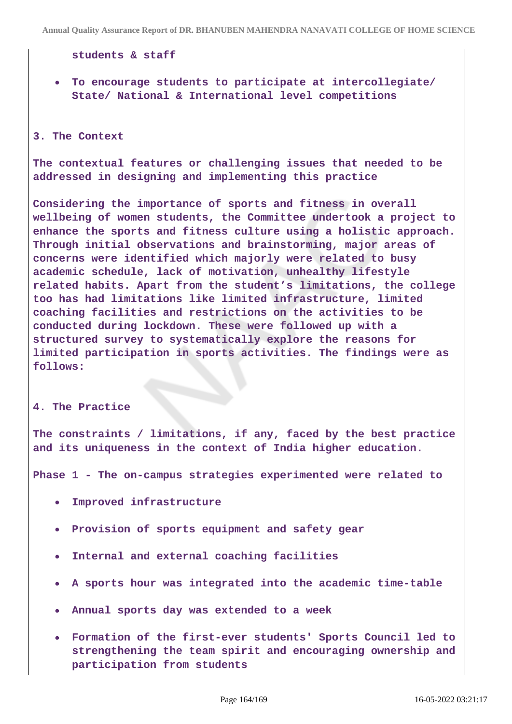**students & staff**

**To encourage students to participate at intercollegiate/ State/ National & International level competitions**

#### **3. The Context**

**The contextual features or challenging issues that needed to be addressed in designing and implementing this practice**

**Considering the importance of sports and fitness in overall wellbeing of women students, the Committee undertook a project to enhance the sports and fitness culture using a holistic approach. Through initial observations and brainstorming, major areas of concerns were identified which majorly were related to busy academic schedule, lack of motivation, unhealthy lifestyle related habits. Apart from the student's limitations, the college too has had limitations like limited infrastructure, limited coaching facilities and restrictions on the activities to be conducted during lockdown. These were followed up with a structured survey to systematically explore the reasons for limited participation in sports activities. The findings were as follows:**

#### **4. The Practice**

**The constraints / limitations, if any, faced by the best practice and its uniqueness in the context of India higher education.**

**Phase 1 - The on-campus strategies experimented were related to**

- **Improved infrastructure**
- **Provision of sports equipment and safety gear**
- **Internal and external coaching facilities**
- **A sports hour was integrated into the academic time-table**
- **Annual sports day was extended to a week**
- **Formation of the first-ever students' Sports Council led to strengthening the team spirit and encouraging ownership and participation from students**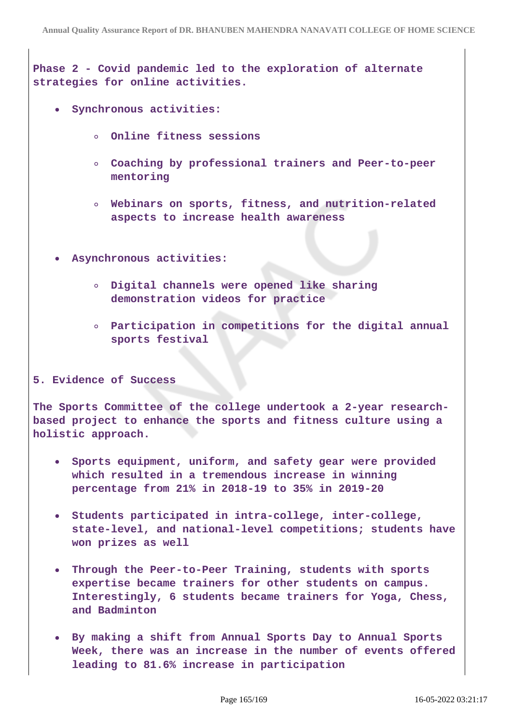**Phase 2 - Covid pandemic led to the exploration of alternate strategies for online activities.**

- **Synchronous activities:**
	- **Online fitness sessions**  $\circ$
	- **Coaching by professional trainers and Peer-to-peer mentoring**
	- **Webinars on sports, fitness, and nutrition-related aspects to increase health awareness**
- **Asynchronous activities:**
	- **Digital channels were opened like sharing demonstration videos for practice**
	- **Participation in competitions for the digital annual sports festival**

## **5. Evidence of Success**

**The Sports Committee of the college undertook a 2-year researchbased project to enhance the sports and fitness culture using a holistic approach.**

- **Sports equipment, uniform, and safety gear were provided which resulted in a tremendous increase in winning percentage from 21% in 2018-19 to 35% in 2019-20**
- **Students participated in intra-college, inter-college, state-level, and national-level competitions; students have won prizes as well**
- **Through the Peer-to-Peer Training, students with sports expertise became trainers for other students on campus. Interestingly, 6 students became trainers for Yoga, Chess, and Badminton**
- **By making a shift from Annual Sports Day to Annual Sports Week, there was an increase in the number of events offered leading to 81.6% increase in participation**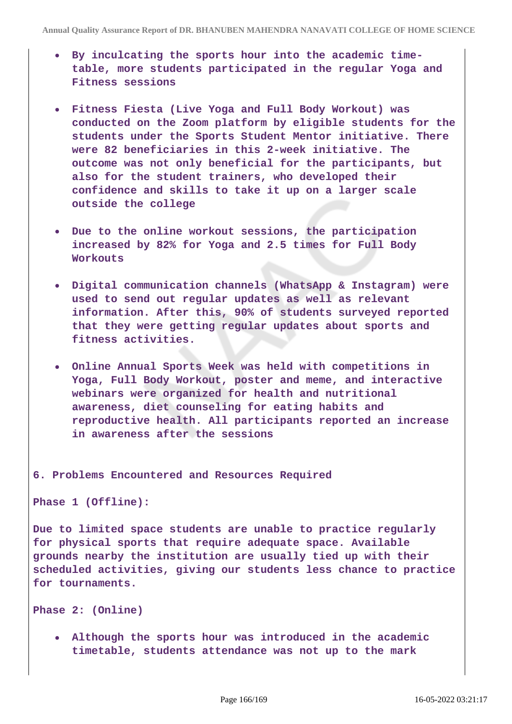- **By inculcating the sports hour into the academic timetable, more students participated in the regular Yoga and Fitness sessions**
- **Fitness Fiesta (Live Yoga and Full Body Workout) was conducted on the Zoom platform by eligible students for the students under the Sports Student Mentor initiative. There were 82 beneficiaries in this 2-week initiative. The outcome was not only beneficial for the participants, but also for the student trainers, who developed their confidence and skills to take it up on a larger scale outside the college**
- **Due to the online workout sessions, the participation increased by 82% for Yoga and 2.5 times for Full Body Workouts**
- **Digital communication channels (WhatsApp & Instagram) were used to send out regular updates as well as relevant information. After this, 90% of students surveyed reported that they were getting regular updates about sports and fitness activities.**
- **Online Annual Sports Week was held with competitions in Yoga, Full Body Workout, poster and meme, and interactive webinars were organized for health and nutritional awareness, diet counseling for eating habits and reproductive health. All participants reported an increase in awareness after the sessions**

**6. Problems Encountered and Resources Required**

**Phase 1 (Offline):**

**Due to limited space students are unable to practice regularly for physical sports that require adequate space. Available grounds nearby the institution are usually tied up with their scheduled activities, giving our students less chance to practice for tournaments.**

**Phase 2: (Online)**

**Although the sports hour was introduced in the academic timetable, students attendance was not up to the mark**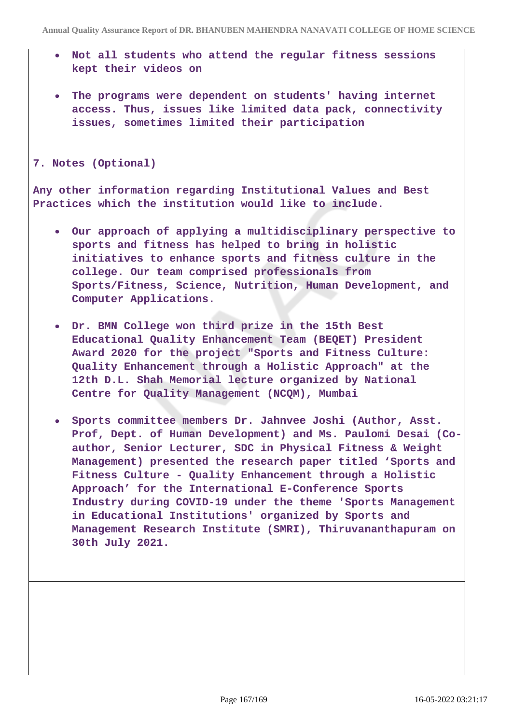- **Not all students who attend the regular fitness sessions kept their videos on**
- **The programs were dependent on students' having internet access. Thus, issues like limited data pack, connectivity issues, sometimes limited their participation**

**7. Notes (Optional)**

**Any other information regarding Institutional Values and Best Practices which the institution would like to include.**

- **Our approach of applying a multidisciplinary perspective to sports and fitness has helped to bring in holistic initiatives to enhance sports and fitness culture in the college. Our team comprised professionals from Sports/Fitness, Science, Nutrition, Human Development, and Computer Applications.**
- **Dr. BMN College won third prize in the 15th Best Educational Quality Enhancement Team (BEQET) President Award 2020 for the project "Sports and Fitness Culture: Quality Enhancement through a Holistic Approach" at the 12th D.L. Shah Memorial lecture organized by National Centre for Quality Management (NCQM), Mumbai**
- **Sports committee members Dr. Jahnvee Joshi (Author, Asst. Prof, Dept. of Human Development) and Ms. Paulomi Desai (Coauthor, Senior Lecturer, SDC in Physical Fitness & Weight Management) presented the research paper titled 'Sports and Fitness Culture - Quality Enhancement through a Holistic Approach' for the International E-Conference Sports Industry during COVID-19 under the theme 'Sports Management in Educational Institutions' organized by Sports and Management Research Institute (SMRI), Thiruvananthapuram on 30th July 2021.**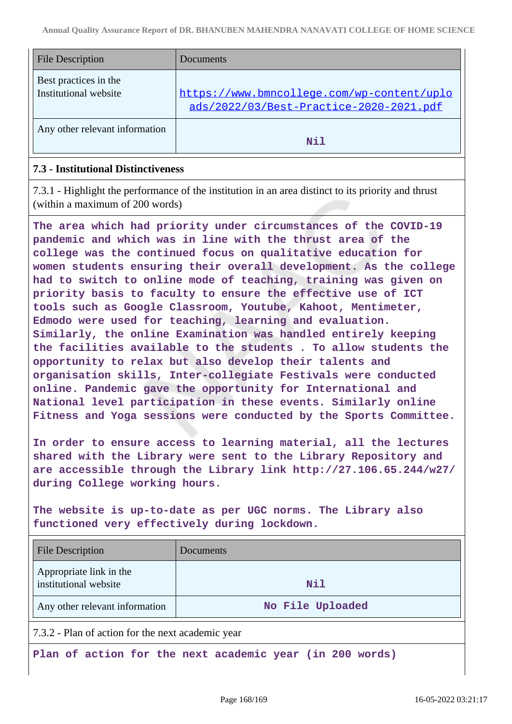| <b>File Description</b>                        | Documents                                                                             |
|------------------------------------------------|---------------------------------------------------------------------------------------|
| Best practices in the<br>Institutional website | https://www.bmncollege.com/wp-content/uplo<br>ads/2022/03/Best-Practice-2020-2021.pdf |
| Any other relevant information                 | Nil                                                                                   |

# **7.3 - Institutional Distinctiveness**

7.3.1 - Highlight the performance of the institution in an area distinct to its priority and thrust (within a maximum of 200 words)

**The area which had priority under circumstances of the COVID-19 pandemic and which was in line with the thrust area of the college was the continued focus on qualitative education for women students ensuring their overall development. As the college had to switch to online mode of teaching, training was given on priority basis to faculty to ensure the effective use of ICT tools such as Google Classroom, Youtube, Kahoot, Mentimeter, Edmodo were used for teaching, learning and evaluation. Similarly, the online Examination was handled entirely keeping the facilities available to the students . To allow students the opportunity to relax but also develop their talents and organisation skills, Inter-collegiate Festivals were conducted online. Pandemic gave the opportunity for International and National level participation in these events. Similarly online Fitness and Yoga sessions were conducted by the Sports Committee.**

**In order to ensure access to learning material, all the lectures shared with the Library were sent to the Library Repository and are accessible through the Library link http://27.106.65.244/w27/ during College working hours.**

**The website is up-to-date as per UGC norms. The Library also functioned very effectively during lockdown.**

| <b>File Description</b>                          | Documents        |
|--------------------------------------------------|------------------|
| Appropriate link in the<br>institutional website | Nil              |
| Any other relevant information                   | No File Uploaded |

7.3.2 - Plan of action for the next academic year

**Plan of action for the next academic year (in 200 words)**